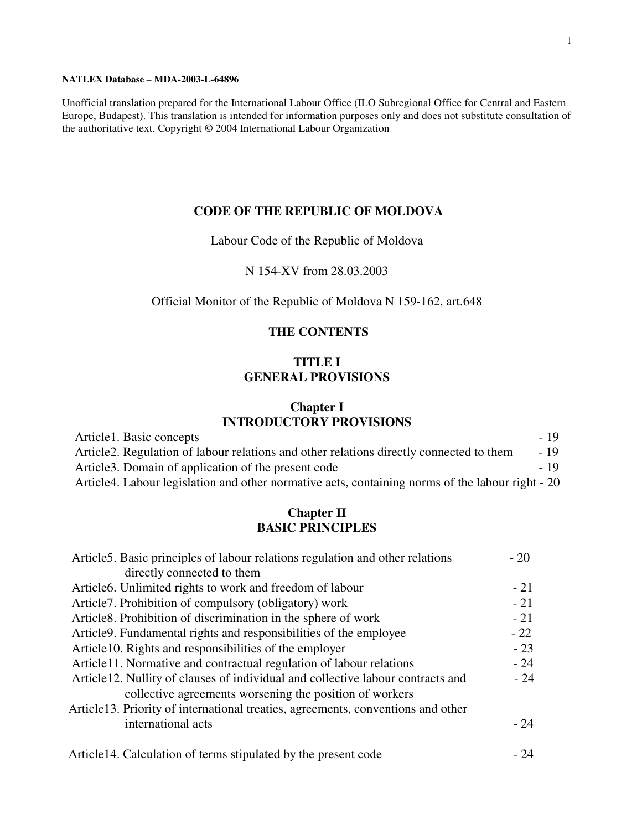#### **NATLEX Database – MDA-2003-L-64896**

Unofficial translation prepared for the International Labour Office (ILO Subregional Office for Central and Eastern Europe, Budapest). This translation is intended for information purposes only and does not substitute consultation of the authoritative text. Copyright © 2004 International Labour Organization

#### **CODE OF THE REPUBLIC OF MOLDOVA**

#### Labour Code of the Republic of Moldova

#### N 154-XV from 28.03.2003

### Official Monitor of the Republic of Moldova N 159-162, art.648

### **THE CONTENTS**

### **TITLE I GENERAL PROVISIONS**

### **Chapter I INTRODUCTORY PROVISIONS**

| Article1. Basic concepts                                                                         | $-19$ |
|--------------------------------------------------------------------------------------------------|-------|
| Article 2. Regulation of labour relations and other relations directly connected to them         | $-19$ |
| Article 3. Domain of application of the present code                                             | $-19$ |
| Article4. Labour legislation and other normative acts, containing norms of the labour right - 20 |       |

### **Chapter II BASIC PRINCIPLES**

| Article5. Basic principles of labour relations regulation and other relations    | $-20$ |
|----------------------------------------------------------------------------------|-------|
| directly connected to them                                                       |       |
| Article6. Unlimited rights to work and freedom of labour                         | $-21$ |
| Article 7. Prohibition of compulsory (obligatory) work                           | $-21$ |
| Article8. Prohibition of discrimination in the sphere of work                    | $-21$ |
| Article 9. Fundamental rights and responsibilities of the employee               | $-22$ |
| Article 10. Rights and responsibilities of the employer                          | $-23$ |
| Article11. Normative and contractual regulation of labour relations              | $-24$ |
| Article12. Nullity of clauses of individual and collective labour contracts and  | $-24$ |
| collective agreements worsening the position of workers                          |       |
| Article13. Priority of international treaties, agreements, conventions and other |       |
| international acts                                                               | $-24$ |
| Article14. Calculation of terms stipulated by the present code                   | - 24  |
|                                                                                  |       |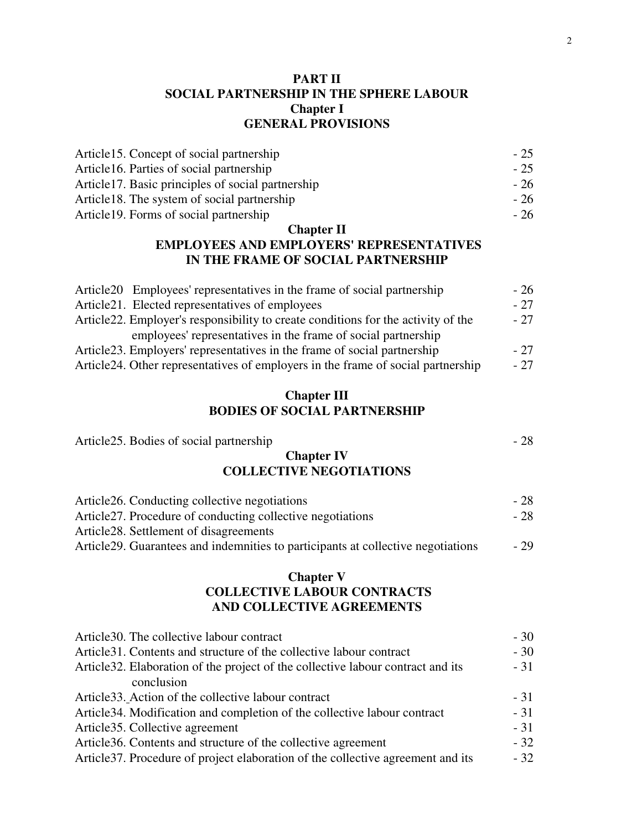## **PART II SOCIAL PARTNERSHIP IN THE SPHERE LABOUR Chapter I GENERAL PROVISIONS**

| Article 15. Concept of social partnership          | $-25$ |
|----------------------------------------------------|-------|
| Article 16. Parties of social partnership          | $-25$ |
| Article 17. Basic principles of social partnership | - 26  |
| Article 18. The system of social partnership       | - 26  |
| Article 19. Forms of social partnership            | - 26  |

## **Chapter II**

## **EMPLOYEES AND EMPLOYERS' REPRESENTATIVES IN THE FRAME OF SOCIAL PARTNERSHIP**

| Article 20 Employees' representatives in the frame of social partnership           | $-26$ |
|------------------------------------------------------------------------------------|-------|
| Article 21. Elected representatives of employees                                   | $-27$ |
| Article 22. Employer's responsibility to create conditions for the activity of the | $-27$ |
| employees' representatives in the frame of social partnership                      |       |
| Article 23. Employers' representatives in the frame of social partnership          | $-27$ |
| Article 24. Other representatives of employers in the frame of social partnership  | $-27$ |
|                                                                                    |       |

# **Chapter III BODIES OF SOCIAL PARTNERSHIP**

Article 25. Bodies of social partnership  $\sim$  28

| THROID: Doctor of social partnership                                                           |       |
|------------------------------------------------------------------------------------------------|-------|
| <b>Chapter IV</b>                                                                              |       |
| <b>COLLECTIVE NEGOTIATIONS</b>                                                                 |       |
| Article26. Conducting collective negotiations                                                  | $-28$ |
| Article 27. Procedure of conducting collective negotiations                                    | $-28$ |
| Article <sub>28</sub> . Settlement of disagreements                                            |       |
| Article 29. Guarantees and indemnities to participants at collective negotiations              | $-29$ |
| <b>Chapter V</b>                                                                               |       |
| <b>COLLECTIVE LABOUR CONTRACTS</b>                                                             |       |
| AND COLLECTIVE AGREEMENTS                                                                      |       |
| Article 30. The collective labour contract                                                     | $-30$ |
| Article 31. Contents and structure of the collective labour contract                           | $-30$ |
| Article 32. Elaboration of the project of the collective labour contract and its<br>conclusion | $-31$ |
| Article 33. Action of the collective labour contract                                           | $-31$ |
| Article 34. Modification and completion of the collective labour contract                      | $-31$ |
| Article35. Collective agreement                                                                | $-31$ |
| Article 36. Contents and structure of the collective agreement                                 | $-32$ |
| Article 37. Procedure of project elaboration of the collective agreement and its               | $-32$ |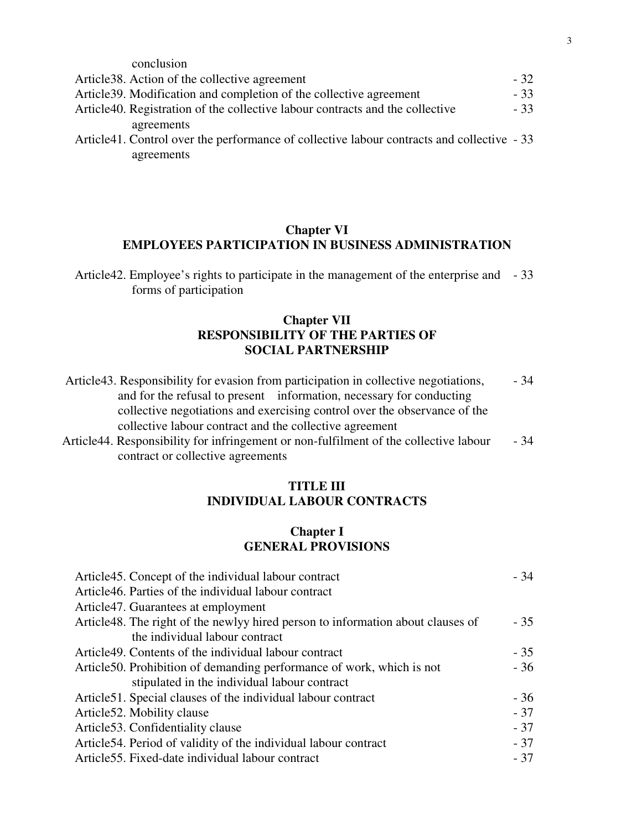| conclusion                                                                                 |       |
|--------------------------------------------------------------------------------------------|-------|
| Article 38. Action of the collective agreement                                             | $-32$ |
| Article 39. Modification and completion of the collective agreement                        | - 33  |
| Article40. Registration of the collective labour contracts and the collective              | $-33$ |
| agreements                                                                                 |       |
| Article41. Control over the performance of collective labour contracts and collective - 33 |       |

agreements

### **Chapter VI EMPLOYEES PARTICIPATION IN BUSINESS ADMINISTRATION**

## **Chapter VII RESPONSIBILITY OF THE PARTIES OF SOCIAL PARTNERSHIP**

| Article43. Responsibility for evasion from participation in collective negotiations,                                                                                                                                                                                                                                               | - 34                |
|------------------------------------------------------------------------------------------------------------------------------------------------------------------------------------------------------------------------------------------------------------------------------------------------------------------------------------|---------------------|
| and for the refusal to present information, necessary for conducting                                                                                                                                                                                                                                                               |                     |
| collective negotiations and exercising control over the observance of the                                                                                                                                                                                                                                                          |                     |
| collective labour contract and the collective agreement                                                                                                                                                                                                                                                                            |                     |
| $\lambda$ and $\lambda$ in the contract of the contract of $\lambda$ and $\lambda$ in the contract of $\lambda$ in $\lambda$ in $\lambda$ in the contract of $\lambda$ in $\lambda$ in $\lambda$ in $\lambda$ in $\lambda$ in $\lambda$ in $\lambda$ in $\lambda$ in $\lambda$ in $\lambda$ in $\lambda$ in $\lambda$ in $\lambda$ | $\bigcap$ $\bigcap$ |

Article44. Responsibility for infringement or non-fulfilment of the collective labour - 34 contract or collective agreements

## **TITLE III INDIVIDUAL LABOUR CONTRACTS**

## **Chapter I GENERAL PROVISIONS**

| Article45. Concept of the individual labour contract                            | $-34$ |
|---------------------------------------------------------------------------------|-------|
| Article46. Parties of the individual labour contract                            |       |
| Article <sup>47</sup> . Guarantees at employment                                |       |
| Article48. The right of the newlyy hired person to information about clauses of | $-35$ |
| the individual labour contract                                                  |       |
| Article49. Contents of the individual labour contract                           | $-35$ |
| Article 50. Prohibition of demanding performance of work, which is not          | $-36$ |
| stipulated in the individual labour contract                                    |       |
| Article 51. Special clauses of the individual labour contract                   | $-36$ |
| Article 52. Mobility clause                                                     | $-37$ |
| Article 53. Confidentiality clause                                              | $-37$ |
| Article 54. Period of validity of the individual labour contract                | $-37$ |
| Article 55. Fixed-date individual labour contract                               | $-37$ |

Article42. Employee's rights to participate in the management of the enterprise and - 33 forms of participation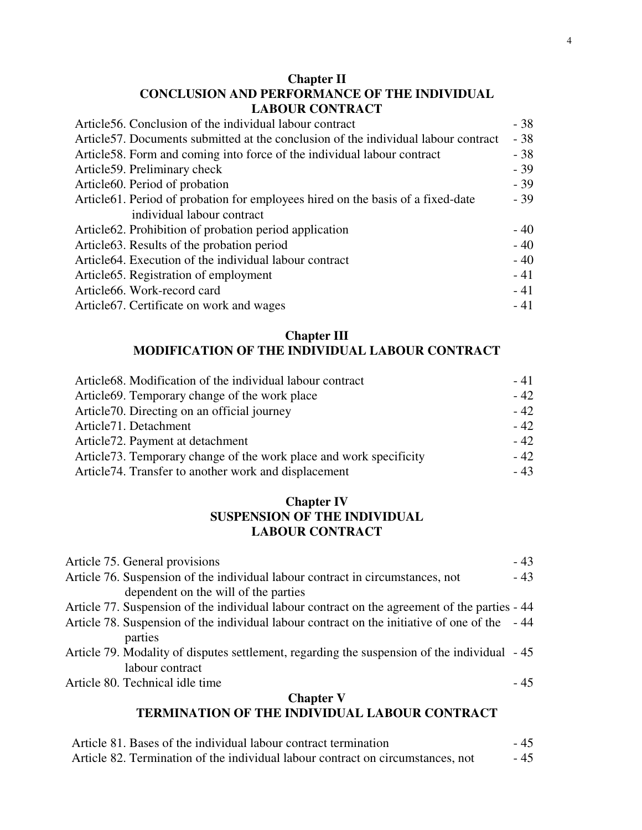# **Chapter II CONCLUSION AND PERFORMANCE OF THE INDIVIDUAL LABOUR CONTRACT**

| Article 56. Conclusion of the individual labour contract                            | $-38$ |
|-------------------------------------------------------------------------------------|-------|
| Article 57. Documents submitted at the conclusion of the individual labour contract | $-38$ |
| Article 58. Form and coming into force of the individual labour contract            | $-38$ |
| Article 59. Preliminary check                                                       | $-39$ |
| Article60. Period of probation                                                      | $-39$ |
| Article 61. Period of probation for employees hired on the basis of a fixed-date    | $-39$ |
| individual labour contract                                                          |       |
| Article 62. Prohibition of probation period application                             | $-40$ |
| Article 63. Results of the probation period                                         | $-40$ |
| Article 64. Execution of the individual labour contract                             | $-40$ |
| Article 65. Registration of employment                                              | $-41$ |
| Article66. Work-record card                                                         | $-41$ |
| Article 67. Certificate on work and wages                                           | $-41$ |

# **Chapter III**

# **MODIFICATION OF THE INDIVIDUAL LABOUR CONTRACT**

| Article68. Modification of the individual labour contract           | - 41  |
|---------------------------------------------------------------------|-------|
| Article 69. Temporary change of the work place                      | $-42$ |
| Article70. Directing on an official journey                         | $-42$ |
| Article <sub>71</sub> . Detachment                                  | $-42$ |
| Article <sub>72</sub> . Payment at detachment                       | $-42$ |
| Article 73. Temporary change of the work place and work specificity | $-42$ |
| Article 74. Transfer to another work and displacement               | $-43$ |

## **Chapter IV SUSPENSION OF THE INDIVIDUAL LABOUR CONTRACT**

| Article 75. General provisions                                                                | $-43$ |
|-----------------------------------------------------------------------------------------------|-------|
| Article 76. Suspension of the individual labour contract in circumstances, not                | $-43$ |
| dependent on the will of the parties                                                          |       |
| Article 77. Suspension of the individual labour contract on the agreement of the parties - 44 |       |
| Article 78. Suspension of the individual labour contract on the initiative of one of the -44  |       |
| parties                                                                                       |       |
| Article 79. Modality of disputes settlement, regarding the suspension of the individual - 45  |       |
| labour contract                                                                               |       |
| Article 80. Technical idle time                                                               | $-45$ |
| <b>Chapter V</b>                                                                              |       |
| TERMINATION OF THE INDIVIDUAL LABOUR CONTRACT                                                 |       |
|                                                                                               |       |

| Article 81. Bases of the individual labour contract termination                 | - 45 |
|---------------------------------------------------------------------------------|------|
| Article 82. Termination of the individual labour contract on circumstances, not | - 45 |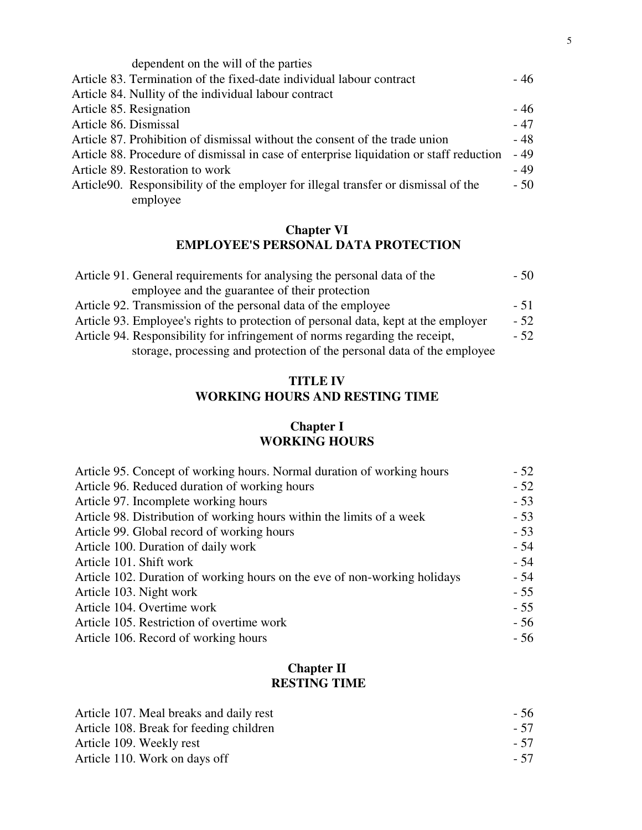| dependent on the will of the parties                                                    |       |
|-----------------------------------------------------------------------------------------|-------|
| Article 83. Termination of the fixed-date individual labour contract                    | - 46  |
| Article 84. Nullity of the individual labour contract                                   |       |
| Article 85. Resignation                                                                 | $-46$ |
| Article 86. Dismissal                                                                   | $-47$ |
| Article 87. Prohibition of dismissal without the consent of the trade union             | - 48  |
| Article 88. Procedure of dismissal in case of enterprise liquidation or staff reduction | $-49$ |
| Article 89. Restoration to work                                                         | $-49$ |
| Article 90. Responsibility of the employer for illegal transfer or dismissal of the     | $-50$ |
| employee                                                                                |       |

## **Chapter VI EMPLOYEE'S PERSONAL DATA PROTECTION**

| Article 91. General requirements for analysing the personal data of the            | - 50  |
|------------------------------------------------------------------------------------|-------|
| employee and the guarantee of their protection                                     |       |
| Article 92. Transmission of the personal data of the employee                      | $-51$ |
| Article 93. Employee's rights to protection of personal data, kept at the employer | - 52  |
| Article 94. Responsibility for infringement of norms regarding the receipt,        | $-52$ |
| storage, processing and protection of the personal data of the employee            |       |

# **TITLE IV WORKING HOURS AND RESTING TIME**

## **Chapter I WORKING HOURS**

| Article 95. Concept of working hours. Normal duration of working hours    | $-52$ |
|---------------------------------------------------------------------------|-------|
| Article 96. Reduced duration of working hours                             | $-52$ |
| Article 97. Incomplete working hours                                      | $-53$ |
| Article 98. Distribution of working hours within the limits of a week     | $-53$ |
| Article 99. Global record of working hours                                | $-53$ |
| Article 100. Duration of daily work                                       | $-54$ |
| Article 101. Shift work                                                   | $-54$ |
| Article 102. Duration of working hours on the eve of non-working holidays | - 54  |
| Article 103. Night work                                                   | $-55$ |
| Article 104. Overtime work                                                | $-55$ |
| Article 105. Restriction of overtime work                                 | $-56$ |
| Article 106. Record of working hours                                      | $-56$ |

# **Chapter II RESTING TIME**

| Article 107. Meal breaks and daily rest | - 56 |
|-----------------------------------------|------|
| Article 108. Break for feeding children | - 57 |
| Article 109. Weekly rest                | - 57 |
| Article 110. Work on days off           | - 57 |
|                                         |      |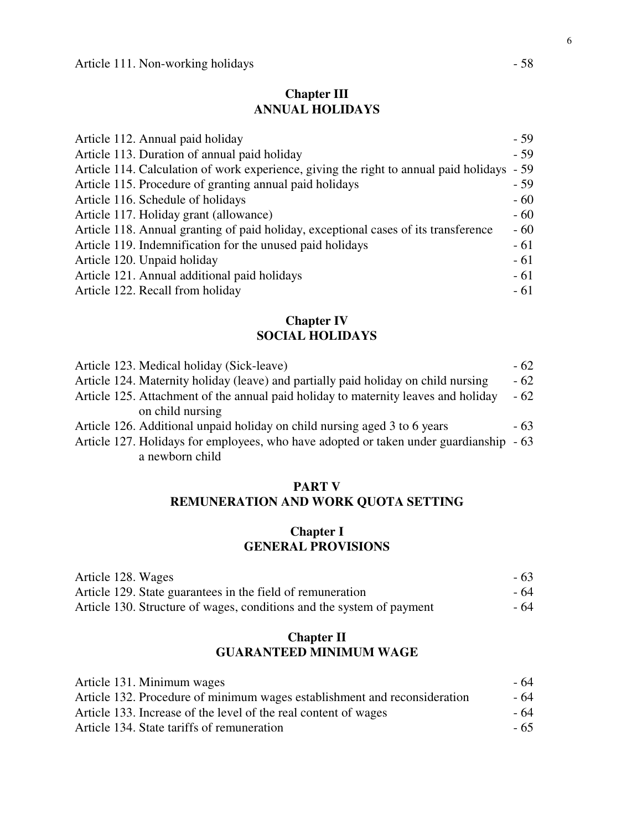# **Chapter III ANNUAL HOLIDAYS**

| Article 112. Annual paid holiday                                                      | $-59$ |
|---------------------------------------------------------------------------------------|-------|
| Article 113. Duration of annual paid holiday                                          | $-59$ |
| Article 114. Calculation of work experience, giving the right to annual paid holidays | $-59$ |
| Article 115. Procedure of granting annual paid holidays                               | $-59$ |
| Article 116. Schedule of holidays                                                     | $-60$ |
| Article 117. Holiday grant (allowance)                                                | $-60$ |
| Article 118. Annual granting of paid holiday, exceptional cases of its transference   | $-60$ |
| Article 119. Indemnification for the unused paid holidays                             | $-61$ |
| Article 120. Unpaid holiday                                                           | $-61$ |
| Article 121. Annual additional paid holidays                                          | $-61$ |
| Article 122. Recall from holiday                                                      | $-61$ |

## **Chapter IV SOCIAL HOLIDAYS**

| Article 123. Medical holiday (Sick-leave)                                              | $-62$ |
|----------------------------------------------------------------------------------------|-------|
| Article 124. Maternity holiday (leave) and partially paid holiday on child nursing     | $-62$ |
| Article 125. Attachment of the annual paid holiday to maternity leaves and holiday     | $-62$ |
| on child nursing                                                                       |       |
| Article 126. Additional unpaid holiday on child nursing aged 3 to 6 years              | $-63$ |
| Article 127. Holidays for employees, who have adopted or taken under guardianship - 63 |       |

a newborn child

## **PART V REMUNERATION AND WORK QUOTA SETTING**

## **Chapter I GENERAL PROVISIONS**

| Article 128. Wages                                                    | $-63$ |
|-----------------------------------------------------------------------|-------|
| Article 129. State guarantees in the field of remuneration            | - 64  |
| Article 130. Structure of wages, conditions and the system of payment | - 64  |

# **Chapter II GUARANTEED MINIMUM WAGE**

| Article 131. Minimum wages                                                | - 64  |
|---------------------------------------------------------------------------|-------|
| Article 132. Procedure of minimum wages establishment and reconsideration | - 64  |
| Article 133. Increase of the level of the real content of wages           | - 64  |
| Article 134. State tariffs of remuneration                                | $-65$ |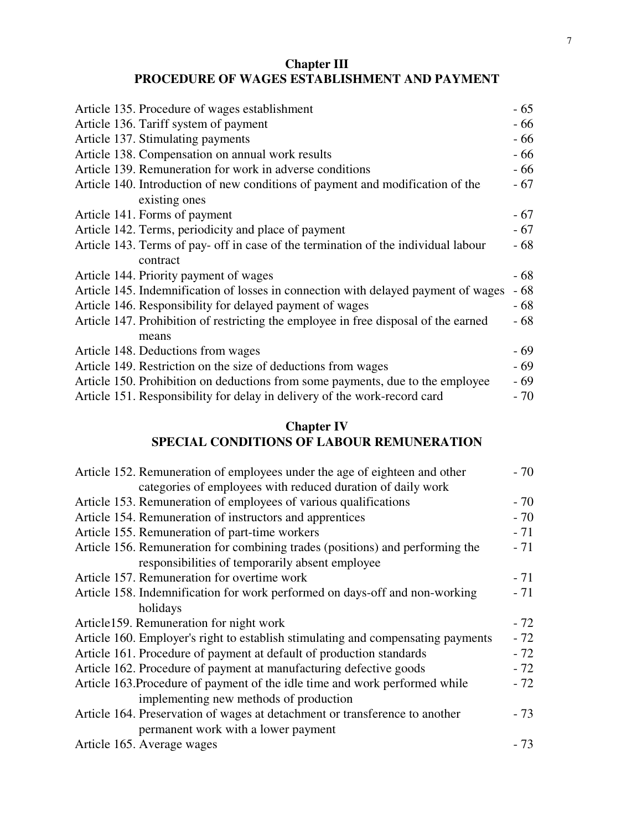## **Chapter III PROCEDURE OF WAGES ESTABLISHMENT AND PAYMENT**

| Article 135. Procedure of wages establishment                                       | $-65$ |
|-------------------------------------------------------------------------------------|-------|
| Article 136. Tariff system of payment                                               | - 66  |
| Article 137. Stimulating payments                                                   | - 66  |
| Article 138. Compensation on annual work results                                    | - 66  |
| Article 139. Remuneration for work in adverse conditions                            | - 66  |
| Article 140. Introduction of new conditions of payment and modification of the      | - 67  |
| existing ones                                                                       |       |
| Article 141. Forms of payment                                                       | $-67$ |
| Article 142. Terms, periodicity and place of payment                                | $-67$ |
| Article 143. Terms of pay- off in case of the termination of the individual labour  | - 68  |
| contract                                                                            |       |
| Article 144. Priority payment of wages                                              | - 68  |
| Article 145. Indemnification of losses in connection with delayed payment of wages  | $-68$ |
| Article 146. Responsibility for delayed payment of wages                            | - 68  |
| Article 147. Prohibition of restricting the employee in free disposal of the earned | - 68  |
| means                                                                               |       |
| Article 148. Deductions from wages                                                  | $-69$ |
| Article 149. Restriction on the size of deductions from wages                       | - 69  |
| Article 150. Prohibition on deductions from some payments, due to the employee      | $-69$ |
| Article 151. Responsibility for delay in delivery of the work-record card           | $-70$ |
|                                                                                     |       |

# **Chapter IV SPECIAL CONDITIONS OF LABOUR REMUNERATION**

| Article 152. Remuneration of employees under the age of eighteen and other       | $-70$ |
|----------------------------------------------------------------------------------|-------|
| categories of employees with reduced duration of daily work                      |       |
| Article 153. Remuneration of employees of various qualifications                 | $-70$ |
| Article 154. Remuneration of instructors and apprentices                         | $-70$ |
| Article 155. Remuneration of part-time workers                                   | $-71$ |
| Article 156. Remuneration for combining trades (positions) and performing the    | $-71$ |
| responsibilities of temporarily absent employee                                  |       |
| Article 157. Remuneration for overtime work                                      | $-71$ |
| Article 158. Indemnification for work performed on days-off and non-working      | $-71$ |
| holidays                                                                         |       |
| Article159. Remuneration for night work                                          | $-72$ |
| Article 160. Employer's right to establish stimulating and compensating payments | $-72$ |
| Article 161. Procedure of payment at default of production standards             | $-72$ |
| Article 162. Procedure of payment at manufacturing defective goods               | $-72$ |
| Article 163. Procedure of payment of the idle time and work performed while      | $-72$ |
| implementing new methods of production                                           |       |
| Article 164. Preservation of wages at detachment or transference to another      | $-73$ |
| permanent work with a lower payment                                              |       |
| Article 165. Average wages                                                       | $-73$ |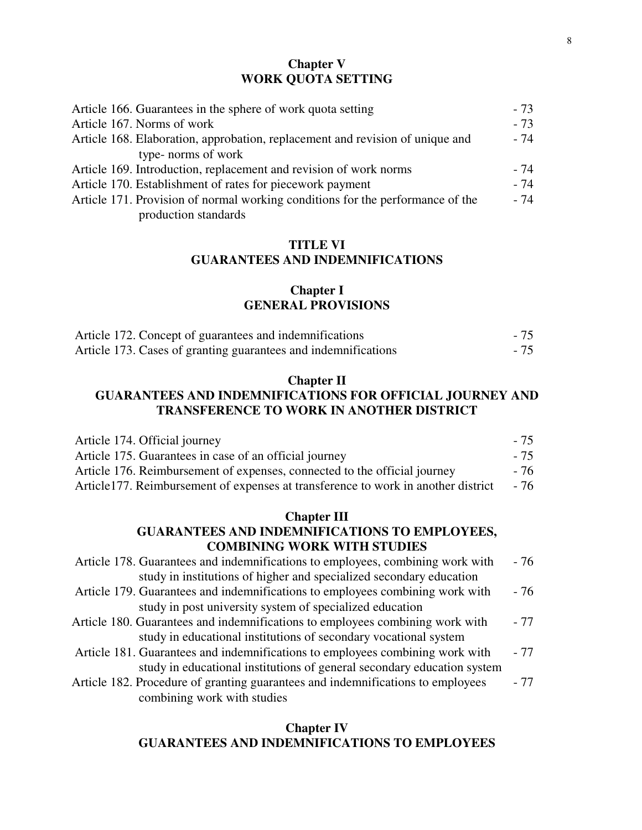### **Chapter V WORK QUOTA SETTING**

| Article 166. Guarantees in the sphere of work quota setting                    | $-73$ |
|--------------------------------------------------------------------------------|-------|
| Article 167. Norms of work                                                     | $-73$ |
| Article 168. Elaboration, approbation, replacement and revision of unique and  | - 74  |
| type- norms of work                                                            |       |
| Article 169. Introduction, replacement and revision of work norms              | - 74  |
| Article 170. Establishment of rates for piecework payment                      | $-74$ |
| Article 171. Provision of normal working conditions for the performance of the | - 74  |
| production standards                                                           |       |

## **TITLE VI GUARANTEES AND INDEMNIFICATIONS**

## **Chapter I GENERAL PROVISIONS**

| Article 172. Concept of guarantees and indemnifications        | $-75$ |
|----------------------------------------------------------------|-------|
| Article 173. Cases of granting guarantees and indemnifications | $-75$ |

#### **Chapter II**

# **GUARANTEES AND INDEMNIFICATIONS FOR OFFICIAL JOURNEY AND TRANSFERENCE TO WORK IN ANOTHER DISTRICT**

| Article 174. Official journey                                                     | - 75 |
|-----------------------------------------------------------------------------------|------|
| Article 175. Guarantees in case of an official journey                            | - 75 |
| Article 176. Reimbursement of expenses, connected to the official journey         | - 76 |
| Article177. Reimbursement of expenses at transference to work in another district | - 76 |

## **Chapter III GUARANTEES AND INDEMNIFICATIONS TO EMPLOYEES, COMBINING WORK WITH STUDIES**

| Article 178. Guarantees and indemnifications to employees, combining work with  | - 76  |
|---------------------------------------------------------------------------------|-------|
| study in institutions of higher and specialized secondary education             |       |
| Article 179. Guarantees and indemnifications to employees combining work with   | - 76  |
| study in post university system of specialized education                        |       |
| Article 180. Guarantees and indemnifications to employees combining work with   | $-77$ |
| study in educational institutions of secondary vocational system                |       |
| Article 181. Guarantees and indemnifications to employees combining work with   | $-77$ |
| study in educational institutions of general secondary education system         |       |
| Article 182. Procedure of granting guarantees and indemnifications to employees | - 77  |
| combining work with studies                                                     |       |

## **Chapter IV GUARANTEES AND INDEMNIFICATIONS TO EMPLOYEES**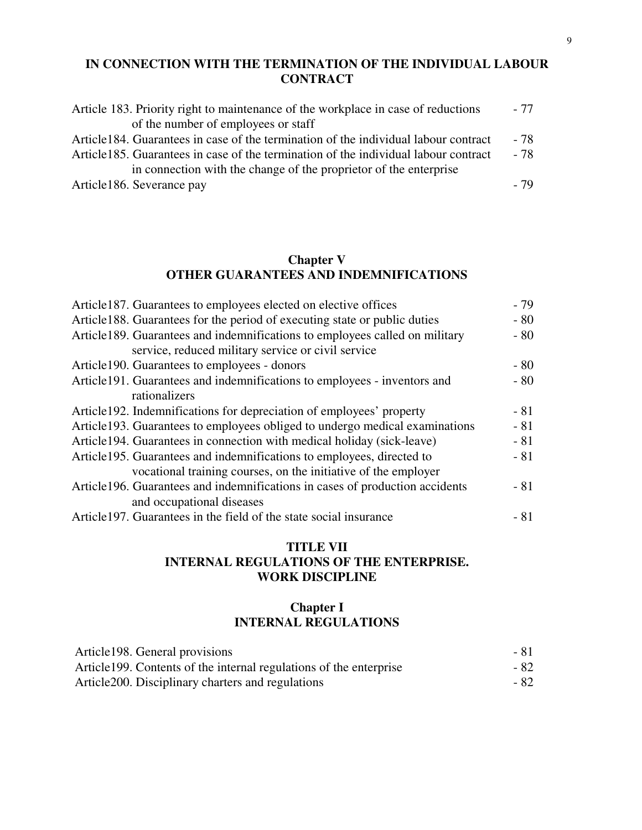## **IN CONNECTION WITH THE TERMINATION OF THE INDIVIDUAL LABOUR CONTRACT**

| Article 183. Priority right to maintenance of the workplace in case of reductions    | - 77 |
|--------------------------------------------------------------------------------------|------|
| of the number of employees or staff                                                  |      |
| Article 184. Guarantees in case of the termination of the individual labour contract | - 78 |
| Article 185. Guarantees in case of the termination of the individual labour contract | - 78 |
| in connection with the change of the proprietor of the enterprise                    |      |
| Article186. Severance pay                                                            | - 79 |

## **Chapter V OTHER GUARANTEES AND INDEMNIFICATIONS**

| Article187. Guarantees to employees elected on elective offices              | $-79$ |
|------------------------------------------------------------------------------|-------|
| Article188. Guarantees for the period of executing state or public duties    | $-80$ |
| Article 189. Guarantees and indemnifications to employees called on military | $-80$ |
| service, reduced military service or civil service                           |       |
| Article190. Guarantees to employees - donors                                 | $-80$ |
| Article191. Guarantees and indemnifications to employees - inventors and     | $-80$ |
| rationalizers                                                                |       |
| Article 192. Indemnifications for depreciation of employees' property        | $-81$ |
| Article 193. Guarantees to employees obliged to undergo medical examinations | $-81$ |
| Article 194. Guarantees in connection with medical holiday (sick-leave)      | $-81$ |
| Article 195. Guarantees and indemnifications to employees, directed to       | $-81$ |
| vocational training courses, on the initiative of the employer               |       |
| Article196. Guarantees and indemnifications in cases of production accidents | $-81$ |
| and occupational diseases                                                    |       |
| Article 197. Guarantees in the field of the state social insurance           | $-81$ |

## **TITLE VII INTERNAL REGULATIONS OF THE ENTERPRISE. WORK DISCIPLINE**

## **Chapter I INTERNAL REGULATIONS**

| Article 198. General provisions                                     | - 81 |
|---------------------------------------------------------------------|------|
| Article 199. Contents of the internal regulations of the enterprise | - 82 |
| Article 200. Disciplinary charters and regulations                  | - 82 |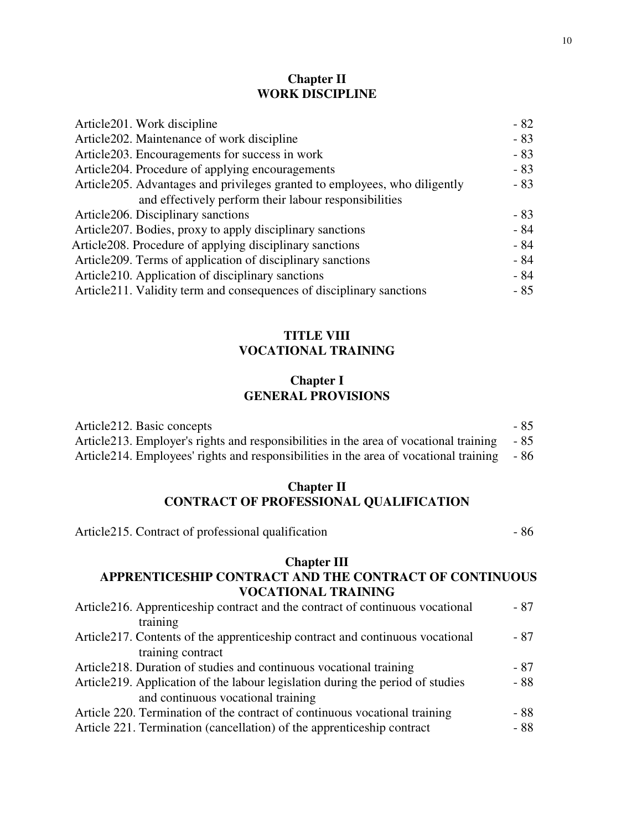## **Chapter II WORK DISCIPLINE**

| Article 201. Work discipline                                                | $-82$ |
|-----------------------------------------------------------------------------|-------|
| Article 202. Maintenance of work discipline                                 | $-83$ |
| Article 203. Encouragements for success in work                             | $-83$ |
| Article 204. Procedure of applying encouragements                           | $-83$ |
| Article 205. Advantages and privileges granted to employees, who diligently | - 83  |
| and effectively perform their labour responsibilities                       |       |
| Article 206. Disciplinary sanctions                                         | $-83$ |
| Article 207. Bodies, proxy to apply disciplinary sanctions                  | $-84$ |
| Article 208. Procedure of applying disciplinary sanctions                   | - 84  |
| Article 209. Terms of application of disciplinary sanctions                 | - 84  |
| Article 210. Application of disciplinary sanctions                          | - 84  |
| Article 211. Validity term and consequences of disciplinary sanctions       | - 85  |
|                                                                             |       |

## **TITLE VIII VOCATIONAL TRAINING**

## **Chapter I GENERAL PROVISIONS**

| Article 212. Basic concepts                                                                 | - 85 |
|---------------------------------------------------------------------------------------------|------|
| Article 213. Employer's rights and responsibilities in the area of vocational training - 85 |      |
| Article 214. Employees' rights and responsibilities in the area of vocational training - 86 |      |

# **Chapter II CONTRACT OF PROFESSIONAL QUALIFICATION**

Article215. Contract of professional qualification - 86

# **Chapter III**

## **APPRENTICESHIP CONTRACT AND THE CONTRACT OF CONTINUOUS VOCATIONAL TRAINING**

| Article 216. Apprenticeship contract and the contract of continuous vocational  | - 87 |
|---------------------------------------------------------------------------------|------|
| training                                                                        |      |
| Article 217. Contents of the apprenticeship contract and continuous vocational  | - 87 |
| training contract                                                               |      |
| Article 218. Duration of studies and continuous vocational training             | - 87 |
| Article 219. Application of the labour legislation during the period of studies | - 88 |
| and continuous vocational training                                              |      |
| Article 220. Termination of the contract of continuous vocational training      | - 88 |
| Article 221. Termination (cancellation) of the apprenticeship contract          | - 88 |
|                                                                                 |      |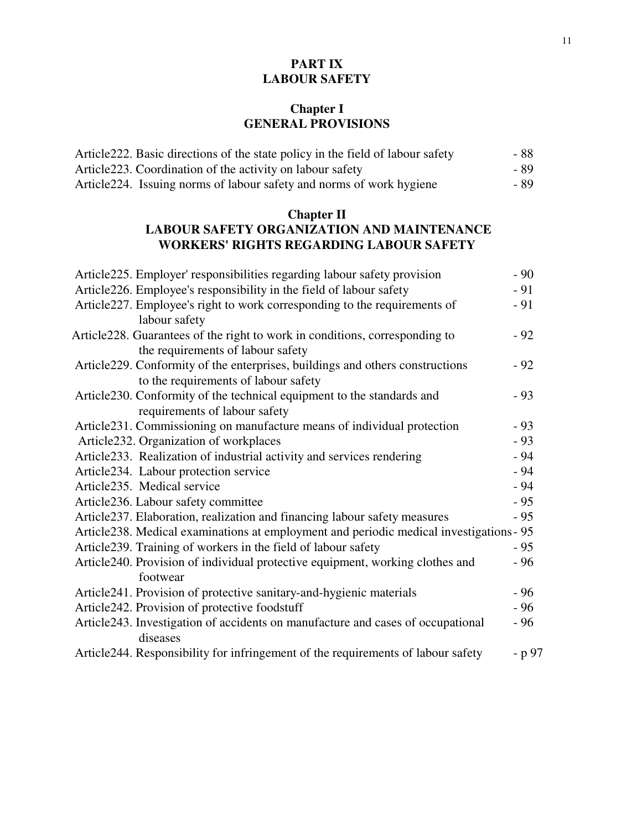# **PART IX LABOUR SAFETY**

# **Chapter I GENERAL PROVISIONS**

| Article 222. Basic directions of the state policy in the field of labour safety | - 88 |
|---------------------------------------------------------------------------------|------|
| Article 223. Coordination of the activity on labour safety                      | - 89 |
| Article 224. Issuing norms of labour safety and norms of work hygiene           | - 89 |

# **Chapter II**

# **LABOUR SAFETY ORGANIZATION AND MAINTENANCE WORKERS' RIGHTS REGARDING LABOUR SAFETY**

| Article 225. Employer' responsibilities regarding labour safety provision               | $-90$  |
|-----------------------------------------------------------------------------------------|--------|
| Article 226. Employee's responsibility in the field of labour safety                    | $-91$  |
| Article 227. Employee's right to work corresponding to the requirements of              | $-91$  |
| labour safety                                                                           |        |
| Article 228. Guarantees of the right to work in conditions, corresponding to            | $-92$  |
| the requirements of labour safety                                                       |        |
| Article 229. Conformity of the enterprises, buildings and others constructions          | $-92$  |
| to the requirements of labour safety                                                    |        |
| Article 230. Conformity of the technical equipment to the standards and                 | $-93$  |
| requirements of labour safety                                                           |        |
| Article231. Commissioning on manufacture means of individual protection                 | $-93$  |
| Article 232. Organization of workplaces                                                 | $-93$  |
| Article233. Realization of industrial activity and services rendering                   | $-94$  |
| Article234. Labour protection service                                                   | $-94$  |
| Article235. Medical service                                                             | $-94$  |
| Article236. Labour safety committee                                                     | $-95$  |
| Article 237. Elaboration, realization and financing labour safety measures              | - 95   |
| Article238. Medical examinations at employment and periodic medical investigations - 95 |        |
| Article 239. Training of workers in the field of labour safety                          | $-95$  |
| Article 240. Provision of individual protective equipment, working clothes and          | - 96   |
| footwear                                                                                |        |
| Article241. Provision of protective sanitary-and-hygienic materials                     | $-96$  |
| Article242. Provision of protective foodstuff                                           | $-96$  |
| Article243. Investigation of accidents on manufacture and cases of occupational         | $-96$  |
| diseases                                                                                |        |
| Article244. Responsibility for infringement of the requirements of labour safety        | - p 97 |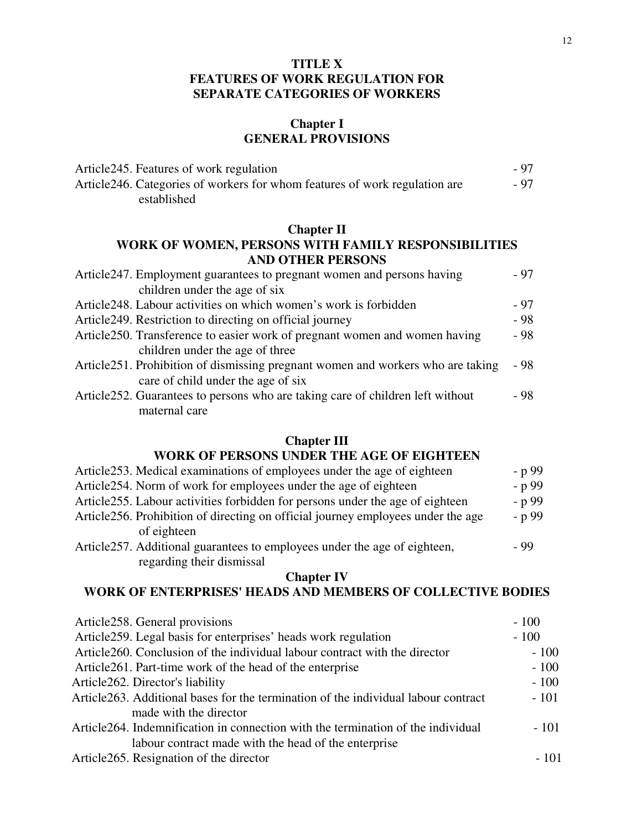## **TITLE X FEATURES OF WORK REGULATION FOR SEPARATE CATEGORIES OF WORKERS**

## **Chapter I GENERAL PROVISIONS**

| Article 245. Features of work regulation                                    | $-97$ |
|-----------------------------------------------------------------------------|-------|
| Article 246. Categories of workers for whom features of work regulation are | $-97$ |
| established                                                                 |       |

### **Chapter II**

## **WORK OF WOMEN, PERSONS WITH FAMILY RESPONSIBILITIES AND OTHER PERSONS**

| Article 247. Employment guarantees to pregnant women and persons having          | - 97 |
|----------------------------------------------------------------------------------|------|
| children under the age of six                                                    |      |
| Article 248. Labour activities on which women's work is forbidden                | - 97 |
| Article 249. Restriction to directing on official journey                        | - 98 |
| Article 250. Transference to easier work of pregnant women and women having      | - 98 |
| children under the age of three                                                  |      |
| Article 251. Prohibition of dismissing pregnant women and workers who are taking | - 98 |
| care of child under the age of six                                               |      |
| Article 252. Guarantees to persons who are taking care of children left without  | - 98 |
| maternal care                                                                    |      |

#### **Chapter III**

# **WORK OF PERSONS UNDER THE AGE OF EIGHTEEN**

| Article 253. Medical examinations of employees under the age of eighteen          | - p 99 |
|-----------------------------------------------------------------------------------|--------|
| Article 254. Norm of work for employees under the age of eighteen                 | - p 99 |
| Article 255. Labour activities forbidden for persons under the age of eighteen    | - p 99 |
| Article 256. Prohibition of directing on official journey employees under the age | - p 99 |
| of eighteen                                                                       |        |
| Article 257. Additional guarantees to employees under the age of eighteen,        | - 99   |
| regarding their dismissal                                                         |        |

#### **Chapter IV**

### **WORK OF ENTERPRISES' HEADS AND MEMBERS OF COLLECTIVE BODIES**

| Article 258. General provisions                                                     | $-100$ |
|-------------------------------------------------------------------------------------|--------|
| Article259. Legal basis for enterprises' heads work regulation                      | $-100$ |
| Article 260. Conclusion of the individual labour contract with the director         | $-100$ |
| Article 261. Part-time work of the head of the enterprise                           | $-100$ |
| Article262. Director's liability                                                    | $-100$ |
| Article 263. Additional bases for the termination of the individual labour contract | $-101$ |
| made with the director                                                              |        |
| Article 264. Indemnification in connection with the termination of the individual   | $-101$ |
| labour contract made with the head of the enterprise                                |        |
| Article265. Resignation of the director                                             | $-101$ |
|                                                                                     |        |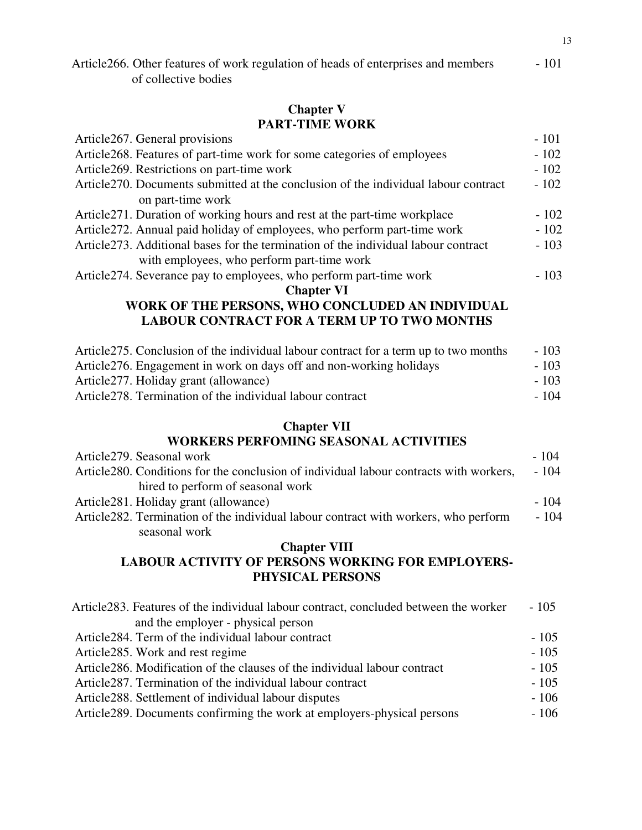| Article 266. Other features of work regulation of heads of enterprises and members | $-101$ |
|------------------------------------------------------------------------------------|--------|
| of collective bodies                                                               |        |

## **Chapter V PART-TIME WORK**

| Article 267. General provisions                                                      | $-101$ |
|--------------------------------------------------------------------------------------|--------|
| Article 268. Features of part-time work for some categories of employees             | $-102$ |
| Article 269. Restrictions on part-time work                                          | $-102$ |
| Article 270. Documents submitted at the conclusion of the individual labour contract | $-102$ |
| on part-time work                                                                    |        |
| Article 271. Duration of working hours and rest at the part-time workplace           | $-102$ |
| Article 272. Annual paid holiday of employees, who perform part-time work            | $-102$ |
| Article 273. Additional bases for the termination of the individual labour contract  | $-103$ |
| with employees, who perform part-time work                                           |        |
| Article 274. Severance pay to employees, who perform part-time work                  | $-103$ |
| <b>Chapter VI</b>                                                                    |        |
| WORK OF THE PERSONS, WHO CONCLUDED AN INDIVIDUAL                                     |        |
|                                                                                      |        |

## **LABOUR CONTRACT FOR A TERM UP TO TWO MONTHS**

| Article 275. Conclusion of the individual labour contract for a term up to two months | $-103$ |
|---------------------------------------------------------------------------------------|--------|
| Article 276. Engagement in work on days off and non-working holidays                  | $-103$ |
| Article 277. Holiday grant (allowance)                                                | $-103$ |
| Article 278. Termination of the individual labour contract                            | - 104  |

# **Chapter VII**

### **WORKERS PERFOMING SEASONAL ACTIVITIES**

| Article 279. Seasonal work                                                              | - 104  |
|-----------------------------------------------------------------------------------------|--------|
| Article 280. Conditions for the conclusion of individual labour contracts with workers, | $-104$ |
| hired to perform of seasonal work                                                       |        |
| Article 281. Holiday grant (allowance)                                                  | $-104$ |
| Article 282. Termination of the individual labour contract with workers, who perform    | - 104  |
| seasonal work                                                                           |        |

## **Chapter VIII LABOUR ACTIVITY OF PERSONS WORKING FOR EMPLOYERS-PHYSICAL PERSONS**

| Article 283. Features of the individual labour contract, concluded between the worker | $-105$ |
|---------------------------------------------------------------------------------------|--------|
| and the employer - physical person                                                    |        |
| Article 284. Term of the individual labour contract                                   | $-105$ |
| Article 285. Work and rest regime                                                     | $-105$ |
| Article 286. Modification of the clauses of the individual labour contract            | $-105$ |
| Article 287. Termination of the individual labour contract                            | $-105$ |
| Article 288. Settlement of individual labour disputes                                 | $-106$ |
| Article 289. Documents confirming the work at employers-physical persons              | $-106$ |
|                                                                                       |        |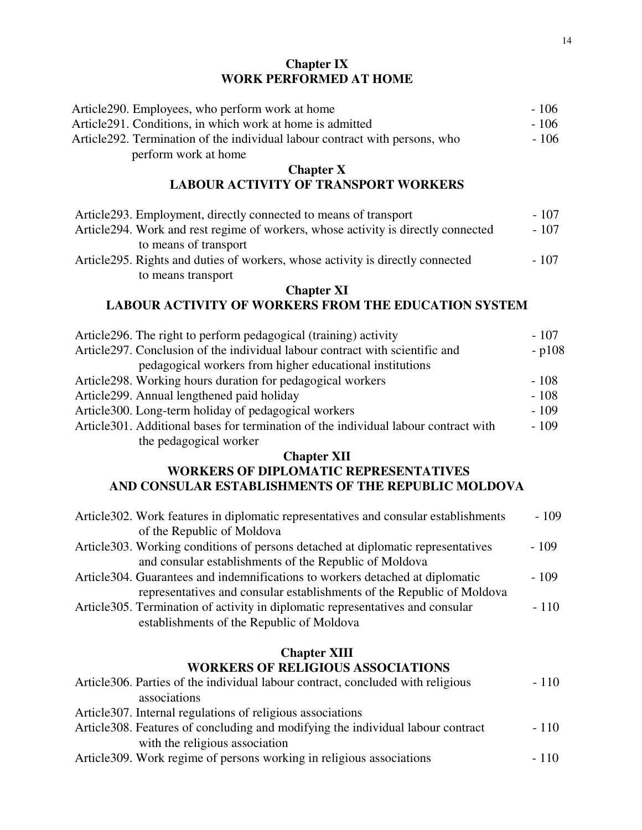## **Chapter IX WORK PERFORMED AT HOME**

| Article290. Employees, who perform work at home                                      | $-106$  |
|--------------------------------------------------------------------------------------|---------|
| Article291. Conditions, in which work at home is admitted                            | $-106$  |
| Article292. Termination of the individual labour contract with persons, who          | $-106$  |
| perform work at home                                                                 |         |
| <b>Chapter X</b>                                                                     |         |
| <b>LABOUR ACTIVITY OF TRANSPORT WORKERS</b>                                          |         |
| Article293. Employment, directly connected to means of transport                     | $-107$  |
| Article294. Work and rest regime of workers, whose activity is directly connected    | $-107$  |
| to means of transport                                                                |         |
| Article295. Rights and duties of workers, whose activity is directly connected       | $-107$  |
| to means transport                                                                   |         |
| <b>Chapter XI</b>                                                                    |         |
| <b>LABOUR ACTIVITY OF WORKERS FROM THE EDUCATION SYSTEM</b>                          |         |
| Article 296. The right to perform pedagogical (training) activity                    | $-107$  |
| Article297. Conclusion of the individual labour contract with scientific and         | $-p108$ |
| pedagogical workers from higher educational institutions                             |         |
| Article298. Working hours duration for pedagogical workers                           | $-108$  |
| Article299. Annual lengthened paid holiday                                           | $-108$  |
| Article300. Long-term holiday of pedagogical workers                                 | $-109$  |
| Article 301. Additional bases for termination of the individual labour contract with | $-109$  |
| the pedagogical worker                                                               |         |
| <b>Chapter XII</b>                                                                   |         |
| <b>WORKERS OF DIPLOMATIC REPRESENTATIVES</b>                                         |         |
| AND CONSULAR ESTABLISHMENTS OF THE REPUBLIC MOLDOVA                                  |         |
| Article 302. Work features in diplomatic representatives and consular establishments | $-109$  |
| of the Republic of Moldova                                                           |         |
| Article 303. Working conditions of persons detached at diplomatic representatives    | $-109$  |
| and consular establishments of the Republic of Moldova                               |         |
| Article 304. Guarantees and indemnifications to workers detached at diplomatic       | $-109$  |
| representatives and consular establishments of the Republic of Moldova               |         |
| Article 305. Termination of activity in diplomatic representatives and consular      | $-110$  |
| establishments of the Republic of Moldova                                            |         |
| <b>Chapter XIII</b>                                                                  |         |
| <b>WORKERS OF RELIGIOUS ASSOCIATIONS</b>                                             |         |
| Article 306. Parties of the individual labour contract, concluded with religious     | $-110$  |
| associations                                                                         |         |
| Article 307. Internal regulations of religious associations                          |         |

Article308. Features of concluding and modifying the individual labour contract - 110 with the religious association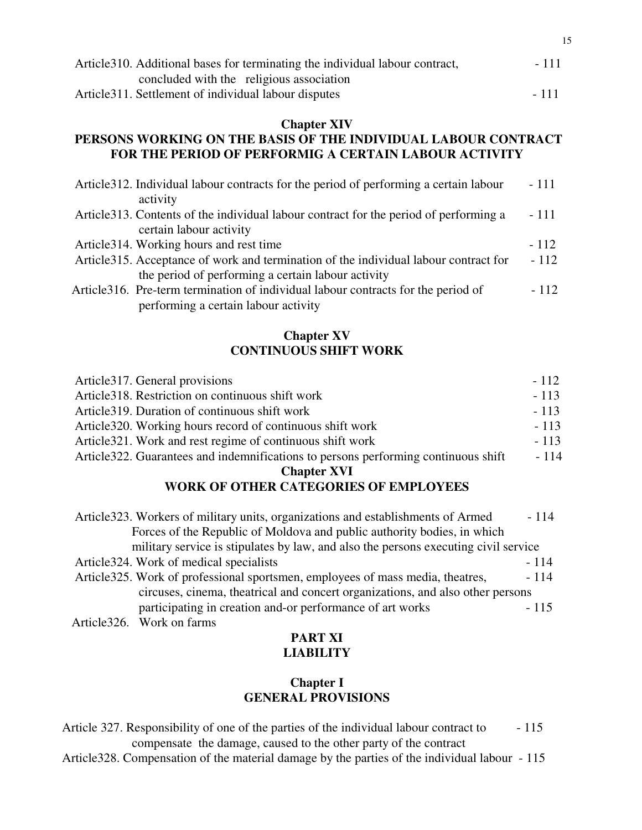| Article 310. Additional bases for terminating the individual labour contract, | $-111$ |
|-------------------------------------------------------------------------------|--------|
| concluded with the religious association                                      |        |
| Article 311. Settlement of individual labour disputes                         | $-111$ |

### **Chapter XIV PERSONS WORKING ON THE BASIS OF THE INDIVIDUAL LABOUR CONTRACT FOR THE PERIOD OF PERFORMIG A CERTAIN LABOUR ACTIVITY**

| Article 312. Individual labour contracts for the period of performing a certain labour | $-111$ |
|----------------------------------------------------------------------------------------|--------|
| activity                                                                               |        |
| Article 313. Contents of the individual labour contract for the period of performing a | $-111$ |
| certain labour activity                                                                |        |
| Article 314. Working hours and rest time                                               | $-112$ |
| Article 315. Acceptance of work and termination of the individual labour contract for  | $-112$ |
| the period of performing a certain labour activity                                     |        |
| Article 316. Pre-term termination of individual labour contracts for the period of     | $-112$ |
| performing a certain labour activity                                                   |        |

## **Chapter XV CONTINUOUS SHIFT WORK**

| Article 317. General provisions                                                     | $-112$ |
|-------------------------------------------------------------------------------------|--------|
| Article 318. Restriction on continuous shift work                                   | $-113$ |
| Article 319. Duration of continuous shift work                                      | $-113$ |
| Article 320. Working hours record of continuous shift work                          | $-113$ |
| Article 321. Work and rest regime of continuous shift work                          | $-113$ |
| Article322. Guarantees and indemnifications to persons performing continuous shift  | $-114$ |
| <b>Chapter XVI</b>                                                                  |        |
| <b>WORK OF OTHER CATEGORIES OF EMPLOYEES</b>                                        |        |
|                                                                                     |        |
| Article 323. Workers of military units, organizations and establishments of Armed   | $-114$ |
| Forces of the Republic of Moldova and public authority bodies, in which             |        |
| military service is stipulates by law, and also the persons executing civil service |        |
| Article 324. Work of medical specialists                                            | $-114$ |
| Article325. Work of professional sportsmen, employees of mass media, theatres,      | $-114$ |
| circuses, cinema, theatrical and concert organizations, and also other persons      |        |
| participating in creation and-or performance of art works                           | $-115$ |
| Article 326. Work on farms                                                          |        |

## **PART XI LIABILITY**

# **Chapter I GENERAL PROVISIONS**

Article 327. Responsibility of one of the parties of the individual labour contract to - 115 compensate the damage, caused to the other party of the contract

Article328. Compensation of the material damage by the parties of the individual labour - 115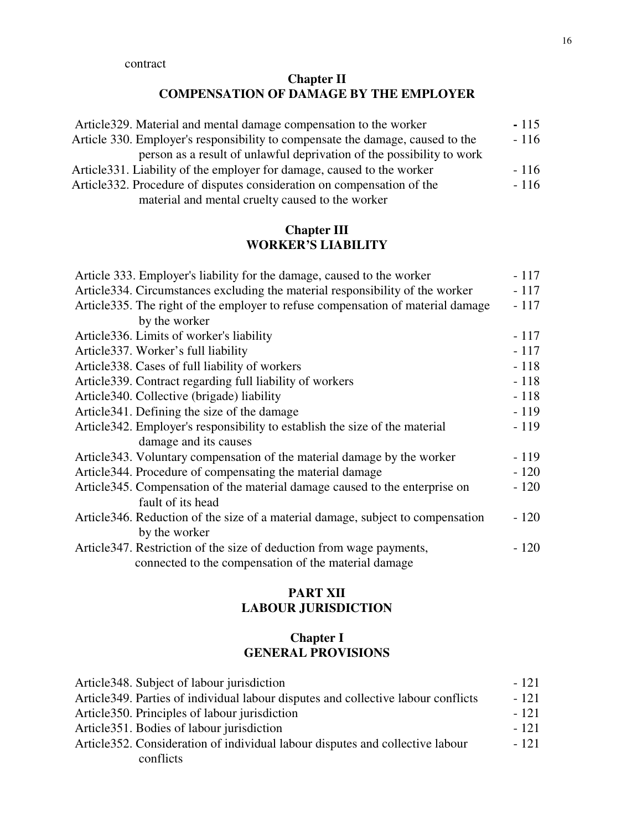# **Chapter II COMPENSATION OF DAMAGE BY THE EMPLOYER**

| Article 329. Material and mental damage compensation to the worker             | $-115$ |
|--------------------------------------------------------------------------------|--------|
| Article 330. Employer's responsibility to compensate the damage, caused to the | $-116$ |
| person as a result of unlawful deprivation of the possibility to work          |        |
| Article 331. Liability of the employer for damage, caused to the worker        | $-116$ |
| Article 332. Procedure of disputes consideration on compensation of the        | $-116$ |
| material and mental cruelty caused to the worker                               |        |

# **Chapter III WORKER'S LIABILITY**

| Article 333. Employer's liability for the damage, caused to the worker           | $-117$ |
|----------------------------------------------------------------------------------|--------|
| Article 334. Circumstances excluding the material responsibility of the worker   | $-117$ |
| Article 335. The right of the employer to refuse compensation of material damage | $-117$ |
| by the worker                                                                    |        |
| Article 336. Limits of worker's liability                                        | $-117$ |
| Article 337. Worker's full liability                                             | $-117$ |
| Article 338. Cases of full liability of workers                                  | $-118$ |
| Article 339. Contract regarding full liability of workers                        | $-118$ |
| Article 340. Collective (brigade) liability                                      | $-118$ |
| Article 341. Defining the size of the damage                                     | $-119$ |
| Article 342. Employer's responsibility to establish the size of the material     | $-119$ |
| damage and its causes                                                            |        |
| Article 343. Voluntary compensation of the material damage by the worker         | $-119$ |
| Article 344. Procedure of compensating the material damage                       | $-120$ |
| Article 345. Compensation of the material damage caused to the enterprise on     | $-120$ |
| fault of its head                                                                |        |
| Article 346. Reduction of the size of a material damage, subject to compensation | $-120$ |
| by the worker                                                                    |        |
| Article 347. Restriction of the size of deduction from wage payments,            | $-120$ |
| connected to the compensation of the material damage                             |        |

## **PART XII LABOUR JURISDICTION**

# **Chapter I GENERAL PROVISIONS**

| Article 348. Subject of labour jurisdiction                                        | $-121$ |
|------------------------------------------------------------------------------------|--------|
| Article 349. Parties of individual labour disputes and collective labour conflicts | $-121$ |
| Article 350. Principles of labour jurisdiction                                     | $-121$ |
| Article 351. Bodies of labour jurisdiction                                         | $-121$ |
| Article 352. Consideration of individual labour disputes and collective labour     | $-121$ |
| conflicts                                                                          |        |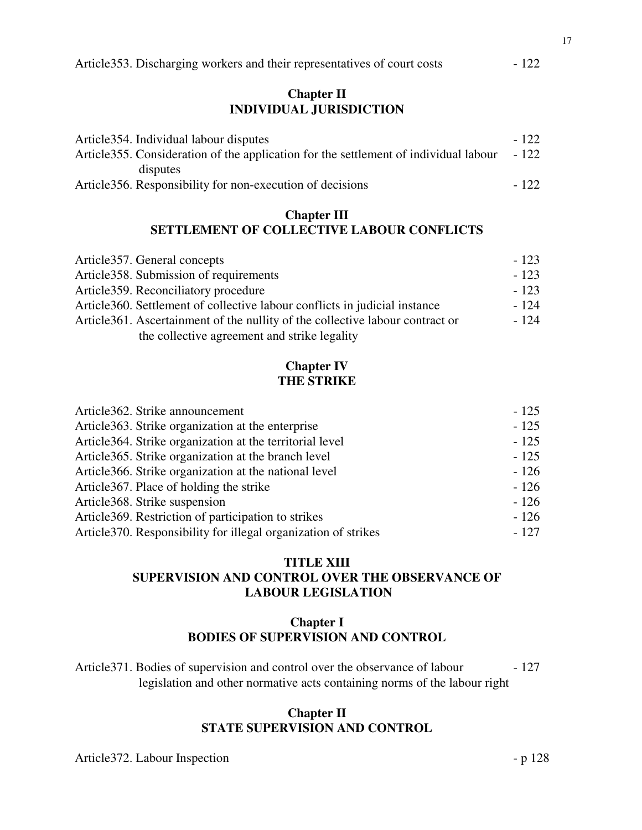## **Chapter II INDIVIDUAL JURISDICTION**

| Article 354. Individual labour disputes                                               | $-122$ |
|---------------------------------------------------------------------------------------|--------|
| Article 355. Consideration of the application for the settlement of individual labour | - 122  |
| disputes                                                                              |        |
| Article 356. Responsibility for non-execution of decisions                            | - 122  |

### **Chapter III SETTLEMENT OF COLLECTIVE LABOUR CONFLICTS**

| Article 357. General concepts                                                  | $-123$ |
|--------------------------------------------------------------------------------|--------|
| Article 358. Submission of requirements                                        | $-123$ |
| Article 359. Reconciliatory procedure                                          | $-123$ |
| Article 360. Settlement of collective labour conflicts in judicial instance    | $-124$ |
| Article 361. Ascertainment of the nullity of the collective labour contract or | $-124$ |
| the collective agreement and strike legality                                   |        |

# **Chapter IV THE STRIKE**

| Article362. Strike announcement                                 | $-125$ |
|-----------------------------------------------------------------|--------|
| Article 363. Strike organization at the enterprise              | $-125$ |
| Article 364. Strike organization at the territorial level       | $-125$ |
| Article 365. Strike organization at the branch level            | $-125$ |
| Article 366. Strike organization at the national level          | $-126$ |
| Article 367. Place of holding the strike                        | $-126$ |
| Article 368. Strike suspension                                  | $-126$ |
| Article 369. Restriction of participation to strikes            | $-126$ |
| Article 370. Responsibility for illegal organization of strikes | $-127$ |

# **TITLE XIII SUPERVISION AND CONTROL OVER THE OBSERVANCE OF LABOUR LEGISLATION**

## **Chapter I BODIES OF SUPERVISION AND CONTROL**

Article 371. Bodies of supervision and control over the observance of labour - 127 legislation and other normative acts containing norms of the labour right

## **Chapter II STATE SUPERVISION AND CONTROL**

Article 372. Labour Inspection - p 128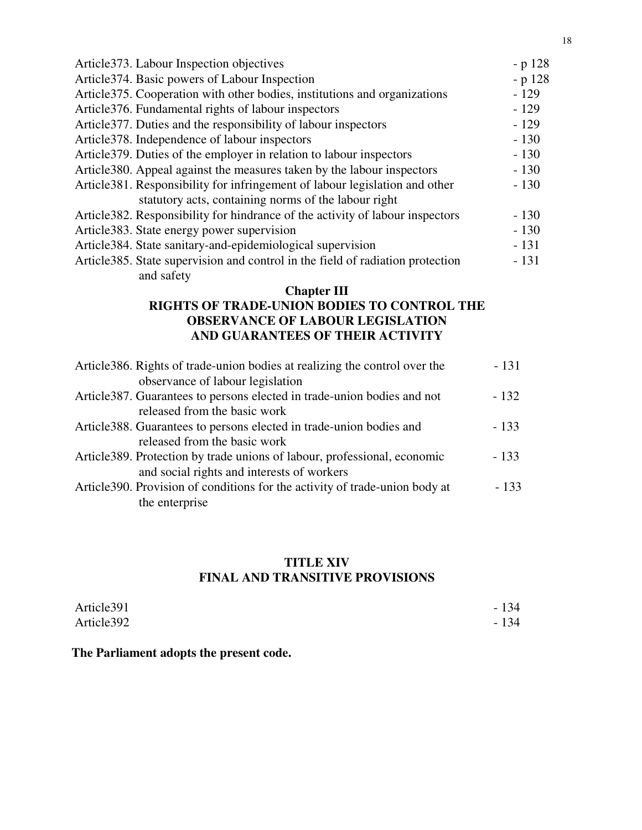| Article 373. Labour Inspection objectives                                       | $-p128$  |
|---------------------------------------------------------------------------------|----------|
| Article 374. Basic powers of Labour Inspection                                  | $-p 128$ |
| Article 375. Cooperation with other bodies, institutions and organizations      | $-129$   |
| Article376. Fundamental rights of labour inspectors                             | $-129$   |
| Article 377. Duties and the responsibility of labour inspectors                 | $-129$   |
| Article 378. Independence of labour inspectors                                  | $-130$   |
| Article 379. Duties of the employer in relation to labour inspectors            | $-130$   |
| Article 380. Appeal against the measures taken by the labour inspectors         | $-130$   |
| Article 381. Responsibility for infringement of labour legislation and other    | $-130$   |
| statutory acts, containing norms of the labour right                            |          |
| Article 382. Responsibility for hindrance of the activity of labour inspectors  | $-130$   |
| Article383. State energy power supervision                                      | $-130$   |
| Article 384. State sanitary-and-epidemiological supervision                     | $-131$   |
| Article 385. State supervision and control in the field of radiation protection | $-131$   |
| and safety                                                                      |          |

## **Chapter III**

## **RIGHTS OF TRADE-UNION BODIES TO CONTROL THE OBSERVANCE OF LABOUR LEGISLATION AND GUARANTEES OF THEIR ACTIVITY**

| Article 386. Rights of trade-union bodies at realizing the control over the  | $-131$ |
|------------------------------------------------------------------------------|--------|
| observance of labour legislation                                             |        |
| Article 387. Guarantees to persons elected in trade-union bodies and not     | $-132$ |
| released from the basic work                                                 |        |
| Article 388. Guarantees to persons elected in trade-union bodies and         | $-133$ |
| released from the basic work                                                 |        |
| Article 389. Protection by trade unions of labour, professional, economic    | $-133$ |
| and social rights and interests of workers                                   |        |
| Article 390. Provision of conditions for the activity of trade-union body at | $-133$ |
| the enterprise                                                               |        |

## **TITLE XIV FINAL AND TRANSITIVE PROVISIONS**

| Article391 | $-134$ |
|------------|--------|
| Article392 | $-134$ |

# **The Parliament adopts the present code.**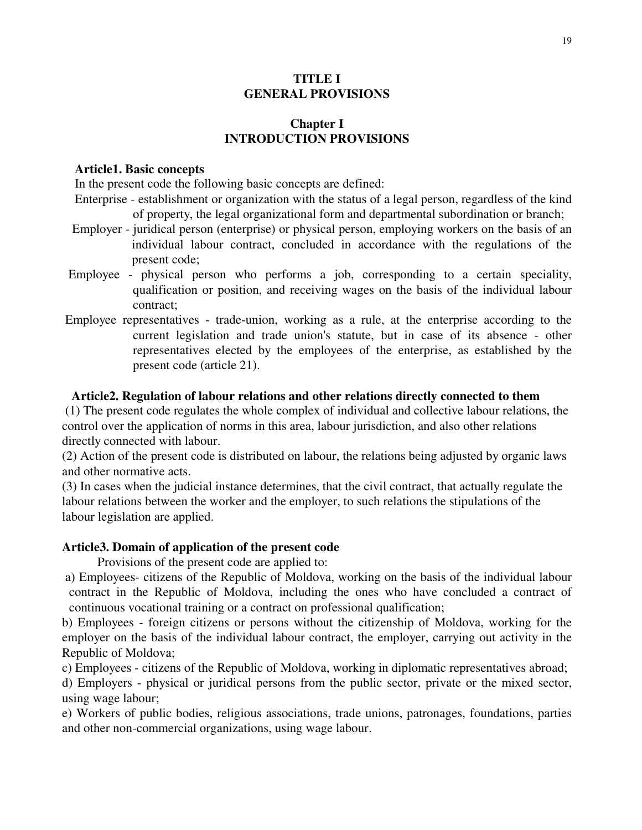## **TITLE I GENERAL PROVISIONS**

## **Chapter I INTRODUCTION PROVISIONS**

#### **Article1. Basic concepts**

In the present code the following basic concepts are defined:

- Enterprise establishment or organization with the status of a legal person, regardless of the kind of property, the legal organizational form and departmental subordination or branch;
- Employer juridical person (enterprise) or physical person, employing workers on the basis of an individual labour contract, concluded in accordance with the regulations of the present code;
- Employee physical person who performs a job, corresponding to a certain speciality, qualification or position, and receiving wages on the basis of the individual labour contract;
- Employee representatives trade-union, working as a rule, at the enterprise according to the current legislation and trade union's statute, but in case of its absence - other representatives elected by the employees of the enterprise, as established by the present code (article 21).

### **Article2. Regulation of labour relations and other relations directly connected to them**

(1) The present code regulates the whole complex of individual and collective labour relations, the control over the application of norms in this area, labour jurisdiction, and also other relations directly connected with labour.

(2) Action of the present code is distributed on labour, the relations being adjusted by organic laws and other normative acts.

(3) In cases when the judicial instance determines, that the civil contract, that actually regulate the labour relations between the worker and the employer, to such relations the stipulations of the labour legislation are applied.

### **Article3. Domain of application of the present code**

Provisions of the present code are applied to:

a) Employees- citizens of the Republic of Moldova, working on the basis of the individual labour contract in the Republic of Moldova, including the ones who have concluded a contract of continuous vocational training or a contract on professional qualification;

b) Employees - foreign citizens or persons without the citizenship of Moldova, working for the employer on the basis of the individual labour contract, the employer, carrying out activity in the Republic of Moldova;

c) Employees - citizens of the Republic of Moldova, working in diplomatic representatives abroad;

d) Employers - physical or juridical persons from the public sector, private or the mixed sector, using wage labour;

e) Workers of public bodies, religious associations, trade unions, patronages, foundations, parties and other non-commercial organizations, using wage labour.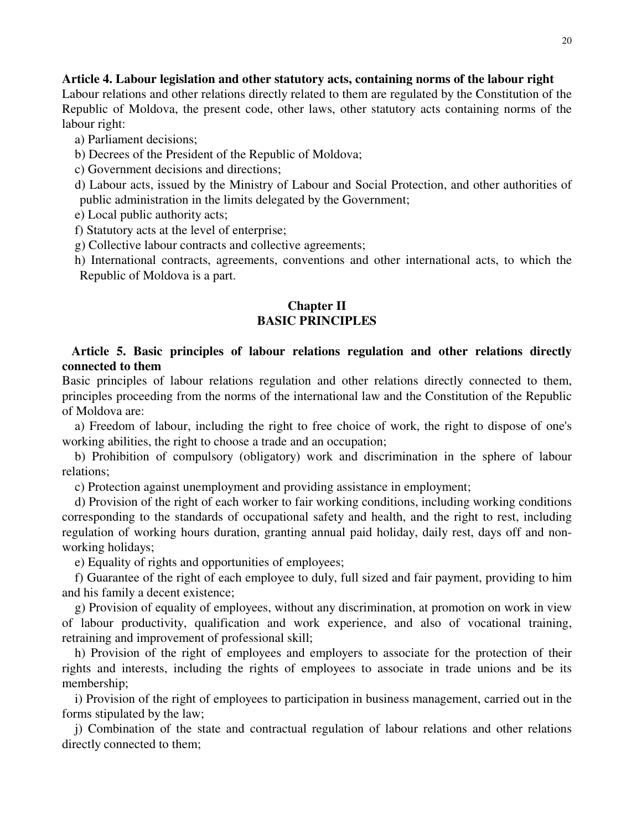### **Article 4. Labour legislation and other statutory acts, containing norms of the labour right**

Labour relations and other relations directly related to them are regulated by the Constitution of the Republic of Moldova, the present code, other laws, other statutory acts containing norms of the labour right:

a) Parliament decisions;

- b) Decrees of the President of the Republic of Moldova;
- c) Government decisions and directions;
- d) Labour acts, issued by the Ministry of Labour and Social Protection, and other authorities of public administration in the limits delegated by the Government;

e) Local public authority acts;

- f) Statutory acts at the level of enterprise;
- g) Collective labour contracts and collective agreements;

h) International contracts, agreements, conventions and other international acts, to which the Republic of Moldova is a part.

### **Chapter II BASIC PRINCIPLES**

## **Article 5. Basic principles of labour relations regulation and other relations directly connected to them**

Basic principles of labour relations regulation and other relations directly connected to them, principles proceeding from the norms of the international law and the Constitution of the Republic of Moldova are:

a) Freedom of labour, including the right to free choice of work, the right to dispose of one's working abilities, the right to choose a trade and an occupation;

b) Prohibition of compulsory (obligatory) work and discrimination in the sphere of labour relations;

c) Protection against unemployment and providing assistance in employment;

d) Provision of the right of each worker to fair working conditions, including working conditions corresponding to the standards of occupational safety and health, and the right to rest, including regulation of working hours duration, granting annual paid holiday, daily rest, days off and nonworking holidays;

e) Equality of rights and opportunities of employees;

f) Guarantee of the right of each employee to duly, full sized and fair payment, providing to him and his family a decent existence;

g) Provision of equality of employees, without any discrimination, at promotion on work in view of labour productivity, qualification and work experience, and also of vocational training, retraining and improvement of professional skill;

h) Provision of the right of employees and employers to associate for the protection of their rights and interests, including the rights of employees to associate in trade unions and be its membership;

i) Provision of the right of employees to participation in business management, carried out in the forms stipulated by the law;

j) Combination of the state and contractual regulation of labour relations and other relations directly connected to them;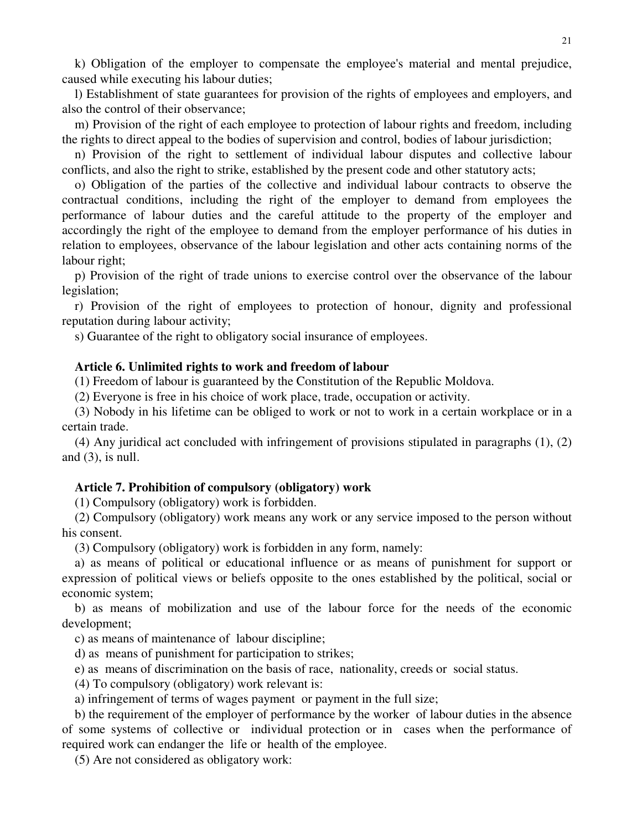k) Obligation of the employer to compensate the employee's material and mental prejudice, caused while executing his labour duties;

l) Establishment of state guarantees for provision of the rights of employees and employers, and also the control of their observance;

m) Provision of the right of each employee to protection of labour rights and freedom, including the rights to direct appeal to the bodies of supervision and control, bodies of labour jurisdiction;

n) Provision of the right to settlement of individual labour disputes and collective labour conflicts, and also the right to strike, established by the present code and other statutory acts;

o) Obligation of the parties of the collective and individual labour contracts to observe the contractual conditions, including the right of the employer to demand from employees the performance of labour duties and the careful attitude to the property of the employer and accordingly the right of the employee to demand from the employer performance of his duties in relation to employees, observance of the labour legislation and other acts containing norms of the labour right;

p) Provision of the right of trade unions to exercise control over the observance of the labour legislation;

r) Provision of the right of employees to protection of honour, dignity and professional reputation during labour activity;

s) Guarantee of the right to obligatory social insurance of employees.

#### **Article 6. Unlimited rights to work and freedom of labour**

(1) Freedom of labour is guaranteed by the Constitution of the Republic Moldova.

(2) Everyone is free in his choice of work place, trade, occupation or activity.

(3) Nobody in his lifetime can be obliged to work or not to work in a certain workplace or in a certain trade.

(4) Any juridical act concluded with infringement of provisions stipulated in paragraphs (1), (2) and  $(3)$ , is null.

#### **Article 7. Prohibition of compulsory (obligatory) work**

(1) Compulsory (obligatory) work is forbidden.

(2) Compulsory (obligatory) work means any work or any service imposed to the person without his consent.

(3) Compulsory (obligatory) work is forbidden in any form, namely:

a) as means of political or educational influence or as means of punishment for support or expression of political views or beliefs opposite to the ones established by the political, social or economic system;

b) as means of mobilization and use of the labour force for the needs of the economic development;

c) as means of maintenance of labour discipline;

d) as means of punishment for participation to strikes;

e) as means of discrimination on the basis of race, nationality, creeds or social status.

(4) To compulsory (obligatory) work relevant is:

a) infringement of terms of wages payment or payment in the full size;

b) the requirement of the employer of performance by the worker of labour duties in the absence of some systems of collective or individual protection or in cases when the performance of required work can endanger the life or health of the employee.

(5) Are not considered as obligatory work: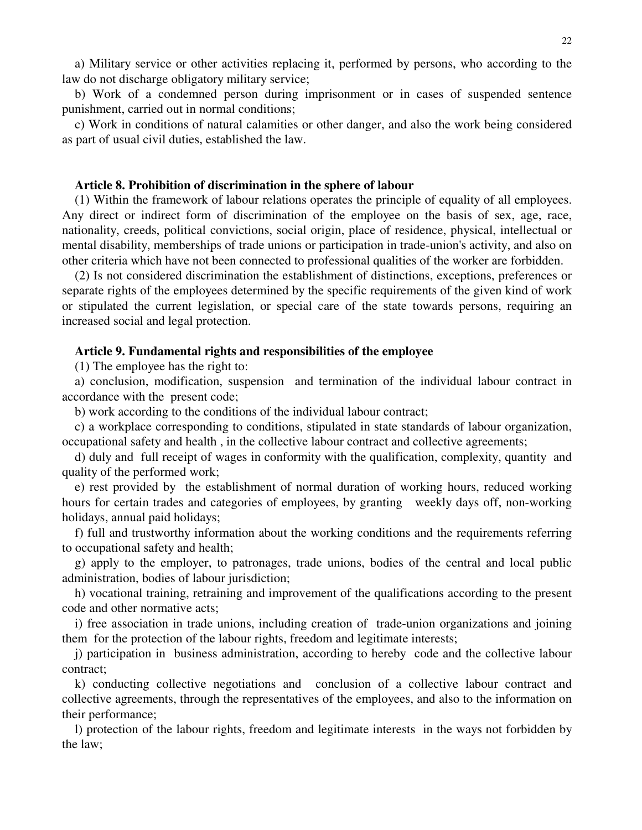a) Military service or other activities replacing it, performed by persons, who according to the law do not discharge obligatory military service;

b) Work of a condemned person during imprisonment or in cases of suspended sentence punishment, carried out in normal conditions;

c) Work in conditions of natural calamities or other danger, and also the work being considered as part of usual civil duties, established the law.

#### **Article 8. Prohibition of discrimination in the sphere of labour**

(1) Within the framework of labour relations operates the principle of equality of all employees. Any direct or indirect form of discrimination of the employee on the basis of sex, age, race, nationality, creeds, political convictions, social origin, place of residence, physical, intellectual or mental disability, memberships of trade unions or participation in trade-union's activity, and also on other criteria which have not been connected to professional qualities of the worker are forbidden.

(2) Is not considered discrimination the establishment of distinctions, exceptions, preferences or separate rights of the employees determined by the specific requirements of the given kind of work or stipulated the current legislation, or special care of the state towards persons, requiring an increased social and legal protection.

#### **Article 9. Fundamental rights and responsibilities of the employee**

(1) The employee has the right to:

a) conclusion, modification, suspension and termination of the individual labour contract in accordance with the present code;

b) work according to the conditions of the individual labour contract;

c) a workplace corresponding to conditions, stipulated in state standards of labour organization, occupational safety and health , in the collective labour contract and collective agreements;

d) duly and full receipt of wages in conformity with the qualification, complexity, quantity and quality of the performed work;

e) rest provided by the establishment of normal duration of working hours, reduced working hours for certain trades and categories of employees, by granting weekly days off, non-working holidays, annual paid holidays;

f) full and trustworthy information about the working conditions and the requirements referring to occupational safety and health;

g) apply to the employer, to patronages, trade unions, bodies of the central and local public administration, bodies of labour jurisdiction;

h) vocational training, retraining and improvement of the qualifications according to the present code and other normative acts;

i) free association in trade unions, including creation of trade-union organizations and joining them for the protection of the labour rights, freedom and legitimate interests;

j) participation in business administration, according to hereby code and the collective labour contract;

k) conducting collective negotiations and conclusion of a collective labour contract and collective agreements, through the representatives of the employees, and also to the information on their performance;

l) protection of the labour rights, freedom and legitimate interests in the ways not forbidden by the law;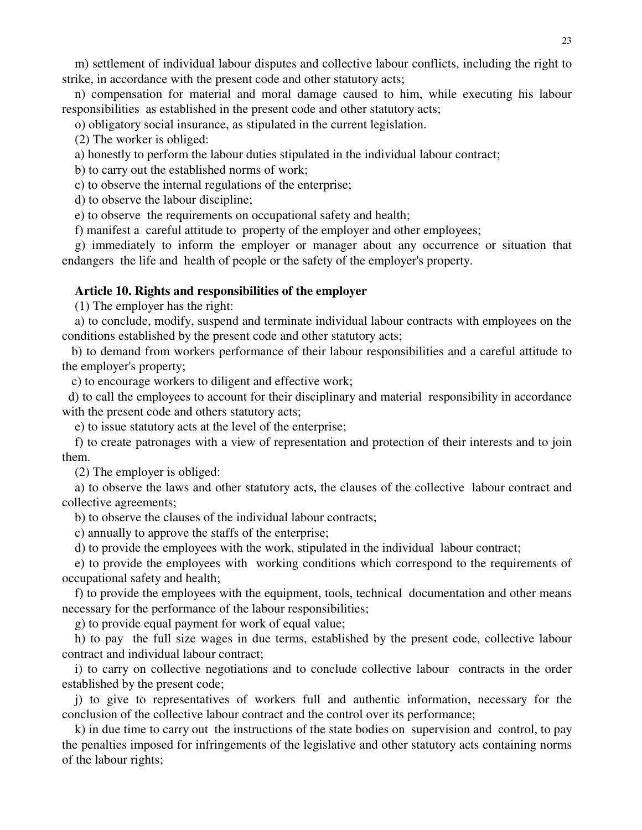m) settlement of individual labour disputes and collective labour conflicts, including the right to strike, in accordance with the present code and other statutory acts;

n) compensation for material and moral damage caused to him, while executing his labour responsibilities as established in the present code and other statutory acts;

o) obligatory social insurance, as stipulated in the current legislation.

(2) The worker is obliged:

a) honestly to perform the labour duties stipulated in the individual labour contract;

b) to carry out the established norms of work;

c) to observe the internal regulations of the enterprise;

d) to observe the labour discipline;

e) to observe the requirements on occupational safety and health;

f) manifest a careful attitude to property of the employer and other employees;

g) immediately to inform the employer or manager about any occurrence or situation that endangers the life and health of people or the safety of the employer's property.

### **Article 10. Rights and responsibilities of the employer**

(1) The employer has the right:

a) to conclude, modify, suspend and terminate individual labour contracts with employees on the conditions established by the present code and other statutory acts;

b) to demand from workers performance of their labour responsibilities and a careful attitude to the employer's property;

c) to encourage workers to diligent and effective work;

d) to call the employees to account for their disciplinary and material responsibility in accordance with the present code and others statutory acts;

e) to issue statutory acts at the level of the enterprise;

f) to create patronages with a view of representation and protection of their interests and to join them.

(2) The employer is obliged:

a) to observe the laws and other statutory acts, the clauses of the collective labour contract and collective agreements;

b) to observe the clauses of the individual labour contracts;

c) annually to approve the staffs of the enterprise;

d) to provide the employees with the work, stipulated in the individual labour contract;

e) to provide the employees with working conditions which correspond to the requirements of occupational safety and health;

f) to provide the employees with the equipment, tools, technical documentation and other means necessary for the performance of the labour responsibilities;

g) to provide equal payment for work of equal value;

h) to pay the full size wages in due terms, established by the present code, collective labour contract and individual labour contract;

i) to carry on collective negotiations and to conclude collective labour contracts in the order established by the present code;

j) to give to representatives of workers full and authentic information, necessary for the conclusion of the collective labour contract and the control over its performance;

k) in due time to carry out the instructions of the state bodies on supervision and control, to pay the penalties imposed for infringements of the legislative and other statutory acts containing norms of the labour rights;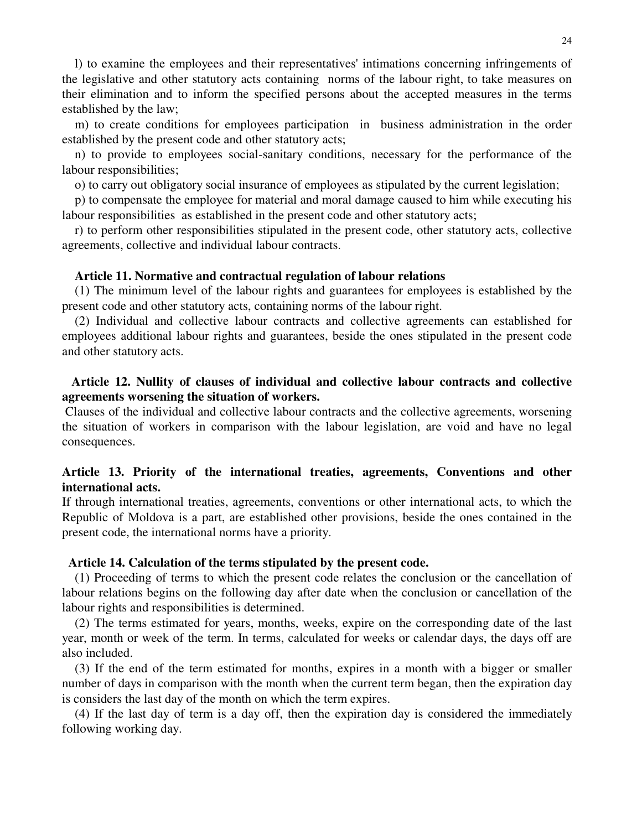l) to examine the employees and their representatives' intimations concerning infringements of the legislative and other statutory acts containing norms of the labour right, to take measures on their elimination and to inform the specified persons about the accepted measures in the terms established by the law;

m) to create conditions for employees participation in business administration in the order established by the present code and other statutory acts;

n) to provide to employees social-sanitary conditions, necessary for the performance of the labour responsibilities;

o) to carry out obligatory social insurance of employees as stipulated by the current legislation;

p) to compensate the employee for material and moral damage caused to him while executing his labour responsibilities as established in the present code and other statutory acts;

r) to perform other responsibilities stipulated in the present code, other statutory acts, collective agreements, collective and individual labour contracts.

#### **Article 11. Normative and contractual regulation of labour relations**

(1) The minimum level of the labour rights and guarantees for employees is established by the present code and other statutory acts, containing norms of the labour right.

(2) Individual and collective labour contracts and collective agreements can established for employees additional labour rights and guarantees, beside the ones stipulated in the present code and other statutory acts.

### **Article 12. Nullity of clauses of individual and collective labour contracts and collective agreements worsening the situation of workers.**

Clauses of the individual and collective labour contracts and the collective agreements, worsening the situation of workers in comparison with the labour legislation, are void and have no legal consequences.

## **Article 13. Priority of the international treaties, agreements, Conventions and other international acts.**

If through international treaties, agreements, conventions or other international acts, to which the Republic of Moldova is a part, are established other provisions, beside the ones contained in the present code, the international norms have a priority.

#### **Article 14. Calculation of the terms stipulated by the present code.**

(1) Proceeding of terms to which the present code relates the conclusion or the cancellation of labour relations begins on the following day after date when the conclusion or cancellation of the labour rights and responsibilities is determined.

(2) The terms estimated for years, months, weeks, expire on the corresponding date of the last year, month or week of the term. In terms, calculated for weeks or calendar days, the days off are also included.

(3) If the end of the term estimated for months, expires in a month with a bigger or smaller number of days in comparison with the month when the current term began, then the expiration day is considers the last day of the month on which the term expires.

(4) If the last day of term is a day off, then the expiration day is considered the immediately following working day.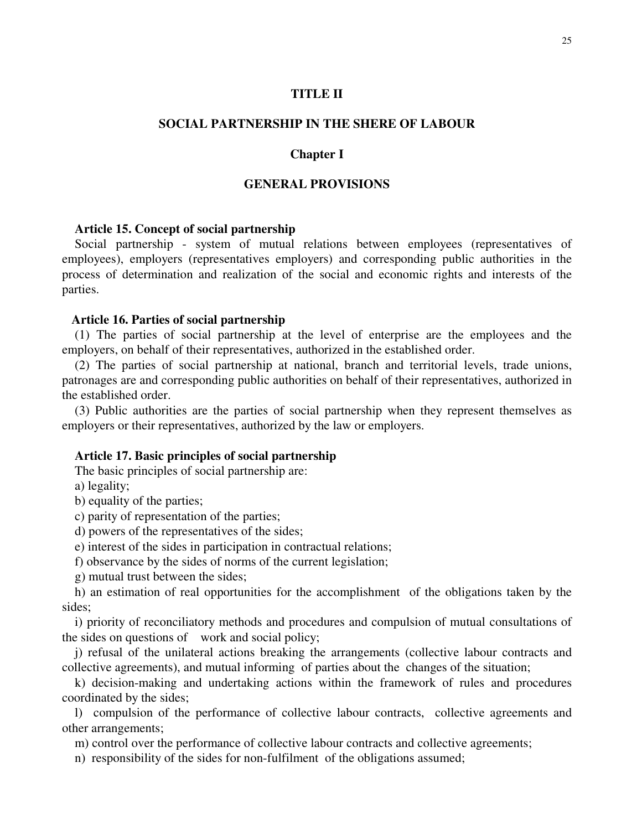### **TITLE II**

## **SOCIAL PARTNERSHIP IN THE SHERE OF LABOUR**

#### **Chapter I**

### **GENERAL PROVISIONS**

#### **Article 15. Concept of social partnership**

Social partnership - system of mutual relations between employees (representatives of employees), employers (representatives employers) and corresponding public authorities in the process of determination and realization of the social and economic rights and interests of the parties.

#### **Article 16. Parties of social partnership**

(1) The parties of social partnership at the level of enterprise are the employees and the employers, on behalf of their representatives, authorized in the established order.

(2) The parties of social partnership at national, branch and territorial levels, trade unions, patronages are and corresponding public authorities on behalf of their representatives, authorized in the established order.

(3) Public authorities are the parties of social partnership when they represent themselves as employers or their representatives, authorized by the law or employers.

#### **Article 17. Basic principles of social partnership**

The basic principles of social partnership are:

a) legality;

b) equality of the parties;

c) parity of representation of the parties;

d) powers of the representatives of the sides;

e) interest of the sides in participation in contractual relations;

f) observance by the sides of norms of the current legislation;

g) mutual trust between the sides;

h) an estimation of real opportunities for the accomplishment of the obligations taken by the sides;

i) priority of reconciliatory methods and procedures and compulsion of mutual consultations of the sides on questions of work and social policy;

j) refusal of the unilateral actions breaking the arrangements (collective labour contracts and collective agreements), and mutual informing of parties about the changes of the situation;

k) decision-making and undertaking actions within the framework of rules and procedures coordinated by the sides;

l) compulsion of the performance of collective labour contracts, collective agreements and other arrangements;

m) control over the performance of collective labour contracts and collective agreements;

n) responsibility of the sides for non-fulfilment of the obligations assumed;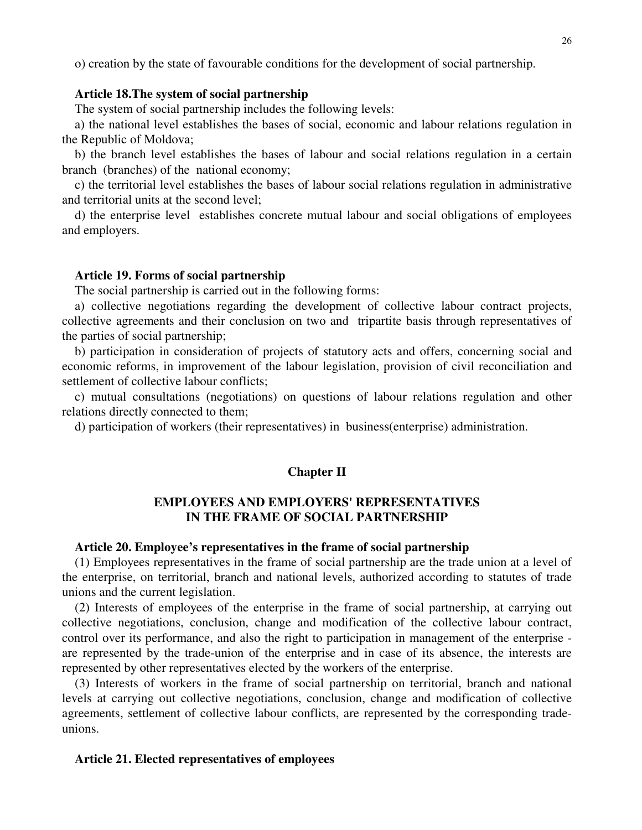o) creation by the state of favourable conditions for the development of social partnership.

### **Article 18.The system of social partnership**

The system of social partnership includes the following levels:

a) the national level establishes the bases of social, economic and labour relations regulation in the Republic of Moldova;

b) the branch level establishes the bases of labour and social relations regulation in a certain branch (branches) of the national economy;

c) the territorial level establishes the bases of labour social relations regulation in administrative and territorial units at the second level;

d) the enterprise level establishes concrete mutual labour and social obligations of employees and employers.

#### **Article 19. Forms of social partnership**

The social partnership is carried out in the following forms:

a) collective negotiations regarding the development of collective labour contract projects, collective agreements and their conclusion on two and tripartite basis through representatives of the parties of social partnership;

b) participation in consideration of projects of statutory acts and offers, concerning social and economic reforms, in improvement of the labour legislation, provision of civil reconciliation and settlement of collective labour conflicts;

c) mutual consultations (negotiations) on questions of labour relations regulation and other relations directly connected to them;

d) participation of workers (their representatives) in business(enterprise) administration.

#### **Chapter II**

### **EMPLOYEES AND EMPLOYERS' REPRESENTATIVES IN THE FRAME OF SOCIAL PARTNERSHIP**

### **Article 20. Employee's representatives in the frame of social partnership**

(1) Employees representatives in the frame of social partnership are the trade union at a level of the enterprise, on territorial, branch and national levels, authorized according to statutes of trade unions and the current legislation.

(2) Interests of employees of the enterprise in the frame of social partnership, at carrying out collective negotiations, conclusion, change and modification of the collective labour contract, control over its performance, and also the right to participation in management of the enterprise are represented by the trade-union of the enterprise and in case of its absence, the interests are represented by other representatives elected by the workers of the enterprise.

(3) Interests of workers in the frame of social partnership on territorial, branch and national levels at carrying out collective negotiations, conclusion, change and modification of collective agreements, settlement of collective labour conflicts, are represented by the corresponding tradeunions.

#### **Article 21. Elected representatives of employees**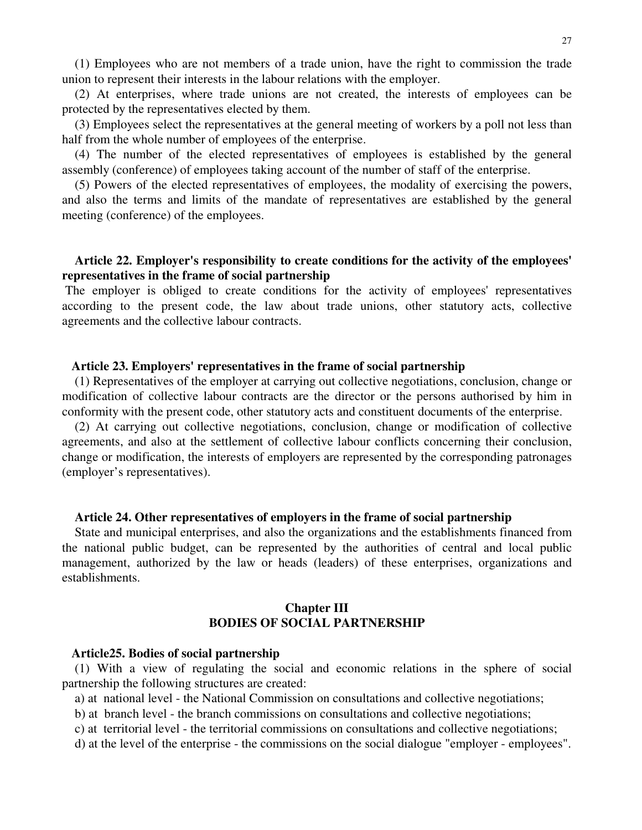(1) Employees who are not members of a trade union, have the right to commission the trade union to represent their interests in the labour relations with the employer.

(2) At enterprises, where trade unions are not created, the interests of employees can be protected by the representatives elected by them.

(3) Employees select the representatives at the general meeting of workers by a poll not less than half from the whole number of employees of the enterprise.

(4) The number of the elected representatives of employees is established by the general assembly (conference) of employees taking account of the number of staff of the enterprise.

(5) Powers of the elected representatives of employees, the modality of exercising the powers, and also the terms and limits of the mandate of representatives are established by the general meeting (conference) of the employees.

### **Article 22. Employer's responsibility to create conditions for the activity of the employees' representatives in the frame of social partnership**

The employer is obliged to create conditions for the activity of employees' representatives according to the present code, the law about trade unions, other statutory acts, collective agreements and the collective labour contracts.

#### **Article 23. Employers' representatives in the frame of social partnership**

(1) Representatives of the employer at carrying out collective negotiations, conclusion, change or modification of collective labour contracts are the director or the persons authorised by him in conformity with the present code, other statutory acts and constituent documents of the enterprise.

(2) At carrying out collective negotiations, conclusion, change or modification of collective agreements, and also at the settlement of collective labour conflicts concerning their conclusion, change or modification, the interests of employers are represented by the corresponding patronages (employer's representatives).

#### **Article 24. Other representatives of employers in the frame of social partnership**

State and municipal enterprises, and also the organizations and the establishments financed from the national public budget, can be represented by the authorities of central and local public management, authorized by the law or heads (leaders) of these enterprises, organizations and establishments.

### **Chapter III BODIES OF SOCIAL PARTNERSHIP**

#### **Article25. Bodies of social partnership**

(1) With a view of regulating the social and economic relations in the sphere of social partnership the following structures are created:

a) at national level - the National Commission on consultations and collective negotiations;

b) at branch level - the branch commissions on consultations and collective negotiations;

c) at territorial level - the territorial commissions on consultations and collective negotiations;

d) at the level of the enterprise - the commissions on the social dialogue "employer - employees".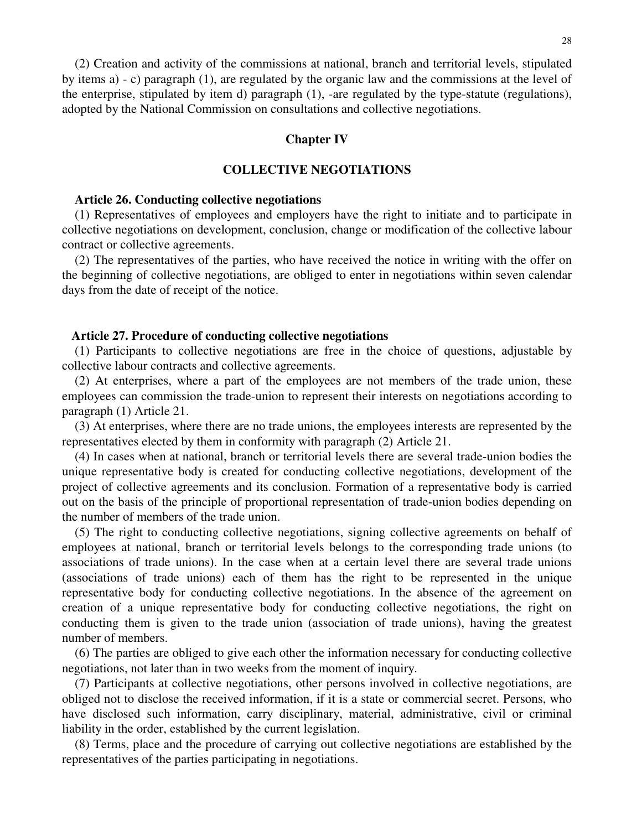(2) Creation and activity of the commissions at national, branch and territorial levels, stipulated by items a) - c) paragraph (1), are regulated by the organic law and the commissions at the level of the enterprise, stipulated by item d) paragraph (1), -are regulated by the type-statute (regulations), adopted by the National Commission on consultations and collective negotiations.

### **Chapter IV**

### **COLLECTIVE NEGOTIATIONS**

#### **Article 26. Conducting collective negotiations**

(1) Representatives of employees and employers have the right to initiate and to participate in collective negotiations on development, conclusion, change or modification of the collective labour contract or collective agreements.

(2) The representatives of the parties, who have received the notice in writing with the offer on the beginning of collective negotiations, are obliged to enter in negotiations within seven calendar days from the date of receipt of the notice.

#### **Article 27. Procedure of conducting collective negotiations**

(1) Participants to collective negotiations are free in the choice of questions, adjustable by collective labour contracts and collective agreements.

(2) At enterprises, where a part of the employees are not members of the trade union, these employees can commission the trade-union to represent their interests on negotiations according to paragraph (1) Article 21.

(3) At enterprises, where there are no trade unions, the employees interests are represented by the representatives elected by them in conformity with paragraph (2) Article 21.

(4) In cases when at national, branch or territorial levels there are several trade-union bodies the unique representative body is created for conducting collective negotiations, development of the project of collective agreements and its conclusion. Formation of a representative body is carried out on the basis of the principle of proportional representation of trade-union bodies depending on the number of members of the trade union.

(5) The right to conducting collective negotiations, signing collective agreements on behalf of employees at national, branch or territorial levels belongs to the corresponding trade unions (to associations of trade unions). In the case when at a certain level there are several trade unions (associations of trade unions) each of them has the right to be represented in the unique representative body for conducting collective negotiations. In the absence of the agreement on creation of a unique representative body for conducting collective negotiations, the right on conducting them is given to the trade union (association of trade unions), having the greatest number of members.

(6) The parties are obliged to give each other the information necessary for conducting collective negotiations, not later than in two weeks from the moment of inquiry.

(7) Participants at collective negotiations, other persons involved in collective negotiations, are obliged not to disclose the received information, if it is a state or commercial secret. Persons, who have disclosed such information, carry disciplinary, material, administrative, civil or criminal liability in the order, established by the current legislation.

(8) Terms, place and the procedure of carrying out collective negotiations are established by the representatives of the parties participating in negotiations.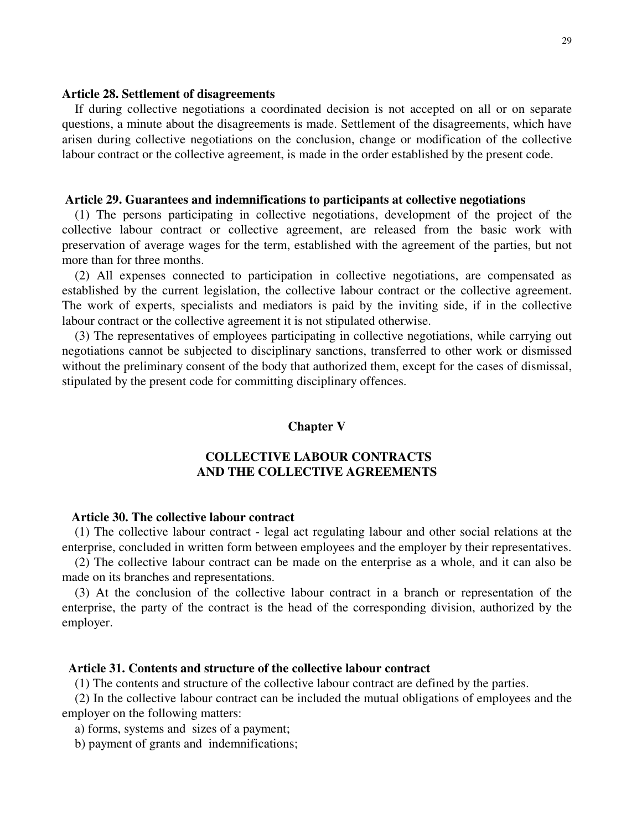#### **Article 28. Settlement of disagreements**

If during collective negotiations a coordinated decision is not accepted on all or on separate questions, a minute about the disagreements is made. Settlement of the disagreements, which have arisen during collective negotiations on the conclusion, change or modification of the collective labour contract or the collective agreement, is made in the order established by the present code.

#### **Article 29. Guarantees and indemnifications to participants at collective negotiations**

(1) The persons participating in collective negotiations, development of the project of the collective labour contract or collective agreement, are released from the basic work with preservation of average wages for the term, established with the agreement of the parties, but not more than for three months.

(2) All expenses connected to participation in collective negotiations, are compensated as established by the current legislation, the collective labour contract or the collective agreement. The work of experts, specialists and mediators is paid by the inviting side, if in the collective labour contract or the collective agreement it is not stipulated otherwise.

(3) The representatives of employees participating in collective negotiations, while carrying out negotiations cannot be subjected to disciplinary sanctions, transferred to other work or dismissed without the preliminary consent of the body that authorized them, except for the cases of dismissal, stipulated by the present code for committing disciplinary offences.

#### **Chapter V**

### **COLLECTIVE LABOUR CONTRACTS AND THE COLLECTIVE AGREEMENTS**

#### **Article 30. The collective labour contract**

(1) The collective labour contract - legal act regulating labour and other social relations at the enterprise, concluded in written form between employees and the employer by their representatives.

(2) The collective labour contract can be made on the enterprise as a whole, and it can also be made on its branches and representations.

(3) At the conclusion of the collective labour contract in a branch or representation of the enterprise, the party of the contract is the head of the corresponding division, authorized by the employer.

### **Article 31. Contents and structure of the collective labour contract**

(1) The contents and structure of the collective labour contract are defined by the parties.

(2) In the collective labour contract can be included the mutual obligations of employees and the employer on the following matters:

a) forms, systems and sizes of a payment;

b) payment of grants and indemnifications;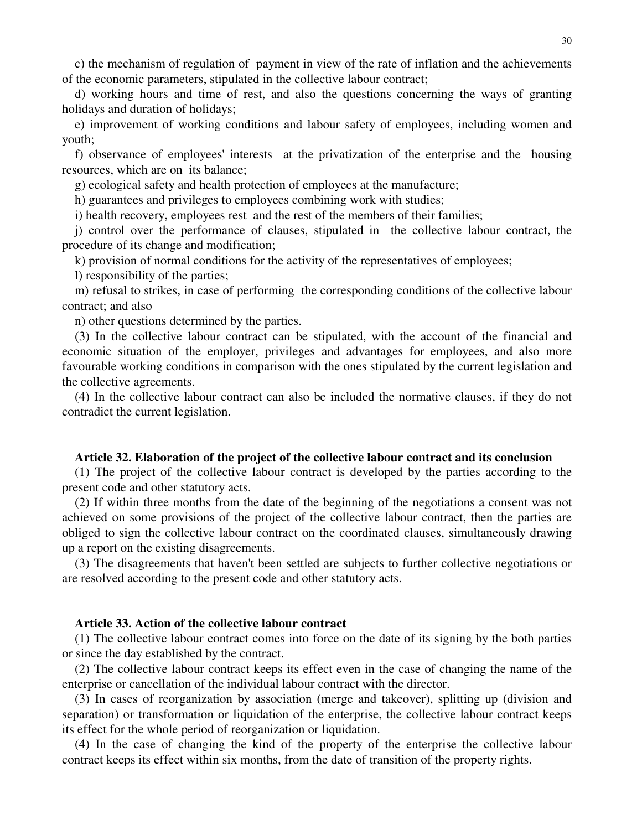c) the mechanism of regulation of payment in view of the rate of inflation and the achievements of the economic parameters, stipulated in the collective labour contract;

d) working hours and time of rest, and also the questions concerning the ways of granting holidays and duration of holidays;

e) improvement of working conditions and labour safety of employees, including women and youth;

f) observance of employees' interests at the privatization of the enterprise and the housing resources, which are on its balance;

g) ecological safety and health protection of employees at the manufacture;

h) guarantees and privileges to employees combining work with studies;

i) health recovery, employees rest and the rest of the members of their families;

j) control over the performance of clauses, stipulated in the collective labour contract, the procedure of its change and modification;

k) provision of normal conditions for the activity of the representatives of employees;

l) responsibility of the parties;

m) refusal to strikes, in case of performing the corresponding conditions of the collective labour contract; and also

n) other questions determined by the parties.

(3) In the collective labour contract can be stipulated, with the account of the financial and economic situation of the employer, privileges and advantages for employees, and also more favourable working conditions in comparison with the ones stipulated by the current legislation and the collective agreements.

(4) In the collective labour contract can also be included the normative clauses, if they do not contradict the current legislation.

#### **Article 32. Elaboration of the project of the collective labour contract and its conclusion**

(1) The project of the collective labour contract is developed by the parties according to the present code and other statutory acts.

(2) If within three months from the date of the beginning of the negotiations a consent was not achieved on some provisions of the project of the collective labour contract, then the parties are obliged to sign the collective labour contract on the coordinated clauses, simultaneously drawing up a report on the existing disagreements.

(3) The disagreements that haven't been settled are subjects to further collective negotiations or are resolved according to the present code and other statutory acts.

#### **Article 33. Action of the collective labour contract**

(1) The collective labour contract comes into force on the date of its signing by the both parties or since the day established by the contract.

(2) The collective labour contract keeps its effect even in the case of changing the name of the enterprise or cancellation of the individual labour contract with the director.

(3) In cases of reorganization by association (merge and takeover), splitting up (division and separation) or transformation or liquidation of the enterprise, the collective labour contract keeps its effect for the whole period of reorganization or liquidation.

(4) In the case of changing the kind of the property of the enterprise the collective labour contract keeps its effect within six months, from the date of transition of the property rights.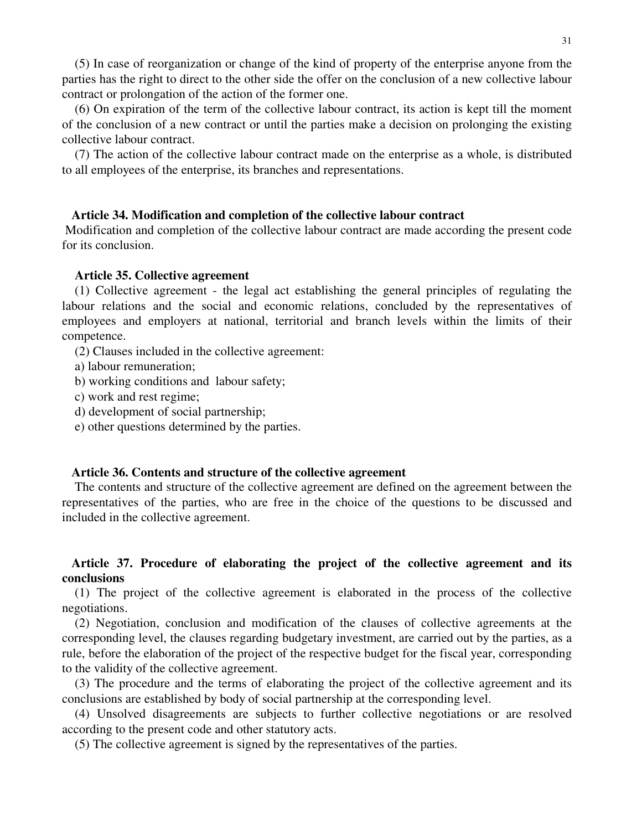(5) In case of reorganization or change of the kind of property of the enterprise anyone from the parties has the right to direct to the other side the offer on the conclusion of a new collective labour contract or prolongation of the action of the former one.

(6) On expiration of the term of the collective labour contract, its action is kept till the moment of the conclusion of a new contract or until the parties make a decision on prolonging the existing collective labour contract.

(7) The action of the collective labour contract made on the enterprise as a whole, is distributed to all employees of the enterprise, its branches and representations.

#### **Article 34. Modification and completion of the collective labour contract**

Modification and completion of the collective labour contract are made according the present code for its conclusion.

#### **Article 35. Collective agreement**

(1) Collective agreement - the legal act establishing the general principles of regulating the labour relations and the social and economic relations, concluded by the representatives of employees and employers at national, territorial and branch levels within the limits of their competence.

(2) Clauses included in the collective agreement:

a) labour remuneration;

b) working conditions and labour safety;

c) work and rest regime;

d) development of social partnership;

e) other questions determined by the parties.

#### **Article 36. Contents and structure of the collective agreement**

The contents and structure of the collective agreement are defined on the agreement between the representatives of the parties, who are free in the choice of the questions to be discussed and included in the collective agreement.

### **Article 37. Procedure of elaborating the project of the collective agreement and its conclusions**

(1) The project of the collective agreement is elaborated in the process of the collective negotiations.

(2) Negotiation, conclusion and modification of the clauses of collective agreements at the corresponding level, the clauses regarding budgetary investment, are carried out by the parties, as a rule, before the elaboration of the project of the respective budget for the fiscal year, corresponding to the validity of the collective agreement.

(3) The procedure and the terms of elaborating the project of the collective agreement and its conclusions are established by body of social partnership at the corresponding level.

(4) Unsolved disagreements are subjects to further collective negotiations or are resolved according to the present code and other statutory acts.

(5) The collective agreement is signed by the representatives of the parties.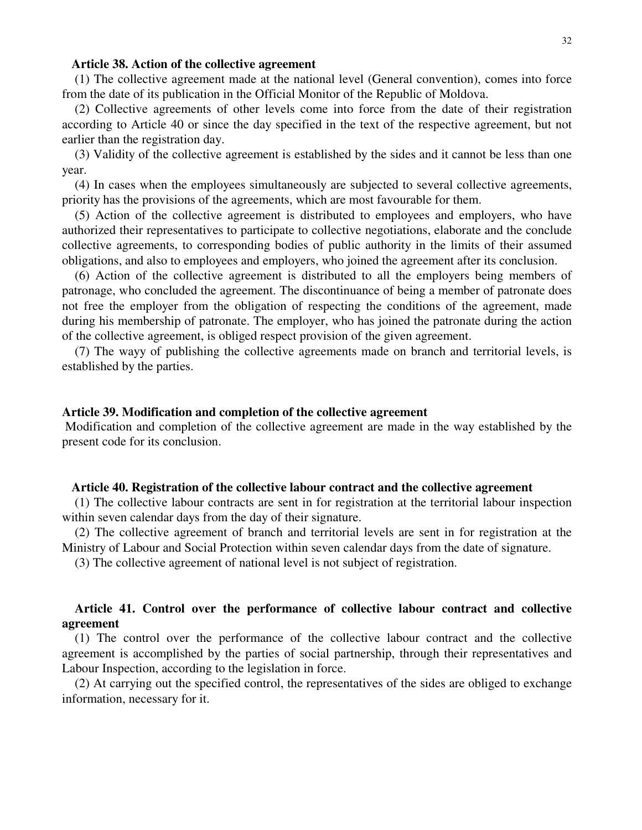#### **Article 38. Action of the collective agreement**

(1) The collective agreement made at the national level (General convention), comes into force from the date of its publication in the Official Monitor of the Republic of Moldova.

(2) Collective agreements of other levels come into force from the date of their registration according to Article 40 or since the day specified in the text of the respective agreement, but not earlier than the registration day.

(3) Validity of the collective agreement is established by the sides and it cannot be less than one year.

(4) In cases when the employees simultaneously are subjected to several collective agreements, priority has the provisions of the agreements, which are most favourable for them.

(5) Action of the collective agreement is distributed to employees and employers, who have authorized their representatives to participate to collective negotiations, elaborate and the conclude collective agreements, to corresponding bodies of public authority in the limits of their assumed obligations, and also to employees and employers, who joined the agreement after its conclusion.

(6) Action of the collective agreement is distributed to all the employers being members of patronage, who concluded the agreement. The discontinuance of being a member of patronate does not free the employer from the obligation of respecting the conditions of the agreement, made during his membership of patronate. The employer, who has joined the patronate during the action of the collective agreement, is obliged respect provision of the given agreement.

(7) The wayy of publishing the collective agreements made on branch and territorial levels, is established by the parties.

#### **Article 39. Modification and completion of the collective agreement**

Modification and completion of the collective agreement are made in the way established by the present code for its conclusion.

#### **Article 40. Registration of the collective labour contract and the collective agreement**

(1) The collective labour contracts are sent in for registration at the territorial labour inspection within seven calendar days from the day of their signature.

(2) The collective agreement of branch and territorial levels are sent in for registration at the Ministry of Labour and Social Protection within seven calendar days from the date of signature.

(3) The collective agreement of national level is not subject of registration.

### **Article 41. Control over the performance of collective labour contract and collective agreement**

(1) The control over the performance of the collective labour contract and the collective agreement is accomplished by the parties of social partnership, through their representatives and Labour Inspection, according to the legislation in force.

(2) At carrying out the specified control, the representatives of the sides are obliged to exchange information, necessary for it.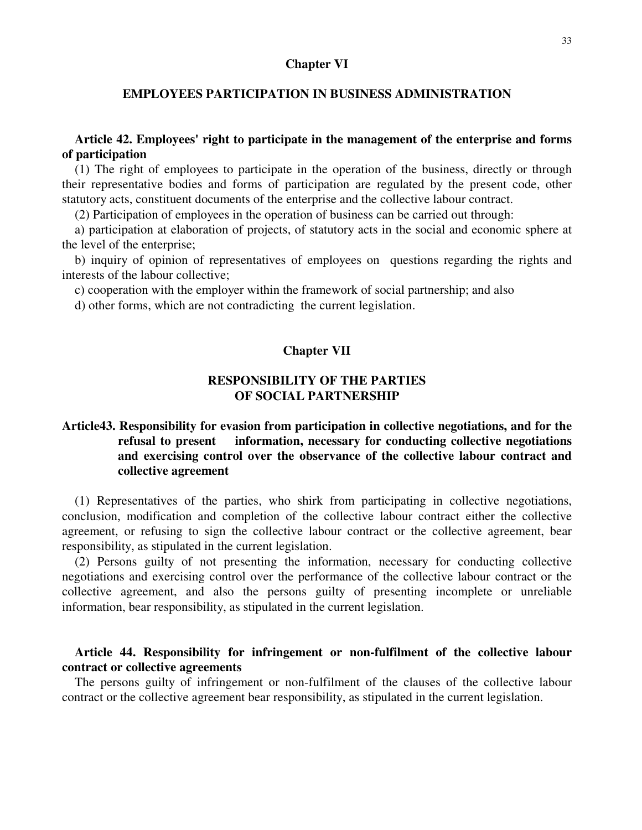#### **Chapter VI**

### **EMPLOYEES PARTICIPATION IN BUSINESS ADMINISTRATION**

### **Article 42. Employees' right to participate in the management of the enterprise and forms of participation**

(1) The right of employees to participate in the operation of the business, directly or through their representative bodies and forms of participation are regulated by the present code, other statutory acts, constituent documents of the enterprise and the collective labour contract.

(2) Participation of employees in the operation of business can be carried out through:

a) participation at elaboration of projects, of statutory acts in the social and economic sphere at the level of the enterprise;

b) inquiry of opinion of representatives of employees on questions regarding the rights and interests of the labour collective;

c) cooperation with the employer within the framework of social partnership; and also

d) other forms, which are not contradicting the current legislation.

### **Chapter VII**

## **RESPONSIBILITY OF THE PARTIES OF SOCIAL PARTNERSHIP**

## **Article43. Responsibility for evasion from participation in collective negotiations, and for the refusal to present information, necessary for conducting collective negotiations and exercising control over the observance of the collective labour contract and collective agreement**

(1) Representatives of the parties, who shirk from participating in collective negotiations, conclusion, modification and completion of the collective labour contract either the collective agreement, or refusing to sign the collective labour contract or the collective agreement, bear responsibility, as stipulated in the current legislation.

(2) Persons guilty of not presenting the information, necessary for conducting collective negotiations and exercising control over the performance of the collective labour contract or the collective agreement, and also the persons guilty of presenting incomplete or unreliable information, bear responsibility, as stipulated in the current legislation.

### **Article 44. Responsibility for infringement or non-fulfilment of the collective labour contract or collective agreements**

The persons guilty of infringement or non-fulfilment of the clauses of the collective labour contract or the collective agreement bear responsibility, as stipulated in the current legislation.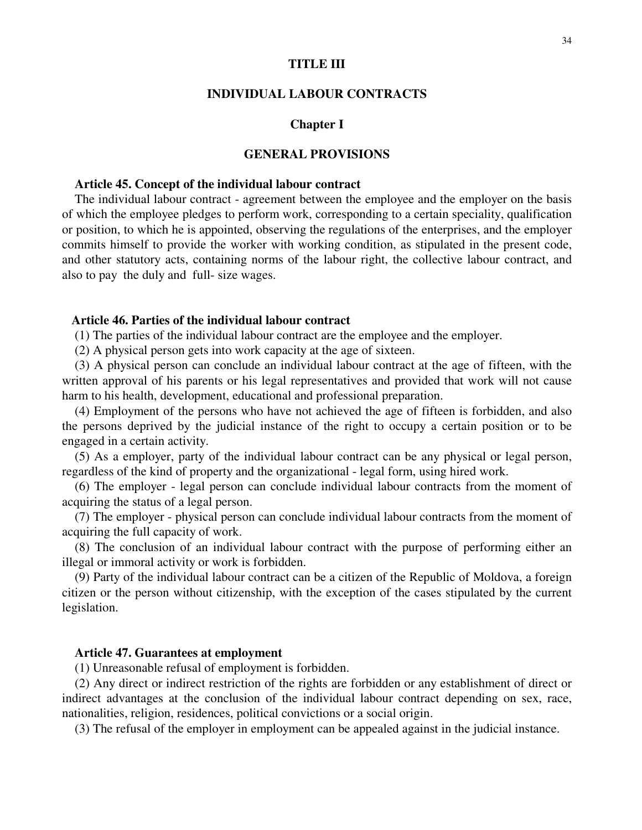#### **TITLE III**

#### **INDIVIDUAL LABOUR CONTRACTS**

#### **Chapter I**

#### **GENERAL PROVISIONS**

#### **Article 45. Concept of the individual labour contract**

The individual labour contract - agreement between the employee and the employer on the basis of which the employee pledges to perform work, corresponding to a certain speciality, qualification or position, to which he is appointed, observing the regulations of the enterprises, and the employer commits himself to provide the worker with working condition, as stipulated in the present code, and other statutory acts, containing norms of the labour right, the collective labour contract, and also to pay the duly and full- size wages.

### **Article 46. Parties of the individual labour contract**

(1) The parties of the individual labour contract are the employee and the employer.

(2) A physical person gets into work capacity at the age of sixteen.

(3) A physical person can conclude an individual labour contract at the age of fifteen, with the written approval of his parents or his legal representatives and provided that work will not cause harm to his health, development, educational and professional preparation.

(4) Employment of the persons who have not achieved the age of fifteen is forbidden, and also the persons deprived by the judicial instance of the right to occupy a certain position or to be engaged in a certain activity.

(5) As a employer, party of the individual labour contract can be any physical or legal person, regardless of the kind of property and the organizational - legal form, using hired work.

(6) The employer - legal person can conclude individual labour contracts from the moment of acquiring the status of a legal person.

(7) The employer - physical person can conclude individual labour contracts from the moment of acquiring the full capacity of work.

(8) The conclusion of an individual labour contract with the purpose of performing either an illegal or immoral activity or work is forbidden.

(9) Party of the individual labour contract can be a citizen of the Republic of Moldova, a foreign citizen or the person without citizenship, with the exception of the cases stipulated by the current legislation.

### **Article 47. Guarantees at employment**

(1) Unreasonable refusal of employment is forbidden.

(2) Any direct or indirect restriction of the rights are forbidden or any establishment of direct or indirect advantages at the conclusion of the individual labour contract depending on sex, race, nationalities, religion, residences, political convictions or a social origin.

(3) The refusal of the employer in employment can be appealed against in the judicial instance.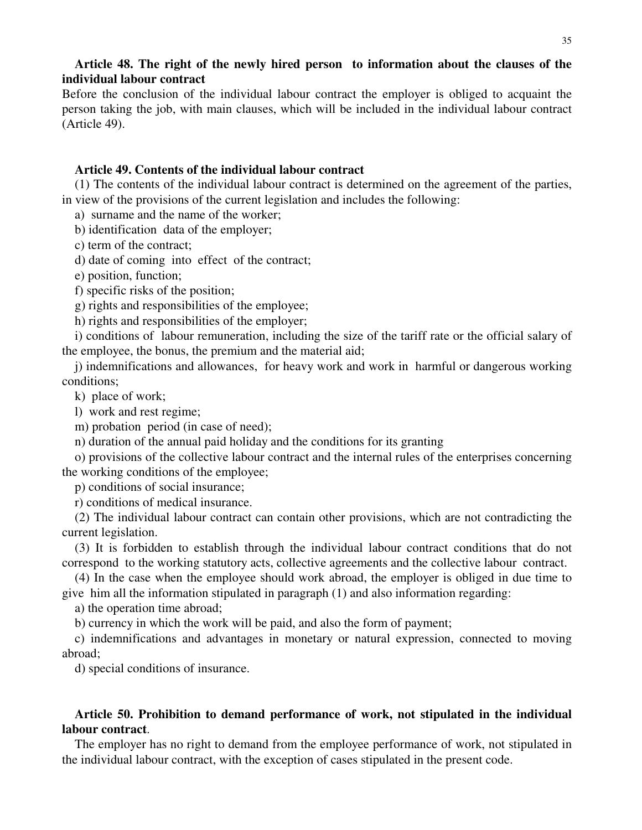### **Article 48. The right of the newly hired person to information about the clauses of the individual labour contract**

Before the conclusion of the individual labour contract the employer is obliged to acquaint the person taking the job, with main clauses, which will be included in the individual labour contract (Article 49).

### **Article 49. Contents of the individual labour contract**

(1) The contents of the individual labour contract is determined on the agreement of the parties, in view of the provisions of the current legislation and includes the following:

a) surname and the name of the worker;

b) identification data of the employer;

c) term of the contract;

d) date of coming into effect of the contract;

e) position, function;

f) specific risks of the position;

g) rights and responsibilities of the employee;

h) rights and responsibilities of the employer;

i) conditions of labour remuneration, including the size of the tariff rate or the official salary of the employee, the bonus, the premium and the material aid;

j) indemnifications and allowances, for heavy work and work in harmful or dangerous working conditions;

k) place of work;

l) work and rest regime;

m) probation period (in case of need);

n) duration of the annual paid holiday and the conditions for its granting

o) provisions of the collective labour contract and the internal rules of the enterprises concerning the working conditions of the employee;

p) conditions of social insurance;

r) conditions of medical insurance.

(2) The individual labour contract can contain other provisions, which are not contradicting the current legislation.

(3) It is forbidden to establish through the individual labour contract conditions that do not correspond to the working statutory acts, collective agreements and the collective labour contract.

(4) In the case when the employee should work abroad, the employer is obliged in due time to give him all the information stipulated in paragraph (1) and also information regarding:

a) the operation time abroad;

b) currency in which the work will be paid, and also the form of payment;

c) indemnifications and advantages in monetary or natural expression, connected to moving abroad;

d) special conditions of insurance.

### **Article 50. Prohibition to demand performance of work, not stipulated in the individual labour contract**.

The employer has no right to demand from the employee performance of work, not stipulated in the individual labour contract, with the exception of cases stipulated in the present code.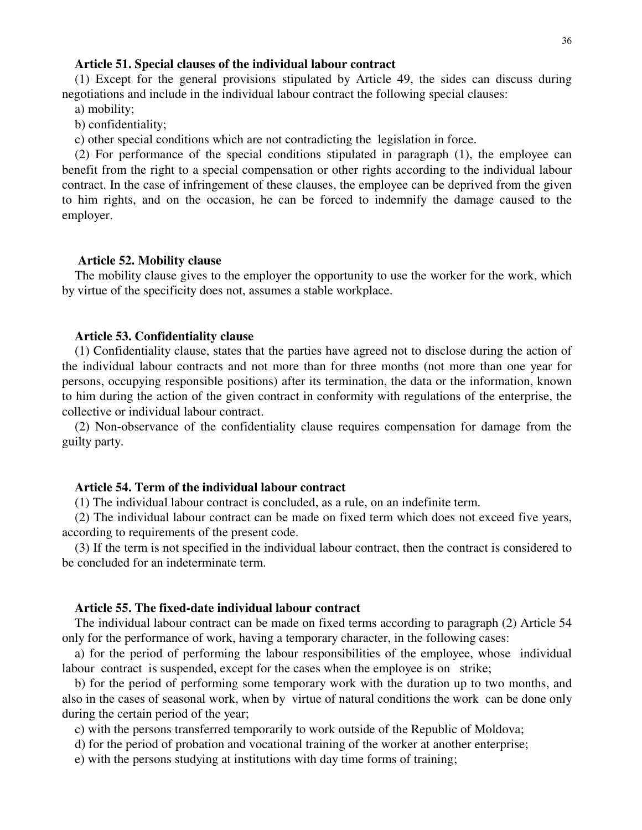#### **Article 51. Special clauses of the individual labour contract**

(1) Except for the general provisions stipulated by Article 49, the sides can discuss during negotiations and include in the individual labour contract the following special clauses:

a) mobility;

b) confidentiality;

c) other special conditions which are not contradicting the legislation in force.

(2) For performance of the special conditions stipulated in paragraph (1), the employee can benefit from the right to a special compensation or other rights according to the individual labour contract. In the case of infringement of these clauses, the employee can be deprived from the given to him rights, and on the occasion, he can be forced to indemnify the damage caused to the employer.

#### **Article 52. Mobility clause**

The mobility clause gives to the employer the opportunity to use the worker for the work, which by virtue of the specificity does not, assumes a stable workplace.

#### **Article 53. Confidentiality clause**

(1) Confidentiality clause, states that the parties have agreed not to disclose during the action of the individual labour contracts and not more than for three months (not more than one year for persons, occupying responsible positions) after its termination, the data or the information, known to him during the action of the given contract in conformity with regulations of the enterprise, the collective or individual labour contract.

(2) Non-observance of the confidentiality clause requires compensation for damage from the guilty party.

### **Article 54. Term of the individual labour contract**

(1) The individual labour contract is concluded, as a rule, on an indefinite term.

(2) The individual labour contract can be made on fixed term which does not exceed five years, according to requirements of the present code.

(3) If the term is not specified in the individual labour contract, then the contract is considered to be concluded for an indeterminate term.

#### **Article 55. The fixed-date individual labour contract**

The individual labour contract can be made on fixed terms according to paragraph (2) Article 54 only for the performance of work, having a temporary character, in the following cases:

a) for the period of performing the labour responsibilities of the employee, whose individual labour contract is suspended, except for the cases when the employee is on strike;

b) for the period of performing some temporary work with the duration up to two months, and also in the cases of seasonal work, when by virtue of natural conditions the work can be done only during the certain period of the year;

c) with the persons transferred temporarily to work outside of the Republic of Moldova;

d) for the period of probation and vocational training of the worker at another enterprise;

e) with the persons studying at institutions with day time forms of training;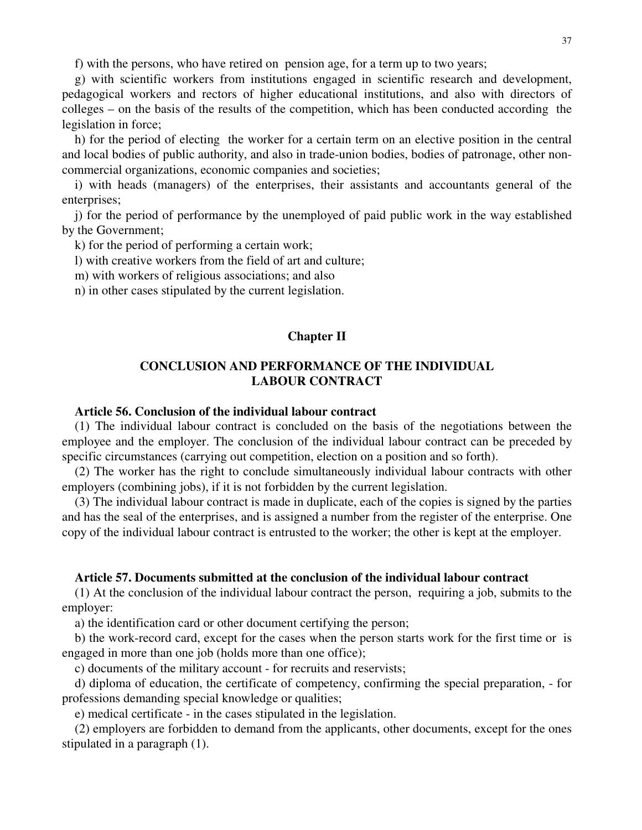f) with the persons, who have retired on pension age, for a term up to two years;

g) with scientific workers from institutions engaged in scientific research and development, pedagogical workers and rectors of higher educational institutions, and also with directors of colleges – on the basis of the results of the competition, which has been conducted according the legislation in force;

h) for the period of electing the worker for a certain term on an elective position in the central and local bodies of public authority, and also in trade-union bodies, bodies of patronage, other noncommercial organizations, economic companies and societies;

i) with heads (managers) of the enterprises, their assistants and accountants general of the enterprises;

j) for the period of performance by the unemployed of paid public work in the way established by the Government;

k) for the period of performing a certain work;

l) with creative workers from the field of art and culture;

m) with workers of religious associations; and also

n) in other cases stipulated by the current legislation.

## **Chapter II**

# **CONCLUSION AND PERFORMANCE OF THE INDIVIDUAL LABOUR CONTRACT**

## **Article 56. Conclusion of the individual labour contract**

(1) The individual labour contract is concluded on the basis of the negotiations between the employee and the employer. The conclusion of the individual labour contract can be preceded by specific circumstances (carrying out competition, election on a position and so forth).

(2) The worker has the right to conclude simultaneously individual labour contracts with other employers (combining jobs), if it is not forbidden by the current legislation.

(3) The individual labour contract is made in duplicate, each of the copies is signed by the parties and has the seal of the enterprises, and is assigned a number from the register of the enterprise. One copy of the individual labour contract is entrusted to the worker; the other is kept at the employer.

### **Article 57. Documents submitted at the conclusion of the individual labour contract**

(1) At the conclusion of the individual labour contract the person, requiring a job, submits to the employer:

a) the identification card or other document certifying the person;

b) the work-record card, except for the cases when the person starts work for the first time or is engaged in more than one job (holds more than one office);

c) documents of the military account - for recruits and reservists;

d) diploma of education, the certificate of competency, confirming the special preparation, - for professions demanding special knowledge or qualities;

e) medical certificate - in the cases stipulated in the legislation.

(2) employers are forbidden to demand from the applicants, other documents, except for the ones stipulated in a paragraph (1).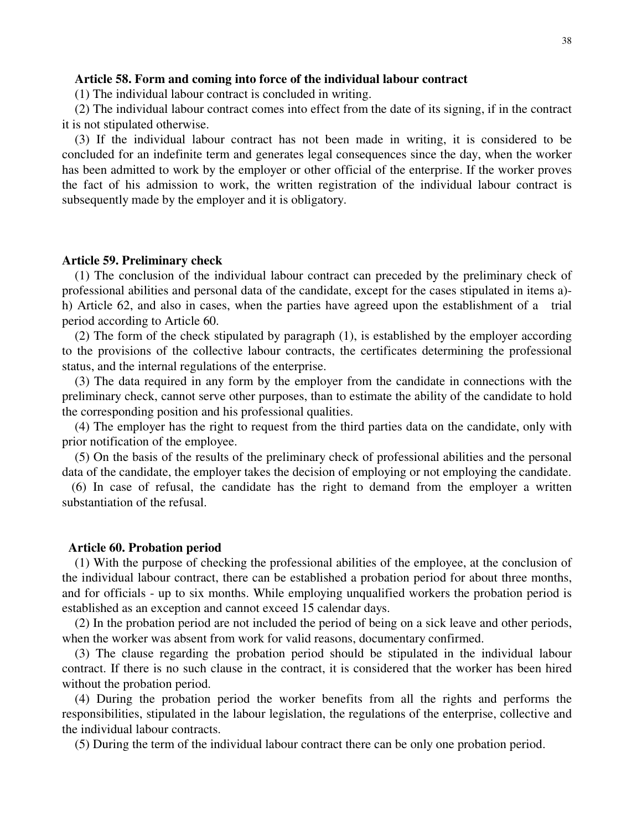## **Article 58. Form and coming into force of the individual labour contract**

(1) The individual labour contract is concluded in writing.

(2) The individual labour contract comes into effect from the date of its signing, if in the contract it is not stipulated otherwise.

(3) If the individual labour contract has not been made in writing, it is considered to be concluded for an indefinite term and generates legal consequences since the day, when the worker has been admitted to work by the employer or other official of the enterprise. If the worker proves the fact of his admission to work, the written registration of the individual labour contract is subsequently made by the employer and it is obligatory.

### **Article 59. Preliminary check**

(1) The conclusion of the individual labour contract can preceded by the preliminary check of professional abilities and personal data of the candidate, except for the cases stipulated in items a) h) Article 62, and also in cases, when the parties have agreed upon the establishment of a trial period according to Article 60.

(2) The form of the check stipulated by paragraph (1), is established by the employer according to the provisions of the collective labour contracts, the certificates determining the professional status, and the internal regulations of the enterprise.

(3) The data required in any form by the employer from the candidate in connections with the preliminary check, cannot serve other purposes, than to estimate the ability of the candidate to hold the corresponding position and his professional qualities.

(4) The employer has the right to request from the third parties data on the candidate, only with prior notification of the employee.

(5) On the basis of the results of the preliminary check of professional abilities and the personal data of the candidate, the employer takes the decision of employing or not employing the candidate.

(6) In case of refusal, the candidate has the right to demand from the employer a written substantiation of the refusal.

#### **Article 60. Probation period**

(1) With the purpose of checking the professional abilities of the employee, at the conclusion of the individual labour contract, there can be established a probation period for about three months, and for officials - up to six months. While employing unqualified workers the probation period is established as an exception and cannot exceed 15 calendar days.

(2) In the probation period are not included the period of being on a sick leave and other periods, when the worker was absent from work for valid reasons, documentary confirmed.

(3) The clause regarding the probation period should be stipulated in the individual labour contract. If there is no such clause in the contract, it is considered that the worker has been hired without the probation period.

(4) During the probation period the worker benefits from all the rights and performs the responsibilities, stipulated in the labour legislation, the regulations of the enterprise, collective and the individual labour contracts.

(5) During the term of the individual labour contract there can be only one probation period.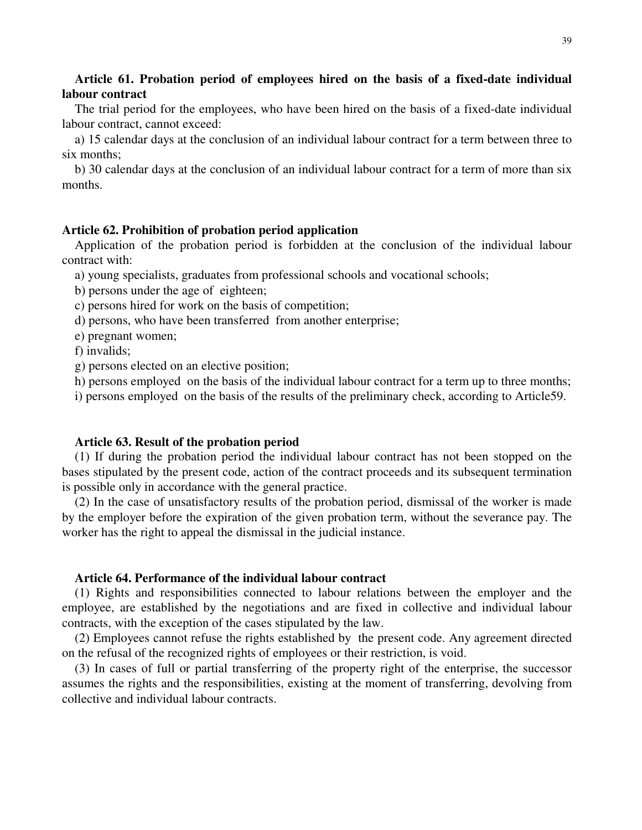# **Article 61. Probation period of employees hired on the basis of a fixed-date individual labour contract**

The trial period for the employees, who have been hired on the basis of a fixed-date individual labour contract, cannot exceed:

a) 15 calendar days at the conclusion of an individual labour contract for a term between three to six months;

b) 30 calendar days at the conclusion of an individual labour contract for a term of more than six months.

# **Article 62. Prohibition of probation period application**

Application of the probation period is forbidden at the conclusion of the individual labour contract with:

a) young specialists, graduates from professional schools and vocational schools;

b) persons under the age of eighteen;

c) persons hired for work on the basis of competition;

d) persons, who have been transferred from another enterprise;

e) pregnant women;

f) invalids;

g) persons elected on an elective position;

h) persons employed on the basis of the individual labour contract for a term up to three months;

i) persons employed on the basis of the results of the preliminary check, according to Article59.

### **Article 63. Result of the probation period**

(1) If during the probation period the individual labour contract has not been stopped on the bases stipulated by the present code, action of the contract proceeds and its subsequent termination is possible only in accordance with the general practice.

(2) In the case of unsatisfactory results of the probation period, dismissal of the worker is made by the employer before the expiration of the given probation term, without the severance pay. The worker has the right to appeal the dismissal in the judicial instance.

## **Article 64. Performance of the individual labour contract**

(1) Rights and responsibilities connected to labour relations between the employer and the employee, are established by the negotiations and are fixed in collective and individual labour contracts, with the exception of the cases stipulated by the law.

(2) Employees cannot refuse the rights established by the present code. Any agreement directed on the refusal of the recognized rights of employees or their restriction, is void.

(3) In cases of full or partial transferring of the property right of the enterprise, the successor assumes the rights and the responsibilities, existing at the moment of transferring, devolving from collective and individual labour contracts.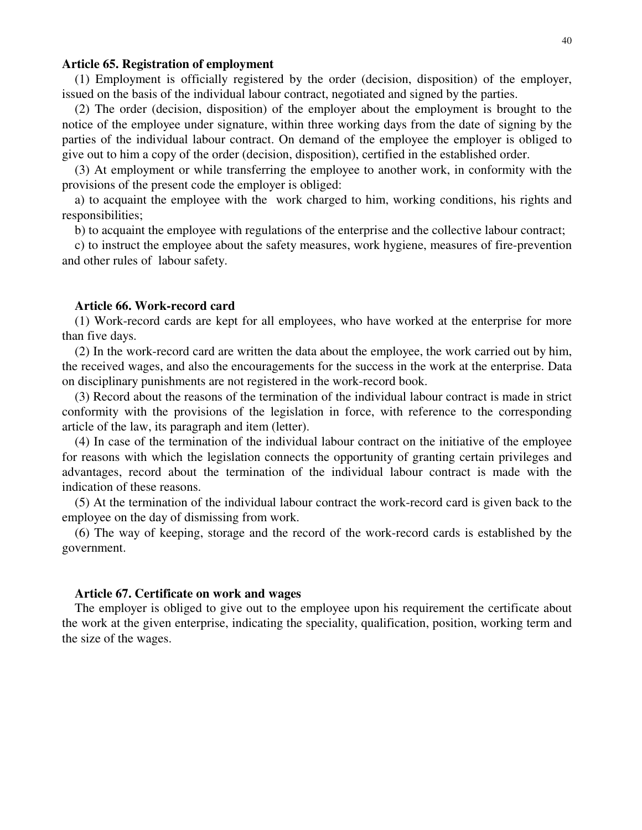### **Article 65. Registration of employment**

(1) Employment is officially registered by the order (decision, disposition) of the employer, issued on the basis of the individual labour contract, negotiated and signed by the parties.

(2) The order (decision, disposition) of the employer about the employment is brought to the notice of the employee under signature, within three working days from the date of signing by the parties of the individual labour contract. On demand of the employee the employer is obliged to give out to him a copy of the order (decision, disposition), certified in the established order.

(3) At employment or while transferring the employee to another work, in conformity with the provisions of the present code the employer is obliged:

a) to acquaint the employee with the work charged to him, working conditions, his rights and responsibilities;

b) to acquaint the employee with regulations of the enterprise and the collective labour contract;

c) to instruct the employee about the safety measures, work hygiene, measures of fire-prevention and other rules of labour safety.

#### **Article 66. Work-record card**

(1) Work-record cards are kept for all employees, who have worked at the enterprise for more than five days.

(2) In the work-record card are written the data about the employee, the work carried out by him, the received wages, and also the encouragements for the success in the work at the enterprise. Data on disciplinary punishments are not registered in the work-record book.

(3) Record about the reasons of the termination of the individual labour contract is made in strict conformity with the provisions of the legislation in force, with reference to the corresponding article of the law, its paragraph and item (letter).

(4) In case of the termination of the individual labour contract on the initiative of the employee for reasons with which the legislation connects the opportunity of granting certain privileges and advantages, record about the termination of the individual labour contract is made with the indication of these reasons.

(5) At the termination of the individual labour contract the work-record card is given back to the employee on the day of dismissing from work.

(6) The way of keeping, storage and the record of the work-record cards is established by the government.

#### **Article 67. Certificate on work and wages**

The employer is obliged to give out to the employee upon his requirement the certificate about the work at the given enterprise, indicating the speciality, qualification, position, working term and the size of the wages.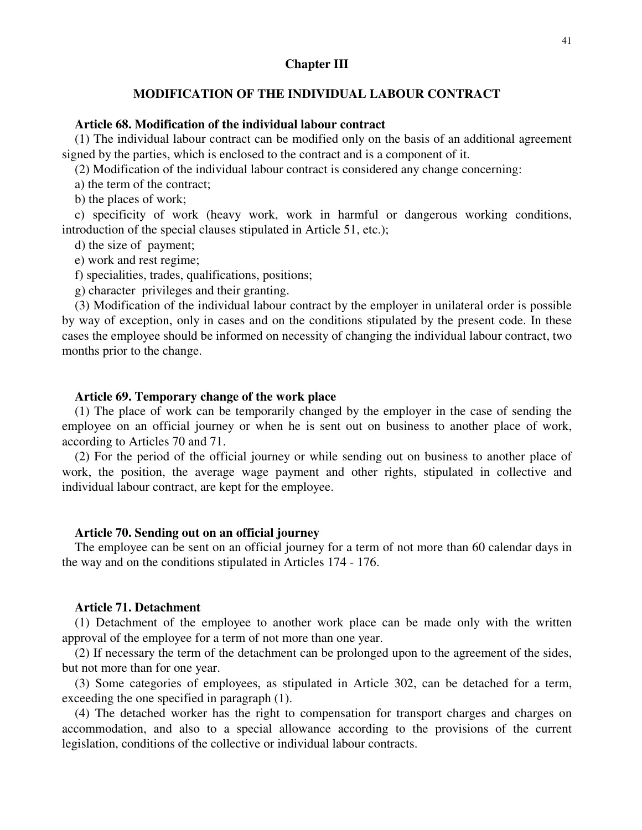### **Chapter III**

# **MODIFICATION OF THE INDIVIDUAL LABOUR CONTRACT**

# **Article 68. Modification of the individual labour contract**

(1) The individual labour contract can be modified only on the basis of an additional agreement signed by the parties, which is enclosed to the contract and is a component of it.

(2) Modification of the individual labour contract is considered any change concerning:

a) the term of the contract;

b) the places of work;

c) specificity of work (heavy work, work in harmful or dangerous working conditions, introduction of the special clauses stipulated in Article 51, etc.);

d) the size of payment;

e) work and rest regime;

f) specialities, trades, qualifications, positions;

g) character privileges and their granting.

(3) Modification of the individual labour contract by the employer in unilateral order is possible by way of exception, only in cases and on the conditions stipulated by the present code. In these cases the employee should be informed on necessity of changing the individual labour contract, two months prior to the change.

## **Article 69. Temporary change of the work place**

(1) The place of work can be temporarily changed by the employer in the case of sending the employee on an official journey or when he is sent out on business to another place of work, according to Articles 70 and 71.

(2) For the period of the official journey or while sending out on business to another place of work, the position, the average wage payment and other rights, stipulated in collective and individual labour contract, are kept for the employee.

### **Article 70. Sending out on an official journey**

The employee can be sent on an official journey for a term of not more than 60 calendar days in the way and on the conditions stipulated in Articles 174 - 176.

## **Article 71. Detachment**

(1) Detachment of the employee to another work place can be made only with the written approval of the employee for a term of not more than one year.

(2) If necessary the term of the detachment can be prolonged upon to the agreement of the sides, but not more than for one year.

(3) Some categories of employees, as stipulated in Article 302, can be detached for a term, exceeding the one specified in paragraph (1).

(4) The detached worker has the right to compensation for transport charges and charges on accommodation, and also to a special allowance according to the provisions of the current legislation, conditions of the collective or individual labour contracts.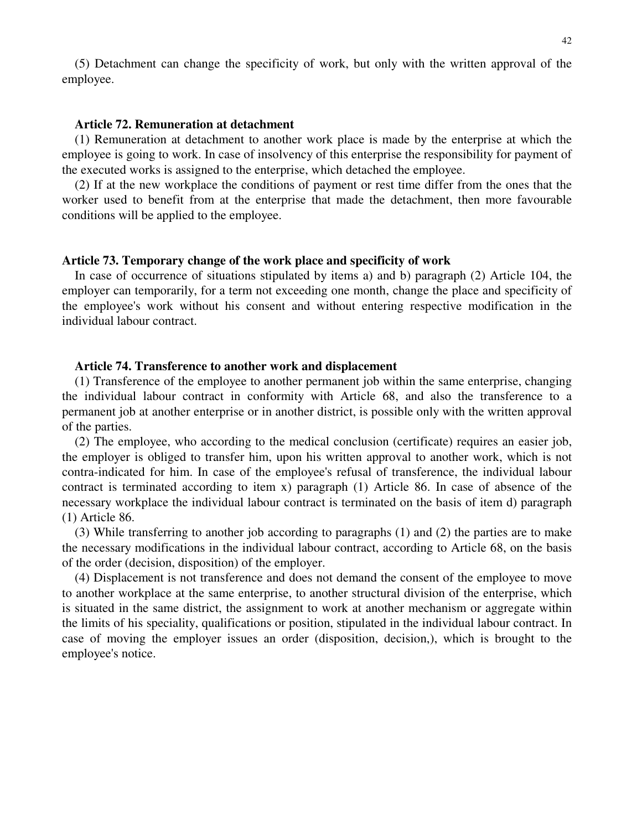(5) Detachment can change the specificity of work, but only with the written approval of the employee.

#### **Article 72. Remuneration at detachment**

(1) Remuneration at detachment to another work place is made by the enterprise at which the employee is going to work. In case of insolvency of this enterprise the responsibility for payment of the executed works is assigned to the enterprise, which detached the employee.

(2) If at the new workplace the conditions of payment or rest time differ from the ones that the worker used to benefit from at the enterprise that made the detachment, then more favourable conditions will be applied to the employee.

### **Article 73. Temporary change of the work place and specificity of work**

In case of occurrence of situations stipulated by items a) and b) paragraph (2) Article 104, the employer can temporarily, for a term not exceeding one month, change the place and specificity of the employee's work without his consent and without entering respective modification in the individual labour contract.

#### **Article 74. Transference to another work and displacement**

(1) Transference of the employee to another permanent job within the same enterprise, changing the individual labour contract in conformity with Article 68, and also the transference to a permanent job at another enterprise or in another district, is possible only with the written approval of the parties.

(2) The employee, who according to the medical conclusion (certificate) requires an easier job, the employer is obliged to transfer him, upon his written approval to another work, which is not contra-indicated for him. In case of the employee's refusal of transference, the individual labour contract is terminated according to item x) paragraph (1) Article 86. In case of absence of the necessary workplace the individual labour contract is terminated on the basis of item d) paragraph (1) Article 86.

(3) While transferring to another job according to paragraphs (1) and (2) the parties are to make the necessary modifications in the individual labour contract, according to Article 68, on the basis of the order (decision, disposition) of the employer.

(4) Displacement is not transference and does not demand the consent of the employee to move to another workplace at the same enterprise, to another structural division of the enterprise, which is situated in the same district, the assignment to work at another mechanism or aggregate within the limits of his speciality, qualifications or position, stipulated in the individual labour contract. In case of moving the employer issues an order (disposition, decision,), which is brought to the employee's notice.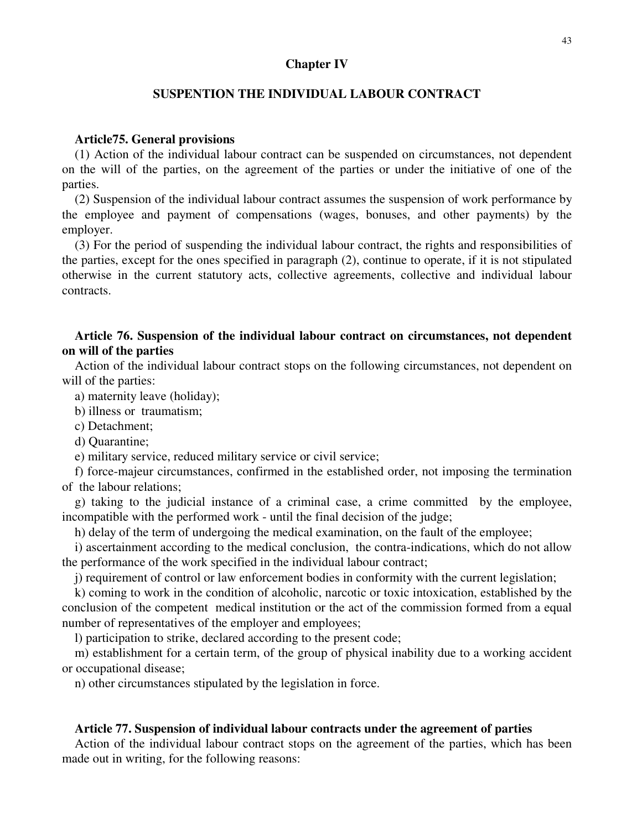### **Chapter IV**

# **SUSPENTION THE INDIVIDUAL LABOUR CONTRACT**

### **Article75. General provisions**

(1) Action of the individual labour contract can be suspended on circumstances, not dependent on the will of the parties, on the agreement of the parties or under the initiative of one of the parties.

(2) Suspension of the individual labour contract assumes the suspension of work performance by the employee and payment of compensations (wages, bonuses, and other payments) by the employer.

(3) For the period of suspending the individual labour contract, the rights and responsibilities of the parties, except for the ones specified in paragraph (2), continue to operate, if it is not stipulated otherwise in the current statutory acts, collective agreements, collective and individual labour contracts.

# **Article 76. Suspension of the individual labour contract on circumstances, not dependent on will of the parties**

Action of the individual labour contract stops on the following circumstances, not dependent on will of the parties:

a) maternity leave (holiday);

b) illness or traumatism;

c) Detachment;

d) Quarantine;

e) military service, reduced military service or civil service;

f) force-majeur circumstances, confirmed in the established order, not imposing the termination of the labour relations;

g) taking to the judicial instance of a criminal case, a crime committed by the employee, incompatible with the performed work - until the final decision of the judge;

h) delay of the term of undergoing the medical examination, on the fault of the employee;

i) ascertainment according to the medical conclusion, the contra-indications, which do not allow the performance of the work specified in the individual labour contract;

j) requirement of control or law enforcement bodies in conformity with the current legislation;

k) coming to work in the condition of alcoholic, narcotic or toxic intoxication, established by the conclusion of the competent medical institution or the act of the commission formed from a equal number of representatives of the employer and employees;

l) participation to strike, declared according to the present code;

m) establishment for a certain term, of the group of physical inability due to a working accident or occupational disease;

n) other circumstances stipulated by the legislation in force.

### **Article 77. Suspension of individual labour contracts under the agreement of parties**

Action of the individual labour contract stops on the agreement of the parties, which has been made out in writing, for the following reasons: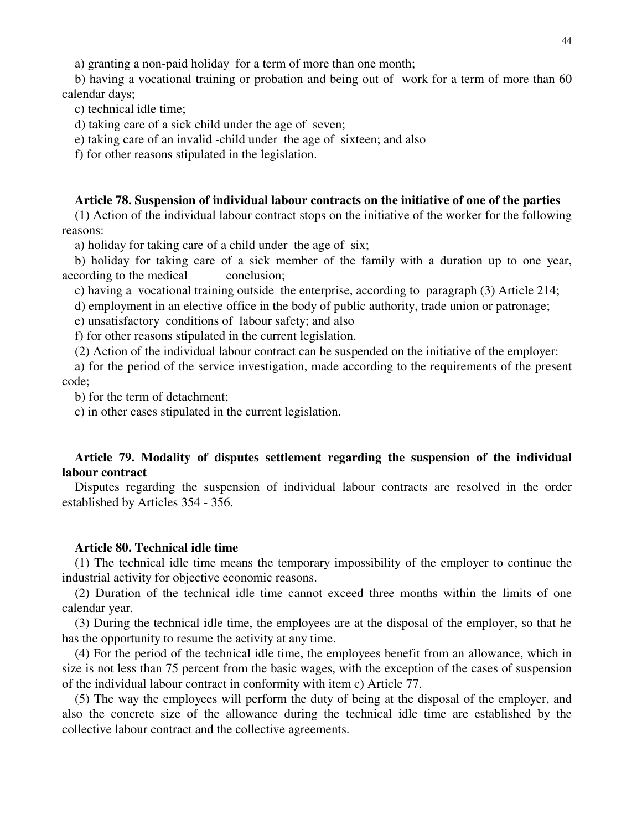a) granting a non-paid holiday for a term of more than one month;

b) having a vocational training or probation and being out of work for a term of more than 60 calendar days;

c) technical idle time;

d) taking care of a sick child under the age of seven;

e) taking care of an invalid -child under the age of sixteen; and also

f) for other reasons stipulated in the legislation.

## **Article 78. Suspension of individual labour contracts on the initiative of one of the parties**

(1) Action of the individual labour contract stops on the initiative of the worker for the following reasons:

a) holiday for taking care of a child under the age of six;

b) holiday for taking care of a sick member of the family with a duration up to one year, according to the medical conclusion;

c) having a vocational training outside the enterprise, according to paragraph (3) Article 214;

d) employment in an elective office in the body of public authority, trade union or patronage;

e) unsatisfactory conditions of labour safety; and also

f) for other reasons stipulated in the current legislation.

(2) Action of the individual labour contract can be suspended on the initiative of the employer:

a) for the period of the service investigation, made according to the requirements of the present code;

b) for the term of detachment;

c) in other cases stipulated in the current legislation.

# **Article 79. Modality of disputes settlement regarding the suspension of the individual labour contract**

Disputes regarding the suspension of individual labour contracts are resolved in the order established by Articles 354 - 356.

### **Article 80. Technical idle time**

(1) The technical idle time means the temporary impossibility of the employer to continue the industrial activity for objective economic reasons.

(2) Duration of the technical idle time cannot exceed three months within the limits of one calendar year.

(3) During the technical idle time, the employees are at the disposal of the employer, so that he has the opportunity to resume the activity at any time.

(4) For the period of the technical idle time, the employees benefit from an allowance, which in size is not less than 75 percent from the basic wages, with the exception of the cases of suspension of the individual labour contract in conformity with item c) Article 77.

(5) The way the employees will perform the duty of being at the disposal of the employer, and also the concrete size of the allowance during the technical idle time are established by the collective labour contract and the collective agreements.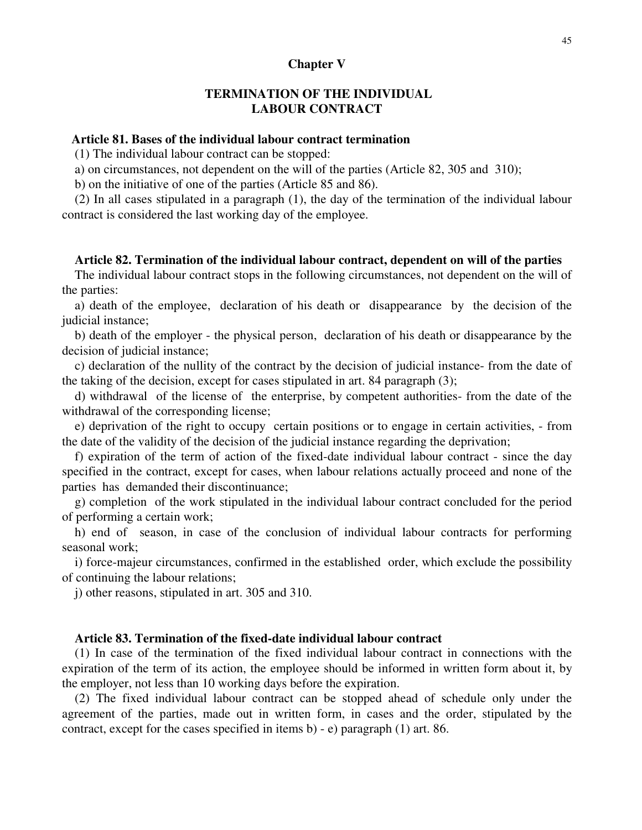### **Chapter V**

# **TERMINATION OF THE INDIVIDUAL LABOUR CONTRACT**

## **Article 81. Bases of the individual labour contract termination**

(1) The individual labour contract can be stopped:

a) on circumstances, not dependent on the will of the parties (Article 82, 305 and 310);

b) on the initiative of one of the parties (Article 85 and 86).

(2) In all cases stipulated in a paragraph (1), the day of the termination of the individual labour contract is considered the last working day of the employee.

#### **Article 82. Termination of the individual labour contract, dependent on will of the parties**

The individual labour contract stops in the following circumstances, not dependent on the will of the parties:

a) death of the employee, declaration of his death or disappearance by the decision of the judicial instance;

b) death of the employer - the physical person, declaration of his death or disappearance by the decision of judicial instance;

c) declaration of the nullity of the contract by the decision of judicial instance- from the date of the taking of the decision, except for cases stipulated in art. 84 paragraph (3);

d) withdrawal of the license of the enterprise, by competent authorities- from the date of the withdrawal of the corresponding license;

e) deprivation of the right to occupy certain positions or to engage in certain activities, - from the date of the validity of the decision of the judicial instance regarding the deprivation;

f) expiration of the term of action of the fixed-date individual labour contract - since the day specified in the contract, except for cases, when labour relations actually proceed and none of the parties has demanded their discontinuance;

g) completion of the work stipulated in the individual labour contract concluded for the period of performing a certain work;

h) end of season, in case of the conclusion of individual labour contracts for performing seasonal work;

i) force-majeur circumstances, confirmed in the established order, which exclude the possibility of continuing the labour relations;

j) other reasons, stipulated in art. 305 and 310.

### **Article 83. Termination of the fixed-date individual labour contract**

(1) In case of the termination of the fixed individual labour contract in connections with the expiration of the term of its action, the employee should be informed in written form about it, by the employer, not less than 10 working days before the expiration.

(2) The fixed individual labour contract can be stopped ahead of schedule only under the agreement of the parties, made out in written form, in cases and the order, stipulated by the contract, except for the cases specified in items b) - e) paragraph (1) art. 86.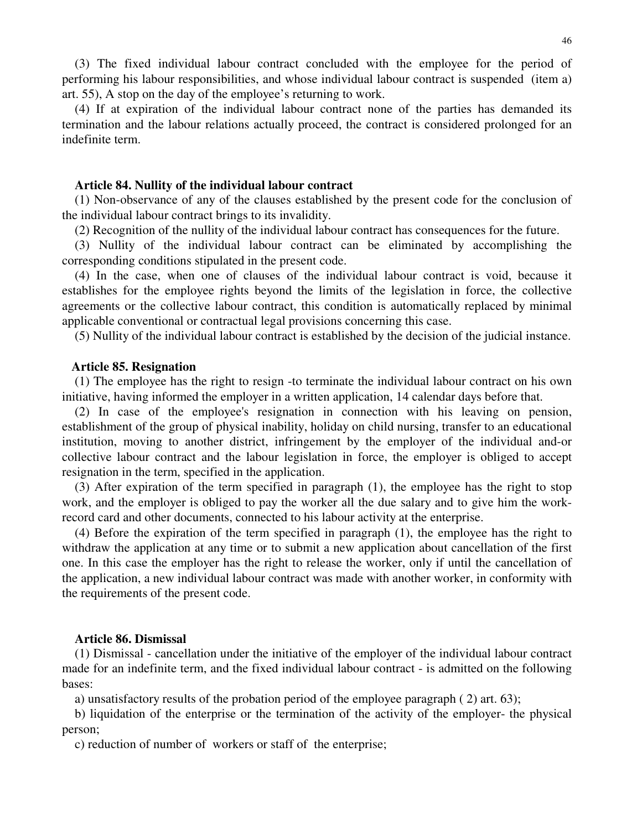(3) The fixed individual labour contract concluded with the employee for the period of performing his labour responsibilities, and whose individual labour contract is suspended (item a) art. 55), A stop on the day of the employee's returning to work.

(4) If at expiration of the individual labour contract none of the parties has demanded its termination and the labour relations actually proceed, the contract is considered prolonged for an indefinite term.

### **Article 84. Nullity of the individual labour contract**

(1) Non-observance of any of the clauses established by the present code for the conclusion of the individual labour contract brings to its invalidity.

(2) Recognition of the nullity of the individual labour contract has consequences for the future.

(3) Nullity of the individual labour contract can be eliminated by accomplishing the corresponding conditions stipulated in the present code.

(4) In the case, when one of clauses of the individual labour contract is void, because it establishes for the employee rights beyond the limits of the legislation in force, the collective agreements or the collective labour contract, this condition is automatically replaced by minimal applicable conventional or contractual legal provisions concerning this case.

(5) Nullity of the individual labour contract is established by the decision of the judicial instance.

#### **Article 85. Resignation**

(1) The employee has the right to resign -to terminate the individual labour contract on his own initiative, having informed the employer in a written application, 14 calendar days before that.

(2) In case of the employee's resignation in connection with his leaving on pension, establishment of the group of physical inability, holiday on child nursing, transfer to an educational institution, moving to another district, infringement by the employer of the individual and-or collective labour contract and the labour legislation in force, the employer is obliged to accept resignation in the term, specified in the application.

(3) After expiration of the term specified in paragraph (1), the employee has the right to stop work, and the employer is obliged to pay the worker all the due salary and to give him the workrecord card and other documents, connected to his labour activity at the enterprise.

(4) Before the expiration of the term specified in paragraph (1), the employee has the right to withdraw the application at any time or to submit a new application about cancellation of the first one. In this case the employer has the right to release the worker, only if until the cancellation of the application, a new individual labour contract was made with another worker, in conformity with the requirements of the present code.

### **Article 86. Dismissal**

(1) Dismissal - cancellation under the initiative of the employer of the individual labour contract made for an indefinite term, and the fixed individual labour contract - is admitted on the following bases:

a) unsatisfactory results of the probation period of the employee paragraph ( 2) art. 63);

b) liquidation of the enterprise or the termination of the activity of the employer- the physical person;

c) reduction of number of workers or staff of the enterprise;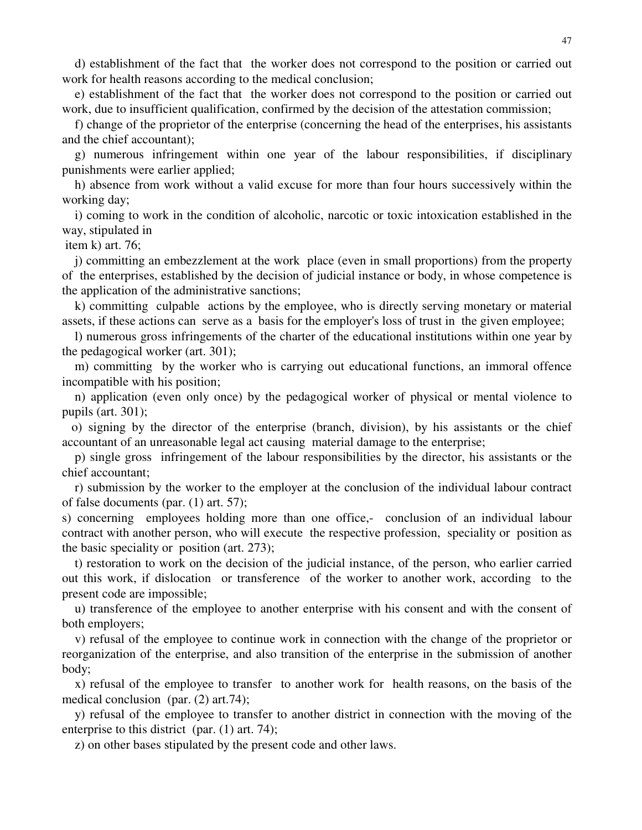d) establishment of the fact that the worker does not correspond to the position or carried out work for health reasons according to the medical conclusion;

e) establishment of the fact that the worker does not correspond to the position or carried out work, due to insufficient qualification, confirmed by the decision of the attestation commission;

f) change of the proprietor of the enterprise (concerning the head of the enterprises, his assistants and the chief accountant);

g) numerous infringement within one year of the labour responsibilities, if disciplinary punishments were earlier applied;

h) absence from work without a valid excuse for more than four hours successively within the working day;

i) coming to work in the condition of alcoholic, narcotic or toxic intoxication established in the way, stipulated in

item k) art. 76;

j) committing an embezzlement at the work place (even in small proportions) from the property of the enterprises, established by the decision of judicial instance or body, in whose competence is the application of the administrative sanctions;

k) committing culpable actions by the employee, who is directly serving monetary or material assets, if these actions can serve as a basis for the employer's loss of trust in the given employee;

l) numerous gross infringements of the charter of the educational institutions within one year by the pedagogical worker (art. 301);

m) committing by the worker who is carrying out educational functions, an immoral offence incompatible with his position;

n) application (even only once) by the pedagogical worker of physical or mental violence to pupils (art. 301);

o) signing by the director of the enterprise (branch, division), by his assistants or the chief accountant of an unreasonable legal act causing material damage to the enterprise;

p) single gross infringement of the labour responsibilities by the director, his assistants or the chief accountant;

r) submission by the worker to the employer at the conclusion of the individual labour contract of false documents (par. (1) art. 57);

s) concerning employees holding more than one office,- conclusion of an individual labour contract with another person, who will execute the respective profession, speciality or position as the basic speciality or position (art. 273);

t) restoration to work on the decision of the judicial instance, of the person, who earlier carried out this work, if dislocation or transference of the worker to another work, according to the present code are impossible;

u) transference of the employee to another enterprise with his consent and with the consent of both employers;

v) refusal of the employee to continue work in connection with the change of the proprietor or reorganization of the enterprise, and also transition of the enterprise in the submission of another body;

x) refusal of the employee to transfer to another work for health reasons, on the basis of the medical conclusion (par. (2) art.74);

y) refusal of the employee to transfer to another district in connection with the moving of the enterprise to this district (par. (1) art. 74);

z) on other bases stipulated by the present code and other laws.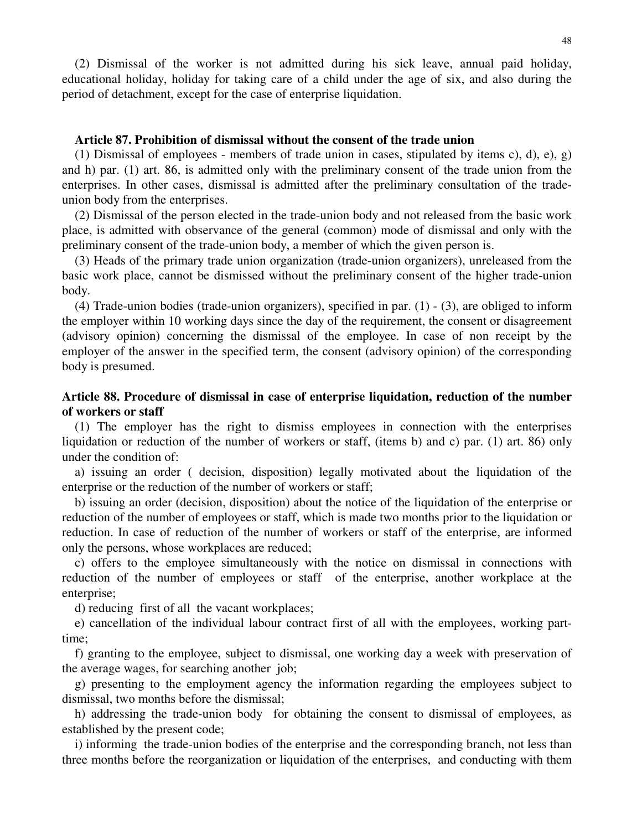(2) Dismissal of the worker is not admitted during his sick leave, annual paid holiday, educational holiday, holiday for taking care of a child under the age of six, and also during the period of detachment, except for the case of enterprise liquidation.

## **Article 87. Prohibition of dismissal without the consent of the trade union**

(1) Dismissal of employees - members of trade union in cases, stipulated by items c), d), e), g) and h) par. (1) art. 86, is admitted only with the preliminary consent of the trade union from the enterprises. In other cases, dismissal is admitted after the preliminary consultation of the tradeunion body from the enterprises.

(2) Dismissal of the person elected in the trade-union body and not released from the basic work place, is admitted with observance of the general (common) mode of dismissal and only with the preliminary consent of the trade-union body, a member of which the given person is.

(3) Heads of the primary trade union organization (trade-union organizers), unreleased from the basic work place, cannot be dismissed without the preliminary consent of the higher trade-union body.

(4) Trade-union bodies (trade-union organizers), specified in par. (1) - (3), are obliged to inform the employer within 10 working days since the day of the requirement, the consent or disagreement (advisory opinion) concerning the dismissal of the employee. In case of non receipt by the employer of the answer in the specified term, the consent (advisory opinion) of the corresponding body is presumed.

# **Article 88. Procedure of dismissal in case of enterprise liquidation, reduction of the number of workers or staff**

(1) The employer has the right to dismiss employees in connection with the enterprises liquidation or reduction of the number of workers or staff, (items b) and c) par. (1) art. 86) only under the condition of:

a) issuing an order ( decision, disposition) legally motivated about the liquidation of the enterprise or the reduction of the number of workers or staff;

b) issuing an order (decision, disposition) about the notice of the liquidation of the enterprise or reduction of the number of employees or staff, which is made two months prior to the liquidation or reduction. In case of reduction of the number of workers or staff of the enterprise, are informed only the persons, whose workplaces are reduced;

c) offers to the employee simultaneously with the notice on dismissal in connections with reduction of the number of employees or staff of the enterprise, another workplace at the enterprise;

d) reducing first of all the vacant workplaces;

e) cancellation of the individual labour contract first of all with the employees, working parttime;

f) granting to the employee, subject to dismissal, one working day a week with preservation of the average wages, for searching another job;

g) presenting to the employment agency the information regarding the employees subject to dismissal, two months before the dismissal;

h) addressing the trade-union body for obtaining the consent to dismissal of employees, as established by the present code;

i) informing the trade-union bodies of the enterprise and the corresponding branch, not less than three months before the reorganization or liquidation of the enterprises, and conducting with them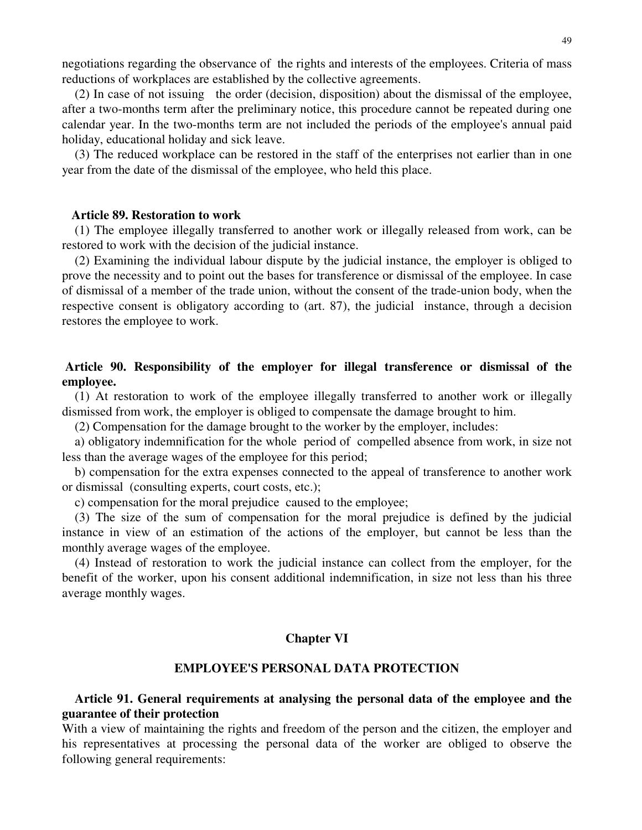negotiations regarding the observance of the rights and interests of the employees. Criteria of mass reductions of workplaces are established by the collective agreements.

(2) In case of not issuing the order (decision, disposition) about the dismissal of the employee, after a two-months term after the preliminary notice, this procedure cannot be repeated during one calendar year. In the two-months term are not included the periods of the employee's annual paid holiday, educational holiday and sick leave.

(3) The reduced workplace can be restored in the staff of the enterprises not earlier than in one year from the date of the dismissal of the employee, who held this place.

#### **Article 89. Restoration to work**

(1) The employee illegally transferred to another work or illegally released from work, can be restored to work with the decision of the judicial instance.

(2) Examining the individual labour dispute by the judicial instance, the employer is obliged to prove the necessity and to point out the bases for transference or dismissal of the employee. In case of dismissal of a member of the trade union, without the consent of the trade-union body, when the respective consent is obligatory according to (art. 87), the judicial instance, through a decision restores the employee to work.

# **Article 90. Responsibility of the employer for illegal transference or dismissal of the employee.**

(1) At restoration to work of the employee illegally transferred to another work or illegally dismissed from work, the employer is obliged to compensate the damage brought to him.

(2) Compensation for the damage brought to the worker by the employer, includes:

a) obligatory indemnification for the whole period of compelled absence from work, in size not less than the average wages of the employee for this period;

b) compensation for the extra expenses connected to the appeal of transference to another work or dismissal (consulting experts, court costs, etc.);

c) compensation for the moral prejudice caused to the employee;

(3) The size of the sum of compensation for the moral prejudice is defined by the judicial instance in view of an estimation of the actions of the employer, but cannot be less than the monthly average wages of the employee.

(4) Instead of restoration to work the judicial instance can collect from the employer, for the benefit of the worker, upon his consent additional indemnification, in size not less than his three average monthly wages.

### **Chapter VI**

# **EMPLOYEE'S PERSONAL DATA PROTECTION**

# **Article 91. General requirements at analysing the personal data of the employee and the guarantee of their protection**

With a view of maintaining the rights and freedom of the person and the citizen, the employer and his representatives at processing the personal data of the worker are obliged to observe the following general requirements: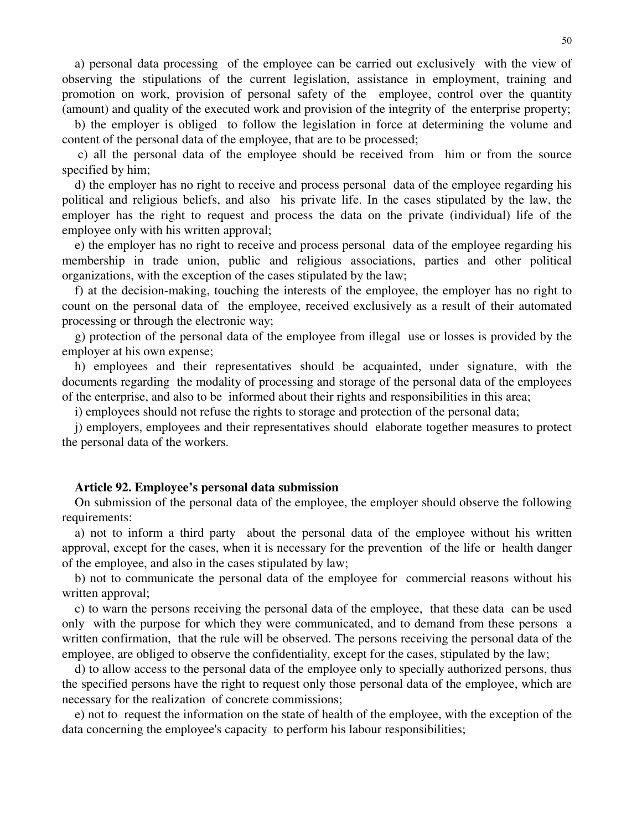a) personal data processing of the employee can be carried out exclusively with the view of observing the stipulations of the current legislation, assistance in employment, training and promotion on work, provision of personal safety of the employee, control over the quantity (amount) and quality of the executed work and provision of the integrity of the enterprise property;

b) the employer is obliged to follow the legislation in force at determining the volume and content of the personal data of the employee, that are to be processed;

c) all the personal data of the employee should be received from him or from the source specified by him;

d) the employer has no right to receive and process personal data of the employee regarding his political and religious beliefs, and also his private life. In the cases stipulated by the law, the employer has the right to request and process the data on the private (individual) life of the employee only with his written approval;

e) the employer has no right to receive and process personal data of the employee regarding his membership in trade union, public and religious associations, parties and other political organizations, with the exception of the cases stipulated by the law;

f) at the decision-making, touching the interests of the employee, the employer has no right to count on the personal data of the employee, received exclusively as a result of their automated processing or through the electronic way;

g) protection of the personal data of the employee from illegal use or losses is provided by the employer at his own expense;

h) employees and their representatives should be acquainted, under signature, with the documents regarding the modality of processing and storage of the personal data of the employees of the enterprise, and also to be informed about their rights and responsibilities in this area;

i) employees should not refuse the rights to storage and protection of the personal data;

j) employers, employees and their representatives should elaborate together measures to protect the personal data of the workers.

#### **Article 92. Employee's personal data submission**

On submission of the personal data of the employee, the employer should observe the following requirements:

a) not to inform a third party about the personal data of the employee without his written approval, except for the cases, when it is necessary for the prevention of the life or health danger of the employee, and also in the cases stipulated by law;

b) not to communicate the personal data of the employee for commercial reasons without his written approval;

c) to warn the persons receiving the personal data of the employee, that these data can be used only with the purpose for which they were communicated, and to demand from these persons a written confirmation, that the rule will be observed. The persons receiving the personal data of the employee, are obliged to observe the confidentiality, except for the cases, stipulated by the law;

d) to allow access to the personal data of the employee only to specially authorized persons, thus the specified persons have the right to request only those personal data of the employee, which are necessary for the realization of concrete commissions;

e) not to request the information on the state of health of the employee, with the exception of the data concerning the employee's capacity to perform his labour responsibilities;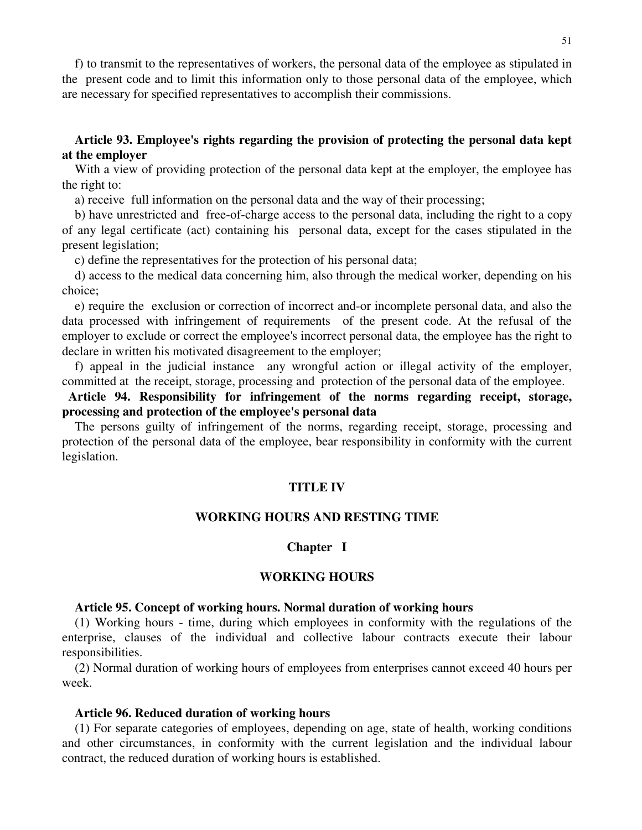f) to transmit to the representatives of workers, the personal data of the employee as stipulated in the present code and to limit this information only to those personal data of the employee, which are necessary for specified representatives to accomplish their commissions.

# **Article 93. Employee's rights regarding the provision of protecting the personal data kept at the employer**

With a view of providing protection of the personal data kept at the employer, the employee has the right to:

a) receive full information on the personal data and the way of their processing;

b) have unrestricted and free-of-charge access to the personal data, including the right to a copy of any legal certificate (act) containing his personal data, except for the cases stipulated in the present legislation;

c) define the representatives for the protection of his personal data;

d) access to the medical data concerning him, also through the medical worker, depending on his choice;

e) require the exclusion or correction of incorrect and-or incomplete personal data, and also the data processed with infringement of requirements of the present code. At the refusal of the employer to exclude or correct the employee's incorrect personal data, the employee has the right to declare in written his motivated disagreement to the employer;

f) appeal in the judicial instance any wrongful action or illegal activity of the employer, committed at the receipt, storage, processing and protection of the personal data of the employee.

**Article 94. Responsibility for infringement of the norms regarding receipt, storage, processing and protection of the employee's personal data**

The persons guilty of infringement of the norms, regarding receipt, storage, processing and protection of the personal data of the employee, bear responsibility in conformity with the current legislation.

## **TITLE IV**

### **WORKING HOURS AND RESTING TIME**

### **Chapter I**

# **WORKING HOURS**

## **Article 95. Concept of working hours. Normal duration of working hours**

(1) Working hours - time, during which employees in conformity with the regulations of the enterprise, clauses of the individual and collective labour contracts execute their labour responsibilities.

(2) Normal duration of working hours of employees from enterprises cannot exceed 40 hours per week.

#### **Article 96. Reduced duration of working hours**

(1) For separate categories of employees, depending on age, state of health, working conditions and other circumstances, in conformity with the current legislation and the individual labour contract, the reduced duration of working hours is established.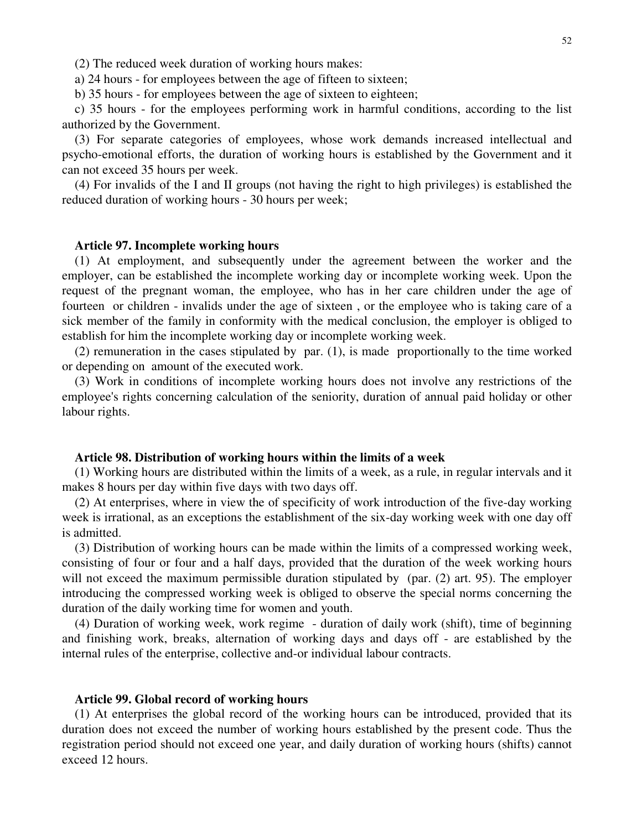(2) The reduced week duration of working hours makes:

a) 24 hours - for employees between the age of fifteen to sixteen;

b) 35 hours - for employees between the age of sixteen to eighteen;

c) 35 hours - for the employees performing work in harmful conditions, according to the list authorized by the Government.

(3) For separate categories of employees, whose work demands increased intellectual and psycho-emotional efforts, the duration of working hours is established by the Government and it can not exceed 35 hours per week.

(4) For invalids of the I and II groups (not having the right to high privileges) is established the reduced duration of working hours - 30 hours per week;

#### **Article 97. Incomplete working hours**

(1) At employment, and subsequently under the agreement between the worker and the employer, can be established the incomplete working day or incomplete working week. Upon the request of the pregnant woman, the employee, who has in her care children under the age of fourteen or children - invalids under the age of sixteen , or the employee who is taking care of a sick member of the family in conformity with the medical conclusion, the employer is obliged to establish for him the incomplete working day or incomplete working week.

(2) remuneration in the cases stipulated by par. (1), is made proportionally to the time worked or depending on amount of the executed work.

(3) Work in conditions of incomplete working hours does not involve any restrictions of the employee's rights concerning calculation of the seniority, duration of annual paid holiday or other labour rights.

### **Article 98. Distribution of working hours within the limits of a week**

(1) Working hours are distributed within the limits of a week, as a rule, in regular intervals and it makes 8 hours per day within five days with two days off.

(2) At enterprises, where in view the of specificity of work introduction of the five-day working week is irrational, as an exceptions the establishment of the six-day working week with one day off is admitted.

(3) Distribution of working hours can be made within the limits of a compressed working week, consisting of four or four and a half days, provided that the duration of the week working hours will not exceed the maximum permissible duration stipulated by (par. (2) art. 95). The employer introducing the compressed working week is obliged to observe the special norms concerning the duration of the daily working time for women and youth.

(4) Duration of working week, work regime - duration of daily work (shift), time of beginning and finishing work, breaks, alternation of working days and days off - are established by the internal rules of the enterprise, collective and-or individual labour contracts.

#### **Article 99. Global record of working hours**

(1) At enterprises the global record of the working hours can be introduced, provided that its duration does not exceed the number of working hours established by the present code. Thus the registration period should not exceed one year, and daily duration of working hours (shifts) cannot exceed 12 hours.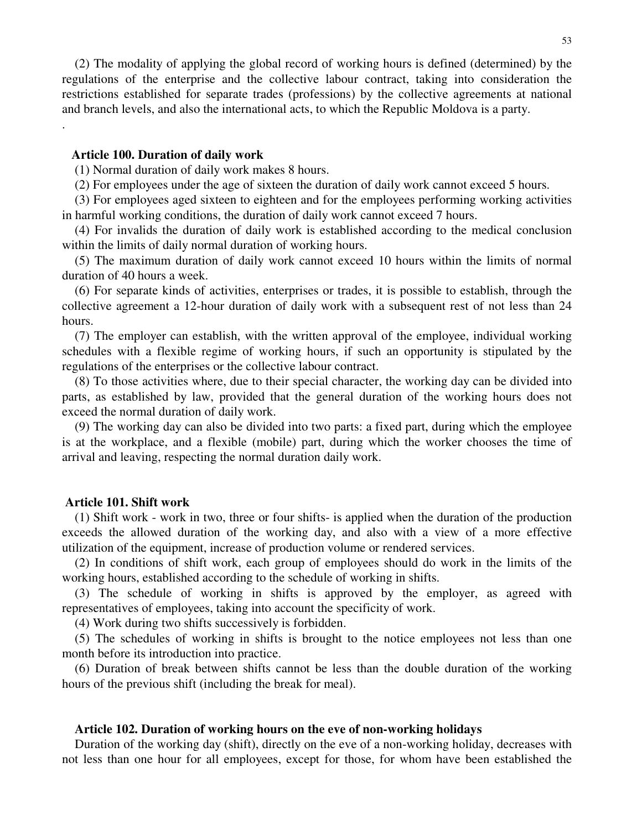(2) The modality of applying the global record of working hours is defined (determined) by the regulations of the enterprise and the collective labour contract, taking into consideration the restrictions established for separate trades (professions) by the collective agreements at national and branch levels, and also the international acts, to which the Republic Moldova is a party.

### **Article 100. Duration of daily work**

.

(1) Normal duration of daily work makes 8 hours.

(2) For employees under the age of sixteen the duration of daily work cannot exceed 5 hours.

(3) For employees aged sixteen to eighteen and for the employees performing working activities in harmful working conditions, the duration of daily work cannot exceed 7 hours.

(4) For invalids the duration of daily work is established according to the medical conclusion within the limits of daily normal duration of working hours.

(5) The maximum duration of daily work cannot exceed 10 hours within the limits of normal duration of 40 hours a week.

(6) For separate kinds of activities, enterprises or trades, it is possible to establish, through the collective agreement a 12-hour duration of daily work with a subsequent rest of not less than 24 hours.

(7) The employer can establish, with the written approval of the employee, individual working schedules with a flexible regime of working hours, if such an opportunity is stipulated by the regulations of the enterprises or the collective labour contract.

(8) To those activities where, due to their special character, the working day can be divided into parts, as established by law, provided that the general duration of the working hours does not exceed the normal duration of daily work.

(9) The working day can also be divided into two parts: a fixed part, during which the employee is at the workplace, and a flexible (mobile) part, during which the worker chooses the time of arrival and leaving, respecting the normal duration daily work.

## **Article 101. Shift work**

(1) Shift work - work in two, three or four shifts- is applied when the duration of the production exceeds the allowed duration of the working day, and also with a view of a more effective utilization of the equipment, increase of production volume or rendered services.

(2) In conditions of shift work, each group of employees should do work in the limits of the working hours, established according to the schedule of working in shifts.

(3) The schedule of working in shifts is approved by the employer, as agreed with representatives of employees, taking into account the specificity of work.

(4) Work during two shifts successively is forbidden.

(5) The schedules of working in shifts is brought to the notice employees not less than one month before its introduction into practice.

(6) Duration of break between shifts cannot be less than the double duration of the working hours of the previous shift (including the break for meal).

### **Article 102. Duration of working hours on the eve of non-working holidays**

Duration of the working day (shift), directly on the eve of a non-working holiday, decreases with not less than one hour for all employees, except for those, for whom have been established the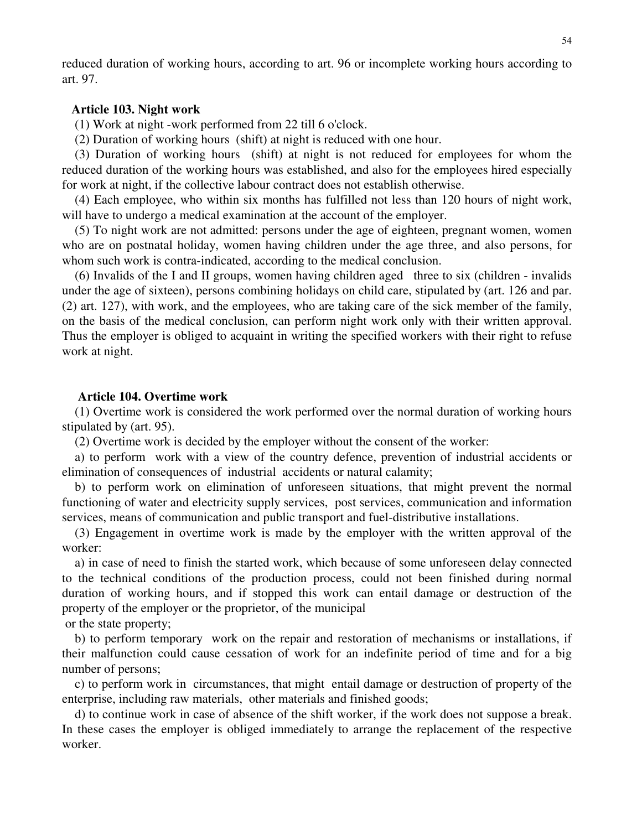reduced duration of working hours, according to art. 96 or incomplete working hours according to art. 97.

### **Article 103. Night work**

(1) Work at night -work performed from 22 till 6 o'clock.

(2) Duration of working hours (shift) at night is reduced with one hour.

(3) Duration of working hours (shift) at night is not reduced for employees for whom the reduced duration of the working hours was established, and also for the employees hired especially for work at night, if the collective labour contract does not establish otherwise.

(4) Each employee, who within six months has fulfilled not less than 120 hours of night work, will have to undergo a medical examination at the account of the employer.

(5) To night work are not admitted: persons under the age of eighteen, pregnant women, women who are on postnatal holiday, women having children under the age three, and also persons, for whom such work is contra-indicated, according to the medical conclusion.

(6) Invalids of the I and II groups, women having children aged three to six (children - invalids under the age of sixteen), persons combining holidays on child care, stipulated by (art. 126 and par. (2) art. 127), with work, and the employees, who are taking care of the sick member of the family, on the basis of the medical conclusion, can perform night work only with their written approval. Thus the employer is obliged to acquaint in writing the specified workers with their right to refuse work at night.

## **Article 104. Overtime work**

(1) Overtime work is considered the work performed over the normal duration of working hours stipulated by (art. 95).

(2) Overtime work is decided by the employer without the consent of the worker:

a) to perform work with a view of the country defence, prevention of industrial accidents or elimination of consequences of industrial accidents or natural calamity;

b) to perform work on elimination of unforeseen situations, that might prevent the normal functioning of water and electricity supply services, post services, communication and information services, means of communication and public transport and fuel-distributive installations.

(3) Engagement in overtime work is made by the employer with the written approval of the worker:

a) in case of need to finish the started work, which because of some unforeseen delay connected to the technical conditions of the production process, could not been finished during normal duration of working hours, and if stopped this work can entail damage or destruction of the property of the employer or the proprietor, of the municipal

or the state property;

b) to perform temporary work on the repair and restoration of mechanisms or installations, if their malfunction could cause cessation of work for an indefinite period of time and for a big number of persons;

c) to perform work in circumstances, that might entail damage or destruction of property of the enterprise, including raw materials, other materials and finished goods;

d) to continue work in case of absence of the shift worker, if the work does not suppose a break. In these cases the employer is obliged immediately to arrange the replacement of the respective worker.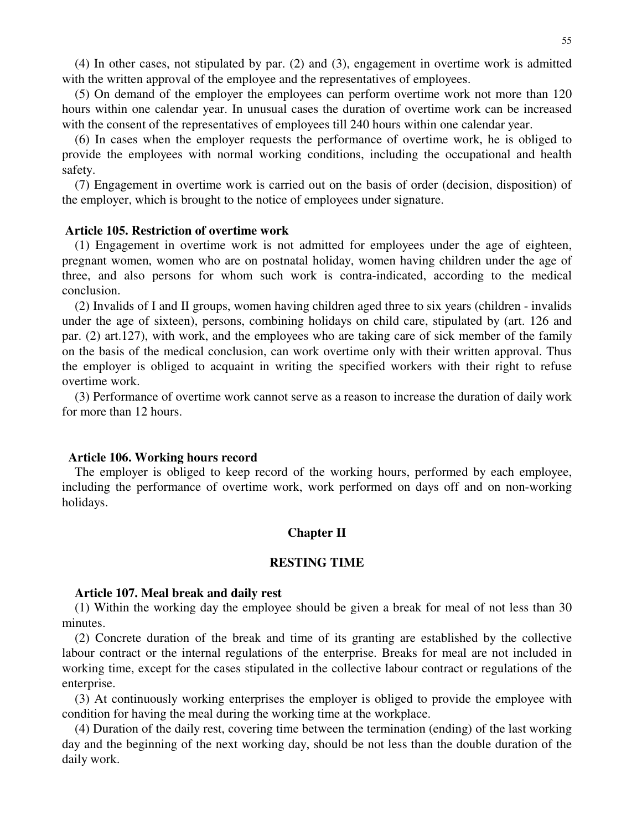(4) In other cases, not stipulated by par. (2) and (3), engagement in overtime work is admitted with the written approval of the employee and the representatives of employees.

(5) On demand of the employer the employees can perform overtime work not more than 120 hours within one calendar year. In unusual cases the duration of overtime work can be increased with the consent of the representatives of employees till 240 hours within one calendar year.

(6) In cases when the employer requests the performance of overtime work, he is obliged to provide the employees with normal working conditions, including the occupational and health safety.

(7) Engagement in overtime work is carried out on the basis of order (decision, disposition) of the employer, which is brought to the notice of employees under signature.

## **Article 105. Restriction of overtime work**

(1) Engagement in overtime work is not admitted for employees under the age of eighteen, pregnant women, women who are on postnatal holiday, women having children under the age of three, and also persons for whom such work is contra-indicated, according to the medical conclusion.

(2) Invalids of I and II groups, women having children aged three to six years (children - invalids under the age of sixteen), persons, combining holidays on child care, stipulated by (art. 126 and par. (2) art.127), with work, and the employees who are taking care of sick member of the family on the basis of the medical conclusion, can work overtime only with their written approval. Thus the employer is obliged to acquaint in writing the specified workers with their right to refuse overtime work.

(3) Performance of overtime work cannot serve as a reason to increase the duration of daily work for more than 12 hours.

#### **Article 106. Working hours record**

The employer is obliged to keep record of the working hours, performed by each employee, including the performance of overtime work, work performed on days off and on non-working holidays.

### **Chapter II**

#### **RESTING TIME**

### **Article 107. Meal break and daily rest**

(1) Within the working day the employee should be given a break for meal of not less than 30 minutes.

(2) Concrete duration of the break and time of its granting are established by the collective labour contract or the internal regulations of the enterprise. Breaks for meal are not included in working time, except for the cases stipulated in the collective labour contract or regulations of the enterprise.

(3) At continuously working enterprises the employer is obliged to provide the employee with condition for having the meal during the working time at the workplace.

(4) Duration of the daily rest, covering time between the termination (ending) of the last working day and the beginning of the next working day, should be not less than the double duration of the daily work.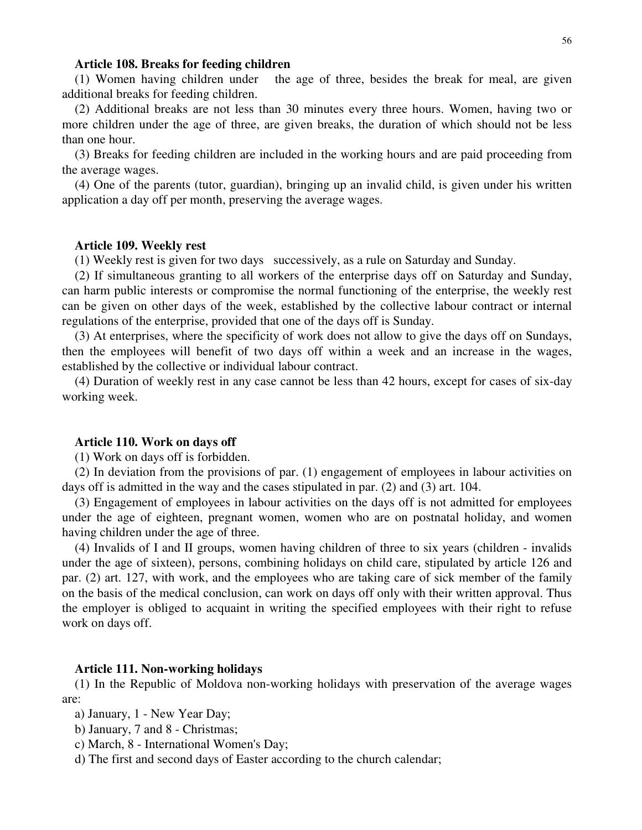#### **Article 108. Breaks for feeding children**

(1) Women having children under the age of three, besides the break for meal, are given additional breaks for feeding children.

(2) Additional breaks are not less than 30 minutes every three hours. Women, having two or more children under the age of three, are given breaks, the duration of which should not be less than one hour.

(3) Breaks for feeding children are included in the working hours and are paid proceeding from the average wages.

(4) One of the parents (tutor, guardian), bringing up an invalid child, is given under his written application a day off per month, preserving the average wages.

#### **Article 109. Weekly rest**

(1) Weekly rest is given for two days successively, as a rule on Saturday and Sunday.

(2) If simultaneous granting to all workers of the enterprise days off on Saturday and Sunday, can harm public interests or compromise the normal functioning of the enterprise, the weekly rest can be given on other days of the week, established by the collective labour contract or internal regulations of the enterprise, provided that one of the days off is Sunday.

(3) At enterprises, where the specificity of work does not allow to give the days off on Sundays, then the employees will benefit of two days off within a week and an increase in the wages, established by the collective or individual labour contract.

(4) Duration of weekly rest in any case cannot be less than 42 hours, except for cases of six-day working week.

#### **Article 110. Work on days off**

(1) Work on days off is forbidden.

(2) In deviation from the provisions of par. (1) engagement of employees in labour activities on days off is admitted in the way and the cases stipulated in par. (2) and (3) art. 104.

(3) Engagement of employees in labour activities on the days off is not admitted for employees under the age of eighteen, pregnant women, women who are on postnatal holiday, and women having children under the age of three.

(4) Invalids of I and II groups, women having children of three to six years (children - invalids under the age of sixteen), persons, combining holidays on child care, stipulated by article 126 and par. (2) art. 127, with work, and the employees who are taking care of sick member of the family on the basis of the medical conclusion, can work on days off only with their written approval. Thus the employer is obliged to acquaint in writing the specified employees with their right to refuse work on days off.

### **Article 111. Non-working holidays**

(1) In the Republic of Moldova non-working holidays with preservation of the average wages are:

a) January, 1 - New Year Day;

- b) January, 7 and 8 Christmas;
- c) March, 8 International Women's Day;

d) The first and second days of Easter according to the church calendar;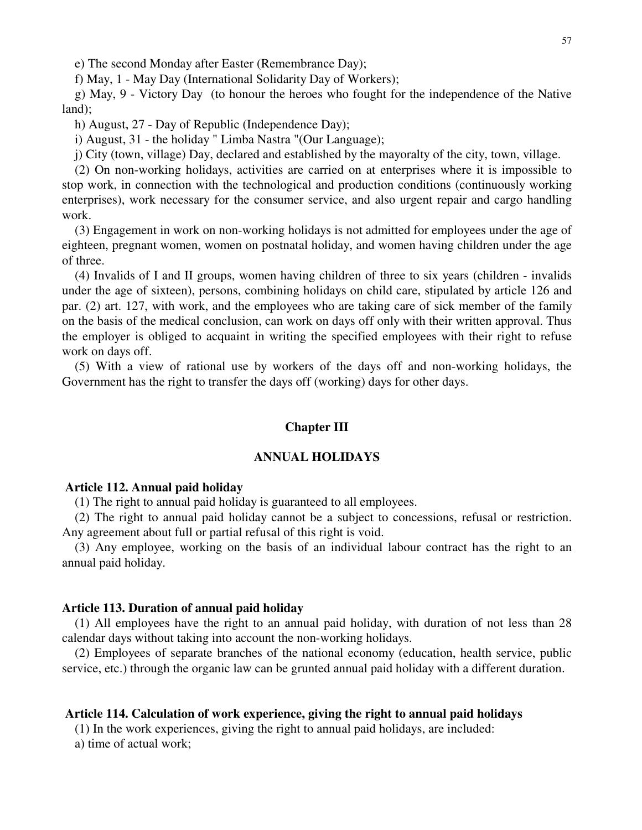e) The second Monday after Easter (Remembrance Day);

f) May, 1 - May Day (International Solidarity Day of Workers);

g) May, 9 - Victory Day (to honour the heroes who fought for the independence of the Native land);

h) August, 27 - Day of Republic (Independence Day);

i) August, 31 - the holiday " Limba Nastra "(Our Language);

j) City (town, village) Day, declared and established by the mayoralty of the city, town, village.

(2) On non-working holidays, activities are carried on at enterprises where it is impossible to stop work, in connection with the technological and production conditions (continuously working enterprises), work necessary for the consumer service, and also urgent repair and cargo handling work.

(3) Engagement in work on non-working holidays is not admitted for employees under the age of eighteen, pregnant women, women on postnatal holiday, and women having children under the age of three.

(4) Invalids of I and II groups, women having children of three to six years (children - invalids under the age of sixteen), persons, combining holidays on child care, stipulated by article 126 and par. (2) art. 127, with work, and the employees who are taking care of sick member of the family on the basis of the medical conclusion, can work on days off only with their written approval. Thus the employer is obliged to acquaint in writing the specified employees with their right to refuse work on days off.

(5) With a view of rational use by workers of the days off and non-working holidays, the Government has the right to transfer the days off (working) days for other days.

## **Chapter III**

## **ANNUAL HOLIDAYS**

#### **Article 112. Annual paid holiday**

(1) The right to annual paid holiday is guaranteed to all employees.

(2) The right to annual paid holiday cannot be a subject to concessions, refusal or restriction. Any agreement about full or partial refusal of this right is void.

(3) Any employee, working on the basis of an individual labour contract has the right to an annual paid holiday.

## **Article 113. Duration of annual paid holiday**

(1) All employees have the right to an annual paid holiday, with duration of not less than 28 calendar days without taking into account the non-working holidays.

(2) Employees of separate branches of the national economy (education, health service, public service, etc.) through the organic law can be grunted annual paid holiday with a different duration.

## **Article 114. Calculation of work experience, giving the right to annual paid holidays**

(1) In the work experiences, giving the right to annual paid holidays, are included:

a) time of actual work;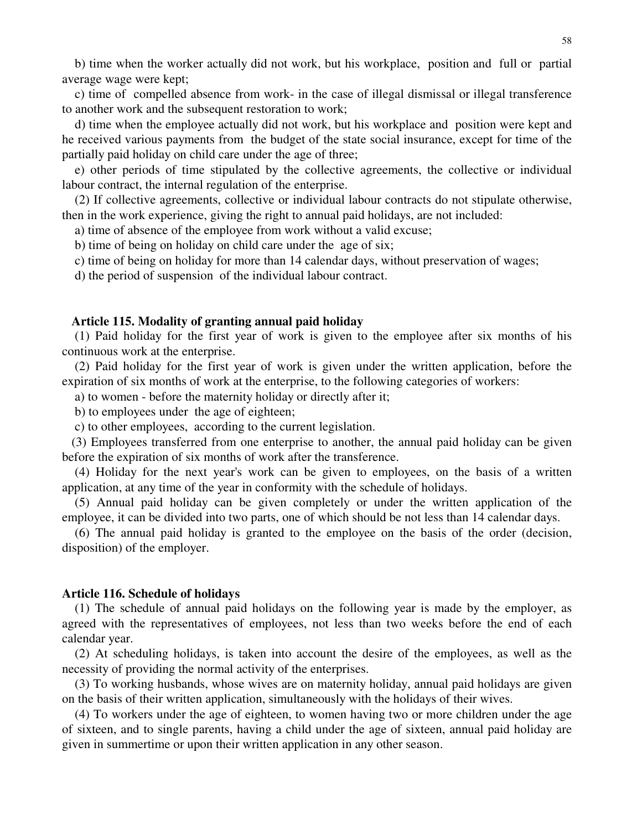b) time when the worker actually did not work, but his workplace, position and full or partial average wage were kept;

c) time of compelled absence from work- in the case of illegal dismissal or illegal transference to another work and the subsequent restoration to work;

d) time when the employee actually did not work, but his workplace and position were kept and he received various payments from the budget of the state social insurance, except for time of the partially paid holiday on child care under the age of three;

e) other periods of time stipulated by the collective agreements, the collective or individual labour contract, the internal regulation of the enterprise.

(2) If collective agreements, collective or individual labour contracts do not stipulate otherwise, then in the work experience, giving the right to annual paid holidays, are not included:

a) time of absence of the employee from work without a valid excuse;

b) time of being on holiday on child care under the age of six;

c) time of being on holiday for more than 14 calendar days, without preservation of wages;

d) the period of suspension of the individual labour contract.

#### **Article 115. Modality of granting annual paid holiday**

(1) Paid holiday for the first year of work is given to the employee after six months of his continuous work at the enterprise.

(2) Paid holiday for the first year of work is given under the written application, before the expiration of six months of work at the enterprise, to the following categories of workers:

a) to women - before the maternity holiday or directly after it;

b) to employees under the age of eighteen;

c) to other employees, according to the current legislation.

(3) Employees transferred from one enterprise to another, the annual paid holiday can be given before the expiration of six months of work after the transference.

(4) Holiday for the next year's work can be given to employees, on the basis of a written application, at any time of the year in conformity with the schedule of holidays.

(5) Annual paid holiday can be given completely or under the written application of the employee, it can be divided into two parts, one of which should be not less than 14 calendar days.

(6) The annual paid holiday is granted to the employee on the basis of the order (decision, disposition) of the employer.

### **Article 116. Schedule of holidays**

(1) The schedule of annual paid holidays on the following year is made by the employer, as agreed with the representatives of employees, not less than two weeks before the end of each calendar year.

(2) At scheduling holidays, is taken into account the desire of the employees, as well as the necessity of providing the normal activity of the enterprises.

(3) To working husbands, whose wives are on maternity holiday, annual paid holidays are given on the basis of their written application, simultaneously with the holidays of their wives.

(4) To workers under the age of eighteen, to women having two or more children under the age of sixteen, and to single parents, having a child under the age of sixteen, annual paid holiday are given in summertime or upon their written application in any other season.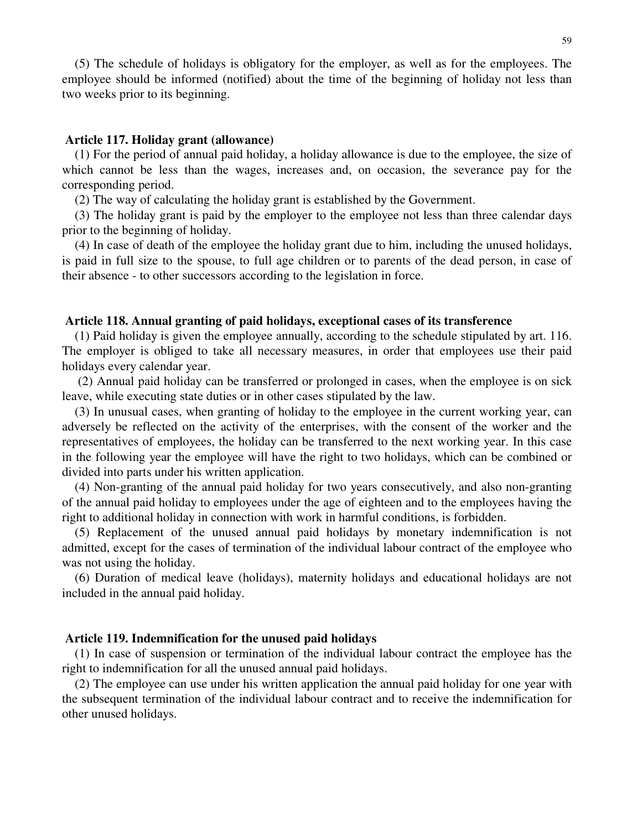(5) The schedule of holidays is obligatory for the employer, as well as for the employees. The employee should be informed (notified) about the time of the beginning of holiday not less than two weeks prior to its beginning.

## **Article 117. Holiday grant (allowance)**

(1) For the period of annual paid holiday, a holiday allowance is due to the employee, the size of which cannot be less than the wages, increases and, on occasion, the severance pay for the corresponding period.

(2) The way of calculating the holiday grant is established by the Government.

(3) The holiday grant is paid by the employer to the employee not less than three calendar days prior to the beginning of holiday.

(4) In case of death of the employee the holiday grant due to him, including the unused holidays, is paid in full size to the spouse, to full age children or to parents of the dead person, in case of their absence - to other successors according to the legislation in force.

## **Article 118. Annual granting of paid holidays, exceptional cases of its transference**

(1) Paid holiday is given the employee annually, according to the schedule stipulated by art. 116. The employer is obliged to take all necessary measures, in order that employees use their paid holidays every calendar year.

(2) Annual paid holiday can be transferred or prolonged in cases, when the employee is on sick leave, while executing state duties or in other cases stipulated by the law.

(3) In unusual cases, when granting of holiday to the employee in the current working year, can adversely be reflected on the activity of the enterprises, with the consent of the worker and the representatives of employees, the holiday can be transferred to the next working year. In this case in the following year the employee will have the right to two holidays, which can be combined or divided into parts under his written application.

(4) Non-granting of the annual paid holiday for two years consecutively, and also non-granting of the annual paid holiday to employees under the age of eighteen and to the employees having the right to additional holiday in connection with work in harmful conditions, is forbidden.

(5) Replacement of the unused annual paid holidays by monetary indemnification is not admitted, except for the cases of termination of the individual labour contract of the employee who was not using the holiday.

(6) Duration of medical leave (holidays), maternity holidays and educational holidays are not included in the annual paid holiday.

## **Article 119. Indemnification for the unused paid holidays**

(1) In case of suspension or termination of the individual labour contract the employee has the right to indemnification for all the unused annual paid holidays.

(2) The employee can use under his written application the annual paid holiday for one year with the subsequent termination of the individual labour contract and to receive the indemnification for other unused holidays.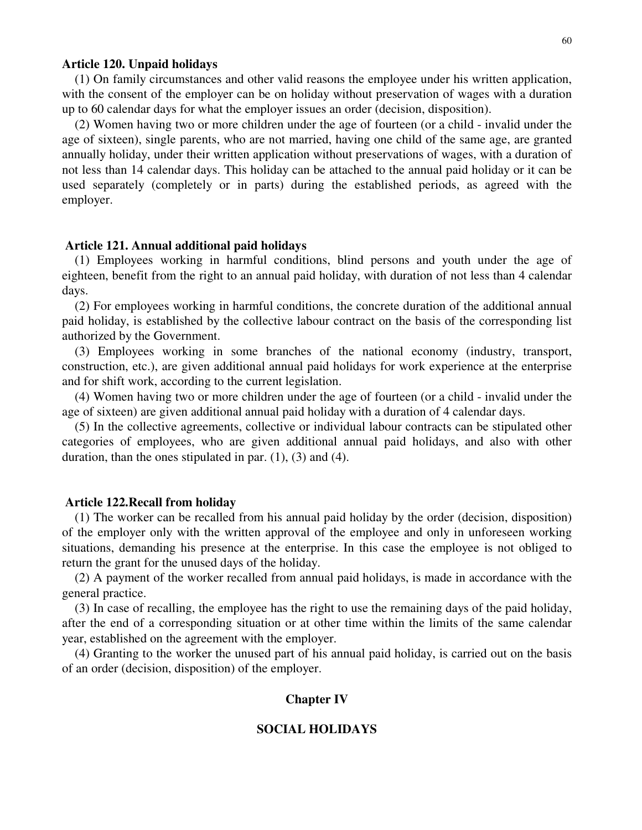#### **Article 120. Unpaid holidays**

(1) On family circumstances and other valid reasons the employee under his written application, with the consent of the employer can be on holiday without preservation of wages with a duration up to 60 calendar days for what the employer issues an order (decision, disposition).

(2) Women having two or more children under the age of fourteen (or a child - invalid under the age of sixteen), single parents, who are not married, having one child of the same age, are granted annually holiday, under their written application without preservations of wages, with a duration of not less than 14 calendar days. This holiday can be attached to the annual paid holiday or it can be used separately (completely or in parts) during the established periods, as agreed with the employer.

#### **Article 121. Annual additional paid holidays**

(1) Employees working in harmful conditions, blind persons and youth under the age of eighteen, benefit from the right to an annual paid holiday, with duration of not less than 4 calendar days.

(2) For employees working in harmful conditions, the concrete duration of the additional annual paid holiday, is established by the collective labour contract on the basis of the corresponding list authorized by the Government.

(3) Employees working in some branches of the national economy (industry, transport, construction, etc.), are given additional annual paid holidays for work experience at the enterprise and for shift work, according to the current legislation.

(4) Women having two or more children under the age of fourteen (or a child - invalid under the age of sixteen) are given additional annual paid holiday with a duration of 4 calendar days.

(5) In the collective agreements, collective or individual labour contracts can be stipulated other categories of employees, who are given additional annual paid holidays, and also with other duration, than the ones stipulated in par.  $(1)$ ,  $(3)$  and  $(4)$ .

#### **Article 122.Recall from holiday**

(1) The worker can be recalled from his annual paid holiday by the order (decision, disposition) of the employer only with the written approval of the employee and only in unforeseen working situations, demanding his presence at the enterprise. In this case the employee is not obliged to return the grant for the unused days of the holiday.

(2) A payment of the worker recalled from annual paid holidays, is made in accordance with the general practice.

(3) In case of recalling, the employee has the right to use the remaining days of the paid holiday, after the end of a corresponding situation or at other time within the limits of the same calendar year, established on the agreement with the employer.

(4) Granting to the worker the unused part of his annual paid holiday, is carried out on the basis of an order (decision, disposition) of the employer.

### **Chapter IV**

#### **SOCIAL HOLIDAYS**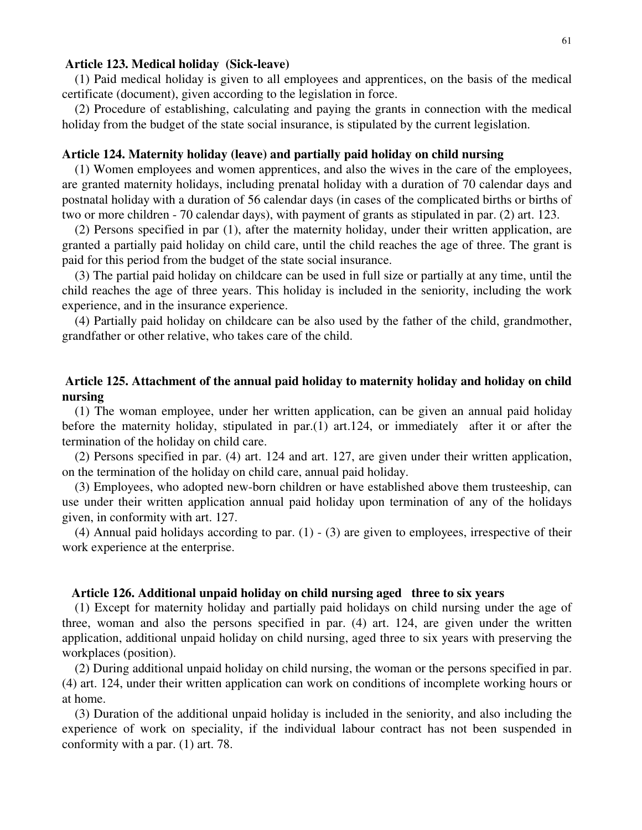### **Article 123. Medical holiday (Sick-leave)**

(1) Paid medical holiday is given to all employees and apprentices, on the basis of the medical certificate (document), given according to the legislation in force.

(2) Procedure of establishing, calculating and paying the grants in connection with the medical holiday from the budget of the state social insurance, is stipulated by the current legislation.

### **Article 124. Maternity holiday (leave) and partially paid holiday on child nursing**

(1) Women employees and women apprentices, and also the wives in the care of the employees, are granted maternity holidays, including prenatal holiday with a duration of 70 calendar days and postnatal holiday with a duration of 56 calendar days (in cases of the complicated births or births of two or more children - 70 calendar days), with payment of grants as stipulated in par. (2) art. 123.

(2) Persons specified in par (1), after the maternity holiday, under their written application, are granted a partially paid holiday on child care, until the child reaches the age of three. The grant is paid for this period from the budget of the state social insurance.

(3) The partial paid holiday on childcare can be used in full size or partially at any time, until the child reaches the age of three years. This holiday is included in the seniority, including the work experience, and in the insurance experience.

(4) Partially paid holiday on childcare can be also used by the father of the child, grandmother, grandfather or other relative, who takes care of the child.

## **Article 125. Attachment of the annual paid holiday to maternity holiday and holiday on child nursing**

(1) The woman employee, under her written application, can be given an annual paid holiday before the maternity holiday, stipulated in par.(1) art.124, or immediately after it or after the termination of the holiday on child care.

(2) Persons specified in par. (4) art. 124 and art. 127, are given under their written application, on the termination of the holiday on child care, annual paid holiday.

(3) Employees, who adopted new-born children or have established above them trusteeship, can use under their written application annual paid holiday upon termination of any of the holidays given, in conformity with art. 127.

(4) Annual paid holidays according to par. (1) - (3) are given to employees, irrespective of their work experience at the enterprise.

## **Article 126. Additional unpaid holiday on child nursing aged three to six years**

(1) Except for maternity holiday and partially paid holidays on child nursing under the age of three, woman and also the persons specified in par. (4) art. 124, are given under the written application, additional unpaid holiday on child nursing, aged three to six years with preserving the workplaces (position).

(2) During additional unpaid holiday on child nursing, the woman or the persons specified in par. (4) art. 124, under their written application can work on conditions of incomplete working hours or at home.

(3) Duration of the additional unpaid holiday is included in the seniority, and also including the experience of work on speciality, if the individual labour contract has not been suspended in conformity with a par. (1) art. 78.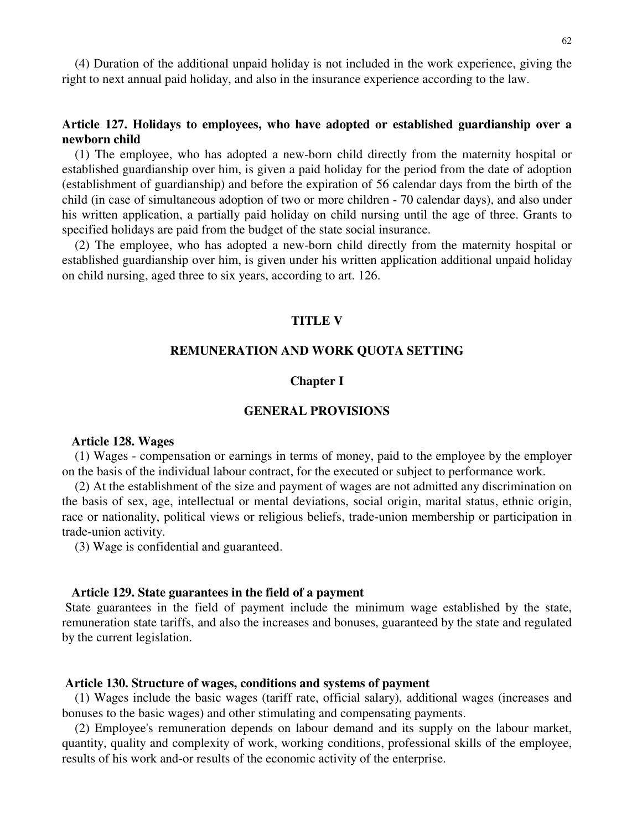(4) Duration of the additional unpaid holiday is not included in the work experience, giving the right to next annual paid holiday, and also in the insurance experience according to the law.

# **Article 127. Holidays to employees, who have adopted or established guardianship over a newborn child**

(1) The employee, who has adopted a new-born child directly from the maternity hospital or established guardianship over him, is given a paid holiday for the period from the date of adoption (establishment of guardianship) and before the expiration of 56 calendar days from the birth of the child (in case of simultaneous adoption of two or more children - 70 calendar days), and also under his written application, a partially paid holiday on child nursing until the age of three. Grants to specified holidays are paid from the budget of the state social insurance.

(2) The employee, who has adopted a new-born child directly from the maternity hospital or established guardianship over him, is given under his written application additional unpaid holiday on child nursing, aged three to six years, according to art. 126.

### **TITLE V**

### **REMUNERATION AND WORK QUOTA SETTING**

### **Chapter I**

## **GENERAL PROVISIONS**

#### **Article 128. Wages**

(1) Wages - compensation or earnings in terms of money, paid to the employee by the employer on the basis of the individual labour contract, for the executed or subject to performance work.

(2) At the establishment of the size and payment of wages are not admitted any discrimination on the basis of sex, age, intellectual or mental deviations, social origin, marital status, ethnic origin, race or nationality, political views or religious beliefs, trade-union membership or participation in trade-union activity.

(3) Wage is confidential and guaranteed.

#### **Article 129. State guarantees in the field of a payment**

State guarantees in the field of payment include the minimum wage established by the state, remuneration state tariffs, and also the increases and bonuses, guaranteed by the state and regulated by the current legislation.

### **Article 130. Structure of wages, conditions and systems of payment**

(1) Wages include the basic wages (tariff rate, official salary), additional wages (increases and bonuses to the basic wages) and other stimulating and compensating payments.

(2) Employee's remuneration depends on labour demand and its supply on the labour market, quantity, quality and complexity of work, working conditions, professional skills of the employee, results of his work and-or results of the economic activity of the enterprise.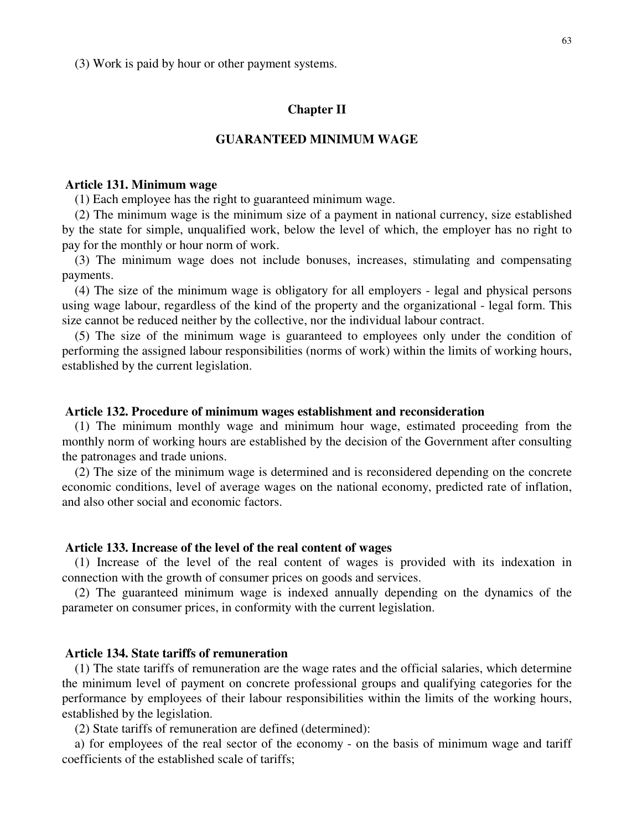(3) Work is paid by hour or other payment systems.

## **Chapter II**

## **GUARANTEED MINIMUM WAGE**

### **Article 131. Minimum wage**

(1) Each employee has the right to guaranteed minimum wage.

(2) The minimum wage is the minimum size of a payment in national currency, size established by the state for simple, unqualified work, below the level of which, the employer has no right to pay for the monthly or hour norm of work.

(3) The minimum wage does not include bonuses, increases, stimulating and compensating payments.

(4) The size of the minimum wage is obligatory for all employers - legal and physical persons using wage labour, regardless of the kind of the property and the organizational - legal form. This size cannot be reduced neither by the collective, nor the individual labour contract.

(5) The size of the minimum wage is guaranteed to employees only under the condition of performing the assigned labour responsibilities (norms of work) within the limits of working hours, established by the current legislation.

## **Article 132. Procedure of minimum wages establishment and reconsideration**

(1) The minimum monthly wage and minimum hour wage, estimated proceeding from the monthly norm of working hours are established by the decision of the Government after consulting the patronages and trade unions.

(2) The size of the minimum wage is determined and is reconsidered depending on the concrete economic conditions, level of average wages on the national economy, predicted rate of inflation, and also other social and economic factors.

### **Article 133. Increase of the level of the real content of wages**

(1) Increase of the level of the real content of wages is provided with its indexation in connection with the growth of consumer prices on goods and services.

(2) The guaranteed minimum wage is indexed annually depending on the dynamics of the parameter on consumer prices, in conformity with the current legislation.

## **Article 134. State tariffs of remuneration**

(1) The state tariffs of remuneration are the wage rates and the official salaries, which determine the minimum level of payment on concrete professional groups and qualifying categories for the performance by employees of their labour responsibilities within the limits of the working hours, established by the legislation.

(2) State tariffs of remuneration are defined (determined):

a) for employees of the real sector of the economy - on the basis of minimum wage and tariff coefficients of the established scale of tariffs;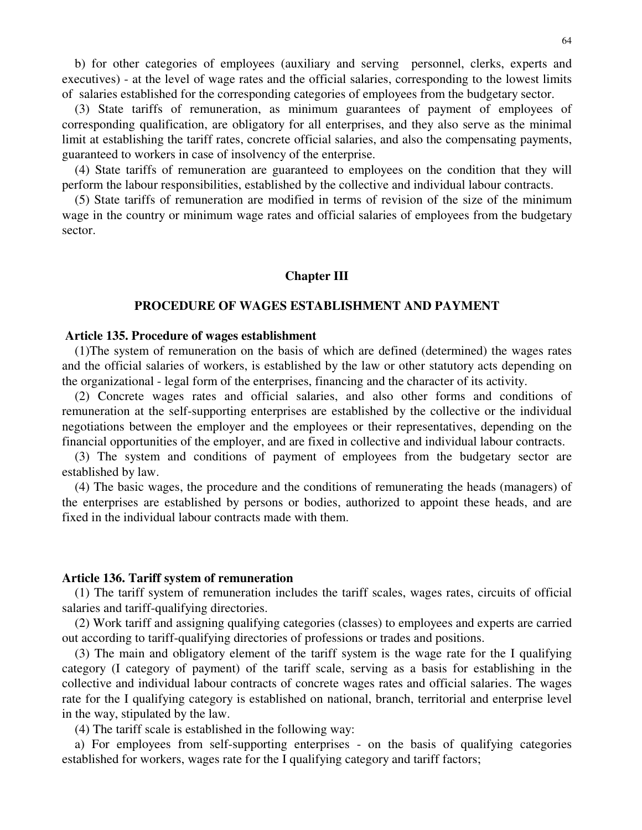b) for other categories of employees (auxiliary and serving personnel, clerks, experts and executives) - at the level of wage rates and the official salaries, corresponding to the lowest limits of salaries established for the corresponding categories of employees from the budgetary sector.

(3) State tariffs of remuneration, as minimum guarantees of payment of employees of corresponding qualification, are obligatory for all enterprises, and they also serve as the minimal limit at establishing the tariff rates, concrete official salaries, and also the compensating payments, guaranteed to workers in case of insolvency of the enterprise.

(4) State tariffs of remuneration are guaranteed to employees on the condition that they will perform the labour responsibilities, established by the collective and individual labour contracts.

(5) State tariffs of remuneration are modified in terms of revision of the size of the minimum wage in the country or minimum wage rates and official salaries of employees from the budgetary sector.

## **Chapter III**

#### **PROCEDURE OF WAGES ESTABLISHMENT AND PAYMENT**

#### **Article 135. Procedure of wages establishment**

(1)The system of remuneration on the basis of which are defined (determined) the wages rates and the official salaries of workers, is established by the law or other statutory acts depending on the organizational - legal form of the enterprises, financing and the character of its activity.

(2) Concrete wages rates and official salaries, and also other forms and conditions of remuneration at the self-supporting enterprises are established by the collective or the individual negotiations between the employer and the employees or their representatives, depending on the financial opportunities of the employer, and are fixed in collective and individual labour contracts.

(3) The system and conditions of payment of employees from the budgetary sector are established by law.

(4) The basic wages, the procedure and the conditions of remunerating the heads (managers) of the enterprises are established by persons or bodies, authorized to appoint these heads, and are fixed in the individual labour contracts made with them.

#### **Article 136. Tariff system of remuneration**

(1) The tariff system of remuneration includes the tariff scales, wages rates, circuits of official salaries and tariff-qualifying directories.

(2) Work tariff and assigning qualifying categories (classes) to employees and experts are carried out according to tariff-qualifying directories of professions or trades and positions.

(3) The main and obligatory element of the tariff system is the wage rate for the I qualifying category (I category of payment) of the tariff scale, serving as a basis for establishing in the collective and individual labour contracts of concrete wages rates and official salaries. The wages rate for the I qualifying category is established on national, branch, territorial and enterprise level in the way, stipulated by the law.

(4) The tariff scale is established in the following way:

a) For employees from self-supporting enterprises - on the basis of qualifying categories established for workers, wages rate for the I qualifying category and tariff factors;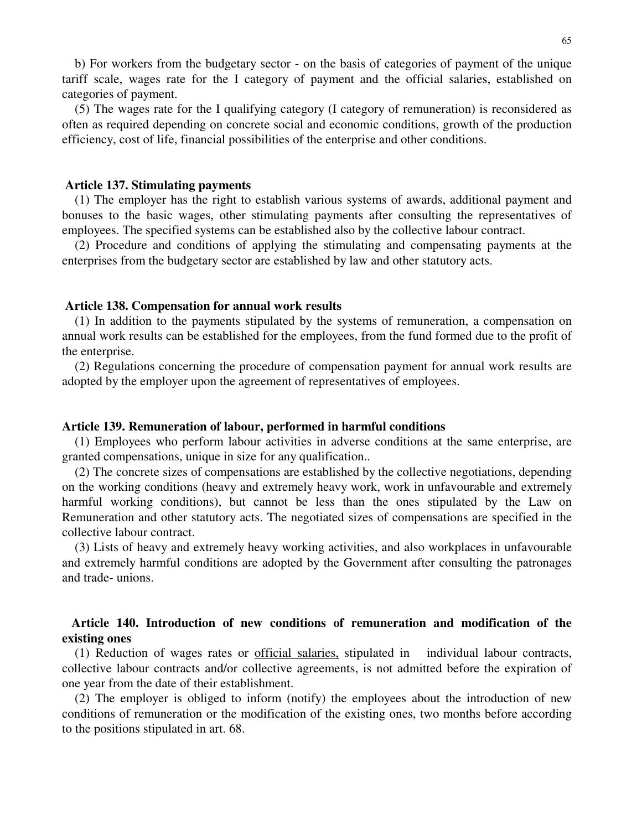b) For workers from the budgetary sector - on the basis of categories of payment of the unique tariff scale, wages rate for the I category of payment and the official salaries, established on categories of payment.

(5) The wages rate for the I qualifying category (I category of remuneration) is reconsidered as often as required depending on concrete social and economic conditions, growth of the production efficiency, cost of life, financial possibilities of the enterprise and other conditions.

#### **Article 137. Stimulating payments**

(1) The employer has the right to establish various systems of awards, additional payment and bonuses to the basic wages, other stimulating payments after consulting the representatives of employees. The specified systems can be established also by the collective labour contract.

(2) Procedure and conditions of applying the stimulating and compensating payments at the enterprises from the budgetary sector are established by law and other statutory acts.

### **Article 138. Compensation for annual work results**

(1) In addition to the payments stipulated by the systems of remuneration, a compensation on annual work results can be established for the employees, from the fund formed due to the profit of the enterprise.

(2) Regulations concerning the procedure of compensation payment for annual work results are adopted by the employer upon the agreement of representatives of employees.

### **Article 139. Remuneration of labour, performed in harmful conditions**

(1) Employees who perform labour activities in adverse conditions at the same enterprise, are granted compensations, unique in size for any qualification..

(2) The concrete sizes of compensations are established by the collective negotiations, depending on the working conditions (heavy and extremely heavy work, work in unfavourable and extremely harmful working conditions), but cannot be less than the ones stipulated by the Law on Remuneration and other statutory acts. The negotiated sizes of compensations are specified in the collective labour contract.

(3) Lists of heavy and extremely heavy working activities, and also workplaces in unfavourable and extremely harmful conditions are adopted by the Government after consulting the patronages and trade- unions.

# **Article 140. Introduction of new conditions of remuneration and modification of the existing ones**

(1) Reduction of wages rates or official salaries, stipulated in individual labour contracts, collective labour contracts and/or collective agreements, is not admitted before the expiration of one year from the date of their establishment.

(2) The employer is obliged to inform (notify) the employees about the introduction of new conditions of remuneration or the modification of the existing ones, two months before according to the positions stipulated in art. 68.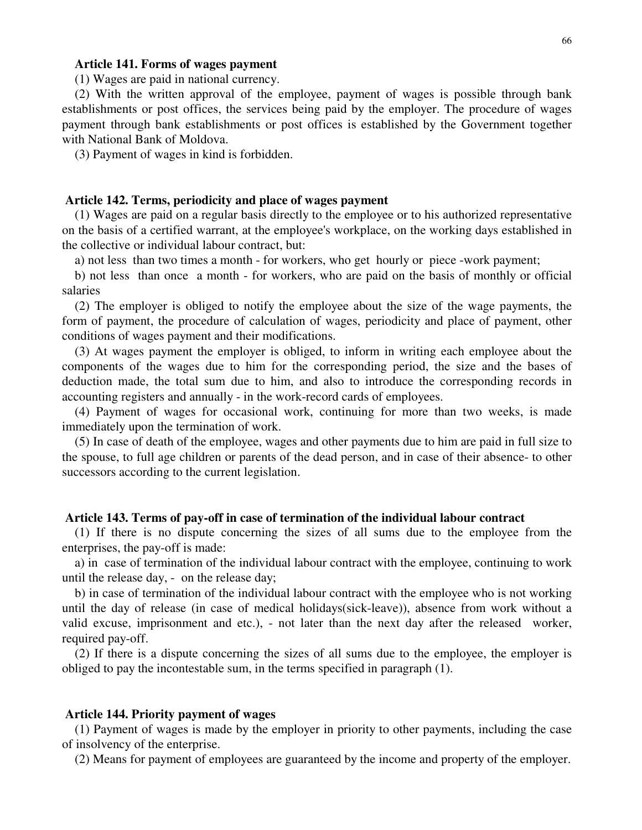## **Article 141. Forms of wages payment**

(1) Wages are paid in national currency.

(2) With the written approval of the employee, payment of wages is possible through bank establishments or post offices, the services being paid by the employer. The procedure of wages payment through bank establishments or post offices is established by the Government together with National Bank of Moldova.

(3) Payment of wages in kind is forbidden.

### **Article 142. Terms, periodicity and place of wages payment**

(1) Wages are paid on a regular basis directly to the employee or to his authorized representative on the basis of a certified warrant, at the employee's workplace, on the working days established in the collective or individual labour contract, but:

a) not less than two times a month - for workers, who get hourly or piece -work payment;

b) not less than once a month - for workers, who are paid on the basis of monthly or official salaries

(2) The employer is obliged to notify the employee about the size of the wage payments, the form of payment, the procedure of calculation of wages, periodicity and place of payment, other conditions of wages payment and their modifications.

(3) At wages payment the employer is obliged, to inform in writing each employee about the components of the wages due to him for the corresponding period, the size and the bases of deduction made, the total sum due to him, and also to introduce the corresponding records in accounting registers and annually - in the work-record cards of employees.

(4) Payment of wages for occasional work, continuing for more than two weeks, is made immediately upon the termination of work.

(5) In case of death of the employee, wages and other payments due to him are paid in full size to the spouse, to full age children or parents of the dead person, and in case of their absence- to other successors according to the current legislation.

## **Article 143. Terms of pay-off in case of termination of the individual labour contract**

(1) If there is no dispute concerning the sizes of all sums due to the employee from the enterprises, the pay-off is made:

a) in case of termination of the individual labour contract with the employee, continuing to work until the release day, - on the release day;

b) in case of termination of the individual labour contract with the employee who is not working until the day of release (in case of medical holidays(sick-leave)), absence from work without a valid excuse, imprisonment and etc.), - not later than the next day after the released worker, required pay-off.

(2) If there is a dispute concerning the sizes of all sums due to the employee, the employer is obliged to pay the incontestable sum, in the terms specified in paragraph (1).

#### **Article 144. Priority payment of wages**

(1) Payment of wages is made by the employer in priority to other payments, including the case of insolvency of the enterprise.

(2) Means for payment of employees are guaranteed by the income and property of the employer.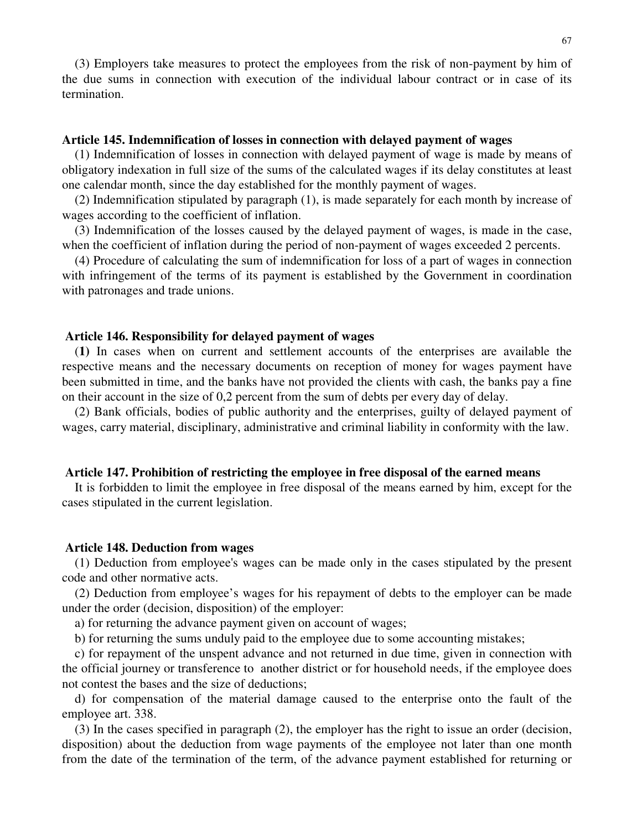(3) Employers take measures to protect the employees from the risk of non-payment by him of the due sums in connection with execution of the individual labour contract or in case of its termination.

## **Article 145. Indemnification of losses in connection with delayed payment of wages**

(1) Indemnification of losses in connection with delayed payment of wage is made by means of obligatory indexation in full size of the sums of the calculated wages if its delay constitutes at least one calendar month, since the day established for the monthly payment of wages.

(2) Indemnification stipulated by paragraph (1), is made separately for each month by increase of wages according to the coefficient of inflation.

(3) Indemnification of the losses caused by the delayed payment of wages, is made in the case, when the coefficient of inflation during the period of non-payment of wages exceeded 2 percents.

(4) Procedure of calculating the sum of indemnification for loss of a part of wages in connection with infringement of the terms of its payment is established by the Government in coordination with patronages and trade unions.

### **Article 146. Responsibility for delayed payment of wages**

(**1)** In cases when on current and settlement accounts of the enterprises are available the respective means and the necessary documents on reception of money for wages payment have been submitted in time, and the banks have not provided the clients with cash, the banks pay a fine on their account in the size of 0,2 percent from the sum of debts per every day of delay.

(2) Bank officials, bodies of public authority and the enterprises, guilty of delayed payment of wages, carry material, disciplinary, administrative and criminal liability in conformity with the law.

### **Article 147. Prohibition of restricting the employee in free disposal of the earned means**

It is forbidden to limit the employee in free disposal of the means earned by him, except for the cases stipulated in the current legislation.

#### **Article 148. Deduction from wages**

(1) Deduction from employee's wages can be made only in the cases stipulated by the present code and other normative acts.

(2) Deduction from employee's wages for his repayment of debts to the employer can be made under the order (decision, disposition) of the employer:

a) for returning the advance payment given on account of wages;

b) for returning the sums unduly paid to the employee due to some accounting mistakes;

c) for repayment of the unspent advance and not returned in due time, given in connection with the official journey or transference to another district or for household needs, if the employee does not contest the bases and the size of deductions;

d) for compensation of the material damage caused to the enterprise onto the fault of the employee art. 338.

(3) In the cases specified in paragraph (2), the employer has the right to issue an order (decision, disposition) about the deduction from wage payments of the employee not later than one month from the date of the termination of the term, of the advance payment established for returning or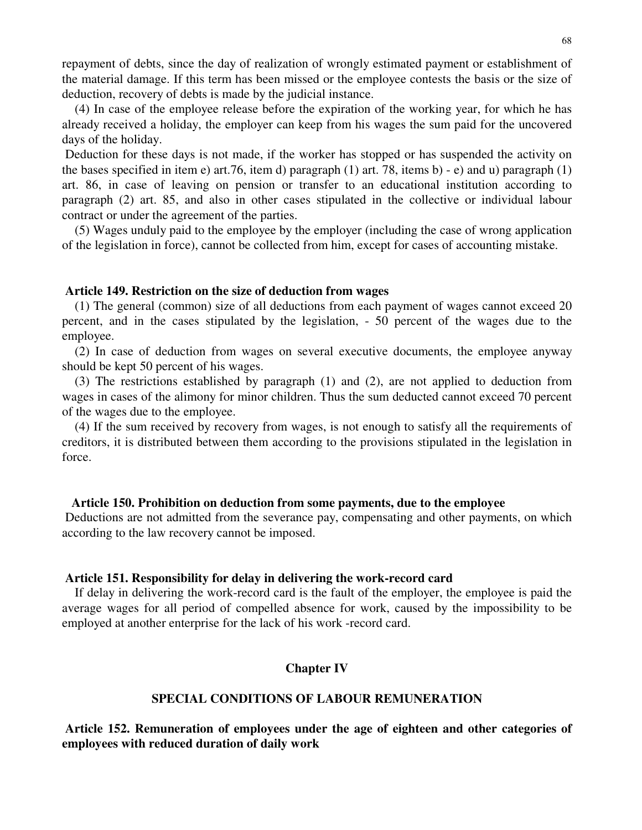repayment of debts, since the day of realization of wrongly estimated payment or establishment of the material damage. If this term has been missed or the employee contests the basis or the size of deduction, recovery of debts is made by the judicial instance.

(4) In case of the employee release before the expiration of the working year, for which he has already received a holiday, the employer can keep from his wages the sum paid for the uncovered days of the holiday.

Deduction for these days is not made, if the worker has stopped or has suspended the activity on the bases specified in item e) art.76, item d) paragraph (1) art. 78, items b) - e) and u) paragraph (1) art. 86, in case of leaving on pension or transfer to an educational institution according to paragraph (2) art. 85, and also in other cases stipulated in the collective or individual labour contract or under the agreement of the parties.

(5) Wages unduly paid to the employee by the employer (including the case of wrong application of the legislation in force), cannot be collected from him, except for cases of accounting mistake.

## **Article 149. Restriction on the size of deduction from wages**

(1) The general (common) size of all deductions from each payment of wages cannot exceed 20 percent, and in the cases stipulated by the legislation, - 50 percent of the wages due to the employee.

(2) In case of deduction from wages on several executive documents, the employee anyway should be kept 50 percent of his wages.

(3) The restrictions established by paragraph (1) and (2), are not applied to deduction from wages in cases of the alimony for minor children. Thus the sum deducted cannot exceed 70 percent of the wages due to the employee.

(4) If the sum received by recovery from wages, is not enough to satisfy all the requirements of creditors, it is distributed between them according to the provisions stipulated in the legislation in force.

#### **Article 150. Prohibition on deduction from some payments, due to the employee**

Deductions are not admitted from the severance pay, compensating and other payments, on which according to the law recovery cannot be imposed.

#### **Article 151. Responsibility for delay in delivering the work-record card**

If delay in delivering the work-record card is the fault of the employer, the employee is paid the average wages for all period of compelled absence for work, caused by the impossibility to be employed at another enterprise for the lack of his work -record card.

### **Chapter IV**

## **SPECIAL CONDITIONS OF LABOUR REMUNERATION**

**Article 152. Remuneration of employees under the age of eighteen and other categories of employees with reduced duration of daily work**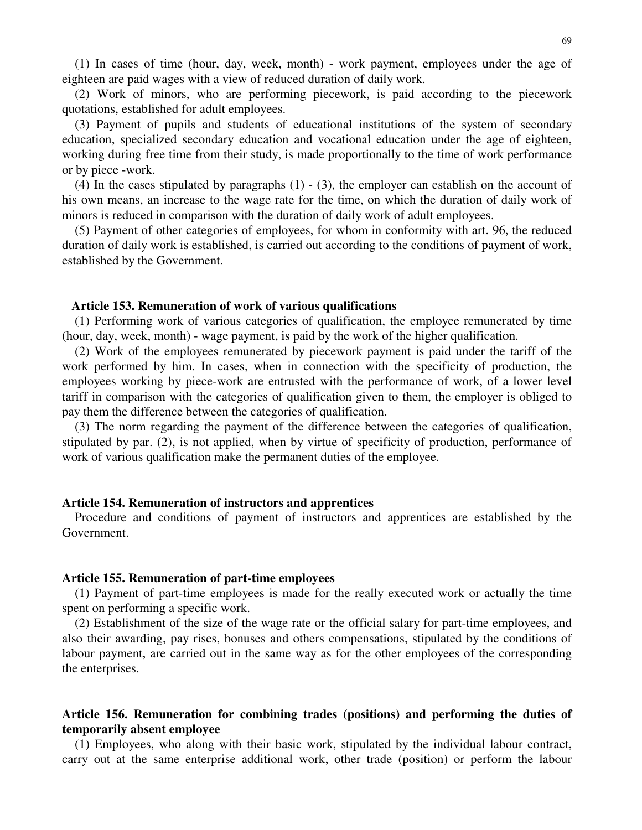(1) In cases of time (hour, day, week, month) - work payment, employees under the age of eighteen are paid wages with a view of reduced duration of daily work.

(2) Work of minors, who are performing piecework, is paid according to the piecework quotations, established for adult employees.

(3) Payment of pupils and students of educational institutions of the system of secondary education, specialized secondary education and vocational education under the age of eighteen, working during free time from their study, is made proportionally to the time of work performance or by piece -work.

(4) In the cases stipulated by paragraphs (1) - (3), the employer can establish on the account of his own means, an increase to the wage rate for the time, on which the duration of daily work of minors is reduced in comparison with the duration of daily work of adult employees.

(5) Payment of other categories of employees, for whom in conformity with art. 96, the reduced duration of daily work is established, is carried out according to the conditions of payment of work, established by the Government.

#### **Article 153. Remuneration of work of various qualifications**

(1) Performing work of various categories of qualification, the employee remunerated by time (hour, day, week, month) - wage payment, is paid by the work of the higher qualification.

(2) Work of the employees remunerated by piecework payment is paid under the tariff of the work performed by him. In cases, when in connection with the specificity of production, the employees working by piece-work are entrusted with the performance of work, of a lower level tariff in comparison with the categories of qualification given to them, the employer is obliged to pay them the difference between the categories of qualification.

(3) The norm regarding the payment of the difference between the categories of qualification, stipulated by par. (2), is not applied, when by virtue of specificity of production, performance of work of various qualification make the permanent duties of the employee.

#### **Article 154. Remuneration of instructors and apprentices**

Procedure and conditions of payment of instructors and apprentices are established by the Government.

#### **Article 155. Remuneration of part-time employees**

(1) Payment of part-time employees is made for the really executed work or actually the time spent on performing a specific work.

(2) Establishment of the size of the wage rate or the official salary for part-time employees, and also their awarding, pay rises, bonuses and others compensations, stipulated by the conditions of labour payment, are carried out in the same way as for the other employees of the corresponding the enterprises.

# **Article 156. Remuneration for combining trades (positions) and performing the duties of temporarily absent employee**

(1) Employees, who along with their basic work, stipulated by the individual labour contract, carry out at the same enterprise additional work, other trade (position) or perform the labour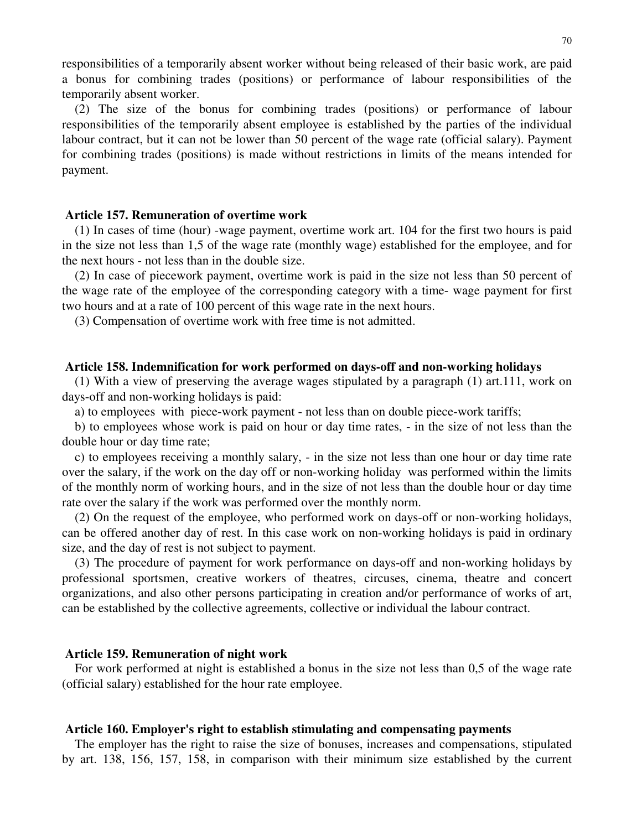responsibilities of a temporarily absent worker without being released of their basic work, are paid a bonus for combining trades (positions) or performance of labour responsibilities of the temporarily absent worker.

(2) The size of the bonus for combining trades (positions) or performance of labour responsibilities of the temporarily absent employee is established by the parties of the individual labour contract, but it can not be lower than 50 percent of the wage rate (official salary). Payment for combining trades (positions) is made without restrictions in limits of the means intended for payment.

## **Article 157. Remuneration of overtime work**

(1) In cases of time (hour) -wage payment, overtime work art. 104 for the first two hours is paid in the size not less than 1,5 of the wage rate (monthly wage) established for the employee, and for the next hours - not less than in the double size.

(2) In case of piecework payment, overtime work is paid in the size not less than 50 percent of the wage rate of the employee of the corresponding category with a time- wage payment for first two hours and at a rate of 100 percent of this wage rate in the next hours.

(3) Compensation of overtime work with free time is not admitted.

### **Article 158. Indemnification for work performed on days-off and non-working holidays**

(1) With a view of preserving the average wages stipulated by a paragraph (1) art.111, work on days-off and non-working holidays is paid:

a) to employees with piece-work payment - not less than on double piece-work tariffs;

b) to employees whose work is paid on hour or day time rates, - in the size of not less than the double hour or day time rate;

c) to employees receiving a monthly salary, - in the size not less than one hour or day time rate over the salary, if the work on the day off or non-working holiday was performed within the limits of the monthly norm of working hours, and in the size of not less than the double hour or day time rate over the salary if the work was performed over the monthly norm.

(2) On the request of the employee, who performed work on days-off or non-working holidays, can be offered another day of rest. In this case work on non-working holidays is paid in ordinary size, and the day of rest is not subject to payment.

(3) The procedure of payment for work performance on days-off and non-working holidays by professional sportsmen, creative workers of theatres, circuses, cinema, theatre and concert organizations, and also other persons participating in creation and/or performance of works of art, can be established by the collective agreements, collective or individual the labour contract.

#### **Article 159. Remuneration of night work**

For work performed at night is established a bonus in the size not less than 0,5 of the wage rate (official salary) established for the hour rate employee.

### **Article 160. Employer's right to establish stimulating and compensating payments**

The employer has the right to raise the size of bonuses, increases and compensations, stipulated by art. 138, 156, 157, 158, in comparison with their minimum size established by the current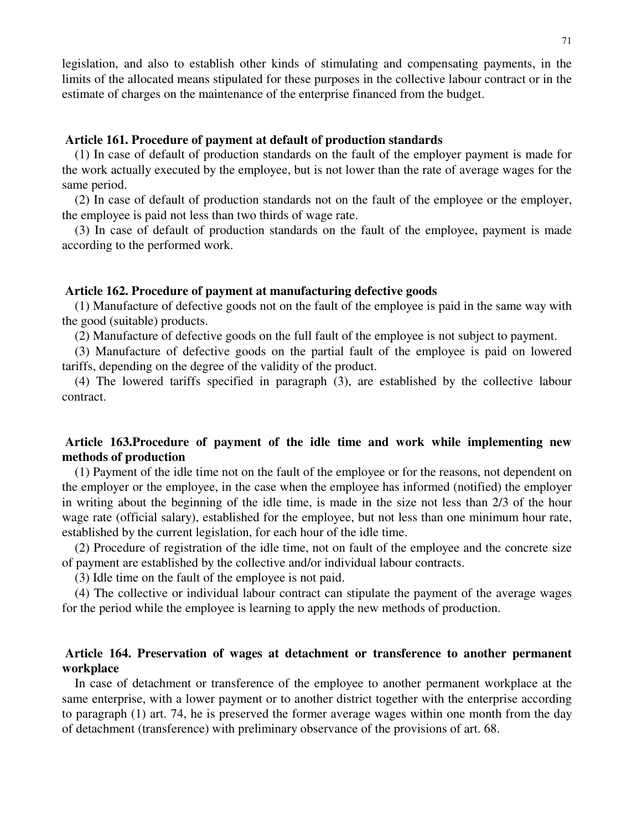legislation, and also to establish other kinds of stimulating and compensating payments, in the limits of the allocated means stipulated for these purposes in the collective labour contract or in the estimate of charges on the maintenance of the enterprise financed from the budget.

# **Article 161. Procedure of payment at default of production standards**

(1) In case of default of production standards on the fault of the employer payment is made for the work actually executed by the employee, but is not lower than the rate of average wages for the same period.

(2) In case of default of production standards not on the fault of the employee or the employer, the employee is paid not less than two thirds of wage rate.

(3) In case of default of production standards on the fault of the employee, payment is made according to the performed work.

### **Article 162. Procedure of payment at manufacturing defective goods**

(1) Manufacture of defective goods not on the fault of the employee is paid in the same way with the good (suitable) products.

(2) Manufacture of defective goods on the full fault of the employee is not subject to payment.

(3) Manufacture of defective goods on the partial fault of the employee is paid on lowered tariffs, depending on the degree of the validity of the product.

(4) The lowered tariffs specified in paragraph (3), are established by the collective labour contract.

# **Article 163.Procedure of payment of the idle time and work while implementing new methods of production**

(1) Payment of the idle time not on the fault of the employee or for the reasons, not dependent on the employer or the employee, in the case when the employee has informed (notified) the employer in writing about the beginning of the idle time, is made in the size not less than 2/3 of the hour wage rate (official salary), established for the employee, but not less than one minimum hour rate, established by the current legislation, for each hour of the idle time.

(2) Procedure of registration of the idle time, not on fault of the employee and the concrete size of payment are established by the collective and/or individual labour contracts.

(3) Idle time on the fault of the employee is not paid.

(4) The collective or individual labour contract can stipulate the payment of the average wages for the period while the employee is learning to apply the new methods of production.

# **Article 164. Preservation of wages at detachment or transference to another permanent workplace**

In case of detachment or transference of the employee to another permanent workplace at the same enterprise, with a lower payment or to another district together with the enterprise according to paragraph (1) art. 74, he is preserved the former average wages within one month from the day of detachment (transference) with preliminary observance of the provisions of art. 68.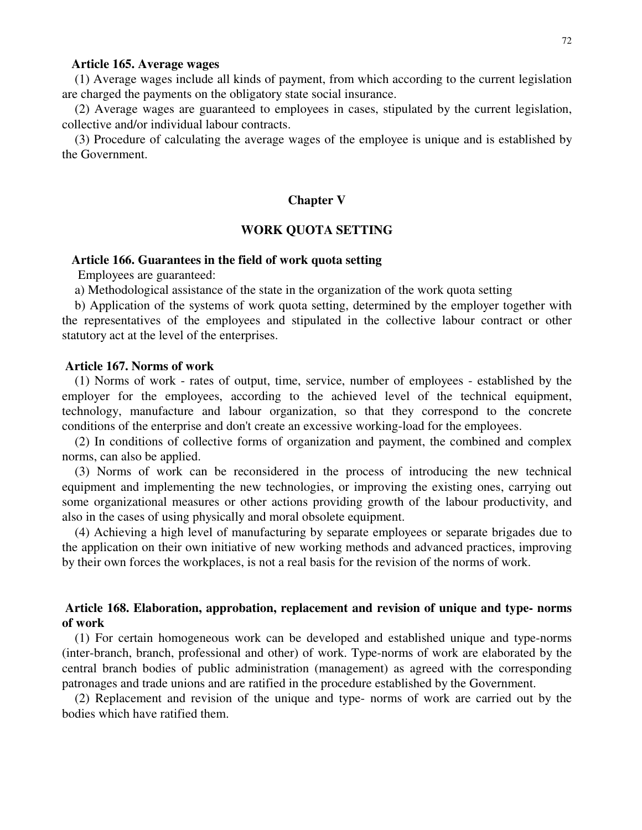### **Article 165. Average wages**

(1) Average wages include all kinds of payment, from which according to the current legislation are charged the payments on the obligatory state social insurance.

(2) Average wages are guaranteed to employees in cases, stipulated by the current legislation, collective and/or individual labour contracts.

(3) Procedure of calculating the average wages of the employee is unique and is established by the Government.

#### **Chapter V**

## **WORK QUOTA SETTING**

#### **Article 166. Guarantees in the field of work quota setting**

Employees are guaranteed:

a) Methodological assistance of the state in the organization of the work quota setting

b) Application of the systems of work quota setting, determined by the employer together with the representatives of the employees and stipulated in the collective labour contract or other statutory act at the level of the enterprises.

### **Article 167. Norms of work**

(1) Norms of work - rates of output, time, service, number of employees - established by the employer for the employees, according to the achieved level of the technical equipment, technology, manufacture and labour organization, so that they correspond to the concrete conditions of the enterprise and don't create an excessive working-load for the employees.

(2) In conditions of collective forms of organization and payment, the combined and complex norms, can also be applied.

(3) Norms of work can be reconsidered in the process of introducing the new technical equipment and implementing the new technologies, or improving the existing ones, carrying out some organizational measures or other actions providing growth of the labour productivity, and also in the cases of using physically and moral obsolete equipment.

(4) Achieving a high level of manufacturing by separate employees or separate brigades due to the application on their own initiative of new working methods and advanced practices, improving by their own forces the workplaces, is not a real basis for the revision of the norms of work.

# **Article 168. Elaboration, approbation, replacement and revision of unique and type- norms of work**

(1) For certain homogeneous work can be developed and established unique and type-norms (inter-branch, branch, professional and other) of work. Type-norms of work are elaborated by the central branch bodies of public administration (management) as agreed with the corresponding patronages and trade unions and are ratified in the procedure established by the Government.

(2) Replacement and revision of the unique and type- norms of work are carried out by the bodies which have ratified them.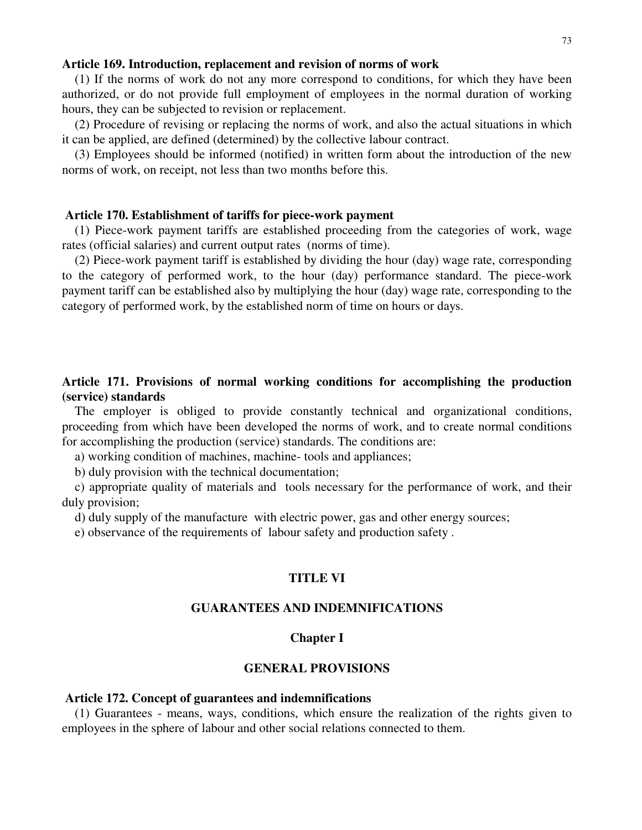### **Article 169. Introduction, replacement and revision of norms of work**

(1) If the norms of work do not any more correspond to conditions, for which they have been authorized, or do not provide full employment of employees in the normal duration of working hours, they can be subjected to revision or replacement.

(2) Procedure of revising or replacing the norms of work, and also the actual situations in which it can be applied, are defined (determined) by the collective labour contract.

(3) Employees should be informed (notified) in written form about the introduction of the new norms of work, on receipt, not less than two months before this.

### **Article 170. Establishment of tariffs for piece-work payment**

(1) Piece-work payment tariffs are established proceeding from the categories of work, wage rates (official salaries) and current output rates (norms of time).

(2) Piece-work payment tariff is established by dividing the hour (day) wage rate, corresponding to the category of performed work, to the hour (day) performance standard. The piece-work payment tariff can be established also by multiplying the hour (day) wage rate, corresponding to the category of performed work, by the established norm of time on hours or days.

# **Article 171. Provisions of normal working conditions for accomplishing the production (service) standards**

The employer is obliged to provide constantly technical and organizational conditions, proceeding from which have been developed the norms of work, and to create normal conditions for accomplishing the production (service) standards. The conditions are:

a) working condition of machines, machine- tools and appliances;

b) duly provision with the technical documentation;

c) appropriate quality of materials and tools necessary for the performance of work, and their duly provision;

d) duly supply of the manufacture with electric power, gas and other energy sources;

e) observance of the requirements of labour safety and production safety .

## **TITLE VI**

## **GUARANTEES AND INDEMNIFICATIONS**

### **Chapter I**

## **GENERAL PROVISIONS**

### **Article 172. Concept of guarantees and indemnifications**

(1) Guarantees - means, ways, conditions, which ensure the realization of the rights given to employees in the sphere of labour and other social relations connected to them.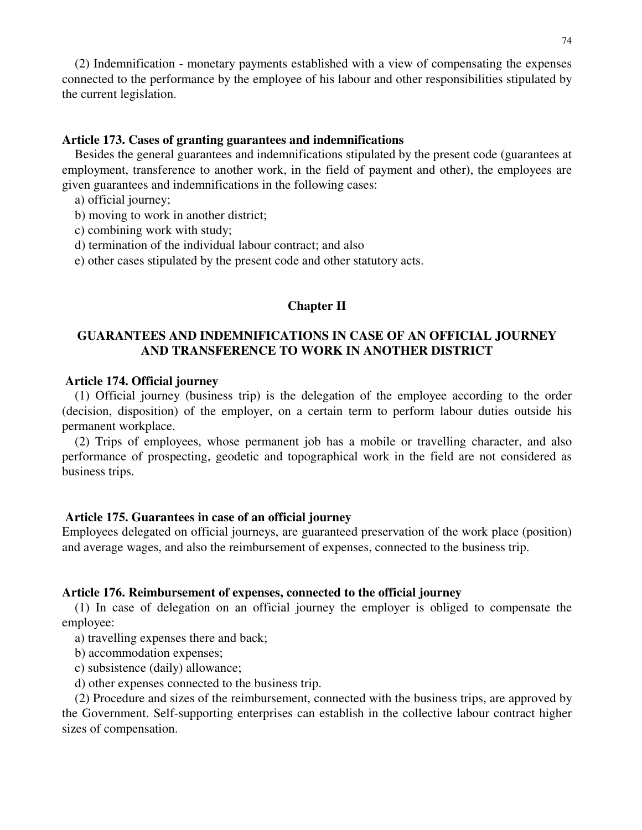(2) Indemnification - monetary payments established with a view of compensating the expenses connected to the performance by the employee of his labour and other responsibilities stipulated by the current legislation.

## **Article 173. Cases of granting guarantees and indemnifications**

Besides the general guarantees and indemnifications stipulated by the present code (guarantees at employment, transference to another work, in the field of payment and other), the employees are given guarantees and indemnifications in the following cases:

- a) official journey;
- b) moving to work in another district;
- c) combining work with study;
- d) termination of the individual labour contract; and also
- e) other cases stipulated by the present code and other statutory acts.

## **Chapter II**

# **GUARANTEES AND INDEMNIFICATIONS IN CASE OF AN OFFICIAL JOURNEY AND TRANSFERENCE TO WORK IN ANOTHER DISTRICT**

## **Article 174. Official journey**

(1) Official journey (business trip) is the delegation of the employee according to the order (decision, disposition) of the employer, on a certain term to perform labour duties outside his permanent workplace.

(2) Trips of employees, whose permanent job has a mobile or travelling character, and also performance of prospecting, geodetic and topographical work in the field are not considered as business trips.

### **Article 175. Guarantees in case of an official journey**

Employees delegated on official journeys, are guaranteed preservation of the work place (position) and average wages, and also the reimbursement of expenses, connected to the business trip.

### **Article 176. Reimbursement of expenses, connected to the official journey**

(1) In case of delegation on an official journey the employer is obliged to compensate the employee:

a) travelling expenses there and back;

- b) accommodation expenses;
- c) subsistence (daily) allowance;
- d) other expenses connected to the business trip.

(2) Procedure and sizes of the reimbursement, connected with the business trips, are approved by the Government. Self-supporting enterprises can establish in the collective labour contract higher sizes of compensation.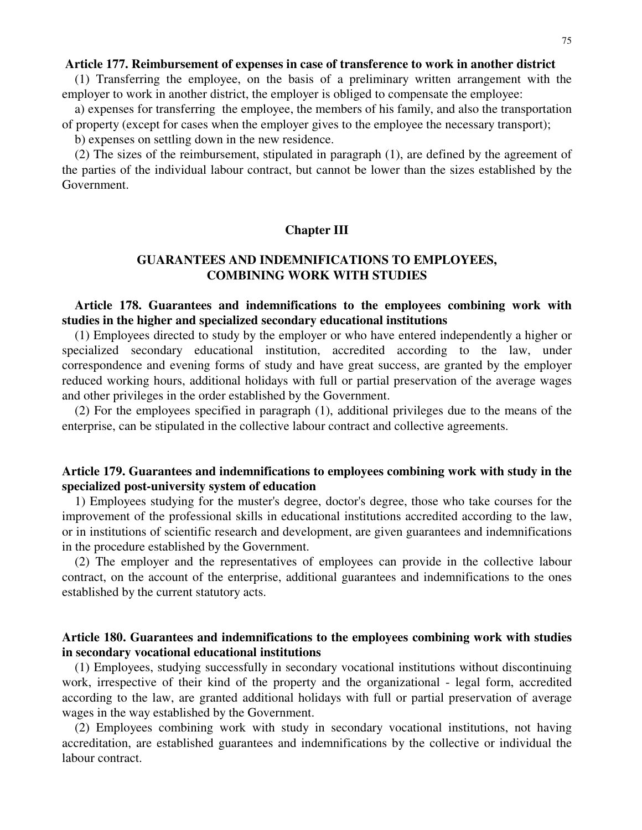### **Article 177. Reimbursement of expenses in case of transference to work in another district**

(1) Transferring the employee, on the basis of a preliminary written arrangement with the employer to work in another district, the employer is obliged to compensate the employee:

a) expenses for transferring the employee, the members of his family, and also the transportation of property (except for cases when the employer gives to the employee the necessary transport);

b) expenses on settling down in the new residence.

(2) The sizes of the reimbursement, stipulated in paragraph (1), are defined by the agreement of the parties of the individual labour contract, but cannot be lower than the sizes established by the Government.

## **Chapter III**

# **GUARANTEES AND INDEMNIFICATIONS TO EMPLOYEES, COMBINING WORK WITH STUDIES**

# **Article 178. Guarantees and indemnifications to the employees combining work with studies in the higher and specialized secondary educational institutions**

(1) Employees directed to study by the employer or who have entered independently a higher or specialized secondary educational institution, accredited according to the law, under correspondence and evening forms of study and have great success, are granted by the employer reduced working hours, additional holidays with full or partial preservation of the average wages and other privileges in the order established by the Government.

(2) For the employees specified in paragraph (1), additional privileges due to the means of the enterprise, can be stipulated in the collective labour contract and collective agreements.

# **Article 179. Guarantees and indemnifications to employees combining work with study in the specialized post-university system of education**

1) Employees studying for the muster's degree, doctor's degree, those who take courses for the improvement of the professional skills in educational institutions accredited according to the law, or in institutions of scientific research and development, are given guarantees and indemnifications in the procedure established by the Government.

(2) The employer and the representatives of employees can provide in the collective labour contract, on the account of the enterprise, additional guarantees and indemnifications to the ones established by the current statutory acts.

# **Article 180. Guarantees and indemnifications to the employees combining work with studies in secondary vocational educational institutions**

(1) Employees, studying successfully in secondary vocational institutions without discontinuing work, irrespective of their kind of the property and the organizational - legal form, accredited according to the law, are granted additional holidays with full or partial preservation of average wages in the way established by the Government.

(2) Employees combining work with study in secondary vocational institutions, not having accreditation, are established guarantees and indemnifications by the collective or individual the labour contract.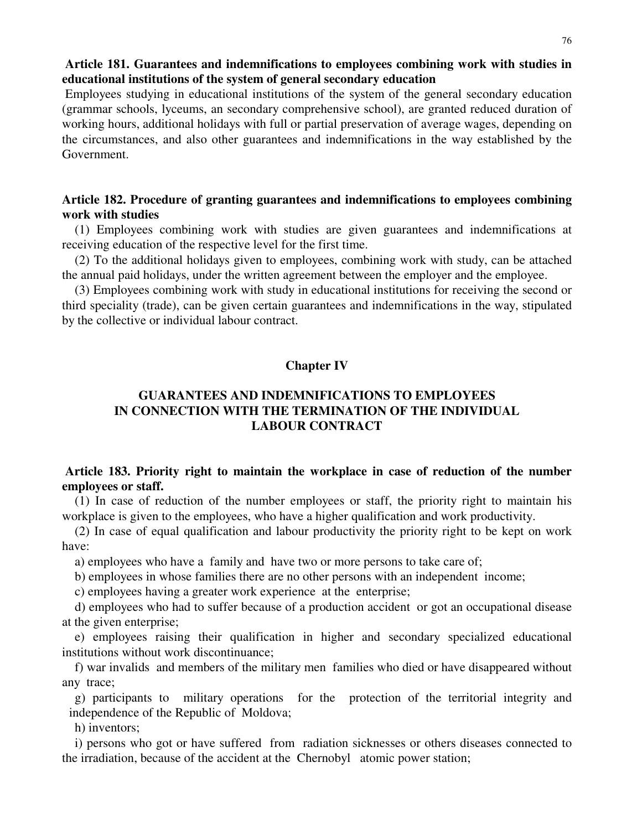# **Article 181. Guarantees and indemnifications to employees combining work with studies in educational institutions of the system of general secondary education**

Employees studying in educational institutions of the system of the general secondary education (grammar schools, lyceums, an secondary comprehensive school), are granted reduced duration of working hours, additional holidays with full or partial preservation of average wages, depending on the circumstances, and also other guarantees and indemnifications in the way established by the Government.

# **Article 182. Procedure of granting guarantees and indemnifications to employees combining work with studies**

(1) Employees combining work with studies are given guarantees and indemnifications at receiving education of the respective level for the first time.

(2) To the additional holidays given to employees, combining work with study, can be attached the annual paid holidays, under the written agreement between the employer and the employee.

(3) Employees combining work with study in educational institutions for receiving the second or third speciality (trade), can be given certain guarantees and indemnifications in the way, stipulated by the collective or individual labour contract.

# **Chapter IV**

# **GUARANTEES AND INDEMNIFICATIONS TO EMPLOYEES IN CONNECTION WITH THE TERMINATION OF THE INDIVIDUAL LABOUR CONTRACT**

# **Article 183. Priority right to maintain the workplace in case of reduction of the number employees or staff.**

(1) In case of reduction of the number employees or staff, the priority right to maintain his workplace is given to the employees, who have a higher qualification and work productivity.

(2) In case of equal qualification and labour productivity the priority right to be kept on work have:

a) employees who have a family and have two or more persons to take care of;

b) employees in whose families there are no other persons with an independent income;

c) employees having a greater work experience at the enterprise;

d) employees who had to suffer because of a production accident or got an occupational disease at the given enterprise;

e) employees raising their qualification in higher and secondary specialized educational institutions without work discontinuance;

f) war invalids and members of the military men families who died or have disappeared without any trace;

g) participants to military operations for the protection of the territorial integrity and independence of the Republic of Moldova;

h) inventors;

i) persons who got or have suffered from radiation sicknesses or others diseases connected to the irradiation, because of the accident at the Chernobyl atomic power station;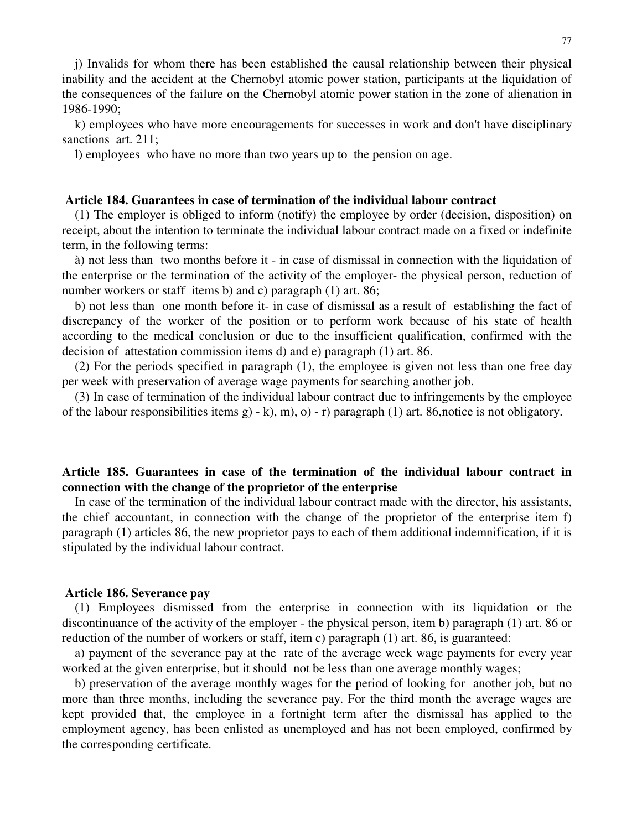j) Invalids for whom there has been established the causal relationship between their physical inability and the accident at the Chernobyl atomic power station, participants at the liquidation of the consequences of the failure on the Chernobyl atomic power station in the zone of alienation in 1986-1990;

k) employees who have more encouragements for successes in work and don't have disciplinary sanctions art. 211;

l) employees who have no more than two years up to the pension on age.

### **Article 184. Guarantees in case of termination of the individual labour contract**

(1) The employer is obliged to inform (notify) the employee by order (decision, disposition) on receipt, about the intention to terminate the individual labour contract made on a fixed or indefinite term, in the following terms:

à) not less than two months before it - in case of dismissal in connection with the liquidation of the enterprise or the termination of the activity of the employer- the physical person, reduction of number workers or staff items b) and c) paragraph (1) art. 86;

b) not less than one month before it- in case of dismissal as a result of establishing the fact of discrepancy of the worker of the position or to perform work because of his state of health according to the medical conclusion or due to the insufficient qualification, confirmed with the decision of attestation commission items d) and e) paragraph (1) art. 86.

(2) For the periods specified in paragraph (1), the employee is given not less than one free day per week with preservation of average wage payments for searching another job.

(3) In case of termination of the individual labour contract due to infringements by the employee of the labour responsibilities items g) - k), m), o) - r) paragraph (1) art. 86, notice is not obligatory.

# **Article 185. Guarantees in case of the termination of the individual labour contract in connection with the change of the proprietor of the enterprise**

In case of the termination of the individual labour contract made with the director, his assistants, the chief accountant, in connection with the change of the proprietor of the enterprise item f) paragraph (1) articles 86, the new proprietor pays to each of them additional indemnification, if it is stipulated by the individual labour contract.

## **Article 186. Severance pay**

(1) Employees dismissed from the enterprise in connection with its liquidation or the discontinuance of the activity of the employer - the physical person, item b) paragraph (1) art. 86 or reduction of the number of workers or staff, item c) paragraph (1) art. 86, is guaranteed:

a) payment of the severance pay at the rate of the average week wage payments for every year worked at the given enterprise, but it should not be less than one average monthly wages;

b) preservation of the average monthly wages for the period of looking for another job, but no more than three months, including the severance pay. For the third month the average wages are kept provided that, the employee in a fortnight term after the dismissal has applied to the employment agency, has been enlisted as unemployed and has not been employed, confirmed by the corresponding certificate.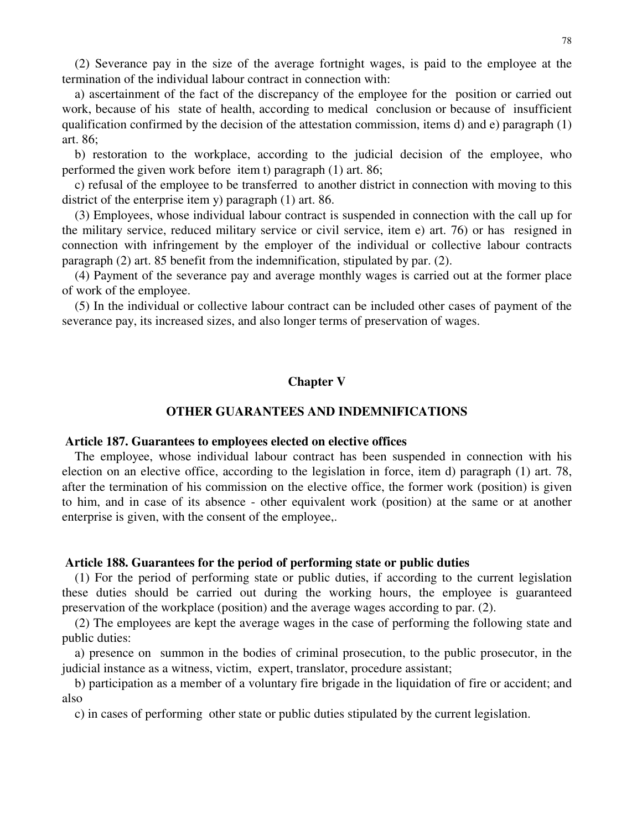(2) Severance pay in the size of the average fortnight wages, is paid to the employee at the termination of the individual labour contract in connection with:

a) ascertainment of the fact of the discrepancy of the employee for the position or carried out work, because of his state of health, according to medical conclusion or because of insufficient qualification confirmed by the decision of the attestation commission, items d) and e) paragraph (1) art. 86;

b) restoration to the workplace, according to the judicial decision of the employee, who performed the given work before item t) paragraph (1) art. 86;

c) refusal of the employee to be transferred to another district in connection with moving to this district of the enterprise item y) paragraph (1) art. 86.

(3) Employees, whose individual labour contract is suspended in connection with the call up for the military service, reduced military service or civil service, item e) art. 76) or has resigned in connection with infringement by the employer of the individual or collective labour contracts paragraph (2) art. 85 benefit from the indemnification, stipulated by par. (2).

(4) Payment of the severance pay and average monthly wages is carried out at the former place of work of the employee.

(5) In the individual or collective labour contract can be included other cases of payment of the severance pay, its increased sizes, and also longer terms of preservation of wages.

## **Chapter V**

## **OTHER GUARANTEES AND INDEMNIFICATIONS**

### **Article 187. Guarantees to employees elected on elective offices**

The employee, whose individual labour contract has been suspended in connection with his election on an elective office, according to the legislation in force, item d) paragraph (1) art. 78, after the termination of his commission on the elective office, the former work (position) is given to him, and in case of its absence - other equivalent work (position) at the same or at another enterprise is given, with the consent of the employee,.

### **Article 188. Guarantees for the period of performing state or public duties**

(1) For the period of performing state or public duties, if according to the current legislation these duties should be carried out during the working hours, the employee is guaranteed preservation of the workplace (position) and the average wages according to par. (2).

(2) The employees are kept the average wages in the case of performing the following state and public duties:

a) presence on summon in the bodies of criminal prosecution, to the public prosecutor, in the judicial instance as a witness, victim, expert, translator, procedure assistant;

b) participation as a member of a voluntary fire brigade in the liquidation of fire or accident; and also

c) in cases of performing other state or public duties stipulated by the current legislation.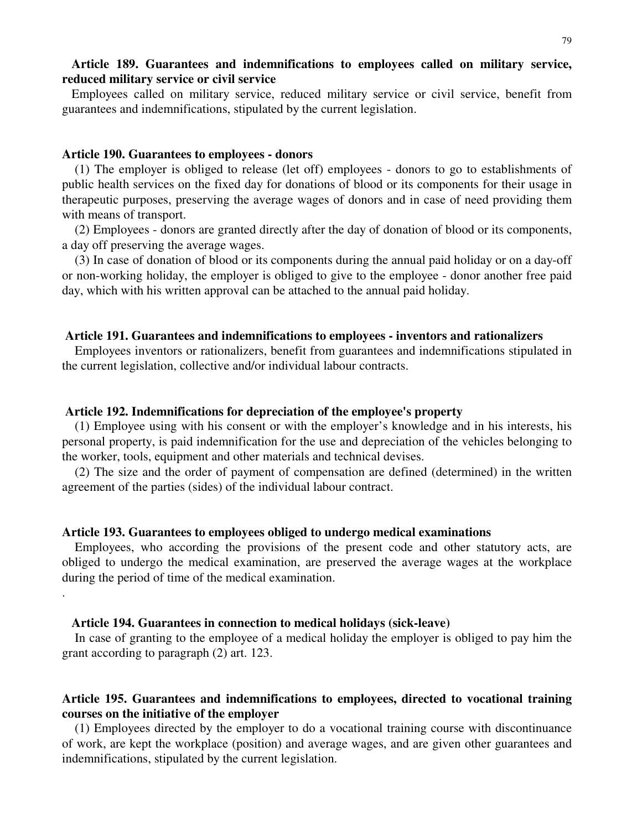# **Article 189. Guarantees and indemnifications to employees called on military service, reduced military service or civil service**

Employees called on military service, reduced military service or civil service, benefit from guarantees and indemnifications, stipulated by the current legislation.

## **Article 190. Guarantees to employees - donors**

(1) The employer is obliged to release (let off) employees - donors to go to establishments of public health services on the fixed day for donations of blood or its components for their usage in therapeutic purposes, preserving the average wages of donors and in case of need providing them with means of transport.

(2) Employees - donors are granted directly after the day of donation of blood or its components, a day off preserving the average wages.

(3) In case of donation of blood or its components during the annual paid holiday or on a day-off or non-working holiday, the employer is obliged to give to the employee - donor another free paid day, which with his written approval can be attached to the annual paid holiday.

### **Article 191. Guarantees and indemnifications to employees - inventors and rationalizers**

Employees inventors or rationalizers, benefit from guarantees and indemnifications stipulated in the current legislation, collective and/or individual labour contracts.

### **Article 192. Indemnifications for depreciation of the employee's property**

(1) Employee using with his consent or with the employer's knowledge and in his interests, his personal property, is paid indemnification for the use and depreciation of the vehicles belonging to the worker, tools, equipment and other materials and technical devises.

(2) The size and the order of payment of compensation are defined (determined) in the written agreement of the parties (sides) of the individual labour contract.

## **Article 193. Guarantees to employees obliged to undergo medical examinations**

Employees, who according the provisions of the present code and other statutory acts, are obliged to undergo the medical examination, are preserved the average wages at the workplace during the period of time of the medical examination.

### **Article 194. Guarantees in connection to medical holidays (sick-leave)**

.

In case of granting to the employee of a medical holiday the employer is obliged to pay him the grant according to paragraph (2) art. 123.

# **Article 195. Guarantees and indemnifications to employees, directed to vocational training courses on the initiative of the employer**

(1) Employees directed by the employer to do a vocational training course with discontinuance of work, are kept the workplace (position) and average wages, and are given other guarantees and indemnifications, stipulated by the current legislation.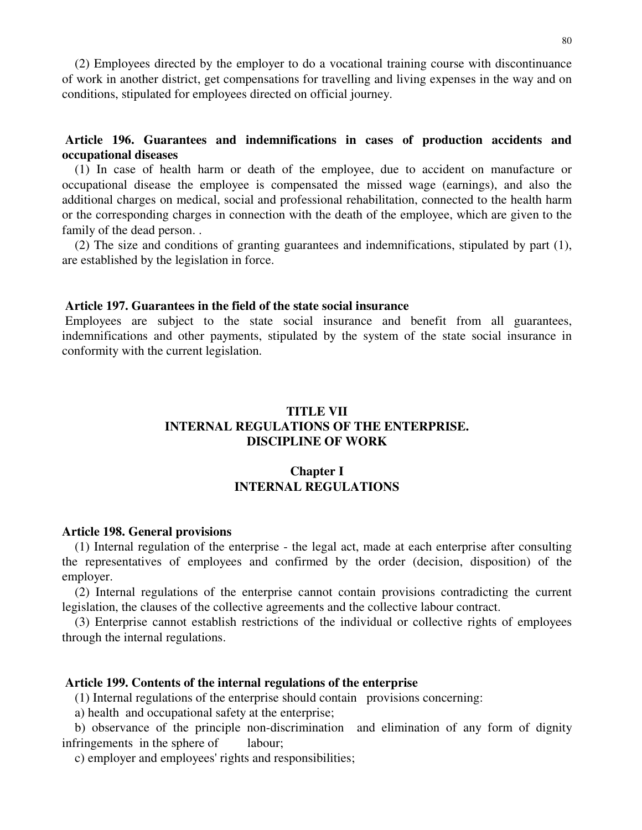(2) Employees directed by the employer to do a vocational training course with discontinuance of work in another district, get compensations for travelling and living expenses in the way and on conditions, stipulated for employees directed on official journey.

# **Article 196. Guarantees and indemnifications in cases of production accidents and occupational diseases**

(1) In case of health harm or death of the employee, due to accident on manufacture or occupational disease the employee is compensated the missed wage (earnings), and also the additional charges on medical, social and professional rehabilitation, connected to the health harm or the corresponding charges in connection with the death of the employee, which are given to the family of the dead person. .

(2) The size and conditions of granting guarantees and indemnifications, stipulated by part (1), are established by the legislation in force.

# **Article 197. Guarantees in the field of the state social insurance**

Employees are subject to the state social insurance and benefit from all guarantees, indemnifications and other payments, stipulated by the system of the state social insurance in conformity with the current legislation.

# **TITLE VII INTERNAL REGULATIONS OF THE ENTERPRISE. DISCIPLINE OF WORK**

# **Chapter I INTERNAL REGULATIONS**

### **Article 198. General provisions**

(1) Internal regulation of the enterprise - the legal act, made at each enterprise after consulting the representatives of employees and confirmed by the order (decision, disposition) of the employer.

(2) Internal regulations of the enterprise cannot contain provisions contradicting the current legislation, the clauses of the collective agreements and the collective labour contract.

(3) Enterprise cannot establish restrictions of the individual or collective rights of employees through the internal regulations.

### **Article 199. Contents of the internal regulations of the enterprise**

(1) Internal regulations of the enterprise should contain provisions concerning:

a) health and occupational safety at the enterprise;

b) observance of the principle non-discrimination and elimination of any form of dignity infringements in the sphere of labour;

c) employer and employees' rights and responsibilities;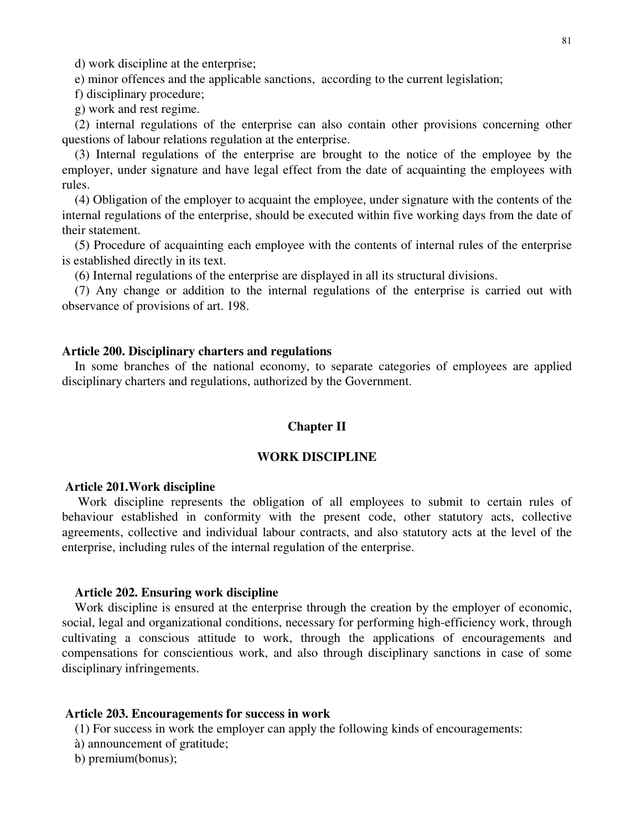d) work discipline at the enterprise;

e) minor offences and the applicable sanctions, according to the current legislation;

f) disciplinary procedure;

g) work and rest regime.

(2) internal regulations of the enterprise can also contain other provisions concerning other questions of labour relations regulation at the enterprise.

(3) Internal regulations of the enterprise are brought to the notice of the employee by the employer, under signature and have legal effect from the date of acquainting the employees with rules.

(4) Obligation of the employer to acquaint the employee, under signature with the contents of the internal regulations of the enterprise, should be executed within five working days from the date of their statement.

(5) Procedure of acquainting each employee with the contents of internal rules of the enterprise is established directly in its text.

(6) Internal regulations of the enterprise are displayed in all its structural divisions.

(7) Any change or addition to the internal regulations of the enterprise is carried out with observance of provisions of art. 198.

### **Article 200. Disciplinary charters and regulations**

In some branches of the national economy, to separate categories of employees are applied disciplinary charters and regulations, authorized by the Government.

## **Chapter II**

### **WORK DISCIPLINE**

### **Article 201.Work discipline**

Work discipline represents the obligation of all employees to submit to certain rules of behaviour established in conformity with the present code, other statutory acts, collective agreements, collective and individual labour contracts, and also statutory acts at the level of the enterprise, including rules of the internal regulation of the enterprise.

## **Article 202. Ensuring work discipline**

Work discipline is ensured at the enterprise through the creation by the employer of economic, social, legal and organizational conditions, necessary for performing high-efficiency work, through cultivating a conscious attitude to work, through the applications of encouragements and compensations for conscientious work, and also through disciplinary sanctions in case of some disciplinary infringements.

#### **Article 203. Encouragements for success in work**

(1) For success in work the employer can apply the following kinds of encouragements:

- à) announcement of gratitude;
- b) premium(bonus);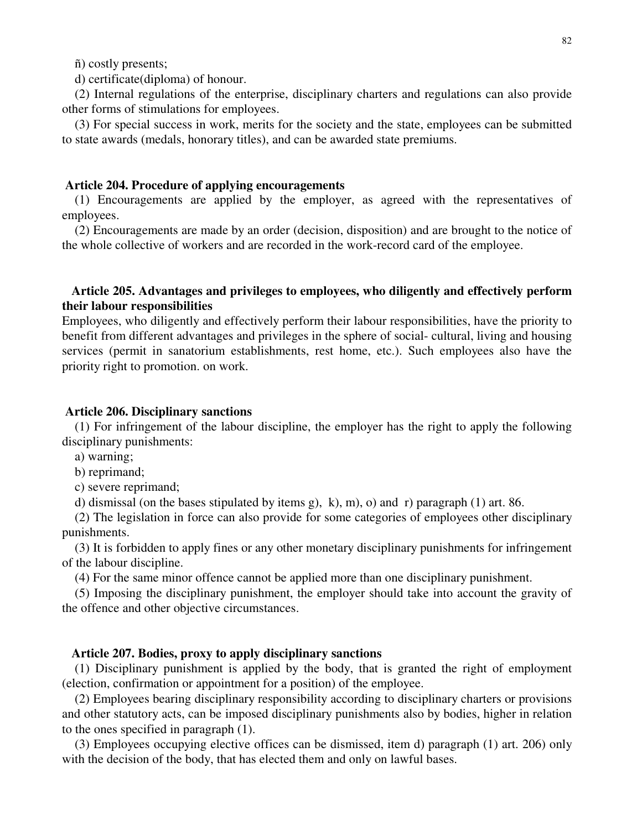ñ) costly presents;

d) certificate(diploma) of honour.

(2) Internal regulations of the enterprise, disciplinary charters and regulations can also provide other forms of stimulations for employees.

(3) For special success in work, merits for the society and the state, employees can be submitted to state awards (medals, honorary titles), and can be awarded state premiums.

### **Article 204. Procedure of applying encouragements**

(1) Encouragements are applied by the employer, as agreed with the representatives of employees.

(2) Encouragements are made by an order (decision, disposition) and are brought to the notice of the whole collective of workers and are recorded in the work-record card of the employee.

# **Article 205. Advantages and privileges to employees, who diligently and effectively perform their labour responsibilities**

Employees, who diligently and effectively perform their labour responsibilities, have the priority to benefit from different advantages and privileges in the sphere of social- cultural, living and housing services (permit in sanatorium establishments, rest home, etc.). Such employees also have the priority right to promotion. on work.

### **Article 206. Disciplinary sanctions**

(1) For infringement of the labour discipline, the employer has the right to apply the following disciplinary punishments:

a) warning;

b) reprimand;

c) severe reprimand;

d) dismissal (on the bases stipulated by items g), k), m), o) and r) paragraph  $(1)$  art. 86.

(2) The legislation in force can also provide for some categories of employees other disciplinary punishments.

(3) It is forbidden to apply fines or any other monetary disciplinary punishments for infringement of the labour discipline.

(4) For the same minor offence cannot be applied more than one disciplinary punishment.

(5) Imposing the disciplinary punishment, the employer should take into account the gravity of the offence and other objective circumstances.

## **Article 207. Bodies, proxy to apply disciplinary sanctions**

(1) Disciplinary punishment is applied by the body, that is granted the right of employment (election, confirmation or appointment for a position) of the employee.

(2) Employees bearing disciplinary responsibility according to disciplinary charters or provisions and other statutory acts, can be imposed disciplinary punishments also by bodies, higher in relation to the ones specified in paragraph (1).

(3) Employees occupying elective offices can be dismissed, item d) paragraph (1) art. 206) only with the decision of the body, that has elected them and only on lawful bases.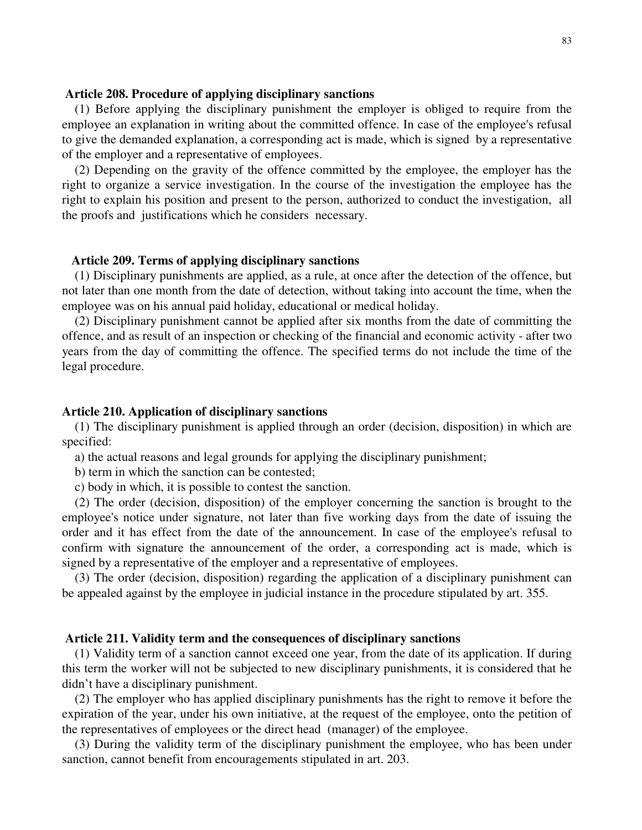### **Article 208. Procedure of applying disciplinary sanctions**

(1) Before applying the disciplinary punishment the employer is obliged to require from the employee an explanation in writing about the committed offence. In case of the employee's refusal to give the demanded explanation, a corresponding act is made, which is signed by a representative of the employer and a representative of employees.

(2) Depending on the gravity of the offence committed by the employee, the employer has the right to organize a service investigation. In the course of the investigation the employee has the right to explain his position and present to the person, authorized to conduct the investigation, all the proofs and justifications which he considers necessary.

## **Article 209. Terms of applying disciplinary sanctions**

(1) Disciplinary punishments are applied, as a rule, at once after the detection of the offence, but not later than one month from the date of detection, without taking into account the time, when the employee was on his annual paid holiday, educational or medical holiday.

(2) Disciplinary punishment cannot be applied after six months from the date of committing the offence, and as result of an inspection or checking of the financial and economic activity - after two years from the day of committing the offence. The specified terms do not include the time of the legal procedure.

### **Article 210. Application of disciplinary sanctions**

(1) The disciplinary punishment is applied through an order (decision, disposition) in which are specified:

a) the actual reasons and legal grounds for applying the disciplinary punishment;

b) term in which the sanction can be contested;

c) body in which, it is possible to contest the sanction.

(2) The order (decision, disposition) of the employer concerning the sanction is brought to the employee's notice under signature, not later than five working days from the date of issuing the order and it has effect from the date of the announcement. In case of the employee's refusal to confirm with signature the announcement of the order, a corresponding act is made, which is signed by a representative of the employer and a representative of employees.

(3) The order (decision, disposition) regarding the application of a disciplinary punishment can be appealed against by the employee in judicial instance in the procedure stipulated by art. 355.

## **Article 211. Validity term and the consequences of disciplinary sanctions**

(1) Validity term of a sanction cannot exceed one year, from the date of its application. If during this term the worker will not be subjected to new disciplinary punishments, it is considered that he didn't have a disciplinary punishment.

(2) The employer who has applied disciplinary punishments has the right to remove it before the expiration of the year, under his own initiative, at the request of the employee, onto the petition of the representatives of employees or the direct head (manager) of the employee.

(3) During the validity term of the disciplinary punishment the employee, who has been under sanction, cannot benefit from encouragements stipulated in art. 203.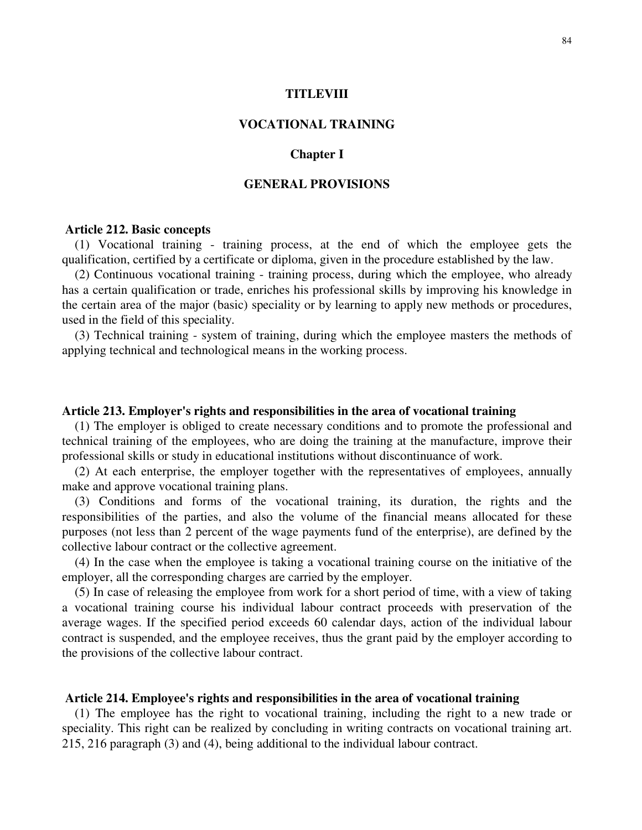## **TITLEVIII**

## **VOCATIONAL TRAINING**

## **Chapter I**

# **GENERAL PROVISIONS**

### **Article 212. Basic concepts**

(1) Vocational training - training process, at the end of which the employee gets the qualification, certified by a certificate or diploma, given in the procedure established by the law.

(2) Continuous vocational training - training process, during which the employee, who already has a certain qualification or trade, enriches his professional skills by improving his knowledge in the certain area of the major (basic) speciality or by learning to apply new methods or procedures, used in the field of this speciality.

(3) Technical training - system of training, during which the employee masters the methods of applying technical and technological means in the working process.

## **Article 213. Employer's rights and responsibilities in the area of vocational training**

(1) The employer is obliged to create necessary conditions and to promote the professional and technical training of the employees, who are doing the training at the manufacture, improve their professional skills or study in educational institutions without discontinuance of work.

(2) At each enterprise, the employer together with the representatives of employees, annually make and approve vocational training plans.

(3) Conditions and forms of the vocational training, its duration, the rights and the responsibilities of the parties, and also the volume of the financial means allocated for these purposes (not less than 2 percent of the wage payments fund of the enterprise), are defined by the collective labour contract or the collective agreement.

(4) In the case when the employee is taking a vocational training course on the initiative of the employer, all the corresponding charges are carried by the employer.

(5) In case of releasing the employee from work for a short period of time, with a view of taking a vocational training course his individual labour contract proceeds with preservation of the average wages. If the specified period exceeds 60 calendar days, action of the individual labour contract is suspended, and the employee receives, thus the grant paid by the employer according to the provisions of the collective labour contract.

### **Article 214. Employee's rights and responsibilities in the area of vocational training**

(1) The employee has the right to vocational training, including the right to a new trade or speciality. This right can be realized by concluding in writing contracts on vocational training art. 215, 216 paragraph (3) and (4), being additional to the individual labour contract.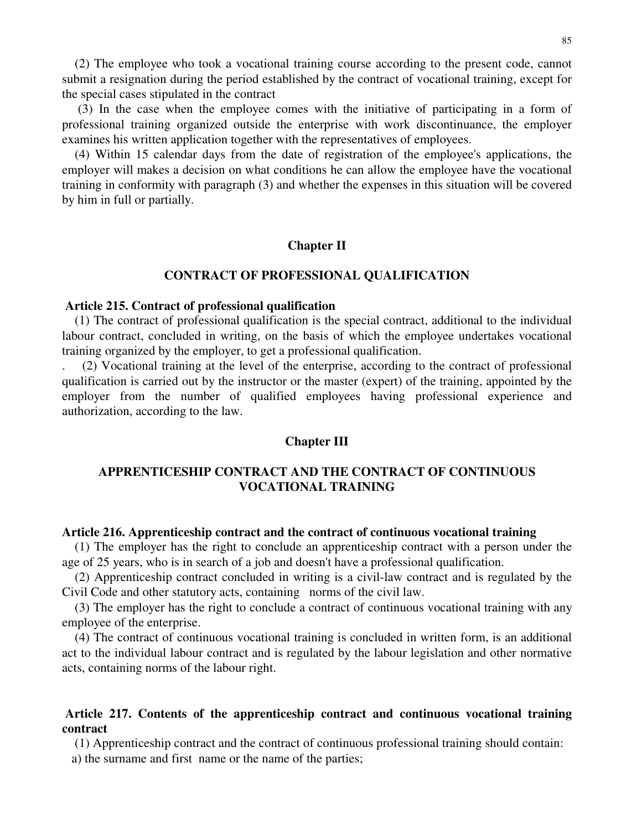(2) The employee who took a vocational training course according to the present code, cannot submit a resignation during the period established by the contract of vocational training, except for the special cases stipulated in the contract

(3) In the case when the employee comes with the initiative of participating in a form of professional training organized outside the enterprise with work discontinuance, the employer examines his written application together with the representatives of employees.

(4) Within 15 calendar days from the date of registration of the employee's applications, the employer will makes a decision on what conditions he can allow the employee have the vocational training in conformity with paragraph (3) and whether the expenses in this situation will be covered by him in full or partially.

## **Chapter II**

### **CONTRACT OF PROFESSIONAL QUALIFICATION**

## **Article 215. Contract of professional qualification**

(1) The contract of professional qualification is the special contract, additional to the individual labour contract, concluded in writing, on the basis of which the employee undertakes vocational training organized by the employer, to get a professional qualification.

. (2) Vocational training at the level of the enterprise, according to the contract of professional qualification is carried out by the instructor or the master (expert) of the training, appointed by the employer from the number of qualified employees having professional experience and authorization, according to the law.

### **Chapter III**

# **APPRENTICESHIP CONTRACT AND THE CONTRACT OF CONTINUOUS VOCATIONAL TRAINING**

### **Article 216. Apprenticeship contract and the contract of continuous vocational training**

(1) The employer has the right to conclude an apprenticeship contract with a person under the age of 25 years, who is in search of a job and doesn't have a professional qualification.

(2) Apprenticeship contract concluded in writing is a civil-law contract and is regulated by the Civil Code and other statutory acts, containing norms of the civil law.

(3) The employer has the right to conclude a contract of continuous vocational training with any employee of the enterprise.

(4) The contract of continuous vocational training is concluded in written form, is an additional act to the individual labour contract and is regulated by the labour legislation and other normative acts, containing norms of the labour right.

# **Article 217. Contents of the apprenticeship contract and continuous vocational training contract**

(1) Apprenticeship contract and the contract of continuous professional training should contain: a) the surname and first name or the name of the parties;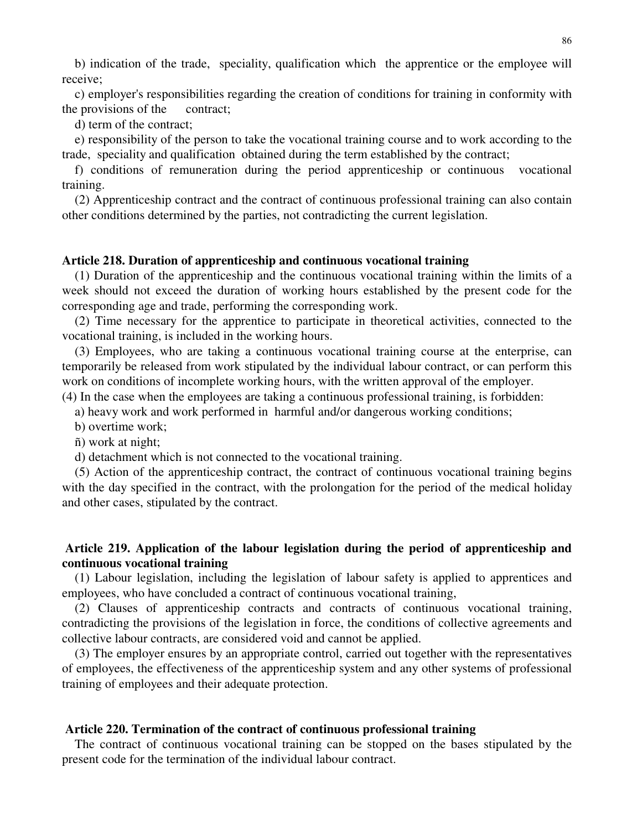b) indication of the trade, speciality, qualification which the apprentice or the employee will receive;

c) employer's responsibilities regarding the creation of conditions for training in conformity with the provisions of the contract;

d) term of the contract;

e) responsibility of the person to take the vocational training course and to work according to the trade, speciality and qualification obtained during the term established by the contract;

f) conditions of remuneration during the period apprenticeship or continuous vocational training.

(2) Apprenticeship contract and the contract of continuous professional training can also contain other conditions determined by the parties, not contradicting the current legislation.

## **Article 218. Duration of apprenticeship and continuous vocational training**

(1) Duration of the apprenticeship and the continuous vocational training within the limits of a week should not exceed the duration of working hours established by the present code for the corresponding age and trade, performing the corresponding work.

(2) Time necessary for the apprentice to participate in theoretical activities, connected to the vocational training, is included in the working hours.

(3) Employees, who are taking a continuous vocational training course at the enterprise, can temporarily be released from work stipulated by the individual labour contract, or can perform this work on conditions of incomplete working hours, with the written approval of the employer.

(4) In the case when the employees are taking a continuous professional training, is forbidden:

a) heavy work and work performed in harmful and/or dangerous working conditions;

b) overtime work;

ñ) work at night;

d) detachment which is not connected to the vocational training.

(5) Action of the apprenticeship contract, the contract of continuous vocational training begins with the day specified in the contract, with the prolongation for the period of the medical holiday and other cases, stipulated by the contract.

# **Article 219. Application of the labour legislation during the period of apprenticeship and continuous vocational training**

(1) Labour legislation, including the legislation of labour safety is applied to apprentices and employees, who have concluded a contract of continuous vocational training,

(2) Clauses of apprenticeship contracts and contracts of continuous vocational training, contradicting the provisions of the legislation in force, the conditions of collective agreements and collective labour contracts, are considered void and cannot be applied.

(3) The employer ensures by an appropriate control, carried out together with the representatives of employees, the effectiveness of the apprenticeship system and any other systems of professional training of employees and their adequate protection.

### **Article 220. Termination of the contract of continuous professional training**

The contract of continuous vocational training can be stopped on the bases stipulated by the present code for the termination of the individual labour contract.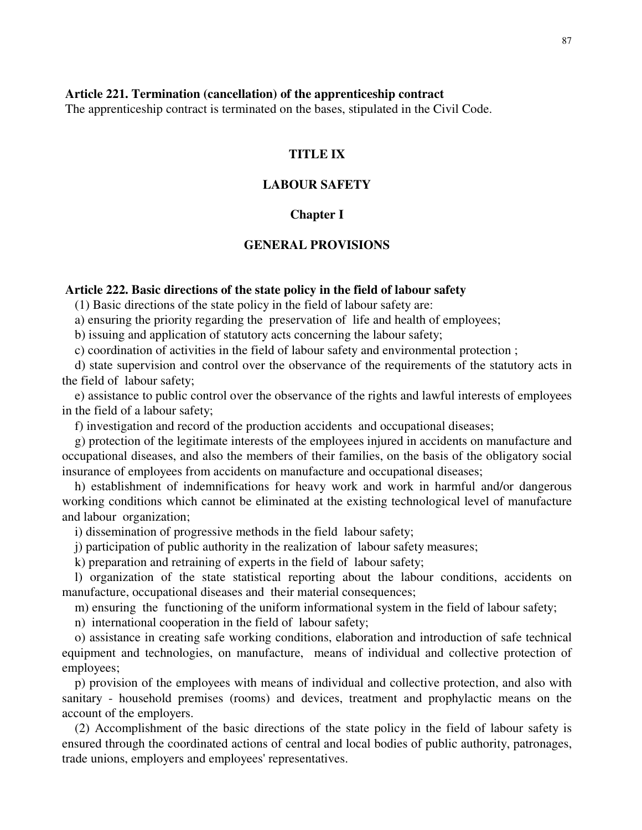## **Article 221. Termination (cancellation) of the apprenticeship contract**

The apprenticeship contract is terminated on the bases, stipulated in the Civil Code.

# **TITLE IX**

# **LABOUR SAFETY**

## **Chapter I**

## **GENERAL PROVISIONS**

## **Article 222. Basic directions of the state policy in the field of labour safety**

(1) Basic directions of the state policy in the field of labour safety are:

a) ensuring the priority regarding the preservation of life and health of employees;

b) issuing and application of statutory acts concerning the labour safety;

c) coordination of activities in the field of labour safety and environmental protection ;

d) state supervision and control over the observance of the requirements of the statutory acts in the field of labour safety;

e) assistance to public control over the observance of the rights and lawful interests of employees in the field of a labour safety;

f) investigation and record of the production accidents and occupational diseases;

g) protection of the legitimate interests of the employees injured in accidents on manufacture and occupational diseases, and also the members of their families, on the basis of the obligatory social insurance of employees from accidents on manufacture and occupational diseases;

h) establishment of indemnifications for heavy work and work in harmful and/or dangerous working conditions which cannot be eliminated at the existing technological level of manufacture and labour organization;

i) dissemination of progressive methods in the field labour safety;

j) participation of public authority in the realization of labour safety measures;

k) preparation and retraining of experts in the field of labour safety;

l) organization of the state statistical reporting about the labour conditions, accidents on manufacture, occupational diseases and their material consequences;

m) ensuring the functioning of the uniform informational system in the field of labour safety;

n) international cooperation in the field of labour safety;

o) assistance in creating safe working conditions, elaboration and introduction of safe technical equipment and technologies, on manufacture, means of individual and collective protection of employees;

p) provision of the employees with means of individual and collective protection, and also with sanitary - household premises (rooms) and devices, treatment and prophylactic means on the account of the employers.

(2) Accomplishment of the basic directions of the state policy in the field of labour safety is ensured through the coordinated actions of central and local bodies of public authority, patronages, trade unions, employers and employees' representatives.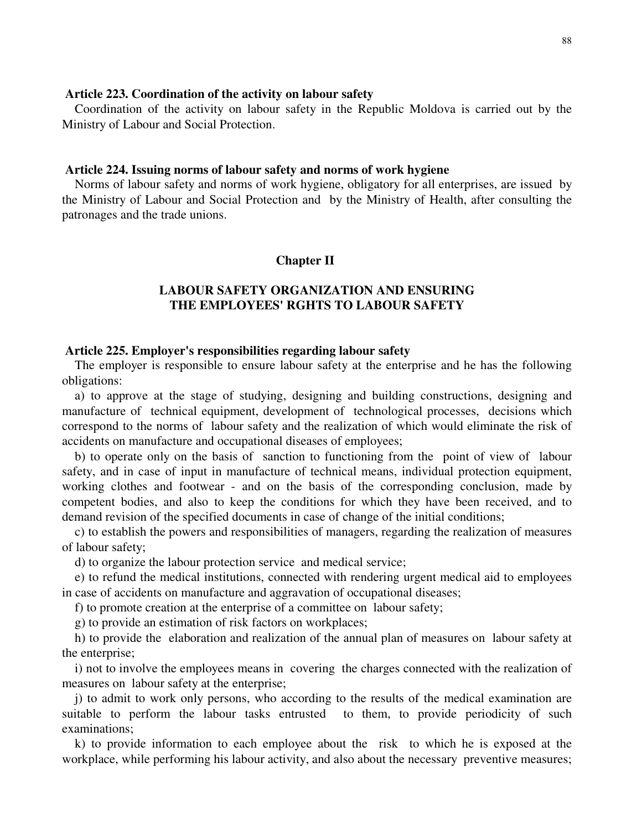### **Article 223. Coordination of the activity on labour safety**

Coordination of the activity on labour safety in the Republic Moldova is carried out by the Ministry of Labour and Social Protection.

## **Article 224. Issuing norms of labour safety and norms of work hygiene**

Norms of labour safety and norms of work hygiene, obligatory for all enterprises, are issued by the Ministry of Labour and Social Protection and by the Ministry of Health, after consulting the patronages and the trade unions.

### **Chapter II**

# **LABOUR SAFETY ORGANIZATION AND ENSURING THE EMPLOYEES' RGHTS TO LABOUR SAFETY**

### **Article 225. Employer's responsibilities regarding labour safety**

The employer is responsible to ensure labour safety at the enterprise and he has the following obligations:

a) to approve at the stage of studying, designing and building constructions, designing and manufacture of technical equipment, development of technological processes, decisions which correspond to the norms of labour safety and the realization of which would eliminate the risk of accidents on manufacture and occupational diseases of employees;

b) to operate only on the basis of sanction to functioning from the point of view of labour safety, and in case of input in manufacture of technical means, individual protection equipment, working clothes and footwear - and on the basis of the corresponding conclusion, made by competent bodies, and also to keep the conditions for which they have been received, and to demand revision of the specified documents in case of change of the initial conditions;

c) to establish the powers and responsibilities of managers, regarding the realization of measures of labour safety;

d) to organize the labour protection service and medical service;

e) to refund the medical institutions, connected with rendering urgent medical aid to employees in case of accidents on manufacture and aggravation of occupational diseases;

f) to promote creation at the enterprise of a committee on labour safety;

g) to provide an estimation of risk factors on workplaces;

h) to provide the elaboration and realization of the annual plan of measures on labour safety at the enterprise;

i) not to involve the employees means in covering the charges connected with the realization of measures on labour safety at the enterprise;

j) to admit to work only persons, who according to the results of the medical examination are suitable to perform the labour tasks entrusted to them, to provide periodicity of such examinations;

k) to provide information to each employee about the risk to which he is exposed at the workplace, while performing his labour activity, and also about the necessary preventive measures;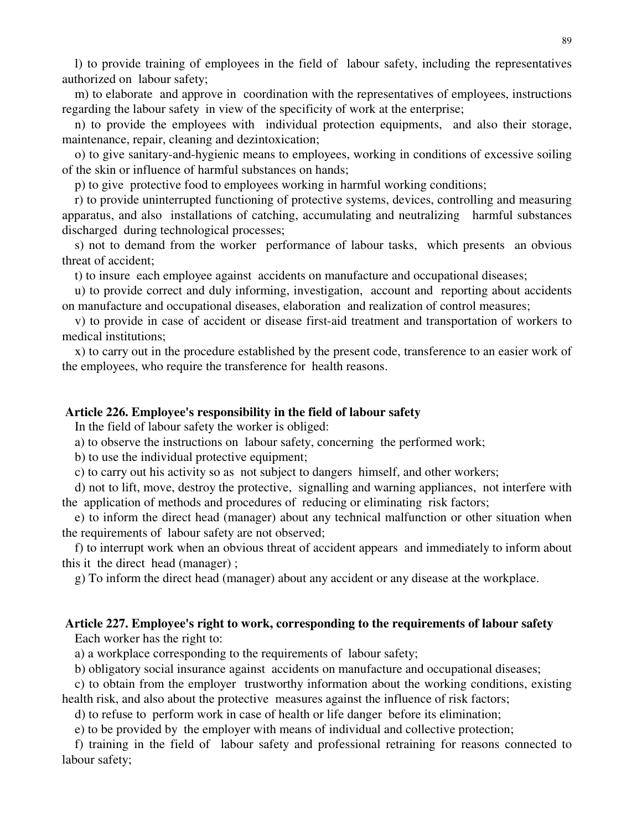l) to provide training of employees in the field of labour safety, including the representatives authorized on labour safety;

m) to elaborate and approve in coordination with the representatives of employees, instructions regarding the labour safety in view of the specificity of work at the enterprise;

n) to provide the employees with individual protection equipments, and also their storage, maintenance, repair, cleaning and dezintoxication;

o) to give sanitary-and-hygienic means to employees, working in conditions of excessive soiling of the skin or influence of harmful substances on hands;

p) to give protective food to employees working in harmful working conditions;

r) to provide uninterrupted functioning of protective systems, devices, controlling and measuring apparatus, and also installations of catching, accumulating and neutralizing harmful substances discharged during technological processes;

s) not to demand from the worker performance of labour tasks, which presents an obvious threat of accident;

t) to insure each employee against accidents on manufacture and occupational diseases;

u) to provide correct and duly informing, investigation, account and reporting about accidents on manufacture and occupational diseases, elaboration and realization of control measures;

v) to provide in case of accident or disease first-aid treatment and transportation of workers to medical institutions;

x) to carry out in the procedure established by the present code, transference to an easier work of the employees, who require the transference for health reasons.

### **Article 226. Employee's responsibility in the field of labour safety**

In the field of labour safety the worker is obliged:

a) to observe the instructions on labour safety, concerning the performed work;

b) to use the individual protective equipment;

c) to carry out his activity so as not subject to dangers himself, and other workers;

d) not to lift, move, destroy the protective, signalling and warning appliances, not interfere with the application of methods and procedures of reducing or eliminating risk factors;

e) to inform the direct head (manager) about any technical malfunction or other situation when the requirements of labour safety are not observed;

f) to interrupt work when an obvious threat of accident appears and immediately to inform about this it the direct head (manager) ;

g) To inform the direct head (manager) about any accident or any disease at the workplace.

# **Article 227. Employee's right to work, corresponding to the requirements of labour safety**

Each worker has the right to:

a) a workplace corresponding to the requirements of labour safety;

b) obligatory social insurance against accidents on manufacture and occupational diseases;

c) to obtain from the employer trustworthy information about the working conditions, existing health risk, and also about the protective measures against the influence of risk factors;

d) to refuse to perform work in case of health or life danger before its elimination;

e) to be provided by the employer with means of individual and collective protection;

f) training in the field of labour safety and professional retraining for reasons connected to labour safety;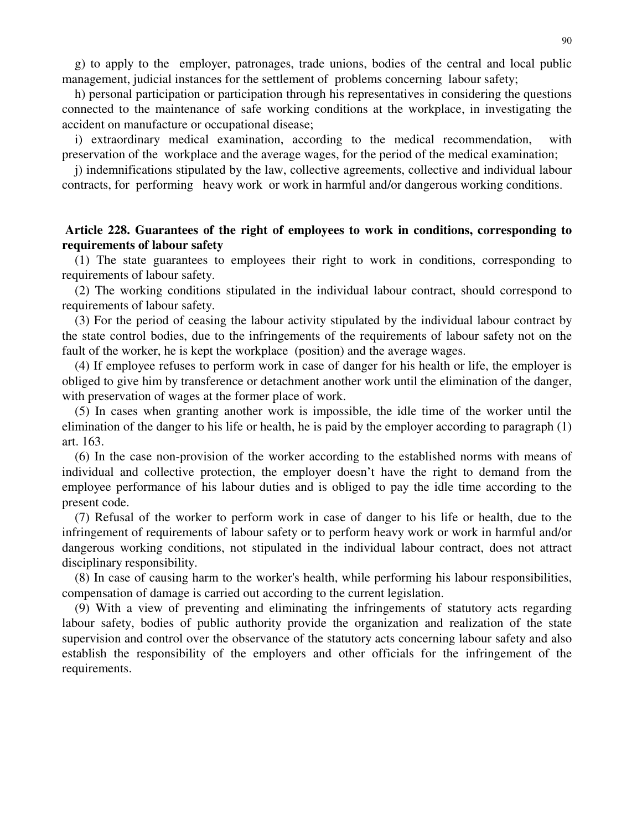g) to apply to the employer, patronages, trade unions, bodies of the central and local public management, judicial instances for the settlement of problems concerning labour safety;

h) personal participation or participation through his representatives in considering the questions connected to the maintenance of safe working conditions at the workplace, in investigating the accident on manufacture or occupational disease;

i) extraordinary medical examination, according to the medical recommendation, with preservation of the workplace and the average wages, for the period of the medical examination;

j) indemnifications stipulated by the law, collective agreements, collective and individual labour contracts, for performing heavy work or work in harmful and/or dangerous working conditions.

# **Article 228. Guarantees of the right of employees to work in conditions, corresponding to requirements of labour safety**

(1) The state guarantees to employees their right to work in conditions, corresponding to requirements of labour safety.

(2) The working conditions stipulated in the individual labour contract, should correspond to requirements of labour safety.

(3) For the period of ceasing the labour activity stipulated by the individual labour contract by the state control bodies, due to the infringements of the requirements of labour safety not on the fault of the worker, he is kept the workplace (position) and the average wages.

(4) If employee refuses to perform work in case of danger for his health or life, the employer is obliged to give him by transference or detachment another work until the elimination of the danger, with preservation of wages at the former place of work.

(5) In cases when granting another work is impossible, the idle time of the worker until the elimination of the danger to his life or health, he is paid by the employer according to paragraph (1) art. 163.

(6) In the case non-provision of the worker according to the established norms with means of individual and collective protection, the employer doesn't have the right to demand from the employee performance of his labour duties and is obliged to pay the idle time according to the present code.

(7) Refusal of the worker to perform work in case of danger to his life or health, due to the infringement of requirements of labour safety or to perform heavy work or work in harmful and/or dangerous working conditions, not stipulated in the individual labour contract, does not attract disciplinary responsibility.

(8) In case of causing harm to the worker's health, while performing his labour responsibilities, compensation of damage is carried out according to the current legislation.

(9) With a view of preventing and eliminating the infringements of statutory acts regarding labour safety, bodies of public authority provide the organization and realization of the state supervision and control over the observance of the statutory acts concerning labour safety and also establish the responsibility of the employers and other officials for the infringement of the requirements.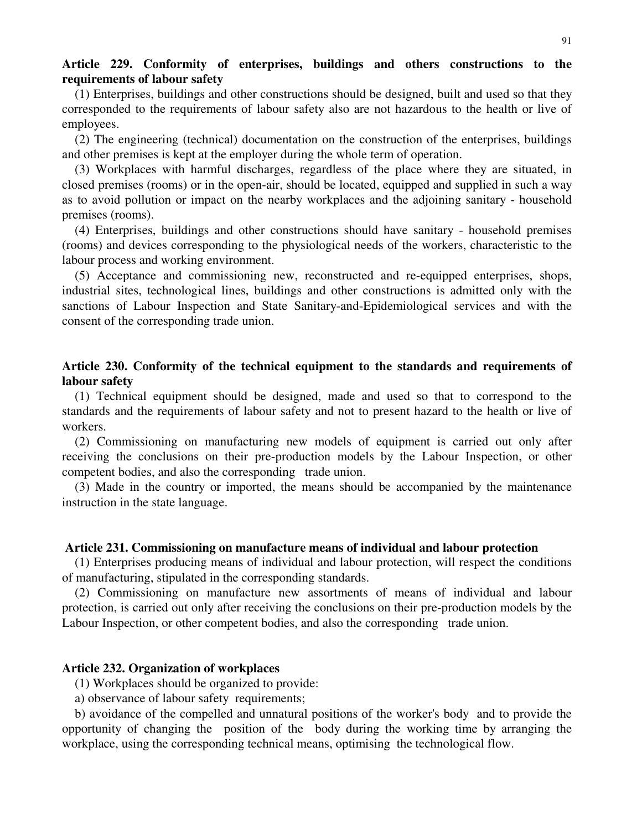# **Article 229. Conformity of enterprises, buildings and others constructions to the requirements of labour safety**

(1) Enterprises, buildings and other constructions should be designed, built and used so that they corresponded to the requirements of labour safety also are not hazardous to the health or live of employees.

(2) The engineering (technical) documentation on the construction of the enterprises, buildings and other premises is kept at the employer during the whole term of operation.

(3) Workplaces with harmful discharges, regardless of the place where they are situated, in closed premises (rooms) or in the open-air, should be located, equipped and supplied in such a way as to avoid pollution or impact on the nearby workplaces and the adjoining sanitary - household premises (rooms).

(4) Enterprises, buildings and other constructions should have sanitary - household premises (rooms) and devices corresponding to the physiological needs of the workers, characteristic to the labour process and working environment.

(5) Acceptance and commissioning new, reconstructed and re-equipped enterprises, shops, industrial sites, technological lines, buildings and other constructions is admitted only with the sanctions of Labour Inspection and State Sanitary-and-Epidemiological services and with the consent of the corresponding trade union.

# **Article 230. Conformity of the technical equipment to the standards and requirements of labour safety**

(1) Technical equipment should be designed, made and used so that to correspond to the standards and the requirements of labour safety and not to present hazard to the health or live of workers.

(2) Commissioning on manufacturing new models of equipment is carried out only after receiving the conclusions on their pre-production models by the Labour Inspection, or other competent bodies, and also the corresponding trade union.

(3) Made in the country or imported, the means should be accompanied by the maintenance instruction in the state language.

### **Article 231. Commissioning on manufacture means of individual and labour protection**

(1) Enterprises producing means of individual and labour protection, will respect the conditions of manufacturing, stipulated in the corresponding standards.

(2) Commissioning on manufacture new assortments of means of individual and labour protection, is carried out only after receiving the conclusions on their pre-production models by the Labour Inspection, or other competent bodies, and also the corresponding trade union.

### **Article 232. Organization of workplaces**

(1) Workplaces should be organized to provide:

a) observance of labour safety requirements;

b) avoidance of the compelled and unnatural positions of the worker's body and to provide the opportunity of changing the position of the body during the working time by arranging the workplace, using the corresponding technical means, optimising the technological flow.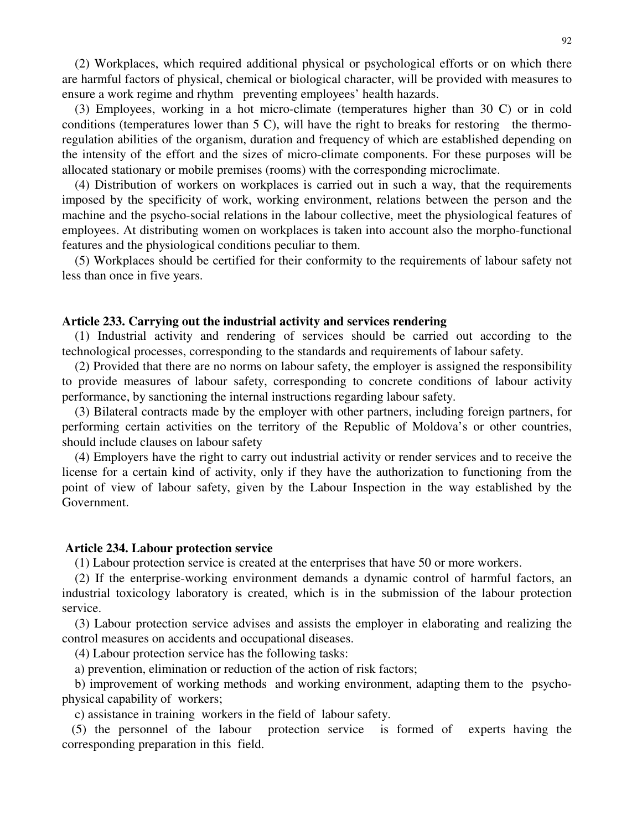(2) Workplaces, which required additional physical or psychological efforts or on which there are harmful factors of physical, chemical or biological character, will be provided with measures to ensure a work regime and rhythm preventing employees' health hazards.

(3) Employees, working in a hot micro-climate (temperatures higher than 30 C) or in cold conditions (temperatures lower than  $5 \text{ C}$ ), will have the right to breaks for restoring the thermoregulation abilities of the organism, duration and frequency of which are established depending on the intensity of the effort and the sizes of micro-climate components. For these purposes will be allocated stationary or mobile premises (rooms) with the corresponding microclimate.

(4) Distribution of workers on workplaces is carried out in such a way, that the requirements imposed by the specificity of work, working environment, relations between the person and the machine and the psycho-social relations in the labour collective, meet the physiological features of employees. At distributing women on workplaces is taken into account also the morpho-functional features and the physiological conditions peculiar to them.

(5) Workplaces should be certified for their conformity to the requirements of labour safety not less than once in five years.

### **Article 233. Carrying out the industrial activity and services rendering**

(1) Industrial activity and rendering of services should be carried out according to the technological processes, corresponding to the standards and requirements of labour safety.

(2) Provided that there are no norms on labour safety, the employer is assigned the responsibility to provide measures of labour safety, corresponding to concrete conditions of labour activity performance, by sanctioning the internal instructions regarding labour safety.

(3) Bilateral contracts made by the employer with other partners, including foreign partners, for performing certain activities on the territory of the Republic of Moldova's or other countries, should include clauses on labour safety

(4) Employers have the right to carry out industrial activity or render services and to receive the license for a certain kind of activity, only if they have the authorization to functioning from the point of view of labour safety, given by the Labour Inspection in the way established by the Government.

### **Article 234. Labour protection service**

(1) Labour protection service is created at the enterprises that have 50 or more workers.

(2) If the enterprise-working environment demands a dynamic control of harmful factors, an industrial toxicology laboratory is created, which is in the submission of the labour protection service.

(3) Labour protection service advises and assists the employer in elaborating and realizing the control measures on accidents and occupational diseases.

(4) Labour protection service has the following tasks:

a) prevention, elimination or reduction of the action of risk factors;

b) improvement of working methods and working environment, adapting them to the psychophysical capability of workers;

c) assistance in training workers in the field of labour safety.

(5) the personnel of the labour protection service is formed of experts having the corresponding preparation in this field.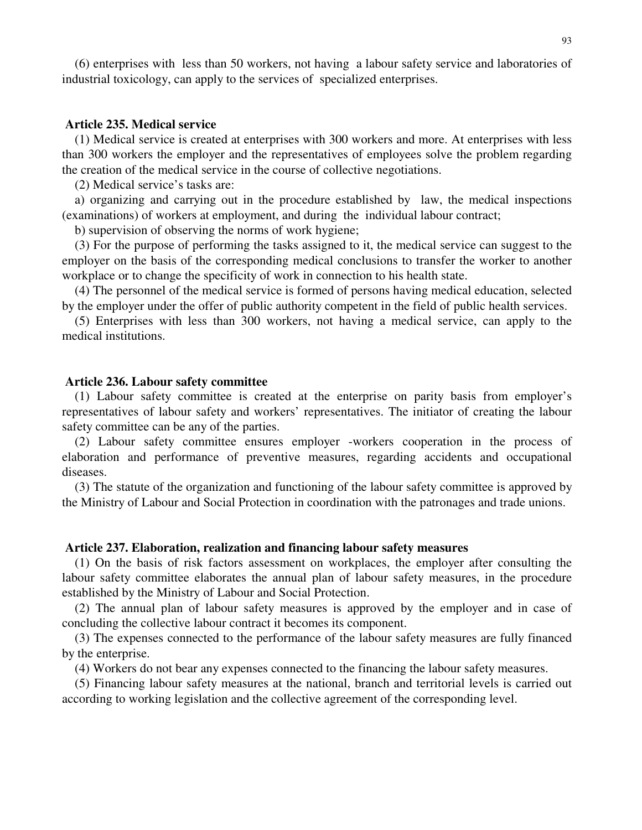(6) enterprises with less than 50 workers, not having a labour safety service and laboratories of industrial toxicology, can apply to the services of specialized enterprises.

### **Article 235. Medical service**

(1) Medical service is created at enterprises with 300 workers and more. At enterprises with less than 300 workers the employer and the representatives of employees solve the problem regarding the creation of the medical service in the course of collective negotiations.

(2) Medical service's tasks are:

a) organizing and carrying out in the procedure established by law, the medical inspections (examinations) of workers at employment, and during the individual labour contract;

b) supervision of observing the norms of work hygiene;

(3) For the purpose of performing the tasks assigned to it, the medical service can suggest to the employer on the basis of the corresponding medical conclusions to transfer the worker to another workplace or to change the specificity of work in connection to his health state.

(4) The personnel of the medical service is formed of persons having medical education, selected by the employer under the offer of public authority competent in the field of public health services.

(5) Enterprises with less than 300 workers, not having a medical service, can apply to the medical institutions.

### **Article 236. Labour safety committee**

(1) Labour safety committee is created at the enterprise on parity basis from employer's representatives of labour safety and workers' representatives. The initiator of creating the labour safety committee can be any of the parties.

(2) Labour safety committee ensures employer -workers cooperation in the process of elaboration and performance of preventive measures, regarding accidents and occupational diseases.

(3) The statute of the organization and functioning of the labour safety committee is approved by the Ministry of Labour and Social Protection in coordination with the patronages and trade unions.

### **Article 237. Elaboration, realization and financing labour safety measures**

(1) On the basis of risk factors assessment on workplaces, the employer after consulting the labour safety committee elaborates the annual plan of labour safety measures, in the procedure established by the Ministry of Labour and Social Protection.

(2) The annual plan of labour safety measures is approved by the employer and in case of concluding the collective labour contract it becomes its component.

(3) The expenses connected to the performance of the labour safety measures are fully financed by the enterprise.

(4) Workers do not bear any expenses connected to the financing the labour safety measures.

(5) Financing labour safety measures at the national, branch and territorial levels is carried out according to working legislation and the collective agreement of the corresponding level.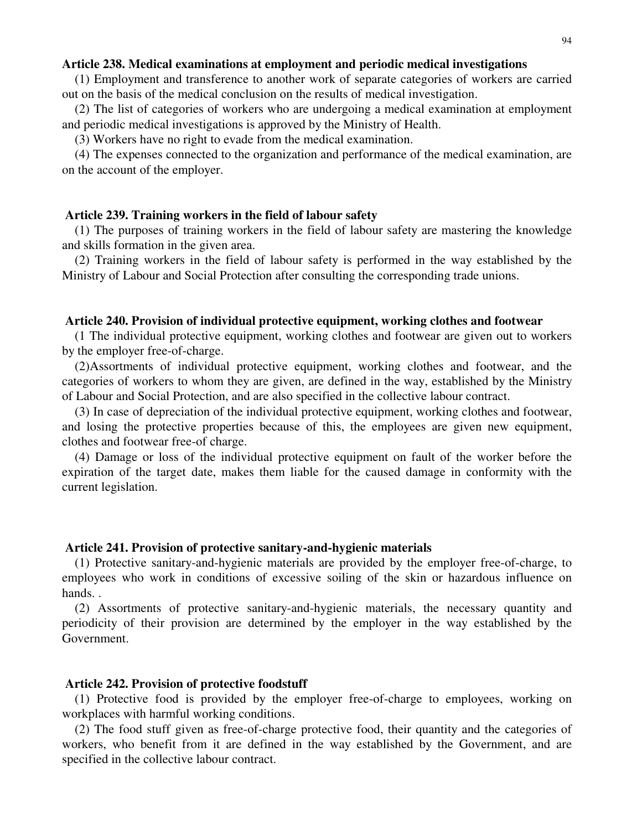### **Article 238. Medical examinations at employment and periodic medical investigations**

(1) Employment and transference to another work of separate categories of workers are carried out on the basis of the medical conclusion on the results of medical investigation.

(2) The list of categories of workers who are undergoing a medical examination at employment and periodic medical investigations is approved by the Ministry of Health.

(3) Workers have no right to evade from the medical examination.

(4) The expenses connected to the organization and performance of the medical examination, are on the account of the employer.

### **Article 239. Training workers in the field of labour safety**

(1) The purposes of training workers in the field of labour safety are mastering the knowledge and skills formation in the given area.

(2) Training workers in the field of labour safety is performed in the way established by the Ministry of Labour and Social Protection after consulting the corresponding trade unions.

#### **Article 240. Provision of individual protective equipment, working clothes and footwear**

(1 The individual protective equipment, working clothes and footwear are given out to workers by the employer free-of-charge.

(2)Assortments of individual protective equipment, working clothes and footwear, and the categories of workers to whom they are given, are defined in the way, established by the Ministry of Labour and Social Protection, and are also specified in the collective labour contract.

(3) In case of depreciation of the individual protective equipment, working clothes and footwear, and losing the protective properties because of this, the employees are given new equipment, clothes and footwear free-of charge.

(4) Damage or loss of the individual protective equipment on fault of the worker before the expiration of the target date, makes them liable for the caused damage in conformity with the current legislation.

### **Article 241. Provision of protective sanitary-and-hygienic materials**

(1) Protective sanitary-and-hygienic materials are provided by the employer free-of-charge, to employees who work in conditions of excessive soiling of the skin or hazardous influence on hands. .

(2) Assortments of protective sanitary-and-hygienic materials, the necessary quantity and periodicity of their provision are determined by the employer in the way established by the Government.

### **Article 242. Provision of protective foodstuff**

(1) Protective food is provided by the employer free-of-charge to employees, working on workplaces with harmful working conditions.

(2) The food stuff given as free-of-charge protective food, their quantity and the categories of workers, who benefit from it are defined in the way established by the Government, and are specified in the collective labour contract.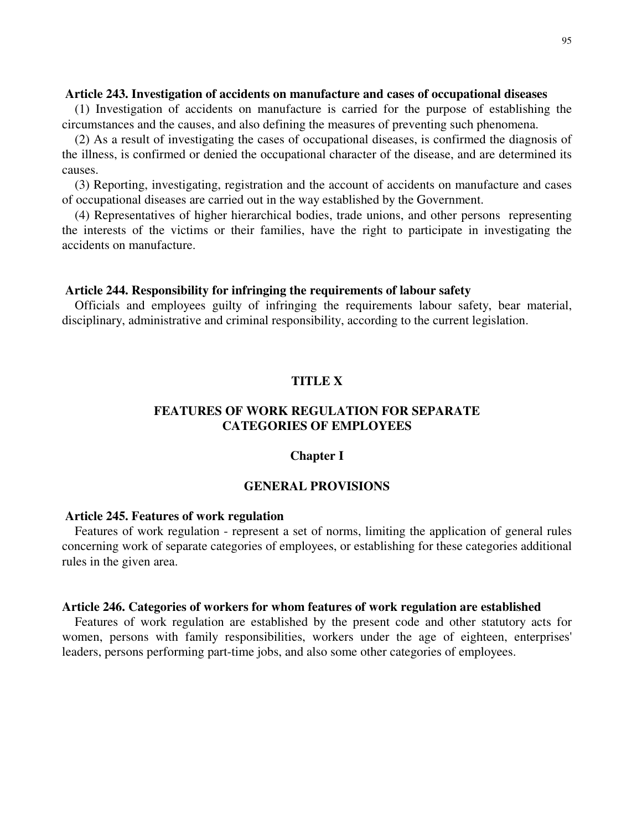## **Article 243. Investigation of accidents on manufacture and cases of occupational diseases**

(1) Investigation of accidents on manufacture is carried for the purpose of establishing the circumstances and the causes, and also defining the measures of preventing such phenomena.

(2) As a result of investigating the cases of occupational diseases, is confirmed the diagnosis of the illness, is confirmed or denied the occupational character of the disease, and are determined its causes.

(3) Reporting, investigating, registration and the account of accidents on manufacture and cases of occupational diseases are carried out in the way established by the Government.

(4) Representatives of higher hierarchical bodies, trade unions, and other persons representing the interests of the victims or their families, have the right to participate in investigating the accidents on manufacture.

### **Article 244. Responsibility for infringing the requirements of labour safety**

Officials and employees guilty of infringing the requirements labour safety, bear material, disciplinary, administrative and criminal responsibility, according to the current legislation.

# **TITLE X**

# **FEATURES OF WORK REGULATION FOR SEPARATE CATEGORIES OF EMPLOYEES**

### **Chapter I**

# **GENERAL PROVISIONS**

## **Article 245. Features of work regulation**

Features of work regulation - represent a set of norms, limiting the application of general rules concerning work of separate categories of employees, or establishing for these categories additional rules in the given area.

## **Article 246. Categories of workers for whom features of work regulation are established**

Features of work regulation are established by the present code and other statutory acts for women, persons with family responsibilities, workers under the age of eighteen, enterprises' leaders, persons performing part-time jobs, and also some other categories of employees.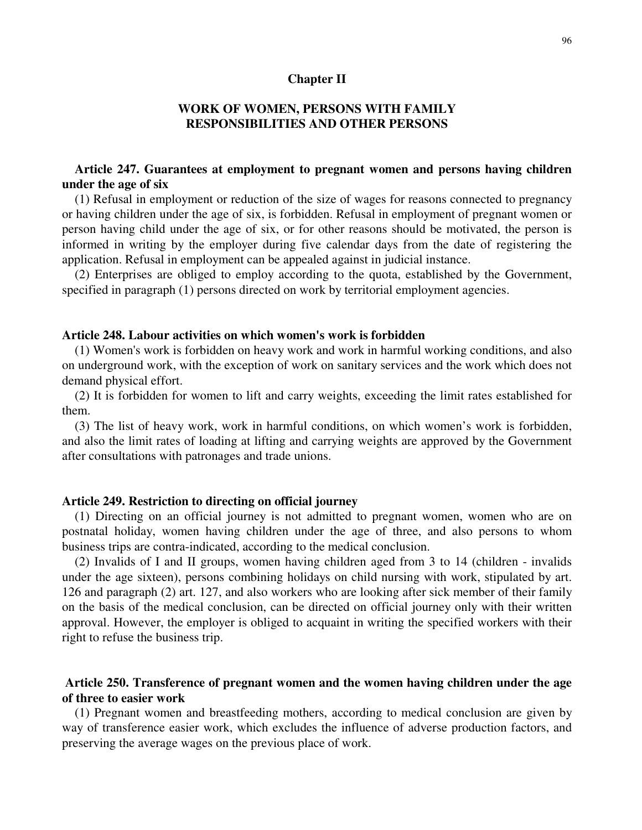### **Chapter II**

# **WORK OF WOMEN, PERSONS WITH FAMILY RESPONSIBILITIES AND OTHER PERSONS**

# **Article 247. Guarantees at employment to pregnant women and persons having children under the age of six**

(1) Refusal in employment or reduction of the size of wages for reasons connected to pregnancy or having children under the age of six, is forbidden. Refusal in employment of pregnant women or person having child under the age of six, or for other reasons should be motivated, the person is informed in writing by the employer during five calendar days from the date of registering the application. Refusal in employment can be appealed against in judicial instance.

(2) Enterprises are obliged to employ according to the quota, established by the Government, specified in paragraph (1) persons directed on work by territorial employment agencies.

## **Article 248. Labour activities on which women's work is forbidden**

(1) Women's work is forbidden on heavy work and work in harmful working conditions, and also on underground work, with the exception of work on sanitary services and the work which does not demand physical effort.

(2) It is forbidden for women to lift and carry weights, exceeding the limit rates established for them.

(3) The list of heavy work, work in harmful conditions, on which women's work is forbidden, and also the limit rates of loading at lifting and carrying weights are approved by the Government after consultations with patronages and trade unions.

## **Article 249. Restriction to directing on official journey**

(1) Directing on an official journey is not admitted to pregnant women, women who are on postnatal holiday, women having children under the age of three, and also persons to whom business trips are contra-indicated, according to the medical conclusion.

(2) Invalids of I and II groups, women having children aged from 3 to 14 (children - invalids under the age sixteen), persons combining holidays on child nursing with work, stipulated by art. 126 and paragraph (2) art. 127, and also workers who are looking after sick member of their family on the basis of the medical conclusion, can be directed on official journey only with their written approval. However, the employer is obliged to acquaint in writing the specified workers with their right to refuse the business trip.

# **Article 250. Transference of pregnant women and the women having children under the age of three to easier work**

(1) Pregnant women and breastfeeding mothers, according to medical conclusion are given by way of transference easier work, which excludes the influence of adverse production factors, and preserving the average wages on the previous place of work.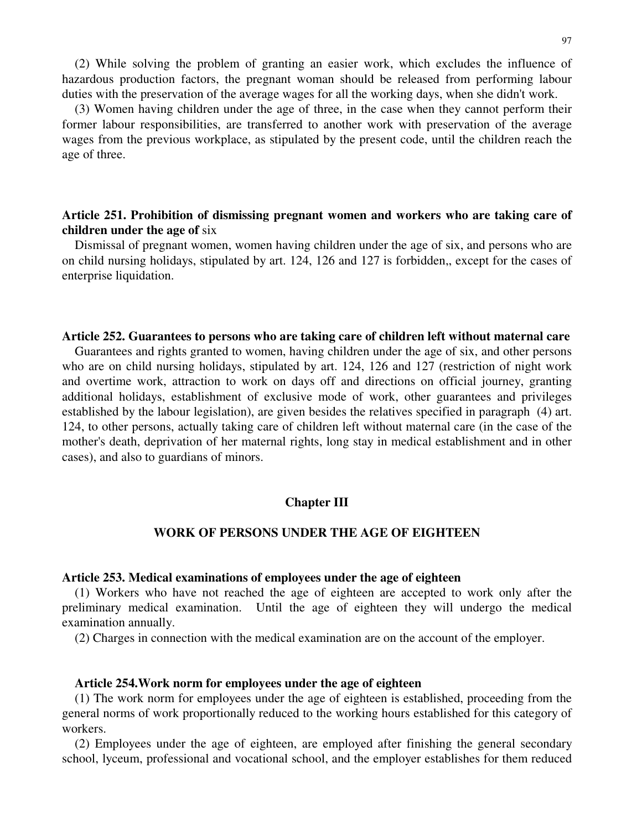(2) While solving the problem of granting an easier work, which excludes the influence of hazardous production factors, the pregnant woman should be released from performing labour duties with the preservation of the average wages for all the working days, when she didn't work.

(3) Women having children under the age of three, in the case when they cannot perform their former labour responsibilities, are transferred to another work with preservation of the average wages from the previous workplace, as stipulated by the present code, until the children reach the age of three.

# **Article 251. Prohibition of dismissing pregnant women and workers who are taking care of children under the age of** six

Dismissal of pregnant women, women having children under the age of six, and persons who are on child nursing holidays, stipulated by art. 124, 126 and 127 is forbidden,, except for the cases of enterprise liquidation.

### **Article 252. Guarantees to persons who are taking care of children left without maternal care**

Guarantees and rights granted to women, having children under the age of six, and other persons who are on child nursing holidays, stipulated by art. 124, 126 and 127 (restriction of night work and overtime work, attraction to work on days off and directions on official journey, granting additional holidays, establishment of exclusive mode of work, other guarantees and privileges established by the labour legislation), are given besides the relatives specified in paragraph (4) art. 124, to other persons, actually taking care of children left without maternal care (in the case of the mother's death, deprivation of her maternal rights, long stay in medical establishment and in other cases), and also to guardians of minors.

## **Chapter III**

# **WORK OF PERSONS UNDER THE AGE OF EIGHTEEN**

## **Article 253. Medical examinations of employees under the age of eighteen**

(1) Workers who have not reached the age of eighteen are accepted to work only after the preliminary medical examination. Until the age of eighteen they will undergo the medical examination annually.

(2) Charges in connection with the medical examination are on the account of the employer.

### **Article 254.Work norm for employees under the age of eighteen**

(1) The work norm for employees under the age of eighteen is established, proceeding from the general norms of work proportionally reduced to the working hours established for this category of workers.

(2) Employees under the age of eighteen, are employed after finishing the general secondary school, lyceum, professional and vocational school, and the employer establishes for them reduced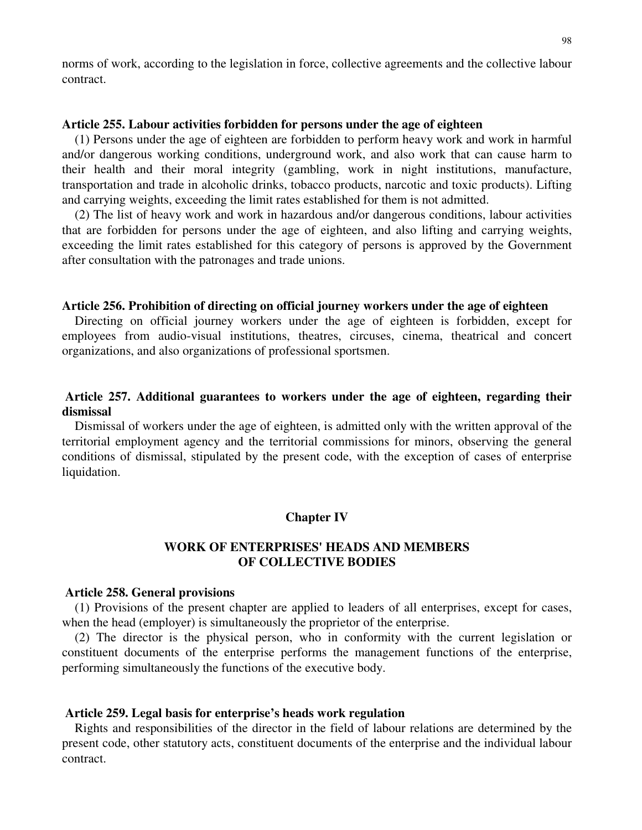norms of work, according to the legislation in force, collective agreements and the collective labour contract.

## **Article 255. Labour activities forbidden for persons under the age of eighteen**

(1) Persons under the age of eighteen are forbidden to perform heavy work and work in harmful and/or dangerous working conditions, underground work, and also work that can cause harm to their health and their moral integrity (gambling, work in night institutions, manufacture, transportation and trade in alcoholic drinks, tobacco products, narcotic and toxic products). Lifting and carrying weights, exceeding the limit rates established for them is not admitted.

(2) The list of heavy work and work in hazardous and/or dangerous conditions, labour activities that are forbidden for persons under the age of eighteen, and also lifting and carrying weights, exceeding the limit rates established for this category of persons is approved by the Government after consultation with the patronages and trade unions.

## **Article 256. Prohibition of directing on official journey workers under the age of eighteen**

Directing on official journey workers under the age of eighteen is forbidden, except for employees from audio-visual institutions, theatres, circuses, cinema, theatrical and concert organizations, and also organizations of professional sportsmen.

# **Article 257. Additional guarantees to workers under the age of eighteen, regarding their dismissal**

Dismissal of workers under the age of eighteen, is admitted only with the written approval of the territorial employment agency and the territorial commissions for minors, observing the general conditions of dismissal, stipulated by the present code, with the exception of cases of enterprise liquidation.

## **Chapter IV**

# **WORK OF ENTERPRISES' HEADS AND MEMBERS OF COLLECTIVE BODIES**

### **Article 258. General provisions**

(1) Provisions of the present chapter are applied to leaders of all enterprises, except for cases, when the head (employer) is simultaneously the proprietor of the enterprise.

(2) The director is the physical person, who in conformity with the current legislation or constituent documents of the enterprise performs the management functions of the enterprise, performing simultaneously the functions of the executive body.

### **Article 259. Legal basis for enterprise's heads work regulation**

Rights and responsibilities of the director in the field of labour relations are determined by the present code, other statutory acts, constituent documents of the enterprise and the individual labour contract.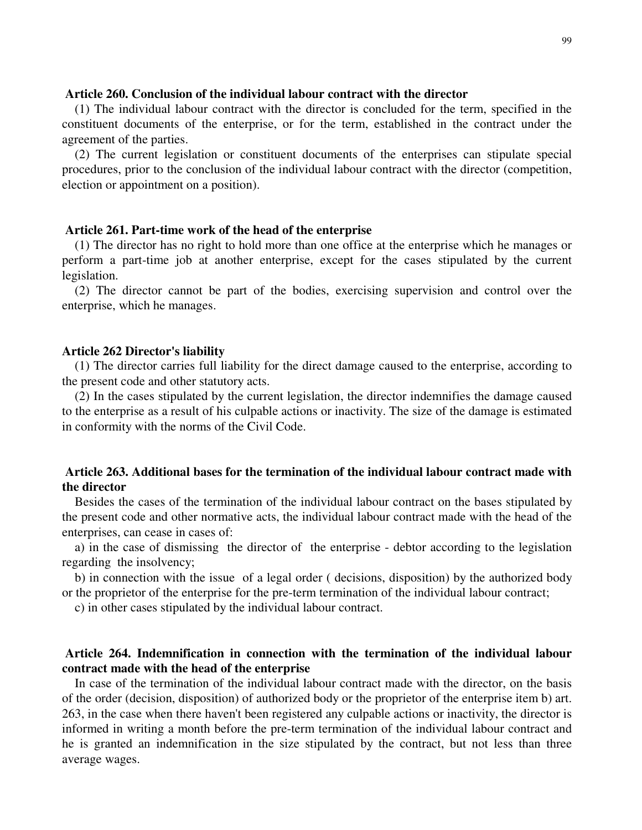## **Article 260. Conclusion of the individual labour contract with the director**

(1) The individual labour contract with the director is concluded for the term, specified in the constituent documents of the enterprise, or for the term, established in the contract under the agreement of the parties.

(2) The current legislation or constituent documents of the enterprises can stipulate special procedures, prior to the conclusion of the individual labour contract with the director (competition, election or appointment on a position).

## **Article 261. Part-time work of the head of the enterprise**

(1) The director has no right to hold more than one office at the enterprise which he manages or perform a part-time job at another enterprise, except for the cases stipulated by the current legislation.

(2) The director cannot be part of the bodies, exercising supervision and control over the enterprise, which he manages.

### **Article 262 Director's liability**

(1) The director carries full liability for the direct damage caused to the enterprise, according to the present code and other statutory acts.

(2) In the cases stipulated by the current legislation, the director indemnifies the damage caused to the enterprise as a result of his culpable actions or inactivity. The size of the damage is estimated in conformity with the norms of the Civil Code.

# **Article 263. Additional bases for the termination of the individual labour contract made with the director**

Besides the cases of the termination of the individual labour contract on the bases stipulated by the present code and other normative acts, the individual labour contract made with the head of the enterprises, can cease in cases of:

a) in the case of dismissing the director of the enterprise - debtor according to the legislation regarding the insolvency;

b) in connection with the issue of a legal order ( decisions, disposition) by the authorized body or the proprietor of the enterprise for the pre-term termination of the individual labour contract;

c) in other cases stipulated by the individual labour contract.

# **Article 264. Indemnification in connection with the termination of the individual labour contract made with the head of the enterprise**

In case of the termination of the individual labour contract made with the director, on the basis of the order (decision, disposition) of authorized body or the proprietor of the enterprise item b) art. 263, in the case when there haven't been registered any culpable actions or inactivity, the director is informed in writing a month before the pre-term termination of the individual labour contract and he is granted an indemnification in the size stipulated by the contract, but not less than three average wages.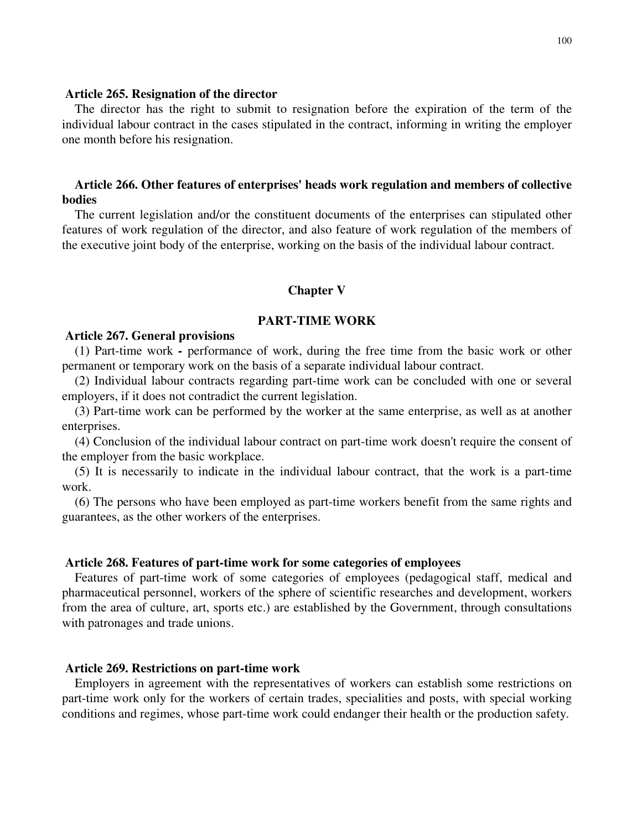### **Article 265. Resignation of the director**

The director has the right to submit to resignation before the expiration of the term of the individual labour contract in the cases stipulated in the contract, informing in writing the employer one month before his resignation.

# **Article 266. Other features of enterprises' heads work regulation and members of collective bodies**

The current legislation and/or the constituent documents of the enterprises can stipulated other features of work regulation of the director, and also feature of work regulation of the members of the executive joint body of the enterprise, working on the basis of the individual labour contract.

### **Chapter V**

## **PART-TIME WORK**

### **Article 267. General provisions**

(1) Part-time work *-* performance of work, during the free time from the basic work or other permanent or temporary work on the basis of a separate individual labour contract.

(2) Individual labour contracts regarding part-time work can be concluded with one or several employers, if it does not contradict the current legislation.

(3) Part-time work can be performed by the worker at the same enterprise, as well as at another enterprises.

(4) Conclusion of the individual labour contract on part-time work doesn't require the consent of the employer from the basic workplace.

(5) It is necessarily to indicate in the individual labour contract, that the work is a part-time work.

(6) The persons who have been employed as part-time workers benefit from the same rights and guarantees, as the other workers of the enterprises.

### **Article 268. Features of part-time work for some categories of employees**

Features of part-time work of some categories of employees (pedagogical staff, medical and pharmaceutical personnel, workers of the sphere of scientific researches and development, workers from the area of culture, art, sports etc.) are established by the Government, through consultations with patronages and trade unions.

### **Article 269. Restrictions on part-time work**

Employers in agreement with the representatives of workers can establish some restrictions on part-time work only for the workers of certain trades, specialities and posts, with special working conditions and regimes, whose part-time work could endanger their health or the production safety.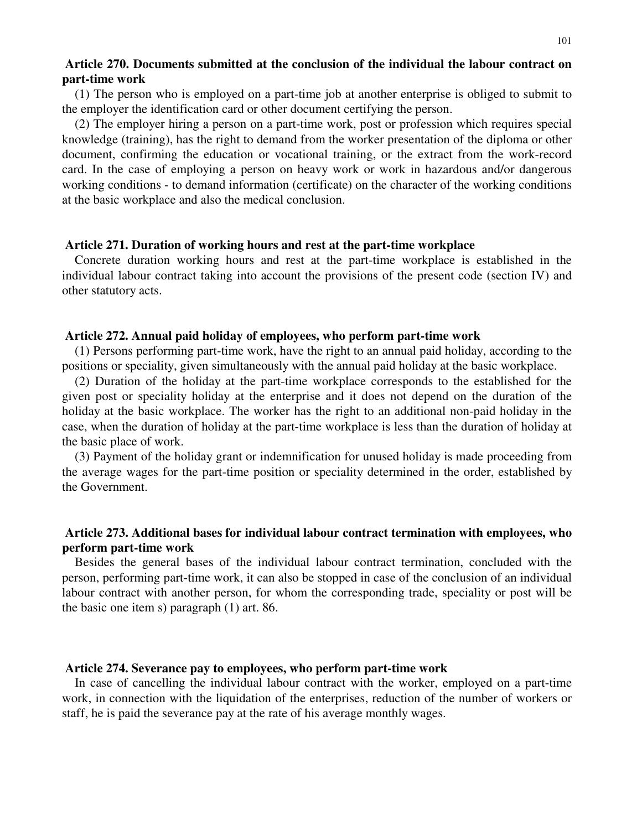# **Article 270. Documents submitted at the conclusion of the individual the labour contract on part-time work**

(1) The person who is employed on a part-time job at another enterprise is obliged to submit to the employer the identification card or other document certifying the person.

(2) The employer hiring a person on a part-time work, post or profession which requires special knowledge (training), has the right to demand from the worker presentation of the diploma or other document, confirming the education or vocational training, or the extract from the work-record card. In the case of employing a person on heavy work or work in hazardous and/or dangerous working conditions - to demand information (certificate) on the character of the working conditions at the basic workplace and also the medical conclusion.

### **Article 271. Duration of working hours and rest at the part-time workplace**

Concrete duration working hours and rest at the part-time workplace is established in the individual labour contract taking into account the provisions of the present code (section IV) and other statutory acts.

### **Article 272. Annual paid holiday of employees, who perform part-time work**

(1) Persons performing part-time work, have the right to an annual paid holiday, according to the positions or speciality, given simultaneously with the annual paid holiday at the basic workplace.

(2) Duration of the holiday at the part-time workplace corresponds to the established for the given post or speciality holiday at the enterprise and it does not depend on the duration of the holiday at the basic workplace. The worker has the right to an additional non-paid holiday in the case, when the duration of holiday at the part-time workplace is less than the duration of holiday at the basic place of work.

(3) Payment of the holiday grant or indemnification for unused holiday is made proceeding from the average wages for the part-time position or speciality determined in the order, established by the Government.

# **Article 273. Additional bases for individual labour contract termination with employees, who perform part-time work**

Besides the general bases of the individual labour contract termination, concluded with the person, performing part-time work, it can also be stopped in case of the conclusion of an individual labour contract with another person, for whom the corresponding trade, speciality or post will be the basic one item s) paragraph (1) art. 86.

### **Article 274. Severance pay to employees, who perform part-time work**

In case of cancelling the individual labour contract with the worker, employed on a part-time work, in connection with the liquidation of the enterprises, reduction of the number of workers or staff, he is paid the severance pay at the rate of his average monthly wages.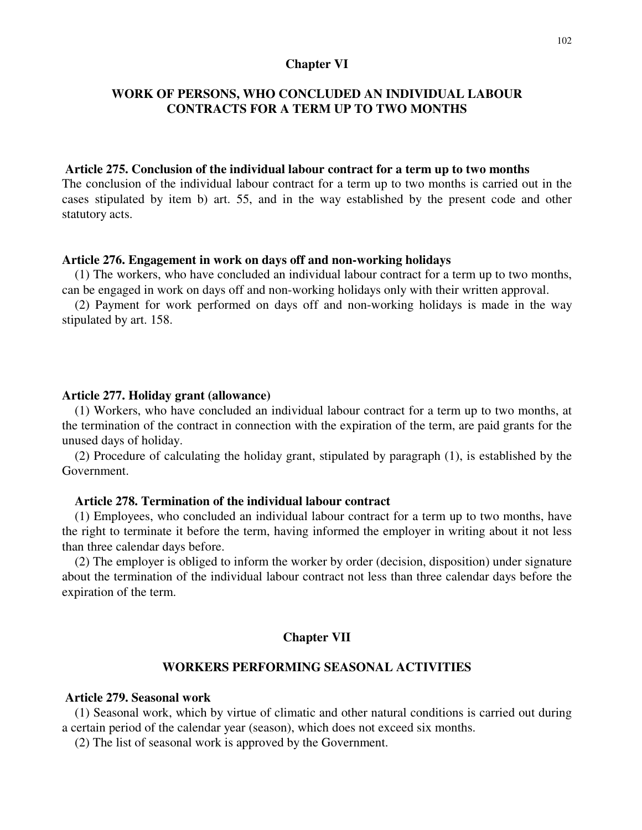### **Chapter VI**

# **WORK OF PERSONS, WHO CONCLUDED AN INDIVIDUAL LABOUR CONTRACTS FOR A TERM UP TO TWO MONTHS**

## **Article 275. Conclusion of the individual labour contract for a term up to two months**

The conclusion of the individual labour contract for a term up to two months is carried out in the cases stipulated by item b) art. 55, and in the way established by the present code and other statutory acts.

### **Article 276. Engagement in work on days off and non-working holidays**

(1) The workers, who have concluded an individual labour contract for a term up to two months, can be engaged in work on days off and non-working holidays only with their written approval.

(2) Payment for work performed on days off and non-working holidays is made in the way stipulated by art. 158.

#### **Article 277. Holiday grant (allowance)**

(1) Workers, who have concluded an individual labour contract for a term up to two months, at the termination of the contract in connection with the expiration of the term, are paid grants for the unused days of holiday.

(2) Procedure of calculating the holiday grant, stipulated by paragraph (1), is established by the Government.

## **Article 278. Termination of the individual labour contract**

(1) Employees, who concluded an individual labour contract for a term up to two months, have the right to terminate it before the term, having informed the employer in writing about it not less than three calendar days before.

(2) The employer is obliged to inform the worker by order (decision, disposition) under signature about the termination of the individual labour contract not less than three calendar days before the expiration of the term.

## **Chapter VII**

## **WORKERS PERFORMING SEASONAL ACTIVITIES**

## **Article 279. Seasonal work**

(1) Seasonal work, which by virtue of climatic and other natural conditions is carried out during a certain period of the calendar year (season), which does not exceed six months.

(2) The list of seasonal work is approved by the Government.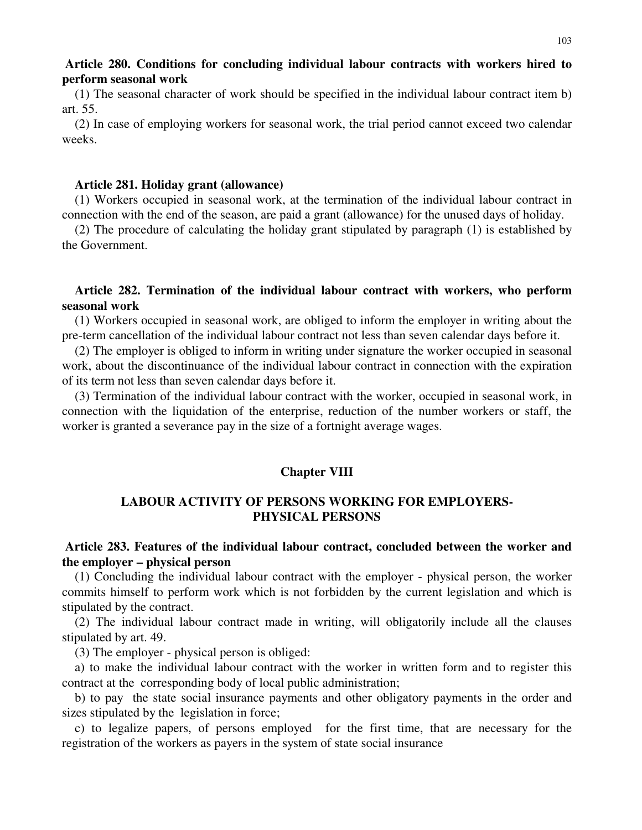# **Article 280. Conditions for concluding individual labour contracts with workers hired to perform seasonal work**

(1) The seasonal character of work should be specified in the individual labour contract item b) art. 55.

(2) In case of employing workers for seasonal work, the trial period cannot exceed two calendar weeks.

### **Article 281. Holiday grant (allowance)**

(1) Workers occupied in seasonal work, at the termination of the individual labour contract in connection with the end of the season, are paid a grant (allowance) for the unused days of holiday.

(2) The procedure of calculating the holiday grant stipulated by paragraph (1) is established by the Government.

# **Article 282. Termination of the individual labour contract with workers, who perform seasonal work**

(1) Workers occupied in seasonal work, are obliged to inform the employer in writing about the pre-term cancellation of the individual labour contract not less than seven calendar days before it.

(2) The employer is obliged to inform in writing under signature the worker occupied in seasonal work, about the discontinuance of the individual labour contract in connection with the expiration of its term not less than seven calendar days before it.

(3) Termination of the individual labour contract with the worker, occupied in seasonal work, in connection with the liquidation of the enterprise, reduction of the number workers or staff, the worker is granted a severance pay in the size of a fortnight average wages.

### **Chapter VIII**

# **LABOUR ACTIVITY OF PERSONS WORKING FOR EMPLOYERS-PHYSICAL PERSONS**

# **Article 283. Features of the individual labour contract, concluded between the worker and the employer – physical person**

(1) Concluding the individual labour contract with the employer - physical person, the worker commits himself to perform work which is not forbidden by the current legislation and which is stipulated by the contract.

(2) The individual labour contract made in writing, will obligatorily include all the clauses stipulated by art. 49.

(3) The employer - physical person is obliged:

a) to make the individual labour contract with the worker in written form and to register this contract at the corresponding body of local public administration;

b) to pay the state social insurance payments and other obligatory payments in the order and sizes stipulated by the legislation in force;

c) to legalize papers, of persons employed for the first time, that are necessary for the registration of the workers as payers in the system of state social insurance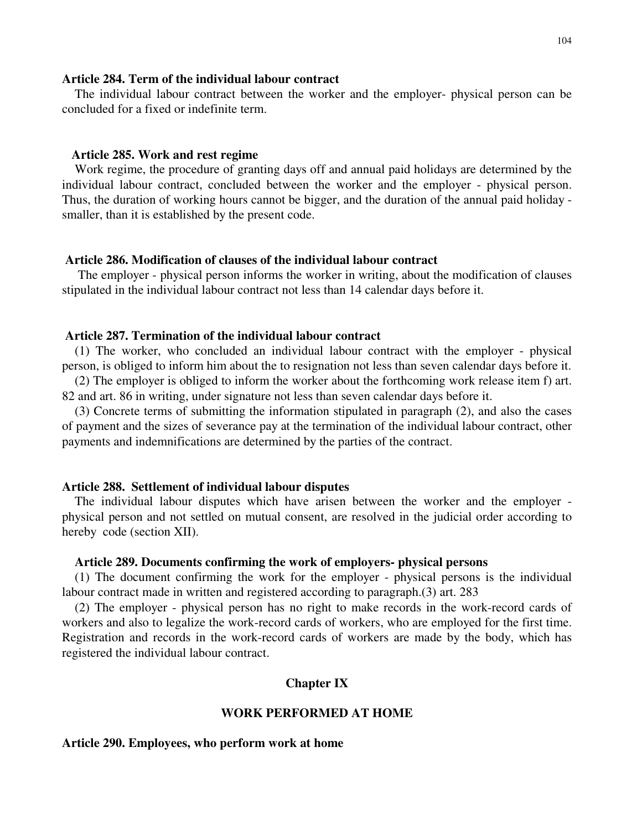### **Article 284. Term of the individual labour contract**

The individual labour contract between the worker and the employer- physical person can be concluded for a fixed or indefinite term.

## **Article 285. Work and rest regime**

Work regime, the procedure of granting days off and annual paid holidays are determined by the individual labour contract, concluded between the worker and the employer - physical person. Thus, the duration of working hours cannot be bigger, and the duration of the annual paid holiday smaller, than it is established by the present code.

### **Article 286. Modification of clauses of the individual labour contract**

The employer - physical person informs the worker in writing, about the modification of clauses stipulated in the individual labour contract not less than 14 calendar days before it.

## **Article 287. Termination of the individual labour contract**

(1) The worker, who concluded an individual labour contract with the employer - physical person, is obliged to inform him about the to resignation not less than seven calendar days before it.

(2) The employer is obliged to inform the worker about the forthcoming work release item f) art. 82 and art. 86 in writing, under signature not less than seven calendar days before it.

(3) Concrete terms of submitting the information stipulated in paragraph (2), and also the cases of payment and the sizes of severance pay at the termination of the individual labour contract, other payments and indemnifications are determined by the parties of the contract.

### **Article 288. Settlement of individual labour disputes**

The individual labour disputes which have arisen between the worker and the employer physical person and not settled on mutual consent, are resolved in the judicial order according to hereby code (section XII).

### **Article 289. Documents confirming the work of employers- physical persons**

(1) The document confirming the work for the employer - physical persons is the individual labour contract made in written and registered according to paragraph.(3) art. 283

(2) The employer - physical person has no right to make records in the work-record cards of workers and also to legalize the work-record cards of workers, who are employed for the first time. Registration and records in the work-record cards of workers are made by the body, which has registered the individual labour contract.

### **Chapter IX**

### **WORK PERFORMED AT HOME**

### **Article 290. Employees, who perform work at home**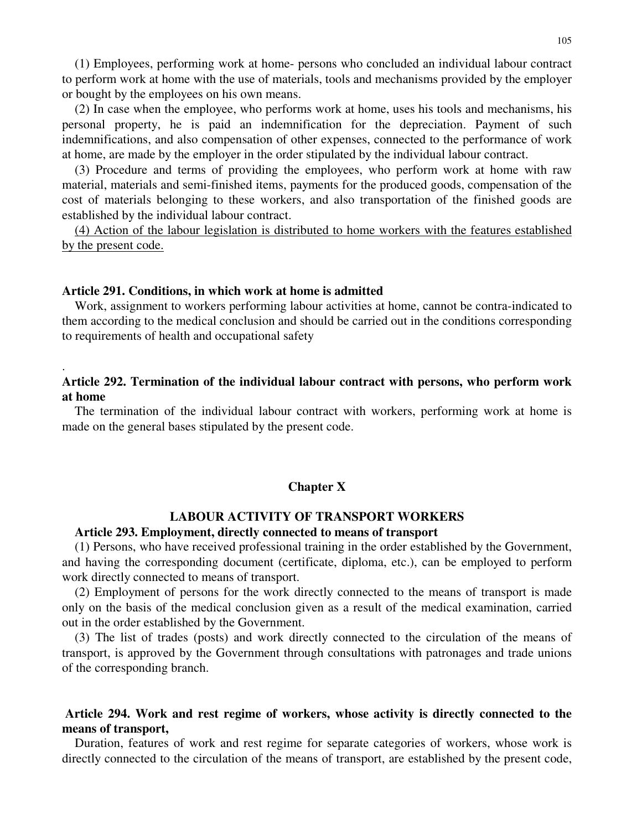(1) Employees, performing work at home- persons who concluded an individual labour contract to perform work at home with the use of materials, tools and mechanisms provided by the employer or bought by the employees on his own means.

(2) In case when the employee, who performs work at home, uses his tools and mechanisms, his personal property, he is paid an indemnification for the depreciation. Payment of such indemnifications, and also compensation of other expenses, connected to the performance of work at home, are made by the employer in the order stipulated by the individual labour contract.

(3) Procedure and terms of providing the employees, who perform work at home with raw material, materials and semi-finished items, payments for the produced goods, compensation of the cost of materials belonging to these workers, and also transportation of the finished goods are established by the individual labour contract.

(4) Action of the labour legislation is distributed to home workers with the features established by the present code.

### **Article 291. Conditions, in which work at home is admitted**

.

Work, assignment to workers performing labour activities at home, cannot be contra-indicated to them according to the medical conclusion and should be carried out in the conditions corresponding to requirements of health and occupational safety

# **Article 292. Termination of the individual labour contract with persons, who perform work at home**

The termination of the individual labour contract with workers, performing work at home is made on the general bases stipulated by the present code.

### **Chapter X**

# **LABOUR ACTIVITY OF TRANSPORT WORKERS**

# **Article 293. Employment, directly connected to means of transport**

(1) Persons, who have received professional training in the order established by the Government, and having the corresponding document (certificate, diploma, etc.), can be employed to perform work directly connected to means of transport.

(2) Employment of persons for the work directly connected to the means of transport is made only on the basis of the medical conclusion given as a result of the medical examination, carried out in the order established by the Government.

(3) The list of trades (posts) and work directly connected to the circulation of the means of transport, is approved by the Government through consultations with patronages and trade unions of the corresponding branch.

# **Article 294. Work and rest regime of workers, whose activity is directly connected to the means of transport,**

Duration, features of work and rest regime for separate categories of workers, whose work is directly connected to the circulation of the means of transport, are established by the present code,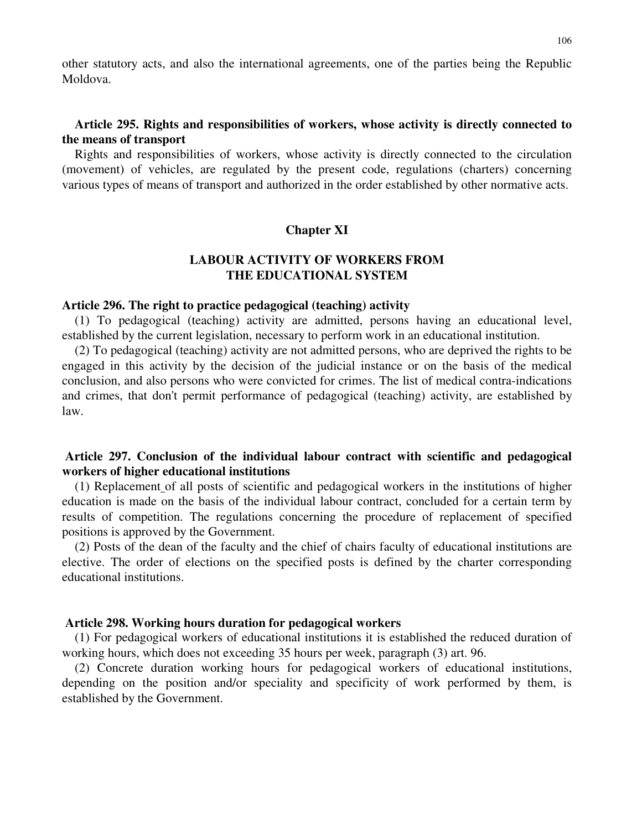other statutory acts, and also the international agreements, one of the parties being the Republic Moldova.

# **Article 295. Rights and responsibilities of workers, whose activity is directly connected to the means of transport**

Rights and responsibilities of workers, whose activity is directly connected to the circulation (movement) of vehicles, are regulated by the present code, regulations (charters) concerning various types of means of transport and authorized in the order established by other normative acts.

## **Chapter XI**

# **LABOUR ACTIVITY OF WORKERS FROM THE EDUCATIONAL SYSTEM**

### **Article 296. The right to practice pedagogical (teaching) activity**

(1) To pedagogical (teaching) activity are admitted, persons having an educational level, established by the current legislation, necessary to perform work in an educational institution.

(2) To pedagogical (teaching) activity are not admitted persons, who are deprived the rights to be engaged in this activity by the decision of the judicial instance or on the basis of the medical conclusion, and also persons who were convicted for crimes. The list of medical contra-indications and crimes, that don't permit performance of pedagogical (teaching) activity, are established by law.

# **Article 297. Conclusion of the individual labour contract with scientific and pedagogical workers of higher educational institutions**

(1) Replacement of all posts of scientific and pedagogical workers in the institutions of higher education is made on the basis of the individual labour contract, concluded for a certain term by results of competition. The regulations concerning the procedure of replacement of specified positions is approved by the Government.

(2) Posts of the dean of the faculty and the chief of chairs faculty of educational institutions are elective. The order of elections on the specified posts is defined by the charter corresponding educational institutions.

### **Article 298. Working hours duration for pedagogical workers**

(1) For pedagogical workers of educational institutions it is established the reduced duration of working hours, which does not exceeding 35 hours per week, paragraph (3) art. 96.

(2) Concrete duration working hours for pedagogical workers of educational institutions, depending on the position and/or speciality and specificity of work performed by them, is established by the Government.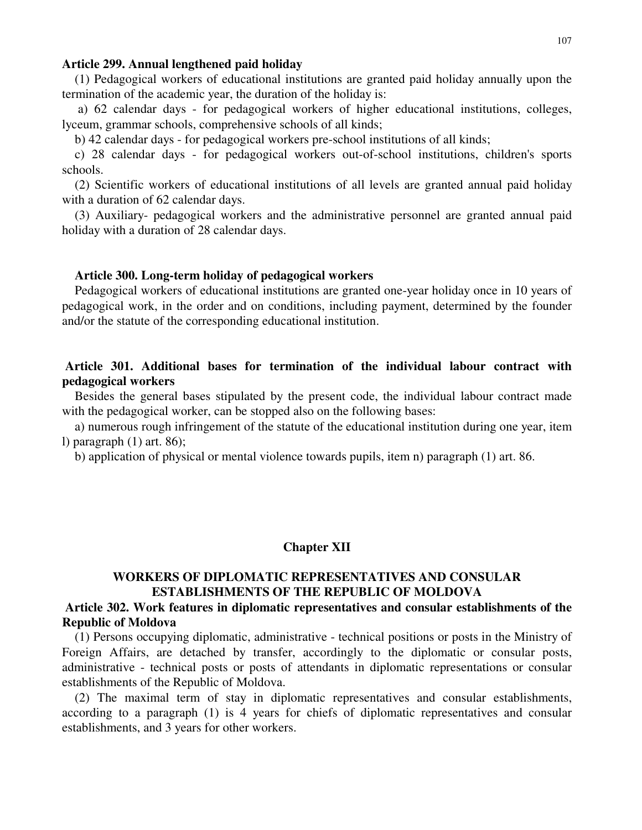### **Article 299. Annual lengthened paid holiday**

(1) Pedagogical workers of educational institutions are granted paid holiday annually upon the termination of the academic year, the duration of the holiday is:

a) 62 calendar days - for pedagogical workers of higher educational institutions, colleges, lyceum, grammar schools, comprehensive schools of all kinds;

b) 42 calendar days - for pedagogical workers pre-school institutions of all kinds;

c) 28 calendar days - for pedagogical workers out-of-school institutions, children's sports schools.

(2) Scientific workers of educational institutions of all levels are granted annual paid holiday with a duration of 62 calendar days.

(3) Auxiliary- pedagogical workers and the administrative personnel are granted annual paid holiday with a duration of 28 calendar days.

## **Article 300. Long-term holiday of pedagogical workers**

Pedagogical workers of educational institutions are granted one-year holiday once in 10 years of pedagogical work, in the order and on conditions, including payment, determined by the founder and/or the statute of the corresponding educational institution.

# **Article 301. Additional bases for termination of the individual labour contract with pedagogical workers**

Besides the general bases stipulated by the present code, the individual labour contract made with the pedagogical worker, can be stopped also on the following bases:

a) numerous rough infringement of the statute of the educational institution during one year, item l) paragraph (1) art. 86);

b) application of physical or mental violence towards pupils, item n) paragraph (1) art. 86.

### **Chapter XII**

# **WORKERS OF DIPLOMATIC REPRESENTATIVES AND CONSULAR ESTABLISHMENTS OF THE REPUBLIC OF MOLDOVA**

# **Article 302. Work features in diplomatic representatives and consular establishments of the Republic of Moldova**

(1) Persons occupying diplomatic, administrative - technical positions or posts in the Ministry of Foreign Affairs, are detached by transfer, accordingly to the diplomatic or consular posts, administrative - technical posts or posts of attendants in diplomatic representations or consular establishments of the Republic of Moldova.

(2) The maximal term of stay in diplomatic representatives and consular establishments, according to a paragraph (1) is 4 years for chiefs of diplomatic representatives and consular establishments, and 3 years for other workers.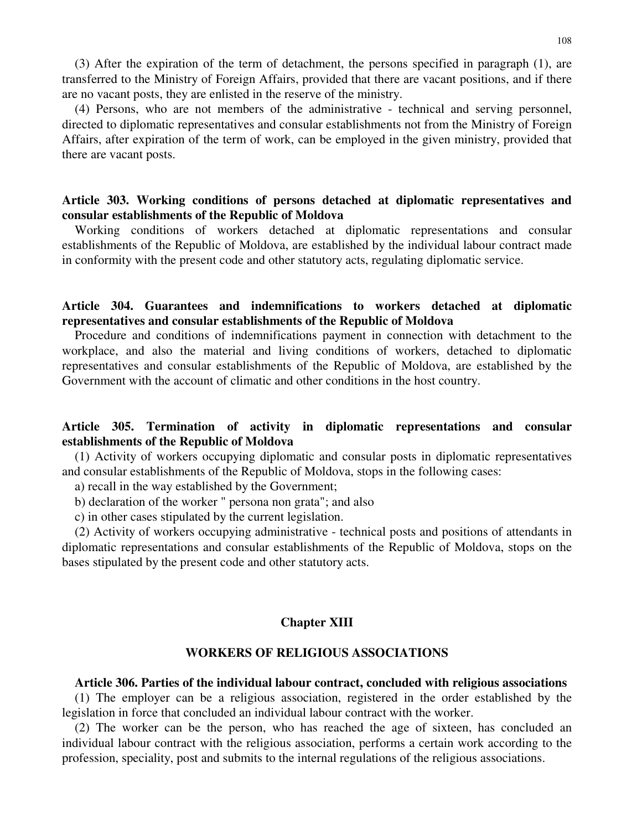(3) After the expiration of the term of detachment, the persons specified in paragraph (1), are transferred to the Ministry of Foreign Affairs, provided that there are vacant positions, and if there are no vacant posts, they are enlisted in the reserve of the ministry.

(4) Persons, who are not members of the administrative - technical and serving personnel, directed to diplomatic representatives and consular establishments not from the Ministry of Foreign Affairs, after expiration of the term of work, can be employed in the given ministry, provided that there are vacant posts.

# **Article 303. Working conditions of persons detached at diplomatic representatives and consular establishments of the Republic of Moldova**

Working conditions of workers detached at diplomatic representations and consular establishments of the Republic of Moldova, are established by the individual labour contract made in conformity with the present code and other statutory acts, regulating diplomatic service.

# **Article 304. Guarantees and indemnifications to workers detached at diplomatic representatives and consular establishments of the Republic of Moldova**

Procedure and conditions of indemnifications payment in connection with detachment to the workplace, and also the material and living conditions of workers, detached to diplomatic representatives and consular establishments of the Republic of Moldova, are established by the Government with the account of climatic and other conditions in the host country.

# **Article 305. Termination of activity in diplomatic representations and consular establishments of the Republic of Moldova**

(1) Activity of workers occupying diplomatic and consular posts in diplomatic representatives and consular establishments of the Republic of Moldova, stops in the following cases:

a) recall in the way established by the Government;

b) declaration of the worker " persona non grata"; and also

c) in other cases stipulated by the current legislation.

(2) Activity of workers occupying administrative - technical posts and positions of attendants in diplomatic representations and consular establishments of the Republic of Moldova, stops on the bases stipulated by the present code and other statutory acts.

# **Chapter XIII**

### **WORKERS OF RELIGIOUS ASSOCIATIONS**

### **Article 306. Parties of the individual labour contract, concluded with religious associations**

(1) The employer can be a religious association, registered in the order established by the legislation in force that concluded an individual labour contract with the worker.

(2) The worker can be the person, who has reached the age of sixteen, has concluded an individual labour contract with the religious association, performs a certain work according to the profession, speciality, post and submits to the internal regulations of the religious associations.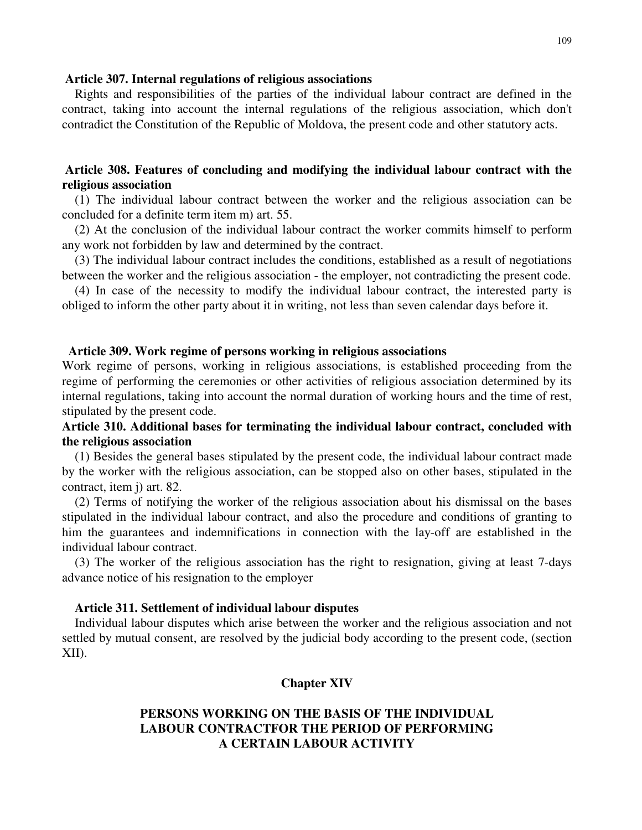#### **Article 307. Internal regulations of religious associations**

Rights and responsibilities of the parties of the individual labour contract are defined in the contract, taking into account the internal regulations of the religious association, which don't contradict the Constitution of the Republic of Moldova, the present code and other statutory acts.

# **Article 308. Features of concluding and modifying the individual labour contract with the religious association**

(1) The individual labour contract between the worker and the religious association can be concluded for a definite term item m) art. 55.

(2) At the conclusion of the individual labour contract the worker commits himself to perform any work not forbidden by law and determined by the contract.

(3) The individual labour contract includes the conditions, established as a result of negotiations between the worker and the religious association - the employer, not contradicting the present code.

(4) In case of the necessity to modify the individual labour contract, the interested party is obliged to inform the other party about it in writing, not less than seven calendar days before it.

## **Article 309. Work regime of persons working in religious associations**

Work regime of persons, working in religious associations, is established proceeding from the regime of performing the ceremonies or other activities of religious association determined by its internal regulations, taking into account the normal duration of working hours and the time of rest, stipulated by the present code.

# **Article 310. Additional bases for terminating the individual labour contract, concluded with the religious association**

(1) Besides the general bases stipulated by the present code, the individual labour contract made by the worker with the religious association, can be stopped also on other bases, stipulated in the contract, item j) art. 82.

(2) Terms of notifying the worker of the religious association about his dismissal on the bases stipulated in the individual labour contract, and also the procedure and conditions of granting to him the guarantees and indemnifications in connection with the lay-off are established in the individual labour contract.

(3) The worker of the religious association has the right to resignation, giving at least 7-days advance notice of his resignation to the employer

### **Article 311. Settlement of individual labour disputes**

Individual labour disputes which arise between the worker and the religious association and not settled by mutual consent, are resolved by the judicial body according to the present code, (section XII).

### **Chapter XIV**

# **PERSONS WORKING ON THE BASIS OF THE INDIVIDUAL LABOUR CONTRACTFOR THE PERIOD OF PERFORMING A CERTAIN LABOUR ACTIVITY**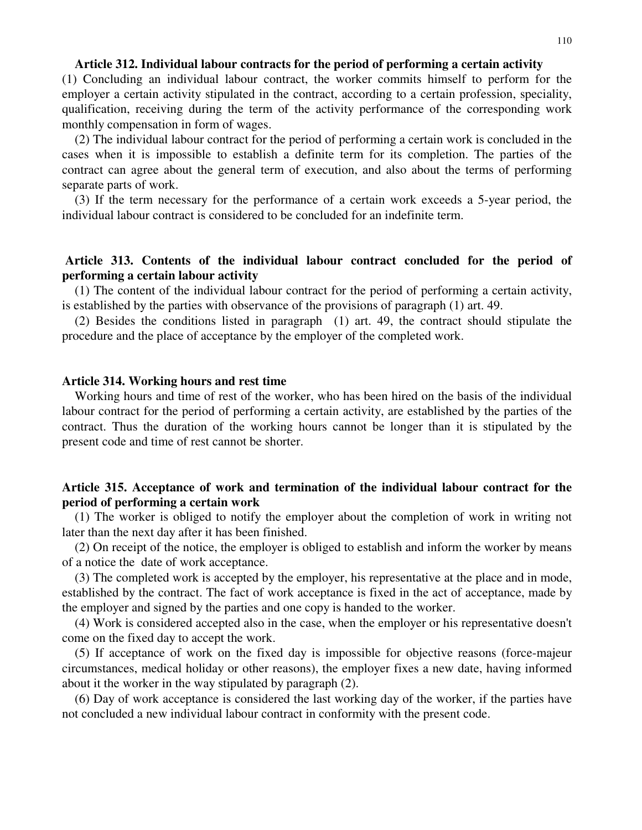### **Article 312. Individual labour contracts for the period of performing a certain activity**

(1) Concluding an individual labour contract, the worker commits himself to perform for the employer a certain activity stipulated in the contract, according to a certain profession, speciality, qualification, receiving during the term of the activity performance of the corresponding work monthly compensation in form of wages.

(2) The individual labour contract for the period of performing a certain work is concluded in the cases when it is impossible to establish a definite term for its completion. The parties of the contract can agree about the general term of execution, and also about the terms of performing separate parts of work.

(3) If the term necessary for the performance of a certain work exceeds a 5-year period, the individual labour contract is considered to be concluded for an indefinite term.

# **Article 313. Contents of the individual labour contract concluded for the period of performing a certain labour activity**

(1) The content of the individual labour contract for the period of performing a certain activity, is established by the parties with observance of the provisions of paragraph (1) art. 49.

(2) Besides the conditions listed in paragraph (1) art. 49, the contract should stipulate the procedure and the place of acceptance by the employer of the completed work.

#### **Article 314. Working hours and rest time**

Working hours and time of rest of the worker, who has been hired on the basis of the individual labour contract for the period of performing a certain activity, are established by the parties of the contract. Thus the duration of the working hours cannot be longer than it is stipulated by the present code and time of rest cannot be shorter.

# **Article 315. Acceptance of work and termination of the individual labour contract for the period of performing a certain work**

(1) The worker is obliged to notify the employer about the completion of work in writing not later than the next day after it has been finished.

(2) On receipt of the notice, the employer is obliged to establish and inform the worker by means of a notice the date of work acceptance.

(3) The completed work is accepted by the employer, his representative at the place and in mode, established by the contract. The fact of work acceptance is fixed in the act of acceptance, made by the employer and signed by the parties and one copy is handed to the worker.

(4) Work is considered accepted also in the case, when the employer or his representative doesn't come on the fixed day to accept the work.

(5) If acceptance of work on the fixed day is impossible for objective reasons (force-majeur circumstances, medical holiday or other reasons), the employer fixes a new date, having informed about it the worker in the way stipulated by paragraph (2).

(6) Day of work acceptance is considered the last working day of the worker, if the parties have not concluded a new individual labour contract in conformity with the present code.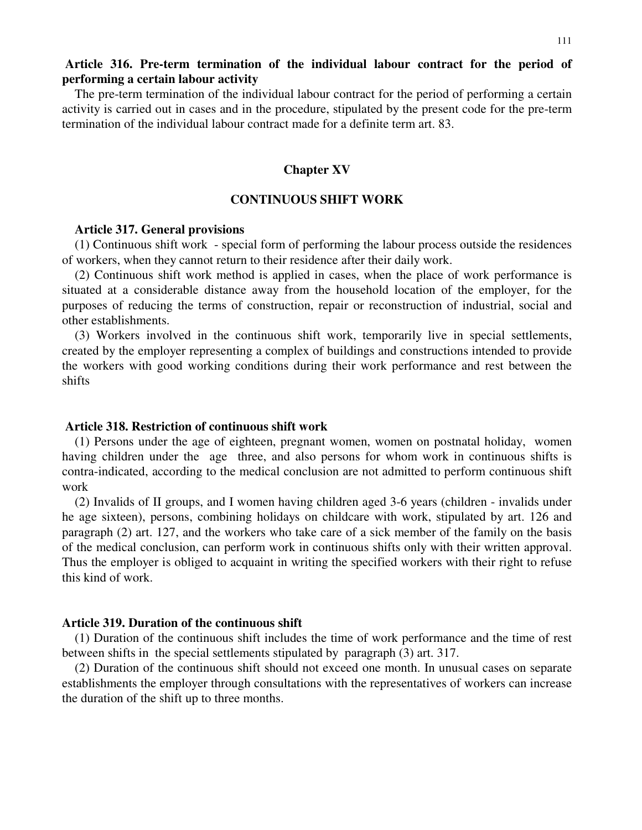# **Article 316. Pre-term termination of the individual labour contract for the period of performing a certain labour activity**

The pre-term termination of the individual labour contract for the period of performing a certain activity is carried out in cases and in the procedure, stipulated by the present code for the pre-term termination of the individual labour contract made for a definite term art. 83.

#### **Chapter XV**

#### **CONTINUOUS SHIFT WORK**

#### **Article 317. General provisions**

(1) Continuous shift work - special form of performing the labour process outside the residences of workers, when they cannot return to their residence after their daily work.

(2) Continuous shift work method is applied in cases, when the place of work performance is situated at a considerable distance away from the household location of the employer, for the purposes of reducing the terms of construction, repair or reconstruction of industrial, social and other establishments.

(3) Workers involved in the continuous shift work, temporarily live in special settlements, created by the employer representing a complex of buildings and constructions intended to provide the workers with good working conditions during their work performance and rest between the shifts

### **Article 318. Restriction of continuous shift work**

(1) Persons under the age of eighteen, pregnant women, women on postnatal holiday, women having children under the age three, and also persons for whom work in continuous shifts is contra-indicated, according to the medical conclusion are not admitted to perform continuous shift work

(2) Invalids of II groups, and I women having children aged 3-6 years (children - invalids under he age sixteen), persons, combining holidays on childcare with work, stipulated by art. 126 and paragraph (2) art. 127, and the workers who take care of a sick member of the family on the basis of the medical conclusion, can perform work in continuous shifts only with their written approval. Thus the employer is obliged to acquaint in writing the specified workers with their right to refuse this kind of work.

## **Article 319. Duration of the continuous shift**

(1) Duration of the continuous shift includes the time of work performance and the time of rest between shifts in the special settlements stipulated by paragraph (3) art. 317.

(2) Duration of the continuous shift should not exceed one month. In unusual cases on separate establishments the employer through consultations with the representatives of workers can increase the duration of the shift up to three months.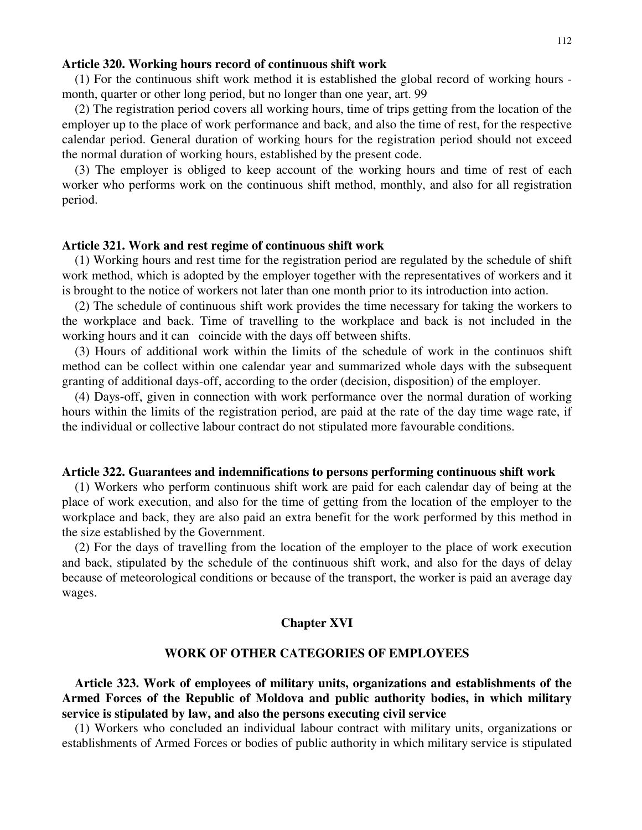#### **Article 320. Working hours record of continuous shift work**

(1) For the continuous shift work method it is established the global record of working hours month, quarter or other long period, but no longer than one year, art. 99

(2) The registration period covers all working hours, time of trips getting from the location of the employer up to the place of work performance and back, and also the time of rest, for the respective calendar period. General duration of working hours for the registration period should not exceed the normal duration of working hours, established by the present code.

(3) The employer is obliged to keep account of the working hours and time of rest of each worker who performs work on the continuous shift method, monthly, and also for all registration period.

#### **Article 321. Work and rest regime of continuous shift work**

(1) Working hours and rest time for the registration period are regulated by the schedule of shift work method, which is adopted by the employer together with the representatives of workers and it is brought to the notice of workers not later than one month prior to its introduction into action.

(2) The schedule of continuous shift work provides the time necessary for taking the workers to the workplace and back. Time of travelling to the workplace and back is not included in the working hours and it can coincide with the days off between shifts.

(3) Hours of additional work within the limits of the schedule of work in the continuos shift method can be collect within one calendar year and summarized whole days with the subsequent granting of additional days-off, according to the order (decision, disposition) of the employer.

(4) Days-off, given in connection with work performance over the normal duration of working hours within the limits of the registration period, are paid at the rate of the day time wage rate, if the individual or collective labour contract do not stipulated more favourable conditions.

#### **Article 322. Guarantees and indemnifications to persons performing continuous shift work**

(1) Workers who perform continuous shift work are paid for each calendar day of being at the place of work execution, and also for the time of getting from the location of the employer to the workplace and back, they are also paid an extra benefit for the work performed by this method in the size established by the Government.

(2) For the days of travelling from the location of the employer to the place of work execution and back, stipulated by the schedule of the continuous shift work, and also for the days of delay because of meteorological conditions or because of the transport, the worker is paid an average day wages.

#### **Chapter XVI**

### **WORK OF OTHER CATEGORIES OF EMPLOYEES**

**Article 323. Work of employees of military units, organizations and establishments of the Armed Forces of the Republic of Moldova and public authority bodies, in which military service is stipulated by law, and also the persons executing civil service**

(1) Workers who concluded an individual labour contract with military units, organizations or establishments of Armed Forces or bodies of public authority in which military service is stipulated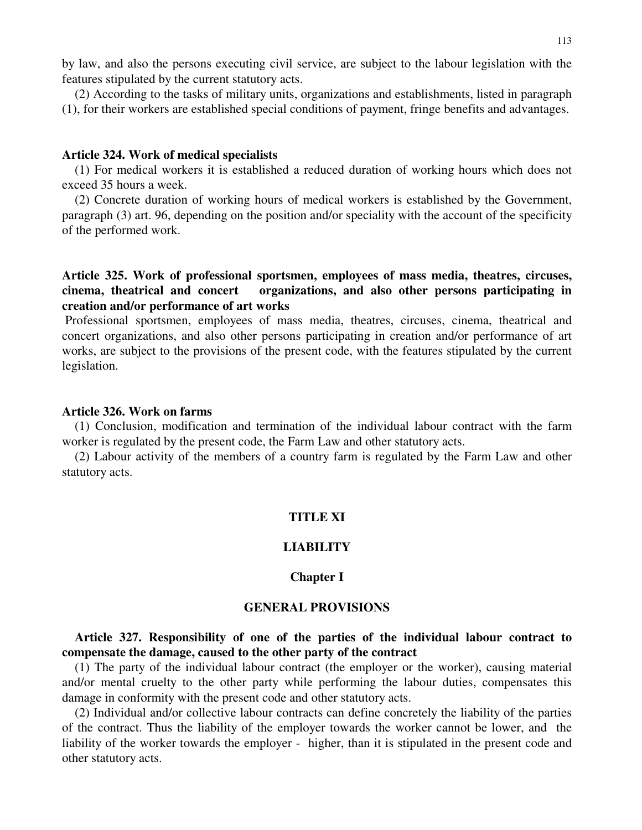by law, and also the persons executing civil service, are subject to the labour legislation with the features stipulated by the current statutory acts.

(2) According to the tasks of military units, organizations and establishments, listed in paragraph (1), for their workers are established special conditions of payment, fringe benefits and advantages.

# **Article 324. Work of medical specialists**

(1) For medical workers it is established a reduced duration of working hours which does not exceed 35 hours a week.

(2) Concrete duration of working hours of medical workers is established by the Government, paragraph (3) art. 96, depending on the position and/or speciality with the account of the specificity of the performed work.

# **Article 325. Work of professional sportsmen, employees of mass media, theatres, circuses, cinema, theatrical and concert organizations, and also other persons participating in creation and/or performance of art works**

Professional sportsmen, employees of mass media, theatres, circuses, cinema, theatrical and concert organizations, and also other persons participating in creation and/or performance of art works, are subject to the provisions of the present code, with the features stipulated by the current legislation.

## **Article 326. Work on farms**

(1) Conclusion, modification and termination of the individual labour contract with the farm worker is regulated by the present code, the Farm Law and other statutory acts.

(2) Labour activity of the members of a country farm is regulated by the Farm Law and other statutory acts.

#### **TITLE XI**

### **LIABILITY**

## **Chapter I**

## **GENERAL PROVISIONS**

**Article 327. Responsibility of one of the parties of the individual labour contract to compensate the damage, caused to the other party of the contract**

(1) The party of the individual labour contract (the employer or the worker), causing material and/or mental cruelty to the other party while performing the labour duties, compensates this damage in conformity with the present code and other statutory acts.

(2) Individual and/or collective labour contracts can define concretely the liability of the parties of the contract. Thus the liability of the employer towards the worker cannot be lower, and the liability of the worker towards the employer - higher, than it is stipulated in the present code and other statutory acts.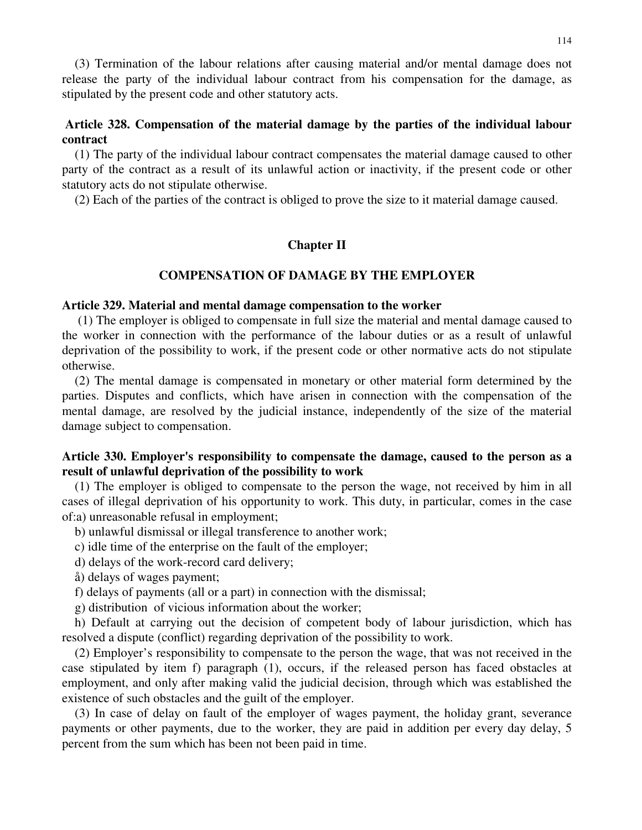(3) Termination of the labour relations after causing material and/or mental damage does not release the party of the individual labour contract from his compensation for the damage, as stipulated by the present code and other statutory acts.

# **Article 328. Compensation of the material damage by the parties of the individual labour contract**

(1) The party of the individual labour contract compensates the material damage caused to other party of the contract as a result of its unlawful action or inactivity, if the present code or other statutory acts do not stipulate otherwise.

(2) Each of the parties of the contract is obliged to prove the size to it material damage caused.

# **Chapter II**

## **COMPENSATION OF DAMAGE BY THE EMPLOYER**

## **Article 329. Material and mental damage compensation to the worker**

(1) The employer is obliged to compensate in full size the material and mental damage caused to the worker in connection with the performance of the labour duties or as a result of unlawful deprivation of the possibility to work, if the present code or other normative acts do not stipulate otherwise.

(2) The mental damage is compensated in monetary or other material form determined by the parties. Disputes and conflicts, which have arisen in connection with the compensation of the mental damage, are resolved by the judicial instance, independently of the size of the material damage subject to compensation.

# **Article 330. Employer's responsibility to compensate the damage, caused to the person as a result of unlawful deprivation of the possibility to work**

(1) The employer is obliged to compensate to the person the wage, not received by him in all cases of illegal deprivation of his opportunity to work. This duty, in particular, comes in the case of:a) unreasonable refusal in employment;

b) unlawful dismissal or illegal transference to another work;

c) idle time of the enterprise on the fault of the employer;

d) delays of the work-record card delivery;

- å) delays of wages payment;
- f) delays of payments (all or a part) in connection with the dismissal;

g) distribution of vicious information about the worker;

h) Default at carrying out the decision of competent body of labour jurisdiction, which has resolved a dispute (conflict) regarding deprivation of the possibility to work.

(2) Employer's responsibility to compensate to the person the wage, that was not received in the case stipulated by item f) paragraph (1), occurs, if the released person has faced obstacles at employment, and only after making valid the judicial decision, through which was established the existence of such obstacles and the guilt of the employer.

(3) In case of delay on fault of the employer of wages payment, the holiday grant, severance payments or other payments, due to the worker, they are paid in addition per every day delay, 5 percent from the sum which has been not been paid in time.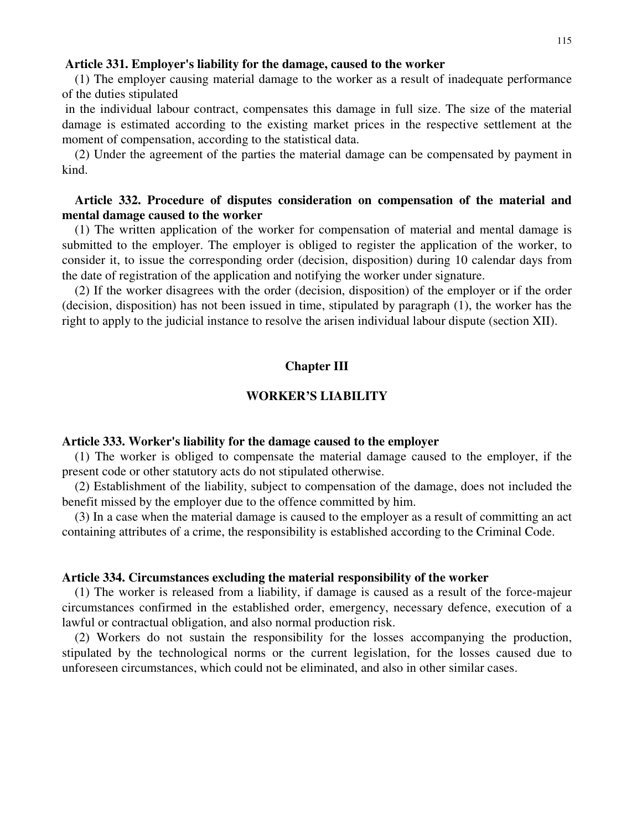#### **Article 331. Employer's liability for the damage, caused to the worker**

(1) The employer causing material damage to the worker as a result of inadequate performance of the duties stipulated

in the individual labour contract, compensates this damage in full size. The size of the material damage is estimated according to the existing market prices in the respective settlement at the moment of compensation, according to the statistical data.

(2) Under the agreement of the parties the material damage can be compensated by payment in kind.

# **Article 332. Procedure of disputes consideration on compensation of the material and mental damage caused to the worker**

(1) The written application of the worker for compensation of material and mental damage is submitted to the employer. The employer is obliged to register the application of the worker, to consider it, to issue the corresponding order (decision, disposition) during 10 calendar days from the date of registration of the application and notifying the worker under signature.

(2) If the worker disagrees with the order (decision, disposition) of the employer or if the order (decision, disposition) has not been issued in time, stipulated by paragraph (1), the worker has the right to apply to the judicial instance to resolve the arisen individual labour dispute (section XII).

# **Chapter III**

#### **WORKER'S LIABILITY**

#### **Article 333. Worker's liability for the damage caused to the employer**

(1) The worker is obliged to compensate the material damage caused to the employer, if the present code or other statutory acts do not stipulated otherwise.

(2) Establishment of the liability, subject to compensation of the damage, does not included the benefit missed by the employer due to the offence committed by him.

(3) In a case when the material damage is caused to the employer as a result of committing an act containing attributes of a crime, the responsibility is established according to the Criminal Code.

#### **Article 334. Circumstances excluding the material responsibility of the worker**

(1) The worker is released from a liability, if damage is caused as a result of the force-majeur circumstances confirmed in the established order, emergency, necessary defence, execution of a lawful or contractual obligation, and also normal production risk.

(2) Workers do not sustain the responsibility for the losses accompanying the production, stipulated by the technological norms or the current legislation, for the losses caused due to unforeseen circumstances, which could not be eliminated, and also in other similar cases.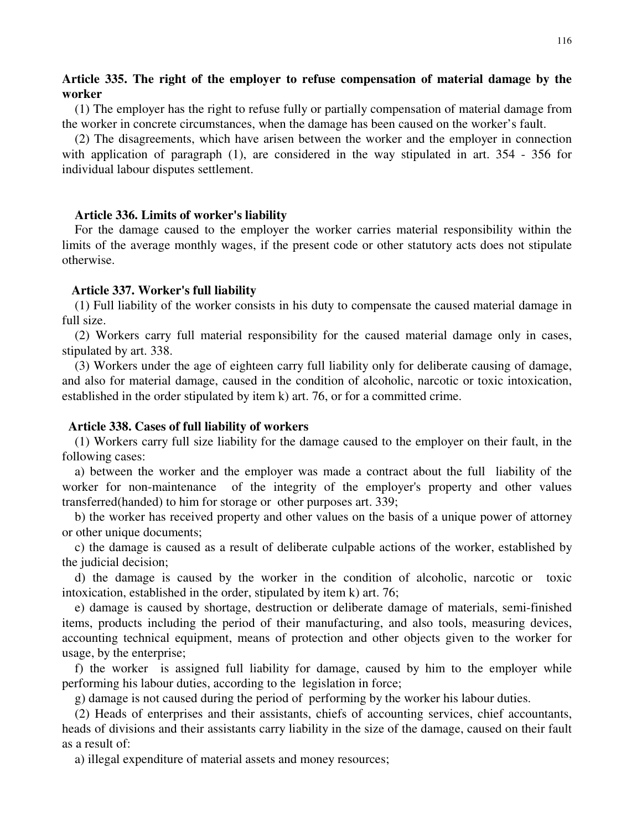# **Article 335. The right of the employer to refuse compensation of material damage by the worker**

(1) The employer has the right to refuse fully or partially compensation of material damage from the worker in concrete circumstances, when the damage has been caused on the worker's fault.

(2) The disagreements, which have arisen between the worker and the employer in connection with application of paragraph (1), are considered in the way stipulated in art. 354 - 356 for individual labour disputes settlement.

## **Article 336. Limits of worker's liability**

For the damage caused to the employer the worker carries material responsibility within the limits of the average monthly wages, if the present code or other statutory acts does not stipulate otherwise.

## **Article 337. Worker's full liability**

(1) Full liability of the worker consists in his duty to compensate the caused material damage in full size.

(2) Workers carry full material responsibility for the caused material damage only in cases, stipulated by art. 338.

(3) Workers under the age of eighteen carry full liability only for deliberate causing of damage, and also for material damage, caused in the condition of alcoholic, narcotic or toxic intoxication, established in the order stipulated by item k) art. 76, or for a committed crime.

### **Article 338. Cases of full liability of workers**

(1) Workers carry full size liability for the damage caused to the employer on their fault, in the following cases:

a) between the worker and the employer was made a contract about the full liability of the worker for non-maintenance of the integrity of the employer's property and other values transferred(handed) to him for storage or other purposes art. 339;

b) the worker has received property and other values on the basis of a unique power of attorney or other unique documents;

c) the damage is caused as a result of deliberate culpable actions of the worker, established by the judicial decision;

d) the damage is caused by the worker in the condition of alcoholic, narcotic or toxic intoxication, established in the order, stipulated by item k) art. 76;

e) damage is caused by shortage, destruction or deliberate damage of materials, semi-finished items, products including the period of their manufacturing, and also tools, measuring devices, accounting technical equipment, means of protection and other objects given to the worker for usage, by the enterprise;

f) the worker is assigned full liability for damage, caused by him to the employer while performing his labour duties, according to the legislation in force;

g) damage is not caused during the period of performing by the worker his labour duties.

(2) Heads of enterprises and their assistants, chiefs of accounting services, chief accountants, heads of divisions and their assistants carry liability in the size of the damage, caused on their fault as a result of:

a) illegal expenditure of material assets and money resources;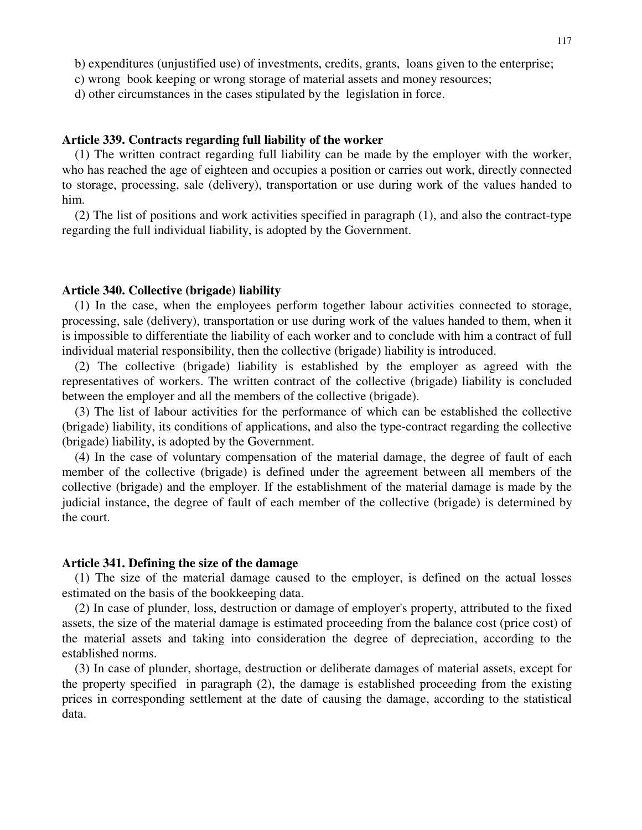- b) expenditures (unjustified use) of investments, credits, grants, loans given to the enterprise;
- c) wrong book keeping or wrong storage of material assets and money resources;
- d) other circumstances in the cases stipulated by the legislation in force.

### **Article 339. Contracts regarding full liability of the worker**

(1) The written contract regarding full liability can be made by the employer with the worker, who has reached the age of eighteen and occupies a position or carries out work, directly connected to storage, processing, sale (delivery), transportation or use during work of the values handed to him.

(2) The list of positions and work activities specified in paragraph (1), and also the contract-type regarding the full individual liability, is adopted by the Government.

#### **Article 340. Collective (brigade) liability**

(1) In the case, when the employees perform together labour activities connected to storage, processing, sale (delivery), transportation or use during work of the values handed to them, when it is impossible to differentiate the liability of each worker and to conclude with him a contract of full individual material responsibility, then the collective (brigade) liability is introduced.

(2) The collective (brigade) liability is established by the employer as agreed with the representatives of workers. The written contract of the collective (brigade) liability is concluded between the employer and all the members of the collective (brigade).

(3) The list of labour activities for the performance of which can be established the collective (brigade) liability, its conditions of applications, and also the type-contract regarding the collective (brigade) liability, is adopted by the Government.

(4) In the case of voluntary compensation of the material damage, the degree of fault of each member of the collective (brigade) is defined under the agreement between all members of the collective (brigade) and the employer. If the establishment of the material damage is made by the judicial instance, the degree of fault of each member of the collective (brigade) is determined by the court.

### **Article 341. Defining the size of the damage**

(1) The size of the material damage caused to the employer, is defined on the actual losses estimated on the basis of the bookkeeping data.

(2) In case of plunder, loss, destruction or damage of employer's property, attributed to the fixed assets, the size of the material damage is estimated proceeding from the balance cost (price cost) of the material assets and taking into consideration the degree of depreciation, according to the established norms.

(3) In case of plunder, shortage, destruction or deliberate damages of material assets, except for the property specified in paragraph (2), the damage is established proceeding from the existing prices in corresponding settlement at the date of causing the damage, according to the statistical data.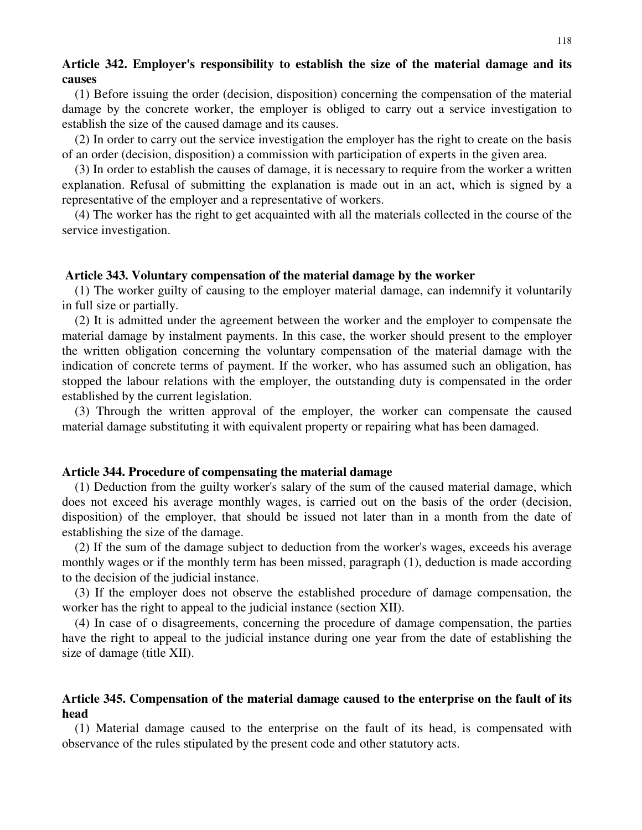# **Article 342. Employer's responsibility to establish the size of the material damage and its causes**

(1) Before issuing the order (decision, disposition) concerning the compensation of the material damage by the concrete worker, the employer is obliged to carry out a service investigation to establish the size of the caused damage and its causes.

(2) In order to carry out the service investigation the employer has the right to create on the basis of an order (decision, disposition) a commission with participation of experts in the given area.

(3) In order to establish the causes of damage, it is necessary to require from the worker a written explanation. Refusal of submitting the explanation is made out in an act, which is signed by a representative of the employer and a representative of workers.

(4) The worker has the right to get acquainted with all the materials collected in the course of the service investigation.

# **Article 343. Voluntary compensation of the material damage by the worker**

(1) The worker guilty of causing to the employer material damage, can indemnify it voluntarily in full size or partially.

(2) It is admitted under the agreement between the worker and the employer to compensate the material damage by instalment payments. In this case, the worker should present to the employer the written obligation concerning the voluntary compensation of the material damage with the indication of concrete terms of payment. If the worker, who has assumed such an obligation, has stopped the labour relations with the employer, the outstanding duty is compensated in the order established by the current legislation.

(3) Through the written approval of the employer, the worker can compensate the caused material damage substituting it with equivalent property or repairing what has been damaged.

### **Article 344. Procedure of compensating the material damage**

(1) Deduction from the guilty worker's salary of the sum of the caused material damage, which does not exceed his average monthly wages, is carried out on the basis of the order (decision, disposition) of the employer, that should be issued not later than in a month from the date of establishing the size of the damage.

(2) If the sum of the damage subject to deduction from the worker's wages, exceeds his average monthly wages or if the monthly term has been missed, paragraph (1), deduction is made according to the decision of the judicial instance.

(3) If the employer does not observe the established procedure of damage compensation, the worker has the right to appeal to the judicial instance (section XII).

(4) In case of o disagreements, concerning the procedure of damage compensation, the parties have the right to appeal to the judicial instance during one year from the date of establishing the size of damage (title XII).

# **Article 345. Compensation of the material damage caused to the enterprise on the fault of its head**

(1) Material damage caused to the enterprise on the fault of its head, is compensated with observance of the rules stipulated by the present code and other statutory acts.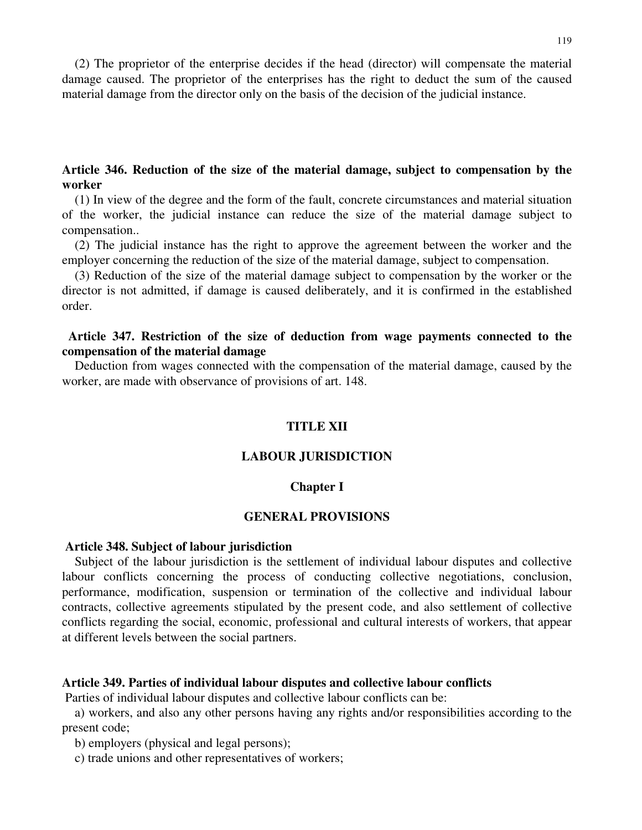(2) The proprietor of the enterprise decides if the head (director) will compensate the material damage caused. The proprietor of the enterprises has the right to deduct the sum of the caused material damage from the director only on the basis of the decision of the judicial instance.

# **Article 346. Reduction of the size of the material damage, subject to compensation by the worker**

(1) In view of the degree and the form of the fault, concrete circumstances and material situation of the worker, the judicial instance can reduce the size of the material damage subject to compensation..

(2) The judicial instance has the right to approve the agreement between the worker and the employer concerning the reduction of the size of the material damage, subject to compensation.

(3) Reduction of the size of the material damage subject to compensation by the worker or the director is not admitted, if damage is caused deliberately, and it is confirmed in the established order.

# **Article 347. Restriction of the size of deduction from wage payments connected to the compensation of the material damage**

Deduction from wages connected with the compensation of the material damage, caused by the worker, are made with observance of provisions of art. 148.

# **TITLE XII**

### **LABOUR JURISDICTION**

### **Chapter I**

#### **GENERAL PROVISIONS**

# **Article 348. Subject of labour jurisdiction**

Subject of the labour jurisdiction is the settlement of individual labour disputes and collective labour conflicts concerning the process of conducting collective negotiations, conclusion, performance, modification, suspension or termination of the collective and individual labour contracts, collective agreements stipulated by the present code, and also settlement of collective conflicts regarding the social, economic, professional and cultural interests of workers, that appear at different levels between the social partners.

#### **Article 349. Parties of individual labour disputes and collective labour conflicts**

Parties of individual labour disputes and collective labour conflicts can be:

a) workers, and also any other persons having any rights and/or responsibilities according to the present code;

b) employers (physical and legal persons);

c) trade unions and other representatives of workers;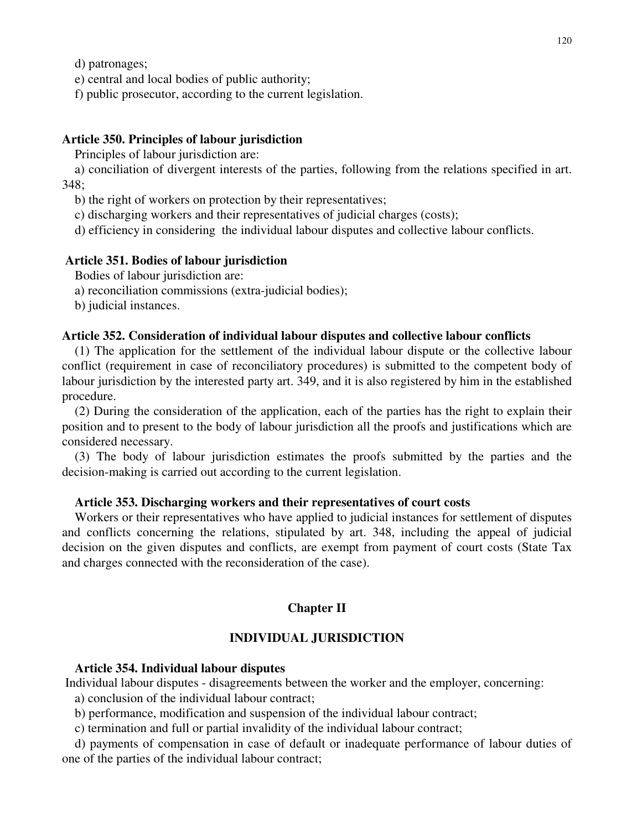d) patronages;

e) central and local bodies of public authority;

f) public prosecutor, according to the current legislation.

# **Article 350. Principles of labour jurisdiction**

Principles of labour jurisdiction are:

a) conciliation of divergent interests of the parties, following from the relations specified in art. 348;

b) the right of workers on protection by their representatives;

c) discharging workers and their representatives of judicial charges (costs);

d) efficiency in considering the individual labour disputes and collective labour conflicts.

## **Article 351. Bodies of labour jurisdiction**

Bodies of labour jurisdiction are:

a) reconciliation commissions (extra-judicial bodies);

b) judicial instances.

# **Article 352. Consideration of individual labour disputes and collective labour conflicts**

(1) The application for the settlement of the individual labour dispute or the collective labour conflict (requirement in case of reconciliatory procedures) is submitted to the competent body of labour jurisdiction by the interested party art. 349, and it is also registered by him in the established procedure.

(2) During the consideration of the application, each of the parties has the right to explain their position and to present to the body of labour jurisdiction all the proofs and justifications which are considered necessary.

(3) The body of labour jurisdiction estimates the proofs submitted by the parties and the decision-making is carried out according to the current legislation.

# **Article 353. Discharging workers and their representatives of court costs**

Workers or their representatives who have applied to judicial instances for settlement of disputes and conflicts concerning the relations, stipulated by art. 348, including the appeal of judicial decision on the given disputes and conflicts, are exempt from payment of court costs (State Tax and charges connected with the reconsideration of the case).

# **Chapter II**

# **INDIVIDUAL JURISDICTION**

## **Article 354. Individual labour disputes**

Individual labour disputes - disagreements between the worker and the employer, concerning:

a) conclusion of the individual labour contract;

b) performance, modification and suspension of the individual labour contract;

c) termination and full or partial invalidity of the individual labour contract;

d) payments of compensation in case of default or inadequate performance of labour duties of one of the parties of the individual labour contract;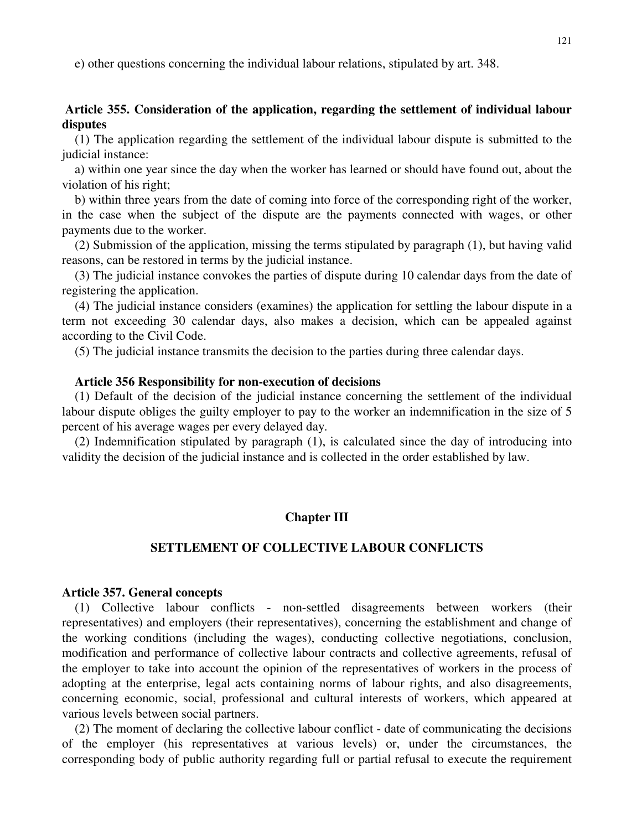e) other questions concerning the individual labour relations, stipulated by art. 348.

# **Article 355. Consideration of the application, regarding the settlement of individual labour disputes**

(1) The application regarding the settlement of the individual labour dispute is submitted to the judicial instance:

a) within one year since the day when the worker has learned or should have found out, about the violation of his right;

b) within three years from the date of coming into force of the corresponding right of the worker, in the case when the subject of the dispute are the payments connected with wages, or other payments due to the worker.

(2) Submission of the application, missing the terms stipulated by paragraph (1), but having valid reasons, can be restored in terms by the judicial instance.

(3) The judicial instance convokes the parties of dispute during 10 calendar days from the date of registering the application.

(4) The judicial instance considers (examines) the application for settling the labour dispute in a term not exceeding 30 calendar days, also makes a decision, which can be appealed against according to the Civil Code.

(5) The judicial instance transmits the decision to the parties during three calendar days.

### **Article 356 Responsibility for non-execution of decisions**

(1) Default of the decision of the judicial instance concerning the settlement of the individual labour dispute obliges the guilty employer to pay to the worker an indemnification in the size of 5 percent of his average wages per every delayed day.

(2) Indemnification stipulated by paragraph (1), is calculated since the day of introducing into validity the decision of the judicial instance and is collected in the order established by law.

## **Chapter III**

### **SETTLEMENT OF COLLECTIVE LABOUR CONFLICTS**

### **Article 357. General concepts**

(1) Collective labour conflicts - non-settled disagreements between workers (their representatives) and employers (their representatives), concerning the establishment and change of the working conditions (including the wages), conducting collective negotiations, conclusion, modification and performance of collective labour contracts and collective agreements, refusal of the employer to take into account the opinion of the representatives of workers in the process of adopting at the enterprise, legal acts containing norms of labour rights, and also disagreements, concerning economic, social, professional and cultural interests of workers, which appeared at various levels between social partners.

(2) The moment of declaring the collective labour conflict - date of communicating the decisions of the employer (his representatives at various levels) or, under the circumstances, the corresponding body of public authority regarding full or partial refusal to execute the requirement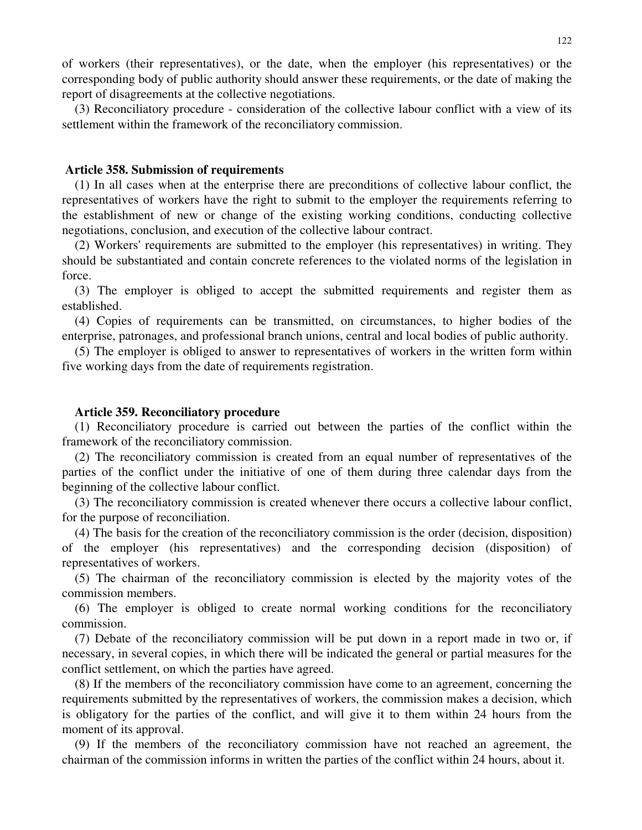of workers (their representatives), or the date, when the employer (his representatives) or the corresponding body of public authority should answer these requirements, or the date of making the report of disagreements at the collective negotiations.

(3) Reconciliatory procedure - consideration of the collective labour conflict with a view of its settlement within the framework of the reconciliatory commission.

#### **Article 358. Submission of requirements**

(1) In all cases when at the enterprise there are preconditions of collective labour conflict, the representatives of workers have the right to submit to the employer the requirements referring to the establishment of new or change of the existing working conditions, conducting collective negotiations, conclusion, and execution of the collective labour contract.

(2) Workers' requirements are submitted to the employer (his representatives) in writing. They should be substantiated and contain concrete references to the violated norms of the legislation in force.

(3) The employer is obliged to accept the submitted requirements and register them as established.

(4) Copies of requirements can be transmitted, on circumstances, to higher bodies of the enterprise, patronages, and professional branch unions, central and local bodies of public authority.

(5) The employer is obliged to answer to representatives of workers in the written form within five working days from the date of requirements registration.

## **Article 359. Reconciliatory procedure**

(1) Reconciliatory procedure is carried out between the parties of the conflict within the framework of the reconciliatory commission.

(2) The reconciliatory commission is created from an equal number of representatives of the parties of the conflict under the initiative of one of them during three calendar days from the beginning of the collective labour conflict.

(3) The reconciliatory commission is created whenever there occurs a collective labour conflict, for the purpose of reconciliation.

(4) The basis for the creation of the reconciliatory commission is the order (decision, disposition) of the employer (his representatives) and the corresponding decision (disposition) of representatives of workers.

(5) The chairman of the reconciliatory commission is elected by the majority votes of the commission members.

(6) The employer is obliged to create normal working conditions for the reconciliatory commission.

(7) Debate of the reconciliatory commission will be put down in a report made in two or, if necessary, in several copies, in which there will be indicated the general or partial measures for the conflict settlement, on which the parties have agreed.

(8) If the members of the reconciliatory commission have come to an agreement, concerning the requirements submitted by the representatives of workers, the commission makes a decision, which is obligatory for the parties of the conflict, and will give it to them within 24 hours from the moment of its approval.

(9) If the members of the reconciliatory commission have not reached an agreement, the chairman of the commission informs in written the parties of the conflict within 24 hours, about it.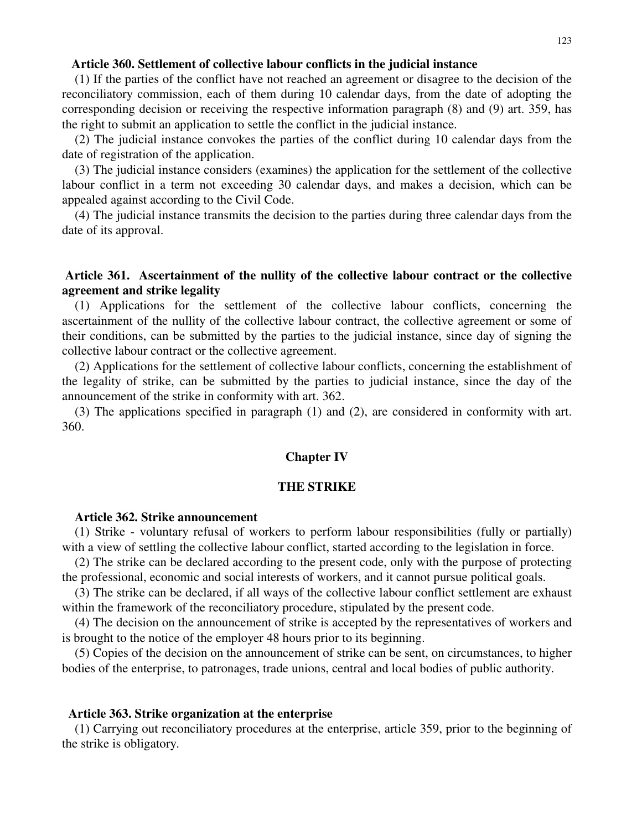## **Article 360. Settlement of collective labour conflicts in the judicial instance**

(1) If the parties of the conflict have not reached an agreement or disagree to the decision of the reconciliatory commission, each of them during 10 calendar days, from the date of adopting the corresponding decision or receiving the respective information paragraph (8) and (9) art. 359, has the right to submit an application to settle the conflict in the judicial instance.

(2) The judicial instance convokes the parties of the conflict during 10 calendar days from the date of registration of the application.

(3) The judicial instance considers (examines) the application for the settlement of the collective labour conflict in a term not exceeding 30 calendar days, and makes a decision, which can be appealed against according to the Civil Code.

(4) The judicial instance transmits the decision to the parties during three calendar days from the date of its approval.

# **Article 361. Ascertainment of the nullity of the collective labour contract or the collective agreement and strike legality**

(1) Applications for the settlement of the collective labour conflicts, concerning the ascertainment of the nullity of the collective labour contract, the collective agreement or some of their conditions, can be submitted by the parties to the judicial instance, since day of signing the collective labour contract or the collective agreement.

(2) Applications for the settlement of collective labour conflicts, concerning the establishment of the legality of strike, can be submitted by the parties to judicial instance, since the day of the announcement of the strike in conformity with art. 362.

(3) The applications specified in paragraph (1) and (2), are considered in conformity with art. 360.

### **Chapter IV**

### **THE STRIKE**

#### **Article 362. Strike announcement**

(1) Strike - voluntary refusal of workers to perform labour responsibilities (fully or partially) with a view of settling the collective labour conflict, started according to the legislation in force.

(2) The strike can be declared according to the present code, only with the purpose of protecting the professional, economic and social interests of workers, and it cannot pursue political goals.

(3) The strike can be declared, if all ways of the collective labour conflict settlement are exhaust within the framework of the reconciliatory procedure, stipulated by the present code.

(4) The decision on the announcement of strike is accepted by the representatives of workers and is brought to the notice of the employer 48 hours prior to its beginning.

(5) Copies of the decision on the announcement of strike can be sent, on circumstances, to higher bodies of the enterprise, to patronages, trade unions, central and local bodies of public authority.

#### **Article 363. Strike organization at the enterprise**

(1) Carrying out reconciliatory procedures at the enterprise, article 359, prior to the beginning of the strike is obligatory.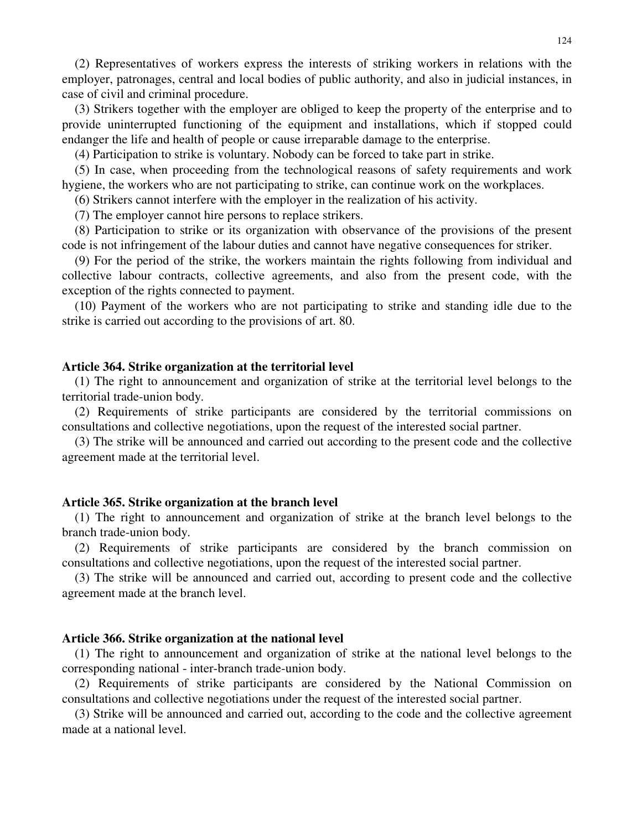(2) Representatives of workers express the interests of striking workers in relations with the employer, patronages, central and local bodies of public authority, and also in judicial instances, in case of civil and criminal procedure.

(3) Strikers together with the employer are obliged to keep the property of the enterprise and to provide uninterrupted functioning of the equipment and installations, which if stopped could endanger the life and health of people or cause irreparable damage to the enterprise.

(4) Participation to strike is voluntary. Nobody can be forced to take part in strike.

(5) In case, when proceeding from the technological reasons of safety requirements and work hygiene, the workers who are not participating to strike, can continue work on the workplaces.

(6) Strikers cannot interfere with the employer in the realization of his activity.

(7) The employer cannot hire persons to replace strikers.

(8) Participation to strike or its organization with observance of the provisions of the present code is not infringement of the labour duties and cannot have negative consequences for striker.

(9) For the period of the strike, the workers maintain the rights following from individual and collective labour contracts, collective agreements, and also from the present code, with the exception of the rights connected to payment.

(10) Payment of the workers who are not participating to strike and standing idle due to the strike is carried out according to the provisions of art. 80.

#### **Article 364. Strike organization at the territorial level**

(1) The right to announcement and organization of strike at the territorial level belongs to the territorial trade-union body.

(2) Requirements of strike participants are considered by the territorial commissions on consultations and collective negotiations, upon the request of the interested social partner.

(3) The strike will be announced and carried out according to the present code and the collective agreement made at the territorial level.

#### **Article 365. Strike organization at the branch level**

(1) The right to announcement and organization of strike at the branch level belongs to the branch trade-union body.

(2) Requirements of strike participants are considered by the branch commission on consultations and collective negotiations, upon the request of the interested social partner.

(3) The strike will be announced and carried out, according to present code and the collective agreement made at the branch level.

### **Article 366. Strike organization at the national level**

(1) The right to announcement and organization of strike at the national level belongs to the corresponding national - inter-branch trade-union body.

(2) Requirements of strike participants are considered by the National Commission on consultations and collective negotiations under the request of the interested social partner.

(3) Strike will be announced and carried out, according to the code and the collective agreement made at a national level.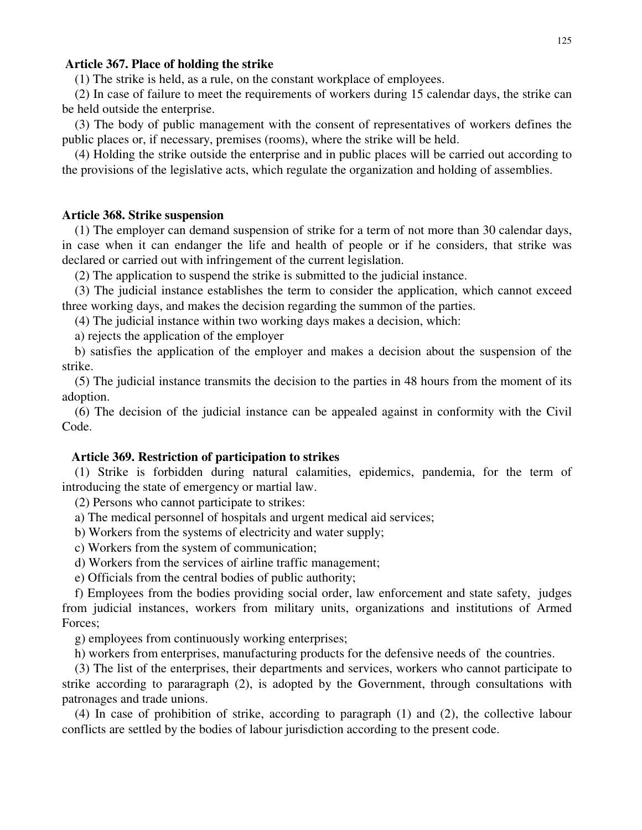## **Article 367. Place of holding the strike**

(1) The strike is held, as a rule, on the constant workplace of employees.

(2) In case of failure to meet the requirements of workers during 15 calendar days, the strike can be held outside the enterprise.

(3) The body of public management with the consent of representatives of workers defines the public places or, if necessary, premises (rooms), where the strike will be held.

(4) Holding the strike outside the enterprise and in public places will be carried out according to the provisions of the legislative acts, which regulate the organization and holding of assemblies.

#### **Article 368. Strike suspension**

(1) The employer can demand suspension of strike for a term of not more than 30 calendar days, in case when it can endanger the life and health of people or if he considers, that strike was declared or carried out with infringement of the current legislation.

(2) The application to suspend the strike is submitted to the judicial instance.

(3) The judicial instance establishes the term to consider the application, which cannot exceed three working days, and makes the decision regarding the summon of the parties.

(4) The judicial instance within two working days makes a decision, which:

a) rejects the application of the employer

b) satisfies the application of the employer and makes a decision about the suspension of the strike.

(5) The judicial instance transmits the decision to the parties in 48 hours from the moment of its adoption.

(6) The decision of the judicial instance can be appealed against in conformity with the Civil Code.

### **Article 369. Restriction of participation to strikes**

(1) Strike is forbidden during natural calamities, epidemics, pandemia, for the term of introducing the state of emergency or martial law.

(2) Persons who cannot participate to strikes:

a) The medical personnel of hospitals and urgent medical aid services;

b) Workers from the systems of electricity and water supply;

c) Workers from the system of communication;

d) Workers from the services of airline traffic management;

e) Officials from the central bodies of public authority;

f) Employees from the bodies providing social order, law enforcement and state safety, judges from judicial instances, workers from military units, organizations and institutions of Armed Forces;

g) employees from continuously working enterprises;

h) workers from enterprises, manufacturing products for the defensive needs of the countries.

(3) The list of the enterprises, their departments and services, workers who cannot participate to strike according to pararagraph (2), is adopted by the Government, through consultations with patronages and trade unions.

(4) In case of prohibition of strike, according to paragraph (1) and (2), the collective labour conflicts are settled by the bodies of labour jurisdiction according to the present code.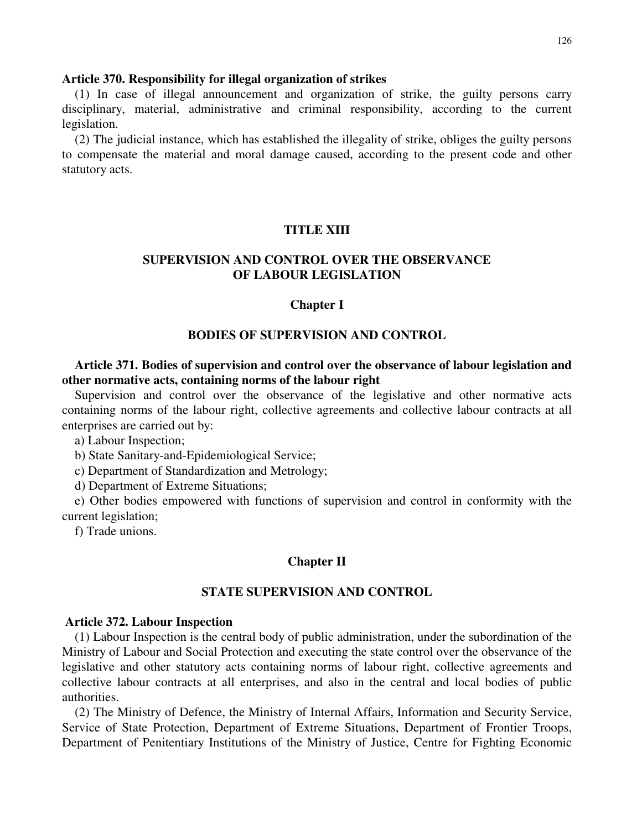### **Article 370. Responsibility for illegal organization of strikes**

(1) In case of illegal announcement and organization of strike, the guilty persons carry disciplinary, material, administrative and criminal responsibility, according to the current legislation.

(2) The judicial instance, which has established the illegality of strike, obliges the guilty persons to compensate the material and moral damage caused, according to the present code and other statutory acts.

# **TITLE XIII**

# **SUPERVISION AND CONTROL OVER THE OBSERVANCE OF LABOUR LEGISLATION**

## **Chapter I**

### **BODIES OF SUPERVISION AND CONTROL**

# **Article 371. Bodies of supervision and control over the observance of labour legislation and other normative acts, containing norms of the labour right**

Supervision and control over the observance of the legislative and other normative acts containing norms of the labour right, collective agreements and collective labour contracts at all enterprises are carried out by:

a) Labour Inspection;

b) State Sanitary-and-Epidemiological Service;

c) Department of Standardization and Metrology;

d) Department of Extreme Situations;

e) Other bodies empowered with functions of supervision and control in conformity with the current legislation;

f) Trade unions.

### **Chapter II**

## **STATE SUPERVISION AND CONTROL**

#### **Article 372. Labour Inspection**

(1) Labour Inspection is the central body of public administration, under the subordination of the Ministry of Labour and Social Protection and executing the state control over the observance of the legislative and other statutory acts containing norms of labour right, collective agreements and collective labour contracts at all enterprises, and also in the central and local bodies of public authorities.

(2) The Ministry of Defence, the Ministry of Internal Affairs, Information and Security Service, Service of State Protection, Department of Extreme Situations, Department of Frontier Troops, Department of Penitentiary Institutions of the Ministry of Justice, Centre for Fighting Economic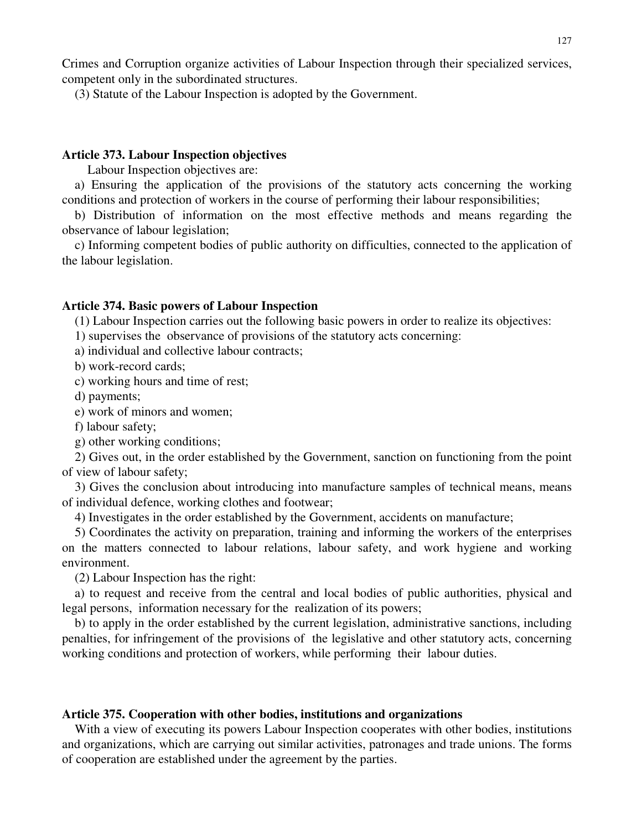Crimes and Corruption organize activities of Labour Inspection through their specialized services, competent only in the subordinated structures.

(3) Statute of the Labour Inspection is adopted by the Government.

# **Article 373. Labour Inspection objectives**

Labour Inspection objectives are:

a) Ensuring the application of the provisions of the statutory acts concerning the working conditions and protection of workers in the course of performing their labour responsibilities;

b) Distribution of information on the most effective methods and means regarding the observance of labour legislation;

c) Informing competent bodies of public authority on difficulties, connected to the application of the labour legislation.

# **Article 374. Basic powers of Labour Inspection**

(1) Labour Inspection carries out the following basic powers in order to realize its objectives:

1) supervises the observance of provisions of the statutory acts concerning:

a) individual and collective labour contracts;

b) work-record cards;

c) working hours and time of rest;

d) payments;

e) work of minors and women;

f) labour safety;

g) other working conditions;

2) Gives out, in the order established by the Government, sanction on functioning from the point of view of labour safety;

3) Gives the conclusion about introducing into manufacture samples of technical means, means of individual defence, working clothes and footwear;

4) Investigates in the order established by the Government, accidents on manufacture;

5) Coordinates the activity on preparation, training and informing the workers of the enterprises on the matters connected to labour relations, labour safety, and work hygiene and working environment.

(2) Labour Inspection has the right:

a) to request and receive from the central and local bodies of public authorities, physical and legal persons, information necessary for the realization of its powers;

b) to apply in the order established by the current legislation, administrative sanctions, including penalties, for infringement of the provisions of the legislative and other statutory acts, concerning working conditions and protection of workers, while performing their labour duties.

## **Article 375. Cooperation with other bodies, institutions and organizations**

With a view of executing its powers Labour Inspection cooperates with other bodies, institutions and organizations, which are carrying out similar activities, patronages and trade unions. The forms of cooperation are established under the agreement by the parties.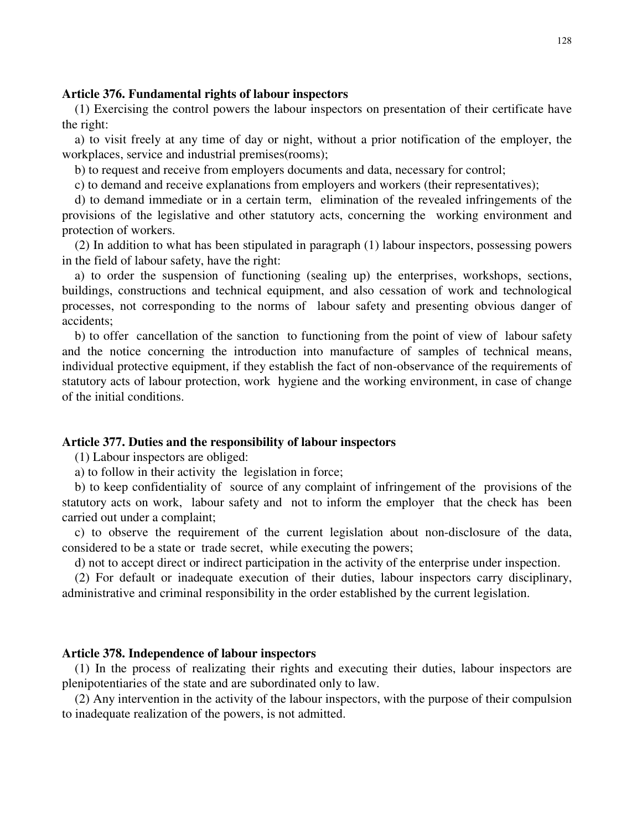### **Article 376. Fundamental rights of labour inspectors**

(1) Exercising the control powers the labour inspectors on presentation of their certificate have the right:

a) to visit freely at any time of day or night, without a prior notification of the employer, the workplaces, service and industrial premises(rooms);

b) to request and receive from employers documents and data, necessary for control;

c) to demand and receive explanations from employers and workers (their representatives);

d) to demand immediate or in a certain term, elimination of the revealed infringements of the provisions of the legislative and other statutory acts, concerning the working environment and protection of workers.

(2) In addition to what has been stipulated in paragraph (1) labour inspectors, possessing powers in the field of labour safety, have the right:

a) to order the suspension of functioning (sealing up) the enterprises, workshops, sections, buildings, constructions and technical equipment, and also cessation of work and technological processes, not corresponding to the norms of labour safety and presenting obvious danger of accidents;

b) to offer cancellation of the sanction to functioning from the point of view of labour safety and the notice concerning the introduction into manufacture of samples of technical means, individual protective equipment, if they establish the fact of non-observance of the requirements of statutory acts of labour protection, work hygiene and the working environment, in case of change of the initial conditions.

### **Article 377. Duties and the responsibility of labour inspectors**

(1) Labour inspectors are obliged:

a) to follow in their activity the legislation in force;

b) to keep confidentiality of source of any complaint of infringement of the provisions of the statutory acts on work, labour safety and not to inform the employer that the check has been carried out under a complaint;

c) to observe the requirement of the current legislation about non-disclosure of the data, considered to be a state or trade secret, while executing the powers;

d) not to accept direct or indirect participation in the activity of the enterprise under inspection.

(2) For default or inadequate execution of their duties, labour inspectors carry disciplinary, administrative and criminal responsibility in the order established by the current legislation.

### **Article 378. Independence of labour inspectors**

(1) In the process of realizating their rights and executing their duties, labour inspectors are plenipotentiaries of the state and are subordinated only to law.

(2) Any intervention in the activity of the labour inspectors, with the purpose of their compulsion to inadequate realization of the powers, is not admitted.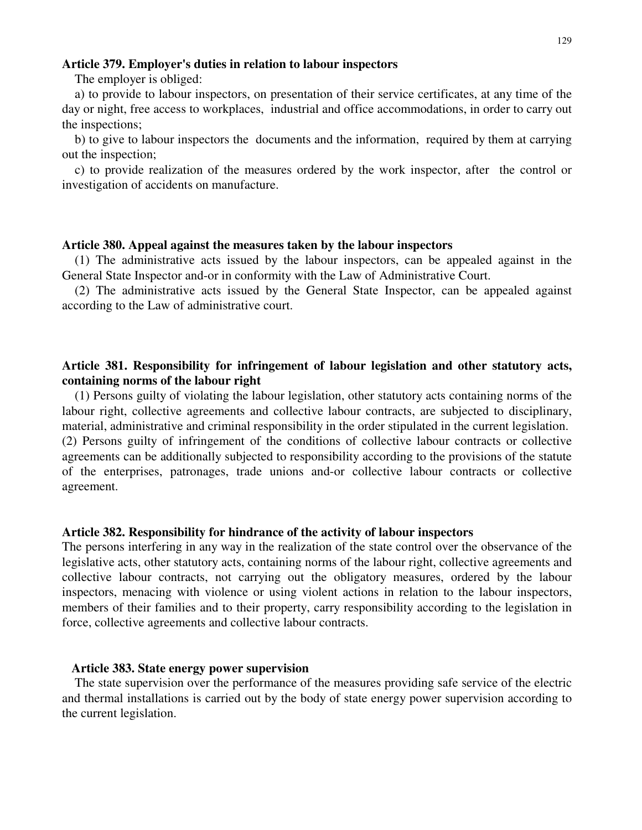## **Article 379. Employer's duties in relation to labour inspectors**

The employer is obliged:

a) to provide to labour inspectors, on presentation of their service certificates, at any time of the day or night, free access to workplaces, industrial and office accommodations, in order to carry out the inspections;

b) to give to labour inspectors the documents and the information, required by them at carrying out the inspection;

c) to provide realization of the measures ordered by the work inspector, after the control or investigation of accidents on manufacture.

### **Article 380. Appeal against the measures taken by the labour inspectors**

(1) The administrative acts issued by the labour inspectors, can be appealed against in the General State Inspector and-or in conformity with the Law of Administrative Court.

(2) The administrative acts issued by the General State Inspector, can be appealed against according to the Law of administrative court.

# **Article 381. Responsibility for infringement of labour legislation and other statutory acts, containing norms of the labour right**

(1) Persons guilty of violating the labour legislation, other statutory acts containing norms of the labour right, collective agreements and collective labour contracts, are subjected to disciplinary, material, administrative and criminal responsibility in the order stipulated in the current legislation. (2) Persons guilty of infringement of the conditions of collective labour contracts or collective agreements can be additionally subjected to responsibility according to the provisions of the statute of the enterprises, patronages, trade unions and-or collective labour contracts or collective agreement.

### **Article 382. Responsibility for hindrance of the activity of labour inspectors**

The persons interfering in any way in the realization of the state control over the observance of the legislative acts, other statutory acts, containing norms of the labour right, collective agreements and collective labour contracts, not carrying out the obligatory measures, ordered by the labour inspectors, menacing with violence or using violent actions in relation to the labour inspectors, members of their families and to their property, carry responsibility according to the legislation in force, collective agreements and collective labour contracts.

## **Article 383. State energy power supervision**

The state supervision over the performance of the measures providing safe service of the electric and thermal installations is carried out by the body of state energy power supervision according to the current legislation.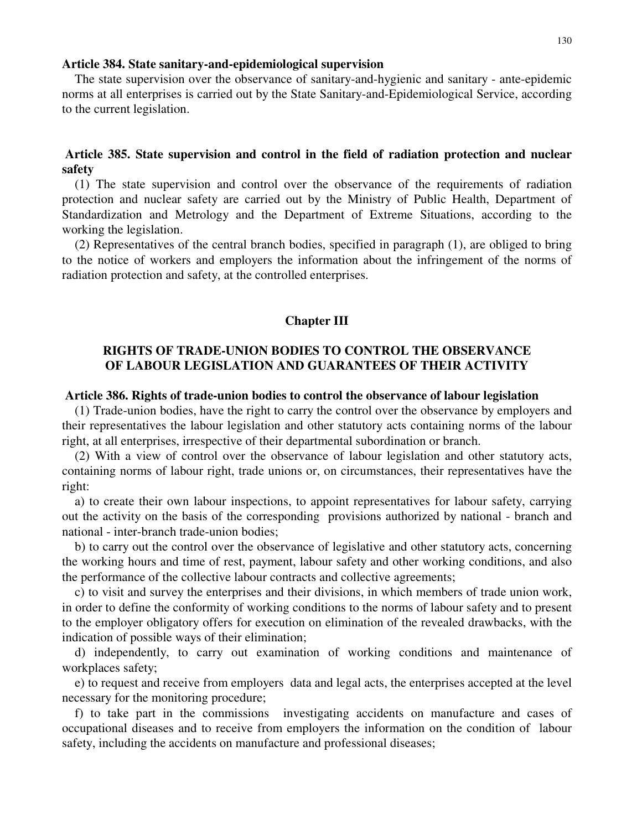#### **Article 384. State sanitary-and-epidemiological supervision**

The state supervision over the observance of sanitary-and-hygienic and sanitary - ante-epidemic norms at all enterprises is carried out by the State Sanitary-and-Epidemiological Service, according to the current legislation.

# **Article 385. State supervision and control in the field of radiation protection and nuclear safety**

(1) The state supervision and control over the observance of the requirements of radiation protection and nuclear safety are carried out by the Ministry of Public Health, Department of Standardization and Metrology and the Department of Extreme Situations, according to the working the legislation.

(2) Representatives of the central branch bodies, specified in paragraph (1), are obliged to bring to the notice of workers and employers the information about the infringement of the norms of radiation protection and safety, at the controlled enterprises.

### **Chapter III**

# **RIGHTS OF TRADE-UNION BODIES TO CONTROL THE OBSERVANCE OF LABOUR LEGISLATION AND GUARANTEES OF THEIR ACTIVITY**

#### **Article 386. Rights of trade-union bodies to control the observance of labour legislation**

(1) Trade-union bodies, have the right to carry the control over the observance by employers and their representatives the labour legislation and other statutory acts containing norms of the labour right, at all enterprises, irrespective of their departmental subordination or branch.

(2) With a view of control over the observance of labour legislation and other statutory acts, containing norms of labour right, trade unions or, on circumstances, their representatives have the right:

a) to create their own labour inspections, to appoint representatives for labour safety, carrying out the activity on the basis of the corresponding provisions authorized by national - branch and national - inter-branch trade-union bodies;

b) to carry out the control over the observance of legislative and other statutory acts, concerning the working hours and time of rest, payment, labour safety and other working conditions, and also the performance of the collective labour contracts and collective agreements;

c) to visit and survey the enterprises and their divisions, in which members of trade union work, in order to define the conformity of working conditions to the norms of labour safety and to present to the employer obligatory offers for execution on elimination of the revealed drawbacks, with the indication of possible ways of their elimination;

d) independently, to carry out examination of working conditions and maintenance of workplaces safety;

e) to request and receive from employers data and legal acts, the enterprises accepted at the level necessary for the monitoring procedure;

f) to take part in the commissions investigating accidents on manufacture and cases of occupational diseases and to receive from employers the information on the condition of labour safety, including the accidents on manufacture and professional diseases;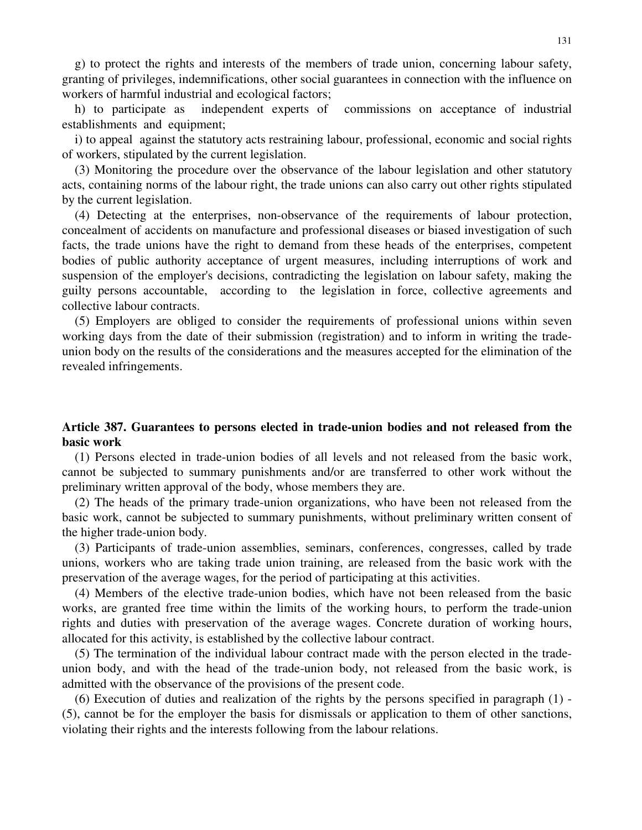g) to protect the rights and interests of the members of trade union, concerning labour safety, granting of privileges, indemnifications, other social guarantees in connection with the influence on workers of harmful industrial and ecological factors;

h) to participate as independent experts of commissions on acceptance of industrial establishments and equipment;

i) to appeal against the statutory acts restraining labour, professional, economic and social rights of workers, stipulated by the current legislation.

(3) Monitoring the procedure over the observance of the labour legislation and other statutory acts, containing norms of the labour right, the trade unions can also carry out other rights stipulated by the current legislation.

(4) Detecting at the enterprises, non-observance of the requirements of labour protection, concealment of accidents on manufacture and professional diseases or biased investigation of such facts, the trade unions have the right to demand from these heads of the enterprises, competent bodies of public authority acceptance of urgent measures, including interruptions of work and suspension of the employer's decisions, contradicting the legislation on labour safety, making the guilty persons accountable, according to the legislation in force, collective agreements and collective labour contracts.

(5) Employers are obliged to consider the requirements of professional unions within seven working days from the date of their submission (registration) and to inform in writing the tradeunion body on the results of the considerations and the measures accepted for the elimination of the revealed infringements.

# **Article 387. Guarantees to persons elected in trade-union bodies and not released from the basic work**

(1) Persons elected in trade-union bodies of all levels and not released from the basic work, cannot be subjected to summary punishments and/or are transferred to other work without the preliminary written approval of the body, whose members they are.

(2) The heads of the primary trade-union organizations, who have been not released from the basic work, cannot be subjected to summary punishments, without preliminary written consent of the higher trade-union body.

(3) Participants of trade-union assemblies, seminars, conferences, congresses, called by trade unions, workers who are taking trade union training, are released from the basic work with the preservation of the average wages, for the period of participating at this activities.

(4) Members of the elective trade-union bodies, which have not been released from the basic works, are granted free time within the limits of the working hours, to perform the trade-union rights and duties with preservation of the average wages. Concrete duration of working hours, allocated for this activity, is established by the collective labour contract.

(5) The termination of the individual labour contract made with the person elected in the tradeunion body, and with the head of the trade-union body, not released from the basic work, is admitted with the observance of the provisions of the present code.

(6) Execution of duties and realization of the rights by the persons specified in paragraph (1) - (5), cannot be for the employer the basis for dismissals or application to them of other sanctions, violating their rights and the interests following from the labour relations.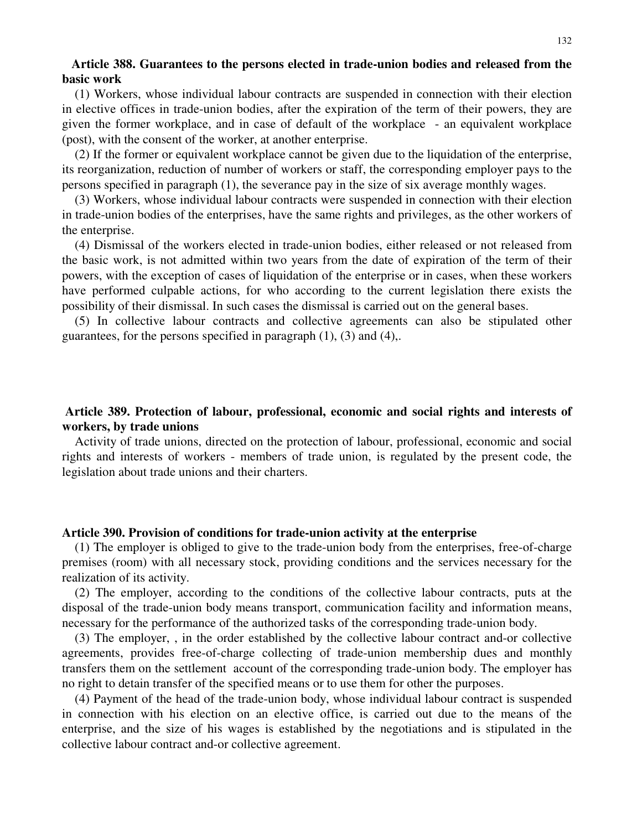# **Article 388. Guarantees to the persons elected in trade-union bodies and released from the basic work**

(1) Workers, whose individual labour contracts are suspended in connection with their election in elective offices in trade-union bodies, after the expiration of the term of their powers, they are given the former workplace, and in case of default of the workplace - an equivalent workplace (post), with the consent of the worker, at another enterprise.

(2) If the former or equivalent workplace cannot be given due to the liquidation of the enterprise, its reorganization, reduction of number of workers or staff, the corresponding employer pays to the persons specified in paragraph (1), the severance pay in the size of six average monthly wages.

(3) Workers, whose individual labour contracts were suspended in connection with their election in trade-union bodies of the enterprises, have the same rights and privileges, as the other workers of the enterprise.

(4) Dismissal of the workers elected in trade-union bodies, either released or not released from the basic work, is not admitted within two years from the date of expiration of the term of their powers, with the exception of cases of liquidation of the enterprise or in cases, when these workers have performed culpable actions, for who according to the current legislation there exists the possibility of their dismissal. In such cases the dismissal is carried out on the general bases.

(5) In collective labour contracts and collective agreements can also be stipulated other guarantees, for the persons specified in paragraph  $(1)$ ,  $(3)$  and  $(4)$ ,.

# **Article 389. Protection of labour, professional, economic and social rights and interests of workers, by trade unions**

Activity of trade unions, directed on the protection of labour, professional, economic and social rights and interests of workers - members of trade union, is regulated by the present code, the legislation about trade unions and their charters.

### **Article 390. Provision of conditions for trade-union activity at the enterprise**

(1) The employer is obliged to give to the trade-union body from the enterprises, free-of-charge premises (room) with all necessary stock, providing conditions and the services necessary for the realization of its activity.

(2) The employer, according to the conditions of the collective labour contracts, puts at the disposal of the trade-union body means transport, communication facility and information means, necessary for the performance of the authorized tasks of the corresponding trade-union body.

(3) The employer, , in the order established by the collective labour contract and-or collective agreements, provides free-of-charge collecting of trade-union membership dues and monthly transfers them on the settlement account of the corresponding trade-union body. The employer has no right to detain transfer of the specified means or to use them for other the purposes.

(4) Payment of the head of the trade-union body, whose individual labour contract is suspended in connection with his election on an elective office, is carried out due to the means of the enterprise, and the size of his wages is established by the negotiations and is stipulated in the collective labour contract and-or collective agreement.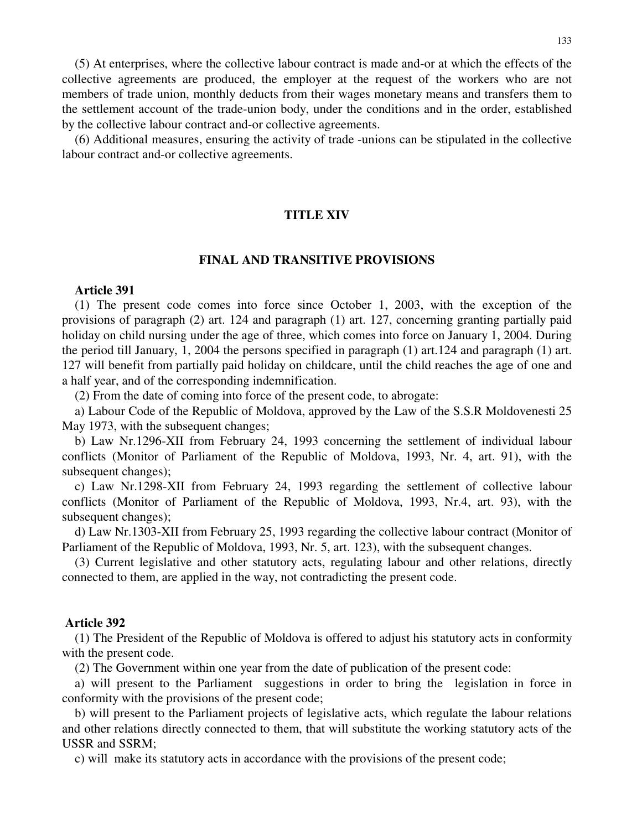(5) At enterprises, where the collective labour contract is made and-or at which the effects of the collective agreements are produced, the employer at the request of the workers who are not members of trade union, monthly deducts from their wages monetary means and transfers them to the settlement account of the trade-union body, under the conditions and in the order, established by the collective labour contract and-or collective agreements.

(6) Additional measures, ensuring the activity of trade -unions can be stipulated in the collective labour contract and-or collective agreements.

# **TITLE XIV**

## **FINAL AND TRANSITIVE PROVISIONS**

#### **Article 391**

(1) The present code comes into force since October 1, 2003, with the exception of the provisions of paragraph (2) art. 124 and paragraph (1) art. 127, concerning granting partially paid holiday on child nursing under the age of three, which comes into force on January 1, 2004. During the period till January, 1, 2004 the persons specified in paragraph (1) art.124 and paragraph (1) art. 127 will benefit from partially paid holiday on childcare, until the child reaches the age of one and a half year, and of the corresponding indemnification.

(2) From the date of coming into force of the present code, to abrogate:

a) Labour Code of the Republic of Moldova, approved by the Law of the S.S.R Moldovenesti 25 May 1973, with the subsequent changes;

b) Law Nr.1296-XII from February 24, 1993 concerning the settlement of individual labour conflicts (Monitor of Parliament of the Republic of Moldova, 1993, Nr. 4, art. 91), with the subsequent changes);

c) Law Nr.1298-XII from February 24, 1993 regarding the settlement of collective labour conflicts (Monitor of Parliament of the Republic of Moldova, 1993, Nr.4, art. 93), with the subsequent changes);

d) Law Nr.1303-XII from February 25, 1993 regarding the collective labour contract (Monitor of Parliament of the Republic of Moldova, 1993, Nr. 5, art. 123), with the subsequent changes.

(3) Current legislative and other statutory acts, regulating labour and other relations, directly connected to them, are applied in the way, not contradicting the present code.

#### **Article 392**

(1) The President of the Republic of Moldova is offered to adjust his statutory acts in conformity with the present code.

(2) The Government within one year from the date of publication of the present code:

a) will present to the Parliament suggestions in order to bring the legislation in force in conformity with the provisions of the present code;

b) will present to the Parliament projects of legislative acts, which regulate the labour relations and other relations directly connected to them, that will substitute the working statutory acts of the USSR and SSRM;

c) will make its statutory acts in accordance with the provisions of the present code;